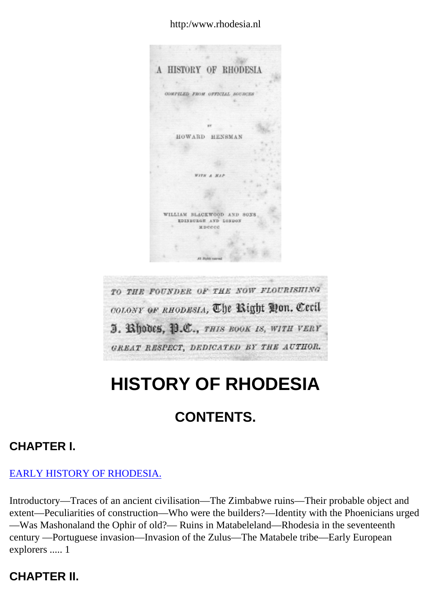#### http:/www.rhodesia.nl

A HISTORY OF RHODESIA COMPILED FROM OFFICIAL SOURCES HOWARD HENSMAN WITH A MAI WILLIAM BLACKWOOD AND SONS EDISBURGH AND LONDON MDCCCC TO THE FOUNDER OF THE NOW FLOURISHING colony or RHODESIA, The Right Mon. Cecil J. Bhodes, B.C., THIS BOOK IS, WITH VERY

# GREAT RESPECT, DEDICATED BY THE AUTHOR.

# **HISTORY OF RHODESIA**

## **CONTENTS.**

#### **CHAPTER I.**

#### [EARLY HISTORY OF RHODESIA.](#page-8-0)

Introductory—Traces of an ancient civilisation—The Zimbabwe ruins—Their probable object and extent—Peculiarities of construction—Who were the builders?—Identity with the Phoenicians urged —Was Mashonaland the Ophir of old?— Ruins in Matabeleland—Rhodesia in the seventeenth century —Portuguese invasion—Invasion of the Zulus—The Matabele tribe—Early European explorers ..... 1

#### **CHAPTER II.**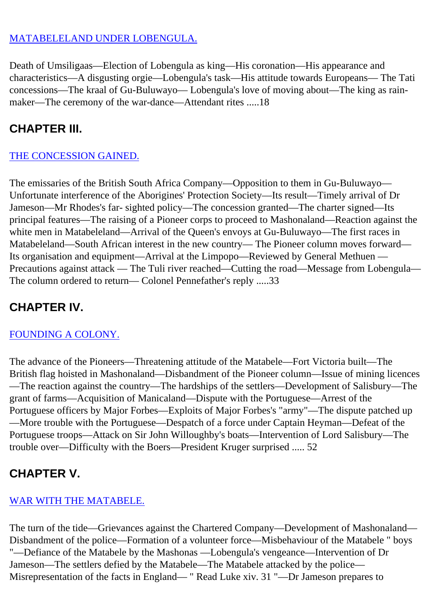#### [MATABELELAND UNDER LOBENGULA.](#page-15-0)

Death of Umsiligaas—Election of Lobengula as king—His coronation—His appearance and characteristics—A disgusting orgie—Lobengula's task—His attitude towards Europeans— The Tati concessions—The kraal of Gu-Buluwayo— Lobengula's love of moving about—The king as rainmaker—The ceremony of the war-dance—Attendant rites .....18

### **CHAPTER III.**

#### [THE CONCESSION GAINED.](#page-21-0)

The emissaries of the British South Africa Company—Opposition to them in Gu-Buluwayo— Unfortunate interference of the Aborigines' Protection Society—Its result—Timely arrival of Dr Jameson—Mr Rhodes's far- sighted policy—The concession granted—The charter signed—Its principal features—The raising of a Pioneer corps to proceed to Mashonaland—Reaction against the white men in Matabeleland—Arrival of the Queen's envoys at Gu-Buluwayo—The first races in Matabeleland—South African interest in the new country— The Pioneer column moves forward— Its organisation and equipment—Arrival at the Limpopo—Reviewed by General Methuen — Precautions against attack — The Tuli river reached—Cutting the road—Message from Lobengula— The column ordered to return— Colonel Pennefather's reply .....33

### **CHAPTER IV.**

#### [FOUNDING A COLONY.](#page-29-0)

The advance of the Pioneers—Threatening attitude of the Matabele—Fort Victoria built—The British flag hoisted in Mashonaland—Disbandment of the Pioneer column—Issue of mining licences —The reaction against the country—The hardships of the settlers—Development of Salisbury—The grant of farms—Acquisition of Manicaland—Dispute with the Portuguese—Arrest of the Portuguese officers by Major Forbes—Exploits of Major Forbes's "army"—The dispute patched up —More trouble with the Portuguese—Despatch of a force under Captain Heyman—Defeat of the Portuguese troops—Attack on Sir John Willoughby's boats—Intervention of Lord Salisbury—The trouble over—Difficulty with the Boers—President Kruger surprised ..... 52

#### **CHAPTER V.**

#### [WAR WITH THE MATABELE.](#page-36-0)

The turn of the tide—Grievances against the Chartered Company—Development of Mashonaland— Disbandment of the police—Formation of a volunteer force—Misbehaviour of the Matabele " boys "—Defiance of the Matabele by the Mashonas —Lobengula's vengeance—Intervention of Dr Jameson—The settlers defied by the Matabele—The Matabele attacked by the police— Misrepresentation of the facts in England— " Read Luke xiv. 31 "—Dr Jameson prepares to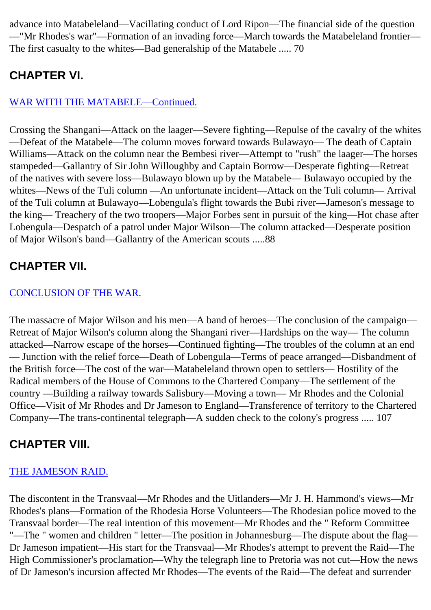advance into Matabeleland—Vacillating conduct of Lord Ripon—The financial side of the question —"Mr Rhodes's war"—Formation of an invading force—March towards the Matabeleland frontier— The first casualty to the whites—Bad generalship of the Matabele ..... 70

### **CHAPTER VI.**

#### [WAR WITH THE MATABELE—Continued.](#page-43-0)

Crossing the Shangani—Attack on the laager—Severe fighting—Repulse of the cavalry of the whites —Defeat of the Matabele—The column moves forward towards Bulawayo— The death of Captain Williams—Attack on the column near the Bembesi river—Attempt to "rush" the laager—The horses stampeded—Gallantry of Sir John Willoughby and Captain Borrow—Desperate fighting—Retreat of the natives with severe loss—Bulawayo blown up by the Matabele— Bulawayo occupied by the whites—News of the Tuli column —An unfortunate incident—Attack on the Tuli column— Arrival of the Tuli column at Bulawayo—Lobengula's flight towards the Bubi river—Jameson's message to the king— Treachery of the two troopers—Major Forbes sent in pursuit of the king—Hot chase after Lobengula—Despatch of a patrol under Major Wilson—The column attacked—Desperate position of Major Wilson's band—Gallantry of the American scouts .....88

### **CHAPTER VII.**

#### [CONCLUSION OF THE WAR.](#page-51-0)

The massacre of Major Wilson and his men—A band of heroes—The conclusion of the campaign— Retreat of Major Wilson's column along the Shangani river—Hardships on the way— The column attacked—Narrow escape of the horses—Continued fighting—The troubles of the column at an end — Junction with the relief force—Death of Lobengula—Terms of peace arranged—Disbandment of the British force—The cost of the war—Matabeleland thrown open to settlers— Hostility of the Radical members of the House of Commons to the Chartered Company—The settlement of the country —Building a railway towards Salisbury—Moving a town— Mr Rhodes and the Colonial Office—Visit of Mr Rhodes and Dr Jameson to England—Transference of territory to the Chartered Company—The trans-continental telegraph—A sudden check to the colony's progress ..... 107

### **CHAPTER VIII.**

#### [THE JAMESON RAID.](#page-58-0)

The discontent in the Transvaal—Mr Rhodes and the Uitlanders—Mr J. H. Hammond's views—Mr Rhodes's plans—Formation of the Rhodesia Horse Volunteers—The Rhodesian police moved to the Transvaal border—The real intention of this movement—Mr Rhodes and the " Reform Committee "—The " women and children " letter—The position in Johannesburg—The dispute about the flag— Dr Jameson impatient—His start for the Transvaal—Mr Rhodes's attempt to prevent the Raid—The High Commissioner's proclamation—Why the telegraph line to Pretoria was not cut—How the news of Dr Jameson's incursion affected Mr Rhodes—The events of the Raid—The defeat and surrender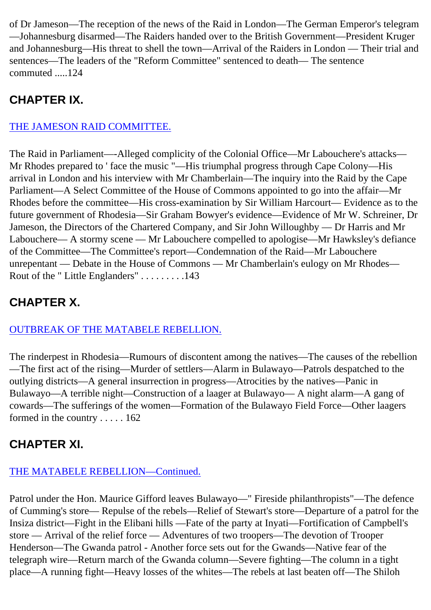of Dr Jameson—The reception of the news of the Raid in London—The German Emperor's telegram —Johannesburg disarmed—The Raiders handed over to the British Government—President Kruger and Johannesburg—His threat to shell the town—Arrival of the Raiders in London — Their trial and sentences—The leaders of the "Reform Committee" sentenced to death— The sentence commuted .....124

### **CHAPTER IX.**

#### [THE JAMESON RAID COMMITTEE.](#page-66-0)

The Raid in Parliament—-Alleged complicity of the Colonial Office—Mr Labouchere's attacks— Mr Rhodes prepared to ' face the music "—His triumphal progress through Cape Colony—His arrival in London and his interview with Mr Chamberlain—The inquiry into the Raid by the Cape Parliament—A Select Committee of the House of Commons appointed to go into the affair—Mr Rhodes before the committee—His cross-examination by Sir William Harcourt— Evidence as to the future government of Rhodesia—Sir Graham Bowyer's evidence—Evidence of Mr W. Schreiner, Dr Jameson, the Directors of the Chartered Company, and Sir John Willoughby — Dr Harris and Mr Labouchere— A stormy scene — Mr Labouchere compelled to apologise—Mr Hawksley's defiance of the Committee—The Committee's report—Condemnation of the Raid—Mr Labouchere unrepentant — Debate in the House of Commons — Mr Chamberlain's eulogy on Mr Rhodes— Rout of the " Little Englanders" . . . . . . . . .143

### **CHAPTER X.**

#### [OUTBREAK OF THE MATABELE REBELLION.](#page-74-0)

The rinderpest in Rhodesia—Rumours of discontent among the natives—The causes of the rebellion —The first act of the rising—Murder of settlers—Alarm in Bulawayo—Patrols despatched to the outlying districts—A general insurrection in progress—Atrocities by the natives—Panic in Bulawayo—A terrible night—Construction of a laager at Bulawayo— A night alarm—A gang of cowards—The sufferings of the women—Formation of the Bulawayo Field Force—Other laagers formed in the country . . . . . 162

### **CHAPTER XI.**

#### [THE MATABELE REBELLION—Continued.](#page-81-0)

Patrol under the Hon. Maurice Gifford leaves Bulawayo—" Fireside philanthropists"—The defence of Cumming's store— Repulse of the rebels—Relief of Stewart's store—Departure of a patrol for the Insiza district—Fight in the Elibani hills —Fate of the party at Inyati—Fortification of Campbell's store — Arrival of the relief force — Adventures of two troopers—The devotion of Trooper Henderson—The Gwanda patrol - Another force sets out for the Gwands—Native fear of the telegraph wire—Return march of the Gwanda column—Severe fighting—The column in a tight place—A running fight—Heavy losses of the whites—The rebels at last beaten off—The Shiloh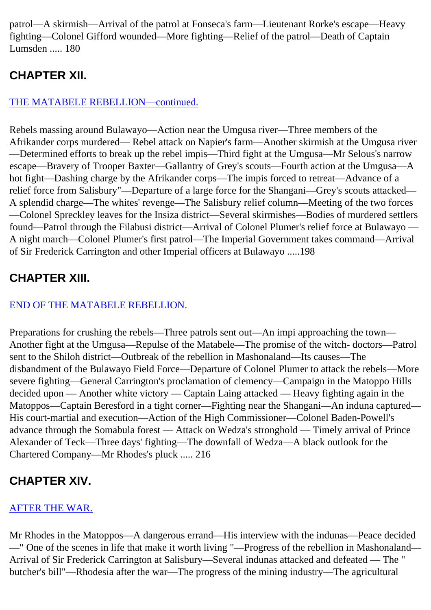patrol—A skirmish—Arrival of the patrol at Fonseca's farm—Lieutenant Rorke's escape—Heavy fighting—Colonel Gifford wounded—More fighting—Relief of the patrol—Death of Captain Lumsden ..... 180

### **CHAPTER XII.**

#### [THE MATABELE REBELLION—continued.](#page-88-0)

Rebels massing around Bulawayo—Action near the Umgusa river—Three members of the Afrikander corps murdered— Rebel attack on Napier's farm—Another skirmish at the Umgusa river —Determined efforts to break up the rebel impis—Third fight at the Umgusa—Mr Selous's narrow escape—Bravery of Trooper Baxter—Gallantry of Grey's scouts—Fourth action at the Umgusa—A hot fight—Dashing charge by the Afrikander corps—The impis forced to retreat—Advance of a relief force from Salisbury"—Departure of a large force for the Shangani—Grey's scouts attacked— A splendid charge—The whites' revenge—The Salisbury relief column—Meeting of the two forces —Colonel Spreckley leaves for the Insiza district—Several skirmishes—Bodies of murdered settlers found—Patrol through the Filabusi district—Arrival of Colonel Plumer's relief force at Bulawayo — A night march—Colonel Plumer's first patrol—The Imperial Government takes command—Arrival of Sir Frederick Carrington and other Imperial officers at Bulawayo .....198

### **CHAPTER XIII.**

#### [END OF THE MATABELE REBELLION.](#page-95-0)

Preparations for crushing the rebels—Three patrols sent out—An impi approaching the town— Another fight at the Umgusa—Repulse of the Matabele—The promise of the witch- doctors—Patrol sent to the Shiloh district—Outbreak of the rebellion in Mashonaland—Its causes—The disbandment of the Bulawayo Field Force—Departure of Colonel Plumer to attack the rebels—More severe fighting—General Carrington's proclamation of clemency—Campaign in the Matoppo Hills decided upon — Another white victory — Captain Laing attacked — Heavy fighting again in the Matoppos—Captain Beresford in a tight corner—Fighting near the Shangani—An induna captured— His court-martial and execution—Action of the High Commissioner—Colonel Baden-Powell's advance through the Somabula forest — Attack on Wedza's stronghold — Timely arrival of Prince Alexander of Teck—Three days' fighting—The downfall of Wedza—A black outlook for the Chartered Company—Mr Rhodes's pluck ..... 216

### **CHAPTER XIV.**

#### [AFTER THE WAR.](#page-102-0)

Mr Rhodes in the Matoppos—A dangerous errand—His interview with the indunas—Peace decided —" One of the scenes in life that make it worth living "—Progress of the rebellion in Mashonaland— Arrival of Sir Frederick Carrington at Salisbury—Several indunas attacked and defeated — The " butcher's bill"—Rhodesia after the war—The progress of the mining industry—The agricultural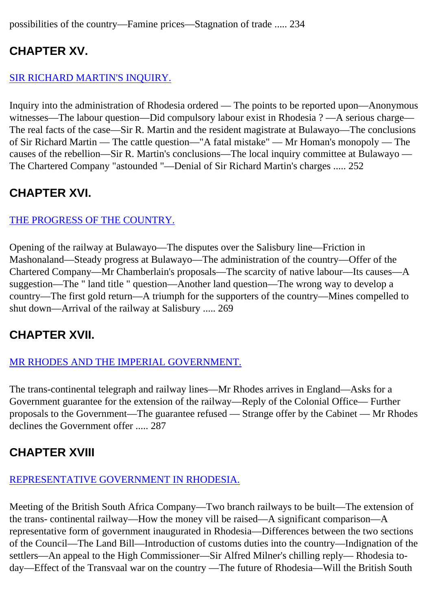possibilities of the country—Famine prices—Stagnation of trade ..... 234

### **CHAPTER XV.**

#### [SIR RICHARD MARTIN'S INQUIRY.](#page-109-0)

Inquiry into the administration of Rhodesia ordered — The points to be reported upon—Anonymous witnesses—The labour question—Did compulsory labour exist in Rhodesia ? —A serious charge— The real facts of the case—Sir R. Martin and the resident magistrate at Bulawayo—The conclusions of Sir Richard Martin — The cattle question—"A fatal mistake" — Mr Homan's monopoly — The causes of the rebellion—Sir R. Martin's conclusions—The local inquiry committee at Bulawayo — The Chartered Company "astounded "—Denial of Sir Richard Martin's charges ..... 252

### **CHAPTER XVI.**

#### [THE PROGRESS OF THE COUNTRY.](#page-116-0)

Opening of the railway at Bulawayo—The disputes over the Salisbury line—Friction in Mashonaland—Steady progress at Bulawayo—The administration of the country—Offer of the Chartered Company—Mr Chamberlain's proposals—The scarcity of native labour—Its causes—A suggestion—The " land title " question—Another land question—The wrong way to develop a country—The first gold return—A triumph for the supporters of the country—Mines compelled to shut down—Arrival of the railway at Salisbury ..... 269

### **CHAPTER XVII.**

#### [MR RHODES AND THE IMPERIAL GOVERNMENT.](#page-123-0)

The trans-continental telegraph and railway lines—Mr Rhodes arrives in England—Asks for a Government guarantee for the extension of the railway—Reply of the Colonial Office— Further proposals to the Government—The guarantee refused — Strange offer by the Cabinet — Mr Rhodes declines the Government offer ..... 287

### **CHAPTER XVIII**

#### [REPRESENTATIVE GOVERNMENT IN RHODESIA.](#page-130-0)

Meeting of the British South Africa Company—Two branch railways to be built—The extension of the trans- continental railway—How the money vill be raised—A significant comparison—A representative form of government inaugurated in Rhodesia—Differences between the two sections of the Council—The Land Bill—Introduction of customs duties into the country—Indignation of the settlers—An appeal to the High Commissioner—Sir Alfred Milner's chilling reply— Rhodesia today—Effect of the Transvaal war on the country —The future of Rhodesia—Will the British South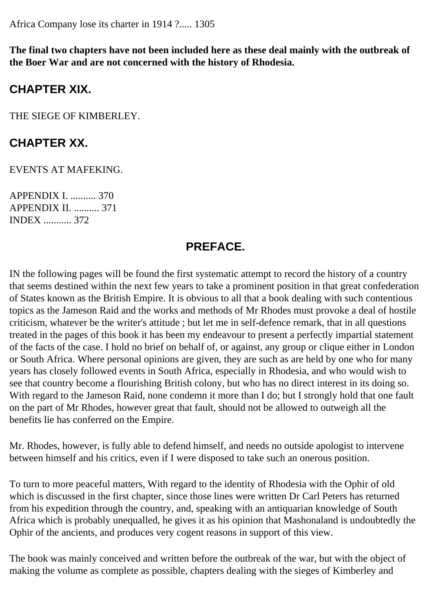Africa Company lose its charter in 1914 ?..... 1305

**The final two chapters have not been included here as these deal mainly with the outbreak of the Boer War and are not concerned with the history of Rhodesia.**

#### **CHAPTER XIX.**

THE SIEGE OF KIMBERLEY.

#### **CHAPTER XX.**

EVENTS AT MAFEKING.

APPENDIX I. .......... 370 APPENDIX II. .......... 371 INDEX ........... 372

#### **PREFACE.**

IN the following pages will be found the first systematic attempt to record the history of a country that seems destined within the next few years to take a prominent position in that great confederation of States known as the British Empire. It is obvious to all that a book dealing with such contentious topics as the Jameson Raid and the works and methods of Mr Rhodes must provoke a deal of hostile criticism, whatever be the writer's attitude ; but let me in self-defence remark, that in all questions treated in the pages of this book it has been my endeavour to present a perfectly impartial statement of the facts of the case. I hold no brief on behalf of, or against, any group or clique either in London or South Africa. Where personal opinions are given, they are such as are held by one who for many years has closely followed events in South Africa, especially in Rhodesia, and who would wish to see that country become a flourishing British colony, but who has no direct interest in its doing so. With regard to the Jameson Raid, none condemn it more than I do; but I strongly hold that one fault on the part of Mr Rhodes, however great that fault, should not be allowed to outweigh all the benefits lie has conferred on the Empire.

Mr. Rhodes, however, is fully able to defend himself, and needs no outside apologist to intervene between himself and his critics, even if I were disposed to take such an onerous position.

To turn to more peaceful matters, With regard to the identity of Rhodesia with the Ophir of old which is discussed in the first chapter, since those lines were written Dr Carl Peters has returned from his expedition through the country, and, speaking with an antiquarian knowledge of South Africa which is probably unequalled, he gives it as his opinion that Mashonaland is undoubtedly the Ophir of the ancients, and produces very cogent reasons in support of this view.

The book was mainly conceived and written before the outbreak of the war, but with the object of making the volume as complete as possible, chapters dealing with the sieges of Kimberley and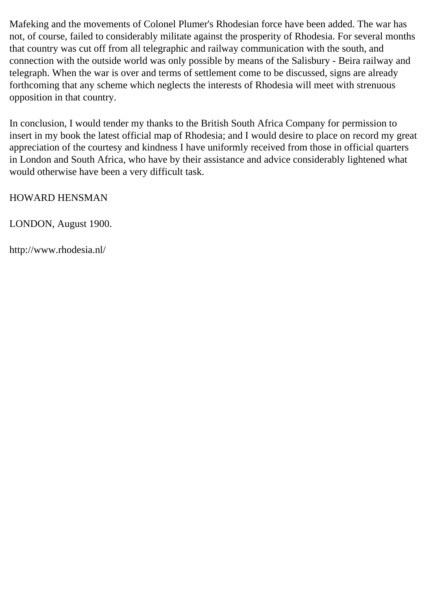Mafeking and the movements of Colonel Plumer's Rhodesian force have been added. The war has not, of course, failed to considerably militate against the prosperity of Rhodesia. For several months that country was cut off from all telegraphic and railway communication with the south, and connection with the outside world was only possible by means of the Salisbury - Beira railway and telegraph. When the war is over and terms of settlement come to be discussed, signs are already forthcoming that any scheme which neglects the interests of Rhodesia will meet with strenuous opposition in that country.

In conclusion, I would tender my thanks to the British South Africa Company for permission to insert in my book the latest official map of Rhodesia; and I would desire to place on record my great appreciation of the courtesy and kindness I have uniformly received from those in official quarters in London and South Africa, who have by their assistance and advice considerably lightened what would otherwise have been a very difficult task.

HOWARD HENSMAN

LONDON, August 1900.

http://www.rhodesia.nl/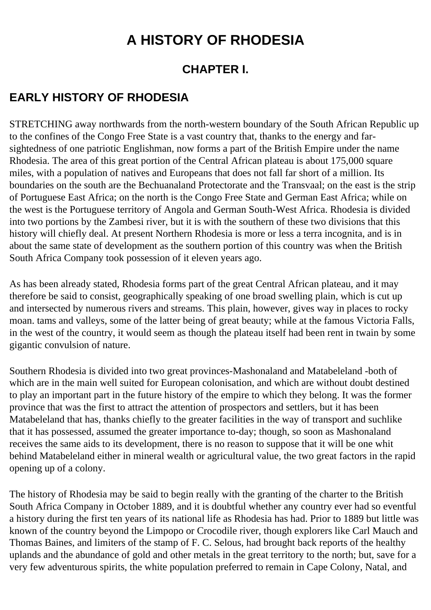## **A HISTORY OF RHODESIA**

#### **CHAPTER I.**

#### <span id="page-8-0"></span>**EARLY HISTORY OF RHODESIA**

STRETCHING away northwards from the north-western boundary of the South African Republic up to the confines of the Congo Free State is a vast country that, thanks to the energy and farsightedness of one patriotic Englishman, now forms a part of the British Empire under the name Rhodesia. The area of this great portion of the Central African plateau is about 175,000 square miles, with a population of natives and Europeans that does not fall far short of a million. Its boundaries on the south are the Bechuanaland Protectorate and the Transvaal; on the east is the strip of Portuguese East Africa; on the north is the Congo Free State and German East Africa; while on the west is the Portuguese territory of Angola and German South-West Africa. Rhodesia is divided into two portions by the Zambesi river, but it is with the southern of these two divisions that this history will chiefly deal. At present Northern Rhodesia is more or less a terra incognita, and is in about the same state of development as the southern portion of this country was when the British South Africa Company took possession of it eleven years ago.

As has been already stated, Rhodesia forms part of the great Central African plateau, and it may therefore be said to consist, geographically speaking of one broad swelling plain, which is cut up and intersected by numerous rivers and streams. This plain, however, gives way in places to rocky moan. tams and valleys, some of the latter being of great beauty; while at the famous Victoria Falls, in the west of the country, it would seem as though the plateau itself had been rent in twain by some gigantic convulsion of nature.

Southern Rhodesia is divided into two great provinces-Mashonaland and Matabeleland -both of which are in the main well suited for European colonisation, and which are without doubt destined to play an important part in the future history of the empire to which they belong. It was the former province that was the first to attract the attention of prospectors and settlers, but it has been Matabeleland that has, thanks chiefly to the greater facilities in the way of transport and suchlike that it has possessed, assumed the greater importance to-day; though, so soon as Mashonaland receives the same aids to its development, there is no reason to suppose that it will be one whit behind Matabeleland either in mineral wealth or agricultural value, the two great factors in the rapid opening up of a colony.

The history of Rhodesia may be said to begin really with the granting of the charter to the British South Africa Company in October 1889, and it is doubtful whether any country ever had so eventful a history during the first ten years of its national life as Rhodesia has had. Prior to 1889 but little was known of the country beyond the Limpopo or Crocodile river, though explorers like Carl Mauch and Thomas Baines, and limiters of the stamp of F. C. Selous, had brought back reports of the healthy uplands and the abundance of gold and other metals in the great territory to the north; but, save for a very few adventurous spirits, the white population preferred to remain in Cape Colony, Natal, and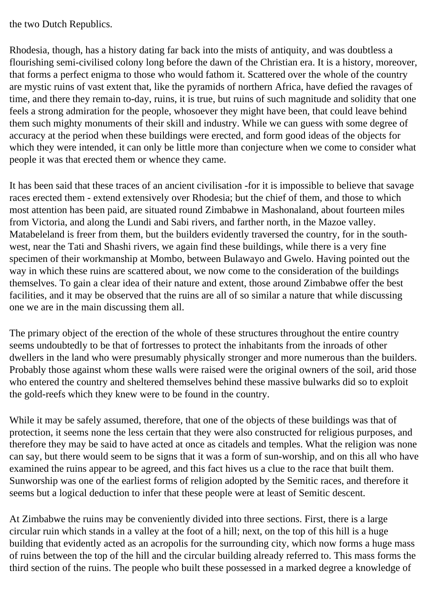the two Dutch Republics.

Rhodesia, though, has a history dating far back into the mists of antiquity, and was doubtless a flourishing semi-civilised colony long before the dawn of the Christian era. It is a history, moreover, that forms a perfect enigma to those who would fathom it. Scattered over the whole of the country are mystic ruins of vast extent that, like the pyramids of northern Africa, have defied the ravages of time, and there they remain to-day, ruins, it is true, but ruins of such magnitude and solidity that one feels a strong admiration for the people, whosoever they might have been, that could leave behind them such mighty monuments of their skill and industry. While we can guess with some degree of accuracy at the period when these buildings were erected, and form good ideas of the objects for which they were intended, it can only be little more than conjecture when we come to consider what people it was that erected them or whence they came.

It has been said that these traces of an ancient civilisation -for it is impossible to believe that savage races erected them - extend extensively over Rhodesia; but the chief of them, and those to which most attention has been paid, are situated round Zimbabwe in Mashonaland, about fourteen miles from Victoria, and along the Lundi and Sabi rivers, and farther north, in the Mazoe valley. Matabeleland is freer from them, but the builders evidently traversed the country, for in the southwest, near the Tati and Shashi rivers, we again find these buildings, while there is a very fine specimen of their workmanship at Mombo, between Bulawayo and Gwelo. Having pointed out the way in which these ruins are scattered about, we now come to the consideration of the buildings themselves. To gain a clear idea of their nature and extent, those around Zimbabwe offer the best facilities, and it may be observed that the ruins are all of so similar a nature that while discussing one we are in the main discussing them all.

The primary object of the erection of the whole of these structures throughout the entire country seems undoubtedly to be that of fortresses to protect the inhabitants from the inroads of other dwellers in the land who were presumably physically stronger and more numerous than the builders. Probably those against whom these walls were raised were the original owners of the soil, arid those who entered the country and sheltered themselves behind these massive bulwarks did so to exploit the gold-reefs which they knew were to be found in the country.

While it may be safely assumed, therefore, that one of the objects of these buildings was that of protection, it seems none the less certain that they were also constructed for religious purposes, and therefore they may be said to have acted at once as citadels and temples. What the religion was none can say, but there would seem to be signs that it was a form of sun-worship, and on this all who have examined the ruins appear to be agreed, and this fact hives us a clue to the race that built them. Sunworship was one of the earliest forms of religion adopted by the Semitic races, and therefore it seems but a logical deduction to infer that these people were at least of Semitic descent.

At Zimbabwe the ruins may be conveniently divided into three sections. First, there is a large circular ruin which stands in a valley at the foot of a hill; next, on the top of this hill is a huge building that evidently acted as an acropolis for the surrounding city, which now forms a huge mass of ruins between the top of the hill and the circular building already referred to. This mass forms the third section of the ruins. The people who built these possessed in a marked degree a knowledge of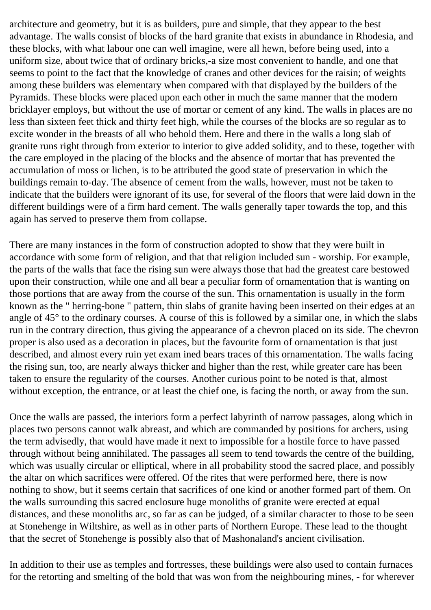architecture and geometry, but it is as builders, pure and simple, that they appear to the best advantage. The walls consist of blocks of the hard granite that exists in abundance in Rhodesia, and these blocks, with what labour one can well imagine, were all hewn, before being used, into a uniform size, about twice that of ordinary bricks,-a size most convenient to handle, and one that seems to point to the fact that the knowledge of cranes and other devices for the raisin; of weights among these builders was elementary when compared with that displayed by the builders of the Pyramids. These blocks were placed upon each other in much the same manner that the modern bricklayer employs, but without the use of mortar or cement of any kind. The walls in places are no less than sixteen feet thick and thirty feet high, while the courses of the blocks are so regular as to excite wonder in the breasts of all who behold them. Here and there in the walls a long slab of granite runs right through from exterior to interior to give added solidity, and to these, together with the care employed in the placing of the blocks and the absence of mortar that has prevented the accumulation of moss or lichen, is to be attributed the good state of preservation in which the buildings remain to-day. The absence of cement from the walls, however, must not be taken to indicate that the builders were ignorant of its use, for several of the floors that were laid down in the different buildings were of a firm hard cement. The walls generally taper towards the top, and this again has served to preserve them from collapse.

There are many instances in the form of construction adopted to show that they were built in accordance with some form of religion, and that that religion included sun - worship. For example, the parts of the walls that face the rising sun were always those that had the greatest care bestowed upon their construction, while one and all bear a peculiar form of ornamentation that is wanting on those portions that are away from the course of the sun. This ornamentation is usually in the form known as the " herring-bone " pattern, thin slabs of granite having been inserted on their edges at an angle of 45° to the ordinary courses. A course of this is followed by a similar one, in which the slabs run in the contrary direction, thus giving the appearance of a chevron placed on its side. The chevron proper is also used as a decoration in places, but the favourite form of ornamentation is that just described, and almost every ruin yet exam ined bears traces of this ornamentation. The walls facing the rising sun, too, are nearly always thicker and higher than the rest, while greater care has been taken to ensure the regularity of the courses. Another curious point to be noted is that, almost without exception, the entrance, or at least the chief one, is facing the north, or away from the sun.

Once the walls are passed, the interiors form a perfect labyrinth of narrow passages, along which in places two persons cannot walk abreast, and which are commanded by positions for archers, using the term advisedly, that would have made it next to impossible for a hostile force to have passed through without being annihilated. The passages all seem to tend towards the centre of the building, which was usually circular or elliptical, where in all probability stood the sacred place, and possibly the altar on which sacrifices were offered. Of the rites that were performed here, there is now nothing to show, but it seems certain that sacrifices of one kind or another formed part of them. On the walls surrounding this sacred enclosure huge monoliths of granite were erected at equal distances, and these monoliths arc, so far as can be judged, of a similar character to those to be seen at Stonehenge in Wiltshire, as well as in other parts of Northern Europe. These lead to the thought that the secret of Stonehenge is possibly also that of Mashonaland's ancient civilisation.

In addition to their use as temples and fortresses, these buildings were also used to contain furnaces for the retorting and smelting of the bold that was won from the neighbouring mines, - for wherever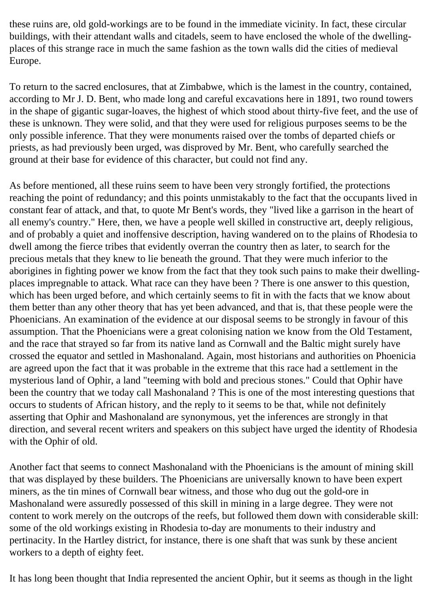these ruins are, old gold-workings are to be found in the immediate vicinity. In fact, these circular buildings, with their attendant walls and citadels, seem to have enclosed the whole of the dwellingplaces of this strange race in much the same fashion as the town walls did the cities of medieval Europe.

To return to the sacred enclosures, that at Zimbabwe, which is the lamest in the country, contained, according to Mr J. D. Bent, who made long and careful excavations here in 1891, two round towers in the shape of gigantic sugar-loaves, the highest of which stood about thirty-five feet, and the use of these is unknown. They were solid, and that they were used for religious purposes seems to be the only possible inference. That they were monuments raised over the tombs of departed chiefs or priests, as had previously been urged, was disproved by Mr. Bent, who carefully searched the ground at their base for evidence of this character, but could not find any.

As before mentioned, all these ruins seem to have been very strongly fortified, the protections reaching the point of redundancy; and this points unmistakably to the fact that the occupants lived in constant fear of attack, and that, to quote Mr Bent's words, they "lived like a garrison in the heart of all enemy's country." Here, then, we have a people well skilled in constructive art, deeply religious, and of probably a quiet and inoffensive description, having wandered on to the plains of Rhodesia to dwell among the fierce tribes that evidently overran the country then as later, to search for the precious metals that they knew to lie beneath the ground. That they were much inferior to the aborigines in fighting power we know from the fact that they took such pains to make their dwellingplaces impregnable to attack. What race can they have been ? There is one answer to this question, which has been urged before, and which certainly seems to fit in with the facts that we know about them better than any other theory that has yet been advanced, and that is, that these people were the Phoenicians. An examination of the evidence at our disposal seems to be strongly in favour of this assumption. That the Phoenicians were a great colonising nation we know from the Old Testament, and the race that strayed so far from its native land as Cornwall and the Baltic might surely have crossed the equator and settled in Mashonaland. Again, most historians and authorities on Phoenicia are agreed upon the fact that it was probable in the extreme that this race had a settlement in the mysterious land of Ophir, a land "teeming with bold and precious stones." Could that Ophir have been the country that we today call Mashonaland ? This is one of the most interesting questions that occurs to students of African history, and the reply to it seems to be that, while not definitely asserting that Ophir and Mashonaland are synonymous, yet the inferences are strongly in that direction, and several recent writers and speakers on this subject have urged the identity of Rhodesia with the Ophir of old.

Another fact that seems to connect Mashonaland with the Phoenicians is the amount of mining skill that was displayed by these builders. The Phoenicians are universally known to have been expert miners, as the tin mines of Cornwall bear witness, and those who dug out the gold-ore in Mashonaland were assuredly possessed of this skill in mining in a large degree. They were not content to work merely on the outcrops of the reefs, but followed them down with considerable skill: some of the old workings existing in Rhodesia to-day are monuments to their industry and pertinacity. In the Hartley district, for instance, there is one shaft that was sunk by these ancient workers to a depth of eighty feet.

It has long been thought that India represented the ancient Ophir, but it seems as though in the light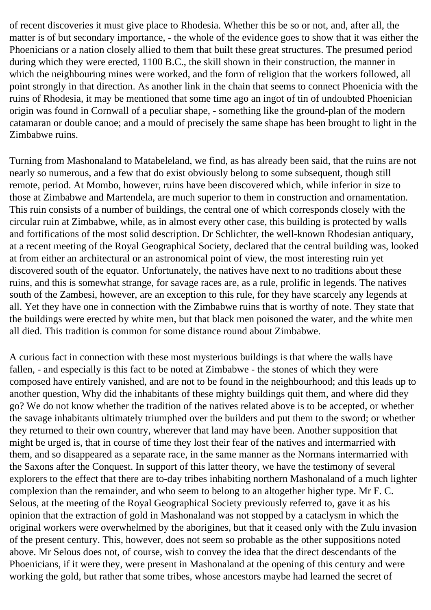of recent discoveries it must give place to Rhodesia. Whether this be so or not, and, after all, the matter is of but secondary importance, - the whole of the evidence goes to show that it was either the Phoenicians or a nation closely allied to them that built these great structures. The presumed period during which they were erected, 1100 B.C., the skill shown in their construction, the manner in which the neighbouring mines were worked, and the form of religion that the workers followed, all point strongly in that direction. As another link in the chain that seems to connect Phoenicia with the ruins of Rhodesia, it may be mentioned that some time ago an ingot of tin of undoubted Phoenician origin was found in Cornwall of a peculiar shape, - something like the ground-plan of the modern catamaran or double canoe; and a mould of precisely the same shape has been brought to light in the Zimbabwe ruins.

Turning from Mashonaland to Matabeleland, we find, as has already been said, that the ruins are not nearly so numerous, and a few that do exist obviously belong to some subsequent, though still remote, period. At Mombo, however, ruins have been discovered which, while inferior in size to those at Zimbabwe and Martendela, are much superior to them in construction and ornamentation. This ruin consists of a number of buildings, the central one of which corresponds closely with the circular ruin at Zimbabwe, while, as in almost every other case, this building is protected by walls and fortifications of the most solid description. Dr Schlichter, the well-known Rhodesian antiquary, at a recent meeting of the Royal Geographical Society, declared that the central building was, looked at from either an architectural or an astronomical point of view, the most interesting ruin yet discovered south of the equator. Unfortunately, the natives have next to no traditions about these ruins, and this is somewhat strange, for savage races are, as a rule, prolific in legends. The natives south of the Zambesi, however, are an exception to this rule, for they have scarcely any legends at all. Yet they have one in connection with the Zimbabwe ruins that is worthy of note. They state that the buildings were erected by white men, but that black men poisoned the water, and the white men all died. This tradition is common for some distance round about Zimbabwe.

A curious fact in connection with these most mysterious buildings is that where the walls have fallen, - and especially is this fact to be noted at Zimbabwe - the stones of which they were composed have entirely vanished, and are not to be found in the neighbourhood; and this leads up to another question, Why did the inhabitants of these mighty buildings quit them, and where did they go? We do not know whether the tradition of the natives related above is to be accepted, or whether the savage inhabitants ultimately triumphed over the builders and put them to the sword; or whether they returned to their own country, wherever that land may have been. Another supposition that might be urged is, that in course of time they lost their fear of the natives and intermarried with them, and so disappeared as a separate race, in the same manner as the Normans intermarried with the Saxons after the Conquest. In support of this latter theory, we have the testimony of several explorers to the effect that there are to-day tribes inhabiting northern Mashonaland of a much lighter complexion than the remainder, and who seem to belong to an altogether higher type. Mr F. C. Selous, at the meeting of the Royal Geographical Society previously referred to, gave it as his opinion that the extraction of gold in Mashonaland was not stopped by a cataclysm in which the original workers were overwhelmed by the aborigines, but that it ceased only with the Zulu invasion of the present century. This, however, does not seem so probable as the other suppositions noted above. Mr Selous does not, of course, wish to convey the idea that the direct descendants of the Phoenicians, if it were they, were present in Mashonaland at the opening of this century and were working the gold, but rather that some tribes, whose ancestors maybe had learned the secret of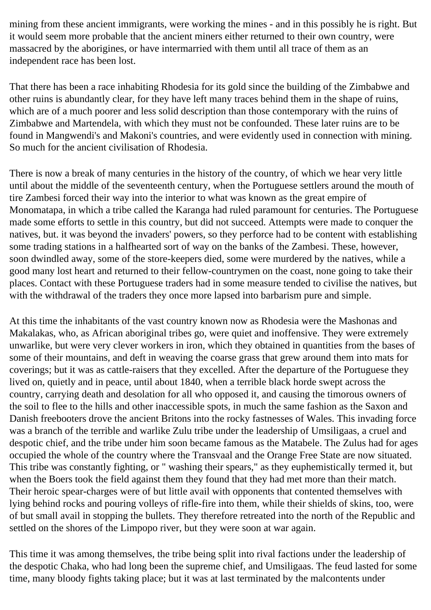mining from these ancient immigrants, were working the mines - and in this possibly he is right. But it would seem more probable that the ancient miners either returned to their own country, were massacred by the aborigines, or have intermarried with them until all trace of them as an independent race has been lost.

That there has been a race inhabiting Rhodesia for its gold since the building of the Zimbabwe and other ruins is abundantly clear, for they have left many traces behind them in the shape of ruins, which are of a much poorer and less solid description than those contemporary with the ruins of Zimbabwe and Martendela, with which they must not be confounded. These later ruins are to be found in Mangwendi's and Makoni's countries, and were evidently used in connection with mining. So much for the ancient civilisation of Rhodesia.

There is now a break of many centuries in the history of the country, of which we hear very little until about the middle of the seventeenth century, when the Portuguese settlers around the mouth of tire Zambesi forced their way into the interior to what was known as the great empire of Monomatapa, in which a tribe called the Karanga had ruled paramount for centuries. The Portuguese made some efforts to settle in this country, but did not succeed. Attempts were made to conquer the natives, but. it was beyond the invaders' powers, so they perforce had to be content with establishing some trading stations in a halfhearted sort of way on the banks of the Zambesi. These, however, soon dwindled away, some of the store-keepers died, some were murdered by the natives, while a good many lost heart and returned to their fellow-countrymen on the coast, none going to take their places. Contact with these Portuguese traders had in some measure tended to civilise the natives, but with the withdrawal of the traders they once more lapsed into barbarism pure and simple.

At this time the inhabitants of the vast country known now as Rhodesia were the Mashonas and Makalakas, who, as African aboriginal tribes go, were quiet and inoffensive. They were extremely unwarlike, but were very clever workers in iron, which they obtained in quantities from the bases of some of their mountains, and deft in weaving the coarse grass that grew around them into mats for coverings; but it was as cattle-raisers that they excelled. After the departure of the Portuguese they lived on, quietly and in peace, until about 1840, when a terrible black horde swept across the country, carrying death and desolation for all who opposed it, and causing the timorous owners of the soil to flee to the hills and other inaccessible spots, in much the same fashion as the Saxon and Danish freebooters drove the ancient Britons into the rocky fastnesses of Wales. This invading force was a branch of the terrible and warlike Zulu tribe under the leadership of Umsiligaas, a cruel and despotic chief, and the tribe under him soon became famous as the Matabele. The Zulus had for ages occupied the whole of the country where the Transvaal and the Orange Free State are now situated. This tribe was constantly fighting, or " washing their spears," as they euphemistically termed it, but when the Boers took the field against them they found that they had met more than their match. Their heroic spear-charges were of but little avail with opponents that contented themselves with lying behind rocks and pouring volleys of rifle-fire into them, while their shields of skins, too, were of but small avail in stopping the bullets. They therefore retreated into the north of the Republic and settled on the shores of the Limpopo river, but they were soon at war again.

This time it was among themselves, the tribe being split into rival factions under the leadership of the despotic Chaka, who had long been the supreme chief, and Umsiligaas. The feud lasted for some time, many bloody fights taking place; but it was at last terminated by the malcontents under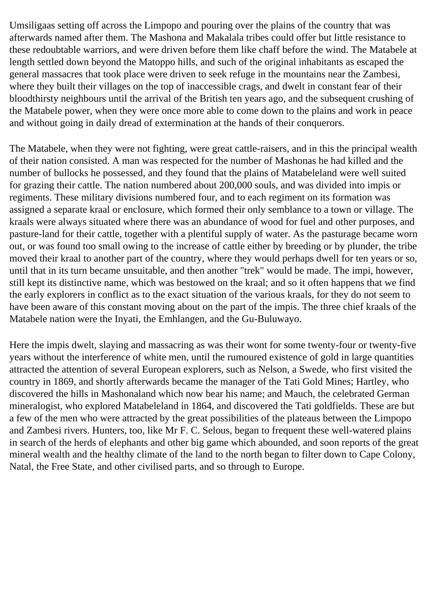Umsiligaas setting off across the Limpopo and pouring over the plains of the country that was afterwards named after them. The Mashona and Makalala tribes could offer but little resistance to these redoubtable warriors, and were driven before them like chaff before the wind. The Matabele at length settled down beyond the Matoppo hills, and such of the original inhabitants as escaped the general massacres that took place were driven to seek refuge in the mountains near the Zambesi, where they built their villages on the top of inaccessible crags, and dwelt in constant fear of their bloodthirsty neighbours until the arrival of the British ten years ago, and the subsequent crushing of the Matabele power, when they were once more able to come down to the plains and work in peace and without going in daily dread of extermination at the hands of their conquerors.

The Matabele, when they were not fighting, were great cattle-raisers, and in this the principal wealth of their nation consisted. A man was respected for the number of Mashonas he had killed and the number of bullocks he possessed, and they found that the plains of Matabeleland were well suited for grazing their cattle. The nation numbered about 200,000 souls, and was divided into impis or regiments. These military divisions numbered four, and to each regiment on its formation was assigned a separate kraal or enclosure, which formed their only semblance to a town or village. The kraals were always situated where there was an abundance of wood for fuel and other purposes, and pasture-land for their cattle, together with a plentiful supply of water. As the pasturage became worn out, or was found too small owing to the increase of cattle either by breeding or by plunder, the tribe moved their kraal to another part of the country, where they would perhaps dwell for ten years or so, until that in its turn became unsuitable, and then another "trek" would be made. The impi, however, still kept its distinctive name, which was bestowed on the kraal; and so it often happens that we find the early explorers in conflict as to the exact situation of the various kraals, for they do not seem to have been aware of this constant moving about on the part of the impis. The three chief kraals of the Matabele nation were the Inyati, the Emhlangen, and the Gu-Buluwayo.

Here the impis dwelt, slaying and massacring as was their wont for some twenty-four or twenty-five years without the interference of white men, until the rumoured existence of gold in large quantities attracted the attention of several European explorers, such as Nelson, a Swede, who first visited the country in 1869, and shortly afterwards became the manager of the Tati Gold Mines; Hartley, who discovered the hills in Mashonaland which now bear his name; and Mauch, the celebrated German mineralogist, who explored Matabeleland in 1864, and discovered the Tati goldfields. These are but a few of the men who were attracted by the great possibilities of the plateaus between the Limpopo and Zambesi rivers. Hunters, too, like Mr F. C. Selous, began to frequent these well-watered plains in search of the herds of elephants and other big game which abounded, and soon reports of the great mineral wealth and the healthy climate of the land to the north began to filter down to Cape Colony, Natal, the Free State, and other civilised parts, and so through to Europe.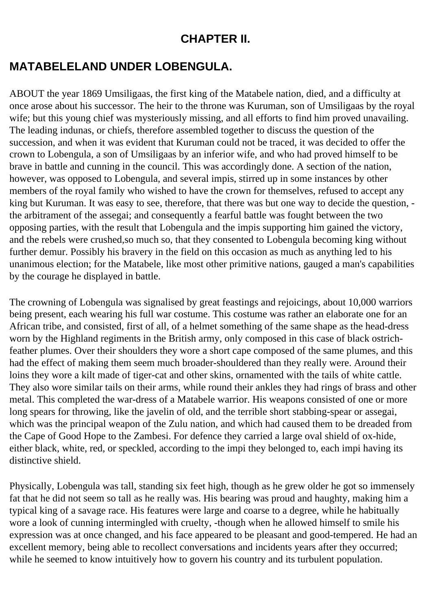#### **CHAPTER II.**

### <span id="page-15-0"></span>**MATABELELAND UNDER LOBENGULA.**

ABOUT the year 1869 Umsiligaas, the first king of the Matabele nation, died, and a difficulty at once arose about his successor. The heir to the throne was Kuruman, son of Umsiligaas by the royal wife; but this young chief was mysteriously missing, and all efforts to find him proved unavailing. The leading indunas, or chiefs, therefore assembled together to discuss the question of the succession, and when it was evident that Kuruman could not be traced, it was decided to offer the crown to Lobengula, a son of Umsiligaas by an inferior wife, and who had proved himself to be brave in battle and cunning in the council. This was accordingly done. A section of the nation, however, was opposed to Lobengula, and several impis, stirred up in some instances by other members of the royal family who wished to have the crown for themselves, refused to accept any king but Kuruman. It was easy to see, therefore, that there was but one way to decide the question, the arbitrament of the assegai; and consequently a fearful battle was fought between the two opposing parties, with the result that Lobengula and the impis supporting him gained the victory, and the rebels were crushed,so much so, that they consented to Lobengula becoming king without further demur. Possibly his bravery in the field on this occasion as much as anything led to his unanimous election; for the Matabele, like most other primitive nations, gauged a man's capabilities by the courage he displayed in battle.

The crowning of Lobengula was signalised by great feastings and rejoicings, about 10,000 warriors being present, each wearing his full war costume. This costume was rather an elaborate one for an African tribe, and consisted, first of all, of a helmet something of the same shape as the head-dress worn by the Highland regiments in the British army, only composed in this case of black ostrichfeather plumes. Over their shoulders they wore a short cape composed of the same plumes, and this had the effect of making them seem much broader-shouldered than they really were. Around their loins they wore a kilt made of tiger-cat and other skins, ornamented with the tails of white cattle. They also wore similar tails on their arms, while round their ankles they had rings of brass and other metal. This completed the war-dress of a Matabele warrior. His weapons consisted of one or more long spears for throwing, like the javelin of old, and the terrible short stabbing-spear or assegai, which was the principal weapon of the Zulu nation, and which had caused them to be dreaded from the Cape of Good Hope to the Zambesi. For defence they carried a large oval shield of ox-hide, either black, white, red, or speckled, according to the impi they belonged to, each impi having its distinctive shield.

Physically, Lobengula was tall, standing six feet high, though as he grew older he got so immensely fat that he did not seem so tall as he really was. His bearing was proud and haughty, making him a typical king of a savage race. His features were large and coarse to a degree, while he habitually wore a look of cunning intermingled with cruelty, -though when he allowed himself to smile his expression was at once changed, and his face appeared to be pleasant and good-tempered. He had an excellent memory, being able to recollect conversations and incidents years after they occurred; while he seemed to know intuitively how to govern his country and its turbulent population.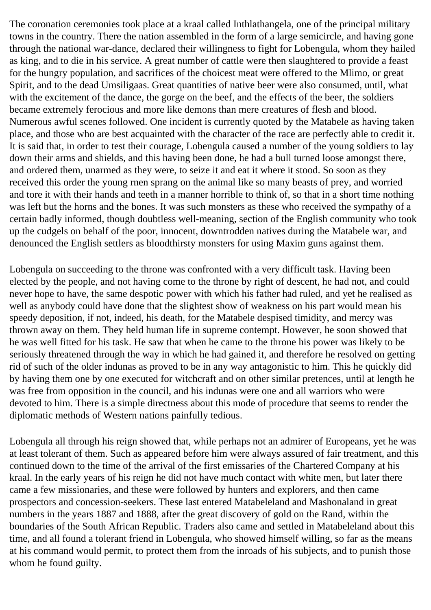The coronation ceremonies took place at a kraal called Inthlathangela, one of the principal military towns in the country. There the nation assembled in the form of a large semicircle, and having gone through the national war-dance, declared their willingness to fight for Lobengula, whom they hailed as king, and to die in his service. A great number of cattle were then slaughtered to provide a feast for the hungry population, and sacrifices of the choicest meat were offered to the Mlimo, or great Spirit, and to the dead Umsiligaas. Great quantities of native beer were also consumed, until, what with the excitement of the dance, the gorge on the beef, and the effects of the beer, the soldiers became extremely ferocious and more like demons than mere creatures of flesh and blood. Numerous awful scenes followed. One incident is currently quoted by the Matabele as having taken place, and those who are best acquainted with the character of the race are perfectly able to credit it. It is said that, in order to test their courage, Lobengula caused a number of the young soldiers to lay down their arms and shields, and this having been done, he had a bull turned loose amongst there, and ordered them, unarmed as they were, to seize it and eat it where it stood. So soon as they received this order the young rnen sprang on the animal like so many beasts of prey, and worried and tore it with their hands and teeth in a manner horrible to think of, so that in a short time nothing was left but the horns and the bones. It was such monsters as these who received the sympathy of a certain badly informed, though doubtless well-meaning, section of the English community who took up the cudgels on behalf of the poor, innocent, downtrodden natives during the Matabele war, and denounced the English settlers as bloodthirsty monsters for using Maxim guns against them.

Lobengula on succeeding to the throne was confronted with a very difficult task. Having been elected by the people, and not having come to the throne by right of descent, he had not, and could never hope to have, the same despotic power with which his father had ruled, and yet he realised as well as anybody could have done that the slightest show of weakness on his part would mean his speedy deposition, if not, indeed, his death, for the Matabele despised timidity, and mercy was thrown away on them. They held human life in supreme contempt. However, he soon showed that he was well fitted for his task. He saw that when he came to the throne his power was likely to be seriously threatened through the way in which he had gained it, and therefore he resolved on getting rid of such of the older indunas as proved to be in any way antagonistic to him. This he quickly did by having them one by one executed for witchcraft and on other similar pretences, until at length he was free from opposition in the council, and his indunas were one and all warriors who were devoted to him. There is a simple directness about this mode of procedure that seems to render the diplomatic methods of Western nations painfully tedious.

Lobengula all through his reign showed that, while perhaps not an admirer of Europeans, yet he was at least tolerant of them. Such as appeared before him were always assured of fair treatment, and this continued down to the time of the arrival of the first emissaries of the Chartered Company at his kraal. In the early years of his reign he did not have much contact with white men, but later there came a few missionaries, and these were followed by hunters and explorers, and then came prospectors and concession-seekers. These last entered Matabeleland and Mashonaland in great numbers in the years 1887 and 1888, after the great discovery of gold on the Rand, within the boundaries of the South African Republic. Traders also came and settled in Matabeleland about this time, and all found a tolerant friend in Lobengula, who showed himself willing, so far as the means at his command would permit, to protect them from the inroads of his subjects, and to punish those whom he found guilty.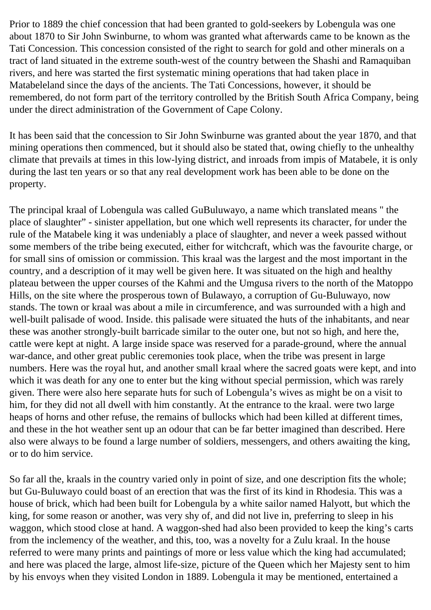Prior to 1889 the chief concession that had been granted to gold-seekers by Lobengula was one about 1870 to Sir John Swinburne, to whom was granted what afterwards came to be known as the Tati Concession. This concession consisted of the right to search for gold and other minerals on a tract of land situated in the extreme south-west of the country between the Shashi and Ramaquiban rivers, and here was started the first systematic mining operations that had taken place in Matabeleland since the days of the ancients. The Tati Concessions, however, it should be remembered, do not form part of the territory controlled by the British South Africa Company, being under the direct administration of the Government of Cape Colony.

It has been said that the concession to Sir John Swinburne was granted about the year 1870, and that mining operations then commenced, but it should also be stated that, owing chiefly to the unhealthy climate that prevails at times in this low-lying district, and inroads from impis of Matabele, it is only during the last ten years or so that any real development work has been able to be done on the property.

The principal kraal of Lobengula was called GuBuluwayo, a name which translated means " the place of slaughter" - sinister appellation, but one which well represents its character, for under the rule of the Matabele king it was undeniably a place of slaughter, and never a week passed without some members of the tribe being executed, either for witchcraft, which was the favourite charge, or for small sins of omission or commission. This kraal was the largest and the most important in the country, and a description of it may well be given here. It was situated on the high and healthy plateau between the upper courses of the Kahmi and the Umgusa rivers to the north of the Matoppo Hills, on the site where the prosperous town of Bulawayo, a corruption of Gu-Buluwayo, now stands. The town or kraal was about a mile in circumference, and was surrounded with a high and well-built palisade of wood. Inside. this palisade were situated the huts of the inhabitants, and near these was another strongly-built barricade similar to the outer one, but not so high, and here the, cattle were kept at night. A large inside space was reserved for a parade-ground, where the annual war-dance, and other great public ceremonies took place, when the tribe was present in large numbers. Here was the royal hut, and another small kraal where the sacred goats were kept, and into which it was death for any one to enter but the king without special permission, which was rarely given. There were also here separate huts for such of Lobengula's wives as might be on a visit to him, for they did not all dwell with him constantly. At the entrance to the kraal. were two large heaps of horns and other refuse, the remains of bullocks which had been killed at different times, and these in the hot weather sent up an odour that can be far better imagined than described. Here also were always to be found a large number of soldiers, messengers, and others awaiting the king, or to do him service.

So far all the, kraals in the country varied only in point of size, and one description fits the whole; but Gu-Buluwayo could boast of an erection that was the first of its kind in Rhodesia. This was a house of brick, which had been built for Lobengula by a white sailor named Halyott, but which the king, for some reason or another, was very shy of, and did not live in, preferring to sleep in his waggon, which stood close at hand. A waggon-shed had also been provided to keep the king's carts from the inclemency of the weather, and this, too, was a novelty for a Zulu kraal. In the house referred to were many prints and paintings of more or less value which the king had accumulated; and here was placed the large, almost life-size, picture of the Queen which her Majesty sent to him by his envoys when they visited London in 1889. Lobengula it may be mentioned, entertained a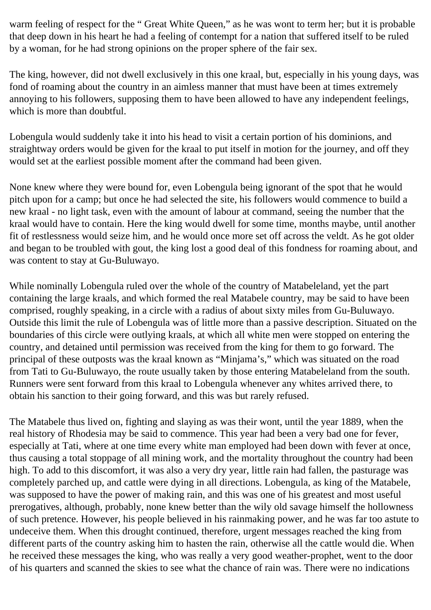warm feeling of respect for the " Great White Queen," as he was wont to term her; but it is probable that deep down in his heart he had a feeling of contempt for a nation that suffered itself to be ruled by a woman, for he had strong opinions on the proper sphere of the fair sex.

The king, however, did not dwell exclusively in this one kraal, but, especially in his young days, was fond of roaming about the country in an aimless manner that must have been at times extremely annoying to his followers, supposing them to have been allowed to have any independent feelings, which is more than doubtful.

Lobengula would suddenly take it into his head to visit a certain portion of his dominions, and straightway orders would be given for the kraal to put itself in motion for the journey, and off they would set at the earliest possible moment after the command had been given.

None knew where they were bound for, even Lobengula being ignorant of the spot that he would pitch upon for a camp; but once he had selected the site, his followers would commence to build a new kraal - no light task, even with the amount of labour at command, seeing the number that the kraal would have to contain. Here the king would dwell for some time, months maybe, until another fit of restlessness would seize him, and he would once more set off across the veldt. As he got older and began to be troubled with gout, the king lost a good deal of this fondness for roaming about, and was content to stay at Gu-Buluwayo.

While nominally Lobengula ruled over the whole of the country of Matabeleland, yet the part containing the large kraals, and which formed the real Matabele country, may be said to have been comprised, roughly speaking, in a circle with a radius of about sixty miles from Gu-Buluwayo. Outside this limit the rule of Lobengula was of little more than a passive description. Situated on the boundaries of this circle were outlying kraals, at which all white men were stopped on entering the country, and detained until permission was received from the king for them to go forward. The principal of these outposts was the kraal known as "Minjama's," which was situated on the road from Tati to Gu-Buluwayo, the route usually taken by those entering Matabeleland from the south. Runners were sent forward from this kraal to Lobengula whenever any whites arrived there, to obtain his sanction to their going forward, and this was but rarely refused.

The Matabele thus lived on, fighting and slaying as was their wont, until the year 1889, when the real history of Rhodesia may be said to commence. This year had been a very bad one for fever, especially at Tati, where at one time every white man employed had been down with fever at once, thus causing a total stoppage of all mining work, and the mortality throughout the country had been high. To add to this discomfort, it was also a very dry year, little rain had fallen, the pasturage was completely parched up, and cattle were dying in all directions. Lobengula, as king of the Matabele, was supposed to have the power of making rain, and this was one of his greatest and most useful prerogatives, although, probably, none knew better than the wily old savage himself the hollowness of such pretence. However, his people believed in his rainmaking power, and he was far too astute to undeceive them. When this drought continued, therefore, urgent messages reached the king from different parts of the country asking him to hasten the rain, otherwise all the cattle would die. When he received these messages the king, who was really a very good weather-prophet, went to the door of his quarters and scanned the skies to see what the chance of rain was. There were no indications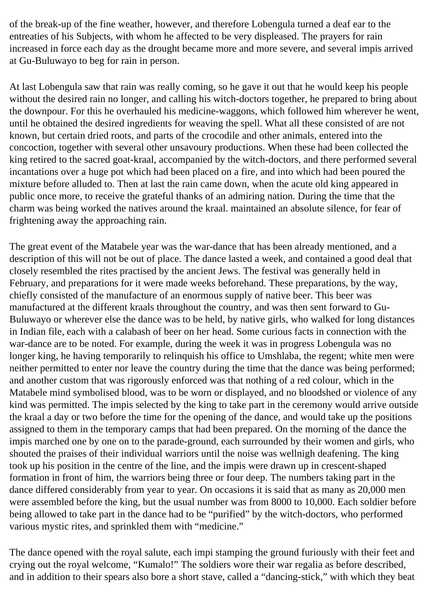of the break-up of the fine weather, however, and therefore Lobengula turned a deaf ear to the entreaties of his Subjects, with whom he affected to be very displeased. The prayers for rain increased in force each day as the drought became more and more severe, and several impis arrived at Gu-Buluwayo to beg for rain in person.

At last Lobengula saw that rain was really coming, so he gave it out that he would keep his people without the desired rain no longer, and calling his witch-doctors together, he prepared to bring about the downpour. For this he overhauled his medicine-waggons, which followed him wherever he went, until he obtained the desired ingredients for weaving the spell. What all these consisted of are not known, but certain dried roots, and parts of the crocodile and other animals, entered into the concoction, together with several other unsavoury productions. When these had been collected the king retired to the sacred goat-kraal, accompanied by the witch-doctors, and there performed several incantations over a huge pot which had been placed on a fire, and into which had been poured the mixture before alluded to. Then at last the rain came down, when the acute old king appeared in public once more, to receive the grateful thanks of an admiring nation. During the time that the charm was being worked the natives around the kraal. maintained an absolute silence, for fear of frightening away the approaching rain.

The great event of the Matabele year was the war-dance that has been already mentioned, and a description of this will not be out of place. The dance lasted a week, and contained a good deal that closely resembled the rites practised by the ancient Jews. The festival was generally held in February, and preparations for it were made weeks beforehand. These preparations, by the way, chiefly consisted of the manufacture of an enormous supply of native beer. This beer was manufactured at the different kraals throughout the country, and was then sent forward to Gu-Buluwayo or wherever else the dance was to be held, by native girls, who walked for long distances in Indian file, each with a calabash of beer on her head. Some curious facts in connection with the war-dance are to be noted. For example, during the week it was in progress Lobengula was no longer king, he having temporarily to relinquish his office to Umshlaba, the regent; white men were neither permitted to enter nor leave the country during the time that the dance was being performed; and another custom that was rigorously enforced was that nothing of a red colour, which in the Matabele mind symbolised blood, was to be worn or displayed, and no bloodshed or violence of any kind was permitted. The impis selected by the king to take part in the ceremony would arrive outside the kraal a day or two before the time for the opening of the dance, and would take up the positions assigned to them in the temporary camps that had been prepared. On the morning of the dance the impis marched one by one on to the parade-ground, each surrounded by their women and girls, who shouted the praises of their individual warriors until the noise was wellnigh deafening. The king took up his position in the centre of the line, and the impis were drawn up in crescent-shaped formation in front of him, the warriors being three or four deep. The numbers taking part in the dance differed considerably from year to year. On occasions it is said that as many as 20,000 men were assembled before the king, but the usual number was from 8000 to 10,000. Each soldier before being allowed to take part in the dance had to be "purified" by the witch-doctors, who performed various mystic rites, and sprinkled them with "medicine."

The dance opened with the royal salute, each impi stamping the ground furiously with their feet and crying out the royal welcome, "Kumalo!" The soldiers wore their war regalia as before described, and in addition to their spears also bore a short stave, called a "dancing-stick," with which they beat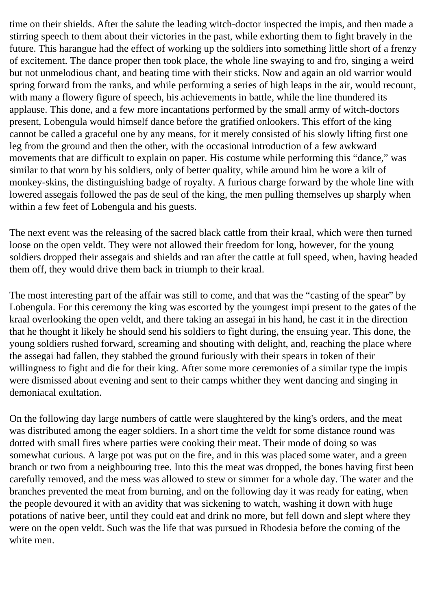time on their shields. After the salute the leading witch-doctor inspected the impis, and then made a stirring speech to them about their victories in the past, while exhorting them to fight bravely in the future. This harangue had the effect of working up the soldiers into something little short of a frenzy of excitement. The dance proper then took place, the whole line swaying to and fro, singing a weird but not unmelodious chant, and beating time with their sticks. Now and again an old warrior would spring forward from the ranks, and while performing a series of high leaps in the air, would recount, with many a flowery figure of speech, his achievements in battle, while the line thundered its applause. This done, and a few more incantations performed by the small army of witch-doctors present, Lobengula would himself dance before the gratified onlookers. This effort of the king cannot be called a graceful one by any means, for it merely consisted of his slowly lifting first one leg from the ground and then the other, with the occasional introduction of a few awkward movements that are difficult to explain on paper. His costume while performing this "dance," was similar to that worn by his soldiers, only of better quality, while around him he wore a kilt of monkey-skins, the distinguishing badge of royalty. A furious charge forward by the whole line with lowered assegais followed the pas de seul of the king, the men pulling themselves up sharply when within a few feet of Lobengula and his guests.

The next event was the releasing of the sacred black cattle from their kraal, which were then turned loose on the open veldt. They were not allowed their freedom for long, however, for the young soldiers dropped their assegais and shields and ran after the cattle at full speed, when, having headed them off, they would drive them back in triumph to their kraal.

The most interesting part of the affair was still to come, and that was the "casting of the spear" by Lobengula. For this ceremony the king was escorted by the youngest impi present to the gates of the kraal overlooking the open veldt, and there taking an assegai in his hand, he cast it in the direction that he thought it likely he should send his soldiers to fight during, the ensuing year. This done, the young soldiers rushed forward, screaming and shouting with delight, and, reaching the place where the assegai had fallen, they stabbed the ground furiously with their spears in token of their willingness to fight and die for their king. After some more ceremonies of a similar type the impis were dismissed about evening and sent to their camps whither they went dancing and singing in demoniacal exultation.

On the following day large numbers of cattle were slaughtered by the king's orders, and the meat was distributed among the eager soldiers. In a short time the veldt for some distance round was dotted with small fires where parties were cooking their meat. Their mode of doing so was somewhat curious. A large pot was put on the fire, and in this was placed some water, and a green branch or two from a neighbouring tree. Into this the meat was dropped, the bones having first been carefully removed, and the mess was allowed to stew or simmer for a whole day. The water and the branches prevented the meat from burning, and on the following day it was ready for eating, when the people devoured it with an avidity that was sickening to watch, washing it down with huge potations of native beer, until they could eat and drink no more, but fell down and slept where they were on the open veldt. Such was the life that was pursued in Rhodesia before the coming of the white men.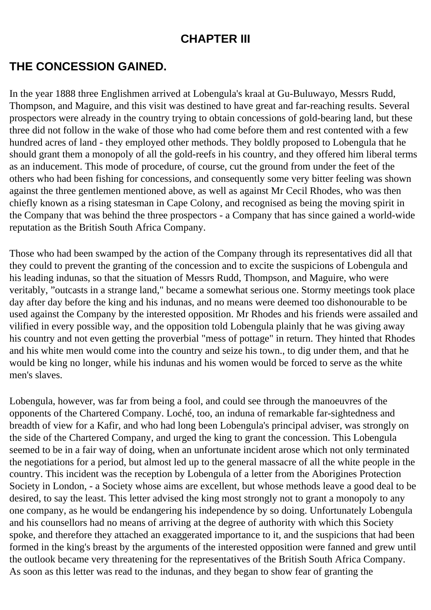#### **CHAPTER III**

#### <span id="page-21-0"></span>**THE CONCESSION GAINED.**

In the year 1888 three Englishmen arrived at Lobengula's kraal at Gu-Buluwayo, Messrs Rudd, Thompson, and Maguire, and this visit was destined to have great and far-reaching results. Several prospectors were already in the country trying to obtain concessions of gold-bearing land, but these three did not follow in the wake of those who had come before them and rest contented with a few hundred acres of land - they employed other methods. They boldly proposed to Lobengula that he should grant them a monopoly of all the gold-reefs in his country, and they offered him liberal terms as an inducement. This mode of procedure, of course, cut the ground from under the feet of the others who had been fishing for concessions, and consequently some very bitter feeling was shown against the three gentlemen mentioned above, as well as against Mr Cecil Rhodes, who was then chiefly known as a rising statesman in Cape Colony, and recognised as being the moving spirit in the Company that was behind the three prospectors - a Company that has since gained a world-wide reputation as the British South Africa Company.

Those who had been swamped by the action of the Company through its representatives did all that they could to prevent the granting of the concession and to excite the suspicions of Lobengula and his leading indunas, so that the situation of Messrs Rudd, Thompson, and Maguire, who were veritably, "outcasts in a strange land," became a somewhat serious one. Stormy meetings took place day after day before the king and his indunas, and no means were deemed too dishonourable to be used against the Company by the interested opposition. Mr Rhodes and his friends were assailed and vilified in every possible way, and the opposition told Lobengula plainly that he was giving away his country and not even getting the proverbial "mess of pottage" in return. They hinted that Rhodes and his white men would come into the country and seize his town., to dig under them, and that he would be king no longer, while his indunas and his women would be forced to serve as the white men's slaves.

Lobengula, however, was far from being a fool, and could see through the manoeuvres of the opponents of the Chartered Company. Loché, too, an induna of remarkable far-sightedness and breadth of view for a Kafir, and who had long been Lobengula's principal adviser, was strongly on the side of the Chartered Company, and urged the king to grant the concession. This Lobengula seemed to be in a fair way of doing, when an unfortunate incident arose which not only terminated the negotiations for a period, but almost led up to the general massacre of all the white people in the country. This incident was the reception by Lobengula of a letter from the Aborigines Protection Society in London, - a Society whose aims are excellent, but whose methods leave a good deal to be desired, to say the least. This letter advised the king most strongly not to grant a monopoly to any one company, as he would be endangering his independence by so doing. Unfortunately Lobengula and his counsellors had no means of arriving at the degree of authority with which this Society spoke, and therefore they attached an exaggerated importance to it, and the suspicions that had been formed in the king's breast by the arguments of the interested opposition were fanned and grew until the outlook became very threatening for the representatives of the British South Africa Company. As soon as this letter was read to the indunas, and they began to show fear of granting the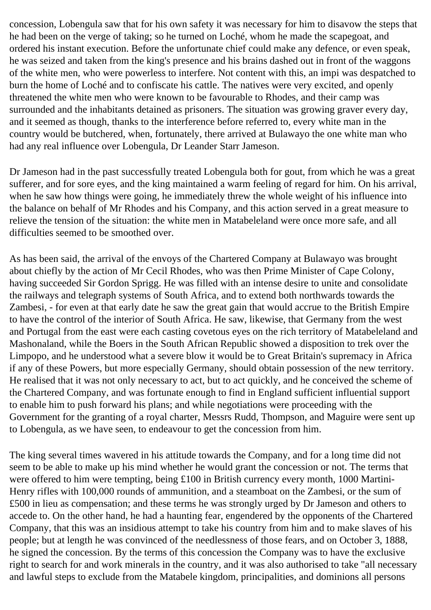concession, Lobengula saw that for his own safety it was necessary for him to disavow the steps that he had been on the verge of taking; so he turned on Loché, whom he made the scapegoat, and ordered his instant execution. Before the unfortunate chief could make any defence, or even speak, he was seized and taken from the king's presence and his brains dashed out in front of the waggons of the white men, who were powerless to interfere. Not content with this, an impi was despatched to burn the home of Loché and to confiscate his cattle. The natives were very excited, and openly threatened the white men who were known to be favourable to Rhodes, and their camp was surrounded and the inhabitants detained as prisoners. The situation was growing graver every day, and it seemed as though, thanks to the interference before referred to, every white man in the country would be butchered, when, fortunately, there arrived at Bulawayo the one white man who had any real influence over Lobengula, Dr Leander Starr Jameson.

Dr Jameson had in the past successfully treated Lobengula both for gout, from which he was a great sufferer, and for sore eyes, and the king maintained a warm feeling of regard for him. On his arrival, when he saw how things were going, he immediately threw the whole weight of his influence into the balance on behalf of Mr Rhodes and his Company, and this action served in a great measure to relieve the tension of the situation: the white men in Matabeleland were once more safe, and all difficulties seemed to be smoothed over.

As has been said, the arrival of the envoys of the Chartered Company at Bulawayo was brought about chiefly by the action of Mr Cecil Rhodes, who was then Prime Minister of Cape Colony, having succeeded Sir Gordon Sprigg. He was filled with an intense desire to unite and consolidate the railways and telegraph systems of South Africa, and to extend both northwards towards the Zambesi, - for even at that early date he saw the great gain that would accrue to the British Empire to have the control of the interior of South Africa. He saw, likewise, that Germany from the west and Portugal from the east were each casting covetous eyes on the rich territory of Matabeleland and Mashonaland, while the Boers in the South African Republic showed a disposition to trek over the Limpopo, and he understood what a severe blow it would be to Great Britain's supremacy in Africa if any of these Powers, but more especially Germany, should obtain possession of the new territory. He realised that it was not only necessary to act, but to act quickly, and he conceived the scheme of the Chartered Company, and was fortunate enough to find in England sufficient influential support to enable him to push forward his plans; and while negotiations were proceeding with the Government for the granting of a royal charter, Messrs Rudd, Thompson, and Maguire were sent up to Lobengula, as we have seen, to endeavour to get the concession from him.

The king several times wavered in his attitude towards the Company, and for a long time did not seem to be able to make up his mind whether he would grant the concession or not. The terms that were offered to him were tempting, being £100 in British currency every month, 1000 Martini-Henry rifles with 100,000 rounds of ammunition, and a steamboat on the Zambesi, or the sum of £500 in lieu as compensation; and these terms he was strongly urged by Dr Jameson and others to accede to. On the other hand, he had a haunting fear, engendered by the opponents of the Chartered Company, that this was an insidious attempt to take his country from him and to make slaves of his people; but at length he was convinced of the needlessness of those fears, and on October 3, 1888, he signed the concession. By the terms of this concession the Company was to have the exclusive right to search for and work minerals in the country, and it was also authorised to take "all necessary and lawful steps to exclude from the Matabele kingdom, principalities, and dominions all persons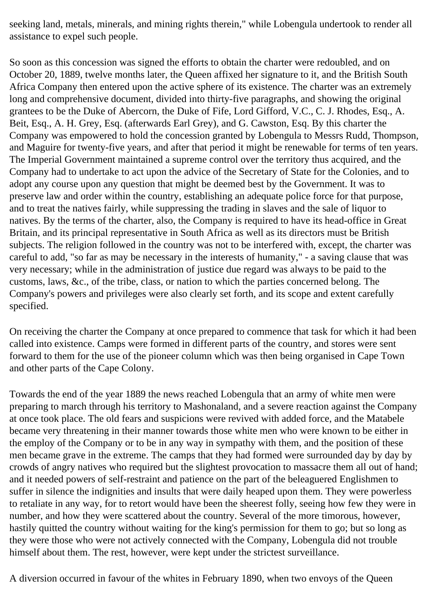seeking land, metals, minerals, and mining rights therein," while Lobengula undertook to render all assistance to expel such people.

So soon as this concession was signed the efforts to obtain the charter were redoubled, and on October 20, 1889, twelve months later, the Queen affixed her signature to it, and the British South Africa Company then entered upon the active sphere of its existence. The charter was an extremely long and comprehensive document, divided into thirty-five paragraphs, and showing the original grantees to be the Duke of Abercorn, the Duke of Fife, Lord Gifford, V.C., C. J. Rhodes, Esq., A. Beit, Esq., A. H. Grey, Esq. (afterwards Earl Grey), and G. Cawston, Esq. By this charter the Company was empowered to hold the concession granted by Lobengula to Messrs Rudd, Thompson, and Maguire for twenty-five years, and after that period it might be renewable for terms of ten years. The Imperial Government maintained a supreme control over the territory thus acquired, and the Company had to undertake to act upon the advice of the Secretary of State for the Colonies, and to adopt any course upon any question that might be deemed best by the Government. It was to preserve law and order within the country, establishing an adequate police force for that purpose, and to treat the natives fairly, while suppressing the trading in slaves and the sale of liquor to natives. By the terms of the charter, also, the Company is required to have its head-office in Great Britain, and its principal representative in South Africa as well as its directors must be British subjects. The religion followed in the country was not to be interfered with, except, the charter was careful to add, "so far as may be necessary in the interests of humanity," - a saving clause that was very necessary; while in the administration of justice due regard was always to be paid to the customs, laws, &c., of the tribe, class, or nation to which the parties concerned belong. The Company's powers and privileges were also clearly set forth, and its scope and extent carefully specified.

On receiving the charter the Company at once prepared to commence that task for which it had been called into existence. Camps were formed in different parts of the country, and stores were sent forward to them for the use of the pioneer column which was then being organised in Cape Town and other parts of the Cape Colony.

Towards the end of the year 1889 the news reached Lobengula that an army of white men were preparing to march through his territory to Mashonaland, and a severe reaction against the Company at once took place. The old fears and suspicions were revived with added force, and the Matabele became very threatening in their manner towards those white men who were known to be either in the employ of the Company or to be in any way in sympathy with them, and the position of these men became grave in the extreme. The camps that they had formed were surrounded day by day by crowds of angry natives who required but the slightest provocation to massacre them all out of hand; and it needed powers of self-restraint and patience on the part of the beleaguered Englishmen to suffer in silence the indignities and insults that were daily heaped upon them. They were powerless to retaliate in any way, for to retort would have been the sheerest folly, seeing how few they were in number, and how they were scattered about the country. Several of the more timorous, however, hastily quitted the country without waiting for the king's permission for them to go; but so long as they were those who were not actively connected with the Company, Lobengula did not trouble himself about them. The rest, however, were kept under the strictest surveillance.

A diversion occurred in favour of the whites in February 1890, when two envoys of the Queen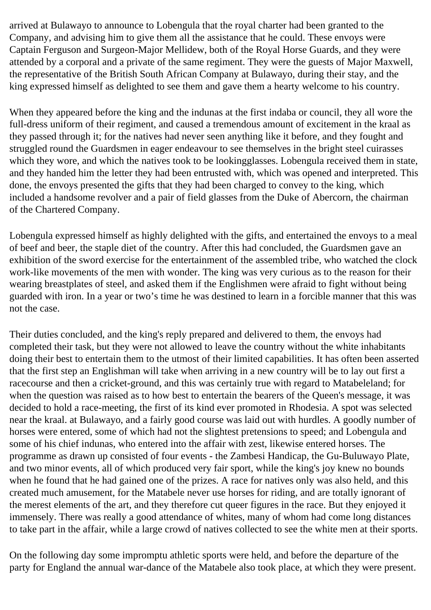arrived at Bulawayo to announce to Lobengula that the royal charter had been granted to the Company, and advising him to give them all the assistance that he could. These envoys were Captain Ferguson and Surgeon-Major Mellidew, both of the Royal Horse Guards, and they were attended by a corporal and a private of the same regiment. They were the guests of Major Maxwell, the representative of the British South African Company at Bulawayo, during their stay, and the king expressed himself as delighted to see them and gave them a hearty welcome to his country.

When they appeared before the king and the indunas at the first indaba or council, they all wore the full-dress uniform of their regiment, and caused a tremendous amount of excitement in the kraal as they passed through it; for the natives had never seen anything like it before, and they fought and struggled round the Guardsmen in eager endeavour to see themselves in the bright steel cuirasses which they wore, and which the natives took to be lookingglasses. Lobengula received them in state, and they handed him the letter they had been entrusted with, which was opened and interpreted. This done, the envoys presented the gifts that they had been charged to convey to the king, which included a handsome revolver and a pair of field glasses from the Duke of Abercorn, the chairman of the Chartered Company.

Lobengula expressed himself as highly delighted with the gifts, and entertained the envoys to a meal of beef and beer, the staple diet of the country. After this had concluded, the Guardsmen gave an exhibition of the sword exercise for the entertainment of the assembled tribe, who watched the clock work-like movements of the men with wonder. The king was very curious as to the reason for their wearing breastplates of steel, and asked them if the Englishmen were afraid to fight without being guarded with iron. In a year or two's time he was destined to learn in a forcible manner that this was not the case.

Their duties concluded, and the king's reply prepared and delivered to them, the envoys had completed their task, but they were not allowed to leave the country without the white inhabitants doing their best to entertain them to the utmost of their limited capabilities. It has often been asserted that the first step an Englishman will take when arriving in a new country will be to lay out first a racecourse and then a cricket-ground, and this was certainly true with regard to Matabeleland; for when the question was raised as to how best to entertain the bearers of the Queen's message, it was decided to hold a race-meeting, the first of its kind ever promoted in Rhodesia. A spot was selected near the kraal. at Bulawayo, and a fairly good course was laid out with hurdles. A goodly number of horses were entered, some of which had not the slightest pretensions to speed; and Lobengula and some of his chief indunas, who entered into the affair with zest, likewise entered horses. The programme as drawn up consisted of four events - the Zambesi Handicap, the Gu-Buluwayo Plate, and two minor events, all of which produced very fair sport, while the king's joy knew no bounds when he found that he had gained one of the prizes. A race for natives only was also held, and this created much amusement, for the Matabele never use horses for riding, and are totally ignorant of the merest elements of the art, and they therefore cut queer figures in the race. But they enjoyed it immensely. There was really a good attendance of whites, many of whom had come long distances to take part in the affair, while a large crowd of natives collected to see the white men at their sports.

On the following day some impromptu athletic sports were held, and before the departure of the party for England the annual war-dance of the Matabele also took place, at which they were present.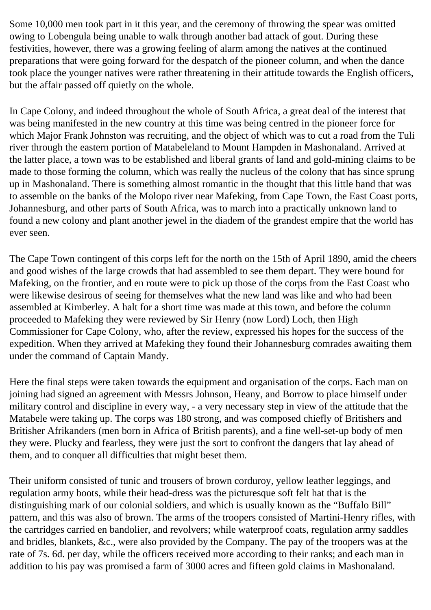Some 10,000 men took part in it this year, and the ceremony of throwing the spear was omitted owing to Lobengula being unable to walk through another bad attack of gout. During these festivities, however, there was a growing feeling of alarm among the natives at the continued preparations that were going forward for the despatch of the pioneer column, and when the dance took place the younger natives were rather threatening in their attitude towards the English officers, but the affair passed off quietly on the whole.

In Cape Colony, and indeed throughout the whole of South Africa, a great deal of the interest that was being manifested in the new country at this time was being centred in the pioneer force for which Major Frank Johnston was recruiting, and the object of which was to cut a road from the Tuli river through the eastern portion of Matabeleland to Mount Hampden in Mashonaland. Arrived at the latter place, a town was to be established and liberal grants of land and gold-mining claims to be made to those forming the column, which was really the nucleus of the colony that has since sprung up in Mashonaland. There is something almost romantic in the thought that this little band that was to assemble on the banks of the Molopo river near Mafeking, from Cape Town, the East Coast ports, Johannesburg, and other parts of South Africa, was to march into a practically unknown land to found a new colony and plant another jewel in the diadem of the grandest empire that the world has ever seen.

The Cape Town contingent of this corps left for the north on the 15th of April 1890, amid the cheers and good wishes of the large crowds that had assembled to see them depart. They were bound for Mafeking, on the frontier, and en route were to pick up those of the corps from the East Coast who were likewise desirous of seeing for themselves what the new land was like and who had been assembled at Kimberley. A halt for a short time was made at this town, and before the column proceeded to Mafeking they were reviewed by Sir Henry (now Lord) Loch, then High Commissioner for Cape Colony, who, after the review, expressed his hopes for the success of the expedition. When they arrived at Mafeking they found their Johannesburg comrades awaiting them under the command of Captain Mandy.

Here the final steps were taken towards the equipment and organisation of the corps. Each man on joining had signed an agreement with Messrs Johnson, Heany, and Borrow to place himself under military control and discipline in every way, - a very necessary step in view of the attitude that the Matabele were taking up. The corps was 180 strong, and was composed chiefly of Britishers and Britisher Afrikanders (men born in Africa of British parents), and a fine well-set-up body of men they were. Plucky and fearless, they were just the sort to confront the dangers that lay ahead of them, and to conquer all difficulties that might beset them.

Their uniform consisted of tunic and trousers of brown corduroy, yellow leather leggings, and regulation army boots, while their head-dress was the picturesque soft felt hat that is the distinguishing mark of our colonial soldiers, and which is usually known as the "Buffalo Bill" pattern, and this was also of brown. The arms of the troopers consisted of Martini-Henry rifles, with the cartridges carried en bandolier, and revolvers; while waterproof coats, regulation army saddles and bridles, blankets, &c., were also provided by the Company. The pay of the troopers was at the rate of 7s. 6d. per day, while the officers received more according to their ranks; and each man in addition to his pay was promised a farm of 3000 acres and fifteen gold claims in Mashonaland.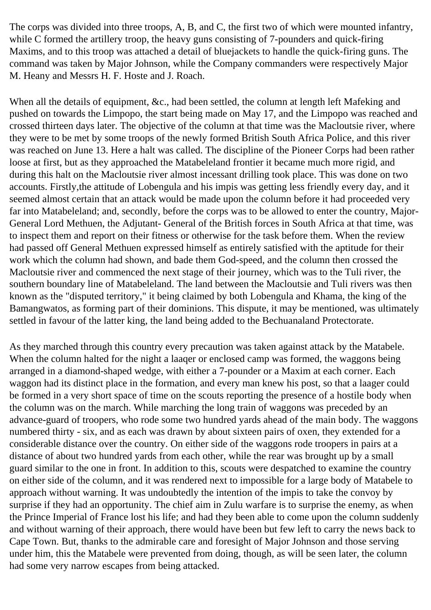The corps was divided into three troops, A, B, and C, the first two of which were mounted infantry, while C formed the artillery troop, the heavy guns consisting of 7-pounders and quick-firing Maxims, and to this troop was attached a detail of bluejackets to handle the quick-firing guns. The command was taken by Major Johnson, while the Company commanders were respectively Major M. Heany and Messrs H. F. Hoste and J. Roach.

When all the details of equipment, &c., had been settled, the column at length left Mafeking and pushed on towards the Limpopo, the start being made on May 17, and the Limpopo was reached and crossed thirteen days later. The objective of the column at that time was the Macloutsie river, where they were to be met by some troops of the newly formed British South Africa Police, and this river was reached on June 13. Here a halt was called. The discipline of the Pioneer Corps had been rather loose at first, but as they approached the Matabeleland frontier it became much more rigid, and during this halt on the Macloutsie river almost incessant drilling took place. This was done on two accounts. Firstly,the attitude of Lobengula and his impis was getting less friendly every day, and it seemed almost certain that an attack would be made upon the column before it had proceeded very far into Matabeleland; and, secondly, before the corps was to be allowed to enter the country, Major-General Lord Methuen, the Adjutant- General of the British forces in South Africa at that time, was to inspect them and report on their fitness or otherwise for the task before them. When the review had passed off General Methuen expressed himself as entirely satisfied with the aptitude for their work which the column had shown, and bade them God-speed, and the column then crossed the Macloutsie river and commenced the next stage of their journey, which was to the Tuli river, the southern boundary line of Matabeleland. The land between the Macloutsie and Tuli rivers was then known as the "disputed territory," it being claimed by both Lobengula and Khama, the king of the Bamangwatos, as forming part of their dominions. This dispute, it may be mentioned, was ultimately settled in favour of the latter king, the land being added to the Bechuanaland Protectorate.

As they marched through this country every precaution was taken against attack by the Matabele. When the column halted for the night a laaqer or enclosed camp was formed, the waggons being arranged in a diamond-shaped wedge, with either a 7-pounder or a Maxim at each corner. Each waggon had its distinct place in the formation, and every man knew his post, so that a laager could be formed in a very short space of time on the scouts reporting the presence of a hostile body when the column was on the march. While marching the long train of waggons was preceded by an advance-guard of troopers, who rode some two hundred yards ahead of the main body. The waggons numbered thirty - six, and as each was drawn by about sixteen pairs of oxen, they extended for a considerable distance over the country. On either side of the waggons rode troopers in pairs at a distance of about two hundred yards from each other, while the rear was brought up by a small guard similar to the one in front. In addition to this, scouts were despatched to examine the country on either side of the column, and it was rendered next to impossible for a large body of Matabele to approach without warning. It was undoubtedly the intention of the impis to take the convoy by surprise if they had an opportunity. The chief aim in Zulu warfare is to surprise the enemy, as when the Prince Imperial of France lost his life; and had they been able to come upon the column suddenly and without warning of their approach, there would have been but few left to carry the news back to Cape Town. But, thanks to the admirable care and foresight of Major Johnson and those serving under him, this the Matabele were prevented from doing, though, as will be seen later, the column had some very narrow escapes from being attacked.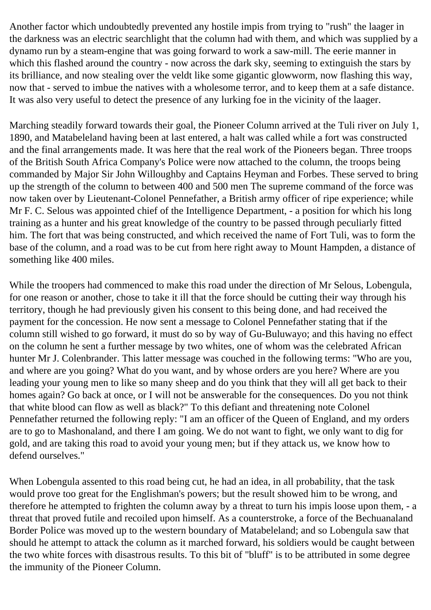Another factor which undoubtedly prevented any hostile impis from trying to "rush" the laager in the darkness was an electric searchlight that the column had with them, and which was supplied by a dynamo run by a steam-engine that was going forward to work a saw-mill. The eerie manner in which this flashed around the country - now across the dark sky, seeming to extinguish the stars by its brilliance, and now stealing over the veldt like some gigantic glowworm, now flashing this way, now that - served to imbue the natives with a wholesome terror, and to keep them at a safe distance. It was also very useful to detect the presence of any lurking foe in the vicinity of the laager.

Marching steadily forward towards their goal, the Pioneer Column arrived at the Tuli river on July 1, 1890, and Matabeleland having been at last entered, a halt was called while a fort was constructed and the final arrangements made. It was here that the real work of the Pioneers began. Three troops of the British South Africa Company's Police were now attached to the column, the troops being commanded by Major Sir John Willoughby and Captains Heyman and Forbes. These served to bring up the strength of the column to between 400 and 500 men The supreme command of the force was now taken over by Lieutenant-Colonel Pennefather, a British army officer of ripe experience; while Mr F. C. Selous was appointed chief of the Intelligence Department, - a position for which his long training as a hunter and his great knowledge of the country to be passed through peculiarly fitted him. The fort that was being constructed, and which received the name of Fort Tuli, was to form the base of the column, and a road was to be cut from here right away to Mount Hampden, a distance of something like 400 miles.

While the troopers had commenced to make this road under the direction of Mr Selous, Lobengula, for one reason or another, chose to take it ill that the force should be cutting their way through his territory, though he had previously given his consent to this being done, and had received the payment for the concession. He now sent a message to Colonel Pennefather stating that if the column still wished to go forward, it must do so by way of Gu-Buluwayo; and this having no effect on the column he sent a further message by two whites, one of whom was the celebrated African hunter Mr J. Colenbrander. This latter message was couched in the following terms: "Who are you, and where are you going? What do you want, and by whose orders are you here? Where are you leading your young men to like so many sheep and do you think that they will all get back to their homes again? Go back at once, or I will not be answerable for the consequences. Do you not think that white blood can flow as well as black?" To this defiant and threatening note Colonel Pennefather returned the following reply: "I am an officer of the Queen of England, and my orders are to go to Mashonaland, and there I am going. We do not want to fight, we only want to dig for gold, and are taking this road to avoid your young men; but if they attack us, we know how to defend ourselves."

When Lobengula assented to this road being cut, he had an idea, in all probability, that the task would prove too great for the Englishman's powers; but the result showed him to be wrong, and therefore he attempted to frighten the column away by a threat to turn his impis loose upon them, - a threat that proved futile and recoiled upon himself. As a counterstroke, a force of the Bechuanaland Border Police was moved up to the western boundary of Matabeleland; and so Lobengula saw that should he attempt to attack the column as it marched forward, his soldiers would be caught between the two white forces with disastrous results. To this bit of "bluff" is to be attributed in some degree the immunity of the Pioneer Column.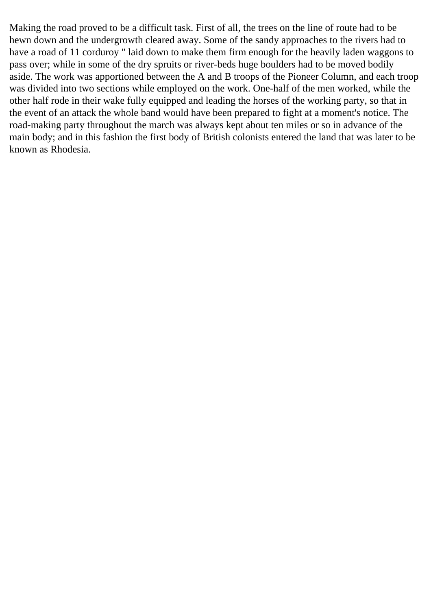Making the road proved to be a difficult task. First of all, the trees on the line of route had to be hewn down and the undergrowth cleared away. Some of the sandy approaches to the rivers had to have a road of 11 corduroy " laid down to make them firm enough for the heavily laden waggons to pass over; while in some of the dry spruits or river-beds huge boulders had to be moved bodily aside. The work was apportioned between the A and B troops of the Pioneer Column, and each troop was divided into two sections while employed on the work. One-half of the men worked, while the other half rode in their wake fully equipped and leading the horses of the working party, so that in the event of an attack the whole band would have been prepared to fight at a moment's notice. The road-making party throughout the march was always kept about ten miles or so in advance of the main body; and in this fashion the first body of British colonists entered the land that was later to be known as Rhodesia.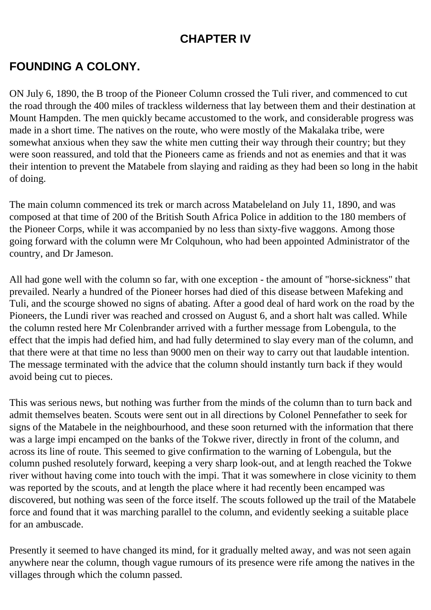### **CHAPTER IV**

### <span id="page-29-0"></span>**FOUNDING A COLONY.**

ON July 6, 1890, the B troop of the Pioneer Column crossed the Tuli river, and commenced to cut the road through the 400 miles of trackless wilderness that lay between them and their destination at Mount Hampden. The men quickly became accustomed to the work, and considerable progress was made in a short time. The natives on the route, who were mostly of the Makalaka tribe, were somewhat anxious when they saw the white men cutting their way through their country; but they were soon reassured, and told that the Pioneers came as friends and not as enemies and that it was their intention to prevent the Matabele from slaying and raiding as they had been so long in the habit of doing.

The main column commenced its trek or march across Matabeleland on July 11, 1890, and was composed at that time of 200 of the British South Africa Police in addition to the 180 members of the Pioneer Corps, while it was accompanied by no less than sixty-five waggons. Among those going forward with the column were Mr Colquhoun, who had been appointed Administrator of the country, and Dr Jameson.

All had gone well with the column so far, with one exception - the amount of "horse-sickness" that prevailed. Nearly a hundred of the Pioneer horses had died of this disease between Mafeking and Tuli, and the scourge showed no signs of abating. After a good deal of hard work on the road by the Pioneers, the Lundi river was reached and crossed on August 6, and a short halt was called. While the column rested here Mr Colenbrander arrived with a further message from Lobengula, to the effect that the impis had defied him, and had fully determined to slay every man of the column, and that there were at that time no less than 9000 men on their way to carry out that laudable intention. The message terminated with the advice that the column should instantly turn back if they would avoid being cut to pieces.

This was serious news, but nothing was further from the minds of the column than to turn back and admit themselves beaten. Scouts were sent out in all directions by Colonel Pennefather to seek for signs of the Matabele in the neighbourhood, and these soon returned with the information that there was a large impi encamped on the banks of the Tokwe river, directly in front of the column, and across its line of route. This seemed to give confirmation to the warning of Lobengula, but the column pushed resolutely forward, keeping a very sharp look-out, and at length reached the Tokwe river without having come into touch with the impi. That it was somewhere in close vicinity to them was reported by the scouts, and at length the place where it had recently been encamped was discovered, but nothing was seen of the force itself. The scouts followed up the trail of the Matabele force and found that it was marching parallel to the column, and evidently seeking a suitable place for an ambuscade.

Presently it seemed to have changed its mind, for it gradually melted away, and was not seen again anywhere near the column, though vague rumours of its presence were rife among the natives in the villages through which the column passed.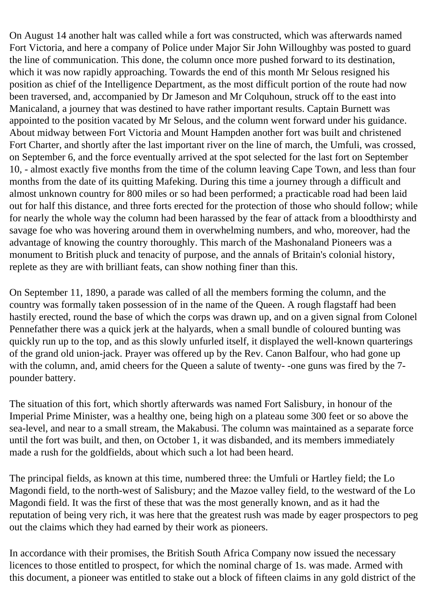On August 14 another halt was called while a fort was constructed, which was afterwards named Fort Victoria, and here a company of Police under Major Sir John Willoughby was posted to guard the line of communication. This done, the column once more pushed forward to its destination, which it was now rapidly approaching. Towards the end of this month Mr Selous resigned his position as chief of the Intelligence Department, as the most difficult portion of the route had now been traversed, and, accompanied by Dr Jameson and Mr Colquhoun, struck off to the east into Manicaland, a journey that was destined to have rather important results. Captain Burnett was appointed to the position vacated by Mr Selous, and the column went forward under his guidance. About midway between Fort Victoria and Mount Hampden another fort was built and christened Fort Charter, and shortly after the last important river on the line of march, the Umfuli, was crossed, on September 6, and the force eventually arrived at the spot selected for the last fort on September 10, - almost exactly five months from the time of the column leaving Cape Town, and less than four months from the date of its quitting Mafeking. During this time a journey through a difficult and almost unknown country for 800 miles or so had been performed; a practicable road had been laid out for half this distance, and three forts erected for the protection of those who should follow; while for nearly the whole way the column had been harassed by the fear of attack from a bloodthirsty and savage foe who was hovering around them in overwhelming numbers, and who, moreover, had the advantage of knowing the country thoroughly. This march of the Mashonaland Pioneers was a monument to British pluck and tenacity of purpose, and the annals of Britain's colonial history, replete as they are with brilliant feats, can show nothing finer than this.

On September 11, 1890, a parade was called of all the members forming the column, and the country was formally taken possession of in the name of the Queen. A rough flagstaff had been hastily erected, round the base of which the corps was drawn up, and on a given signal from Colonel Pennefather there was a quick jerk at the halyards, when a small bundle of coloured bunting was quickly run up to the top, and as this slowly unfurled itself, it displayed the well-known quarterings of the grand old union-jack. Prayer was offered up by the Rev. Canon Balfour, who had gone up with the column, and, amid cheers for the Queen a salute of twenty- -one guns was fired by the 7 pounder battery.

The situation of this fort, which shortly afterwards was named Fort Salisbury, in honour of the Imperial Prime Minister, was a healthy one, being high on a plateau some 300 feet or so above the sea-level, and near to a small stream, the Makabusi. The column was maintained as a separate force until the fort was built, and then, on October 1, it was disbanded, and its members immediately made a rush for the goldfields, about which such a lot had been heard.

The principal fields, as known at this time, numbered three: the Umfuli or Hartley field; the Lo Magondi field, to the north-west of Salisbury; and the Mazoe valley field, to the westward of the Lo Magondi field. It was the first of these that was the most generally known, and as it had the reputation of being very rich, it was here that the greatest rush was made by eager prospectors to peg out the claims which they had earned by their work as pioneers.

In accordance with their promises, the British South Africa Company now issued the necessary licences to those entitled to prospect, for which the nominal charge of 1s. was made. Armed with this document, a pioneer was entitled to stake out a block of fifteen claims in any gold district of the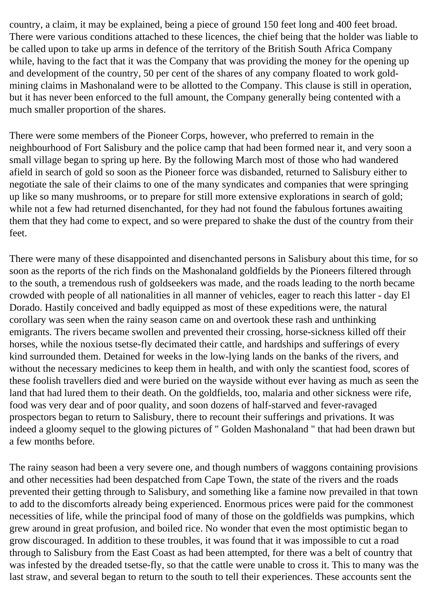country, a claim, it may be explained, being a piece of ground 150 feet long and 400 feet broad. There were various conditions attached to these licences, the chief being that the holder was liable to be called upon to take up arms in defence of the territory of the British South Africa Company while, having to the fact that it was the Company that was providing the money for the opening up and development of the country, 50 per cent of the shares of any company floated to work goldmining claims in Mashonaland were to be allotted to the Company. This clause is still in operation, but it has never been enforced to the full amount, the Company generally being contented with a much smaller proportion of the shares.

There were some members of the Pioneer Corps, however, who preferred to remain in the neighbourhood of Fort Salisbury and the police camp that had been formed near it, and very soon a small village began to spring up here. By the following March most of those who had wandered afield in search of gold so soon as the Pioneer force was disbanded, returned to Salisbury either to negotiate the sale of their claims to one of the many syndicates and companies that were springing up like so many mushrooms, or to prepare for still more extensive explorations in search of gold; while not a few had returned disenchanted, for they had not found the fabulous fortunes awaiting them that they had come to expect, and so were prepared to shake the dust of the country from their feet.

There were many of these disappointed and disenchanted persons in Salisbury about this time, for so soon as the reports of the rich finds on the Mashonaland goldfields by the Pioneers filtered through to the south, a tremendous rush of goldseekers was made, and the roads leading to the north became crowded with people of all nationalities in all manner of vehicles, eager to reach this latter - day El Dorado. Hastily conceived and badly equipped as most of these expeditions were, the natural corollary was seen when the rainy season came on and overtook these rash and unthinking emigrants. The rivers became swollen and prevented their crossing, horse-sickness killed off their horses, while the noxious tsetse-fly decimated their cattle, and hardships and sufferings of every kind surrounded them. Detained for weeks in the low-lying lands on the banks of the rivers, and without the necessary medicines to keep them in health, and with only the scantiest food, scores of these foolish travellers died and were buried on the wayside without ever having as much as seen the land that had lured them to their death. On the goldfields, too, malaria and other sickness were rife, food was very dear and of poor quality, and soon dozens of half-starved and fever-ravaged prospectors began to return to Salisbury, there to recount their sufferings and privations. It was indeed a gloomy sequel to the glowing pictures of " Golden Mashonaland " that had been drawn but a few months before.

The rainy season had been a very severe one, and though numbers of waggons containing provisions and other necessities had been despatched from Cape Town, the state of the rivers and the roads prevented their getting through to Salisbury, and something like a famine now prevailed in that town to add to the discomforts already being experienced. Enormous prices were paid for the commonest necessities of life, while the principal food of many of those on the goldfields was pumpkins, which grew around in great profusion, and boiled rice. No wonder that even the most optimistic began to grow discouraged. In addition to these troubles, it was found that it was impossible to cut a road through to Salisbury from the East Coast as had been attempted, for there was a belt of country that was infested by the dreaded tsetse-fly, so that the cattle were unable to cross it. This to many was the last straw, and several began to return to the south to tell their experiences. These accounts sent the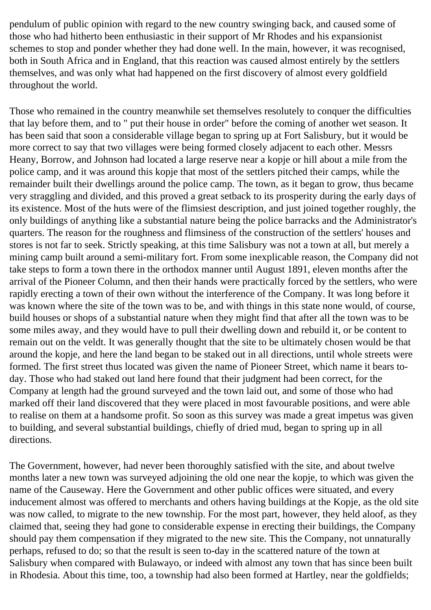pendulum of public opinion with regard to the new country swinging back, and caused some of those who had hitherto been enthusiastic in their support of Mr Rhodes and his expansionist schemes to stop and ponder whether they had done well. In the main, however, it was recognised, both in South Africa and in England, that this reaction was caused almost entirely by the settlers themselves, and was only what had happened on the first discovery of almost every goldfield throughout the world.

Those who remained in the country meanwhile set themselves resolutely to conquer the difficulties that lay before them, and to " put their house in order" before the coming of another wet season. It has been said that soon a considerable village began to spring up at Fort Salisbury, but it would be more correct to say that two villages were being formed closely adjacent to each other. Messrs Heany, Borrow, and Johnson had located a large reserve near a kopje or hill about a mile from the police camp, and it was around this kopje that most of the settlers pitched their camps, while the remainder built their dwellings around the police camp. The town, as it began to grow, thus became very straggling and divided, and this proved a great setback to its prosperity during the early days of its existence. Most of the huts were of the flimsiest description, and just joined together roughly, the only buildings of anything like a substantial nature being the police barracks and the Administrator's quarters. The reason for the roughness and flimsiness of the construction of the settlers' houses and stores is not far to seek. Strictly speaking, at this time Salisbury was not a town at all, but merely a mining camp built around a semi-military fort. From some inexplicable reason, the Company did not take steps to form a town there in the orthodox manner until August 1891, eleven months after the arrival of the Pioneer Column, and then their hands were practically forced by the settlers, who were rapidly erecting a town of their own without the interference of the Company. It was long before it was known where the site of the town was to be, and with things in this state none would, of course, build houses or shops of a substantial nature when they might find that after all the town was to be some miles away, and they would have to pull their dwelling down and rebuild it, or be content to remain out on the veldt. It was generally thought that the site to be ultimately chosen would be that around the kopje, and here the land began to be staked out in all directions, until whole streets were formed. The first street thus located was given the name of Pioneer Street, which name it bears today. Those who had staked out land here found that their judgment had been correct, for the Company at length had the ground surveyed and the town laid out, and some of those who had marked off their land discovered that they were placed in most favourable positions, and were able to realise on them at a handsome profit. So soon as this survey was made a great impetus was given to building, and several substantial buildings, chiefly of dried mud, began to spring up in all directions.

The Government, however, had never been thoroughly satisfied with the site, and about twelve months later a new town was surveyed adjoining the old one near the kopje, to which was given the name of the Causeway. Here the Government and other public offices were situated, and every inducement almost was offered to merchants and others having buildings at the Kopje, as the old site was now called, to migrate to the new township. For the most part, however, they held aloof, as they claimed that, seeing they had gone to considerable expense in erecting their buildings, the Company should pay them compensation if they migrated to the new site. This the Company, not unnaturally perhaps, refused to do; so that the result is seen to-day in the scattered nature of the town at Salisbury when compared with Bulawayo, or indeed with almost any town that has since been built in Rhodesia. About this time, too, a township had also been formed at Hartley, near the goldfields;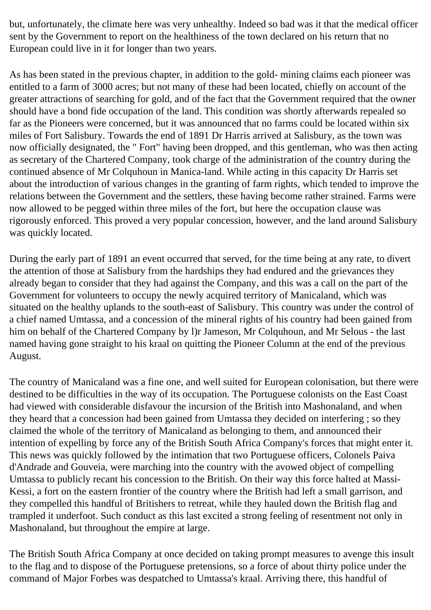but, unfortunately, the climate here was very unhealthy. Indeed so bad was it that the medical officer sent by the Government to report on the healthiness of the town declared on his return that no European could live in it for longer than two years.

As has been stated in the previous chapter, in addition to the gold- mining claims each pioneer was entitled to a farm of 3000 acres; but not many of these had been located, chiefly on account of the greater attractions of searching for gold, and of the fact that the Government required that the owner should have a bond fide occupation of the land. This condition was shortly afterwards repealed so far as the Pioneers were concerned, but it was announced that no farms could be located within six miles of Fort Salisbury. Towards the end of 1891 Dr Harris arrived at Salisbury, as the town was now officially designated, the " Fort" having been dropped, and this gentleman, who was then acting as secretary of the Chartered Company, took charge of the administration of the country during the continued absence of Mr Colquhoun in Manica-land. While acting in this capacity Dr Harris set about the introduction of various changes in the granting of farm rights, which tended to improve the relations between the Government and the settlers, these having become rather strained. Farms were now allowed to be pegged within three miles of the fort, but here the occupation clause was rigorously enforced. This proved a very popular concession, however, and the land around Salisbury was quickly located.

During the early part of 1891 an event occurred that served, for the time being at any rate, to divert the attention of those at Salisbury from the hardships they had endured and the grievances they already began to consider that they had against the Company, and this was a call on the part of the Government for volunteers to occupy the newly acquired territory of Manicaland, which was situated on the healthy uplands to the south-east of Salisbury. This country was under the control of a chief named Umtassa, and a concession of the mineral rights of his country had been gained from him on behalf of the Chartered Company by l)r Jameson, Mr Colquhoun, and Mr Selous - the last named having gone straight to his kraal on quitting the Pioneer Column at the end of the previous August.

The country of Manicaland was a fine one, and well suited for European colonisation, but there were destined to be difficulties in the way of its occupation. The Portuguese colonists on the East Coast had viewed with considerable disfavour the incursion of the British into Mashonaland, and when they heard that a concession had been gained from Umtassa they decided on interfering ; so they claimed the whole of the territory of Manicaland as belonging to them, and announced their intention of expelling by force any of the British South Africa Company's forces that might enter it. This news was quickly followed by the intimation that two Portuguese officers, Colonels Paiva d'Andrade and Gouveia, were marching into the country with the avowed object of compelling Umtassa to publicly recant his concession to the British. On their way this force halted at Massi-Kessi, a fort on the eastern frontier of the country where the British had left a small garrison, and they compelled this handful of Britishers to retreat, while they hauled down the British flag and trampled it underfoot. Such conduct as this last excited a strong feeling of resentment not only in Mashonaland, but throughout the empire at large.

The British South Africa Company at once decided on taking prompt measures to avenge this insult to the flag and to dispose of the Portuguese pretensions, so a force of about thirty police under the command of Major Forbes was despatched to Umtassa's kraal. Arriving there, this handful of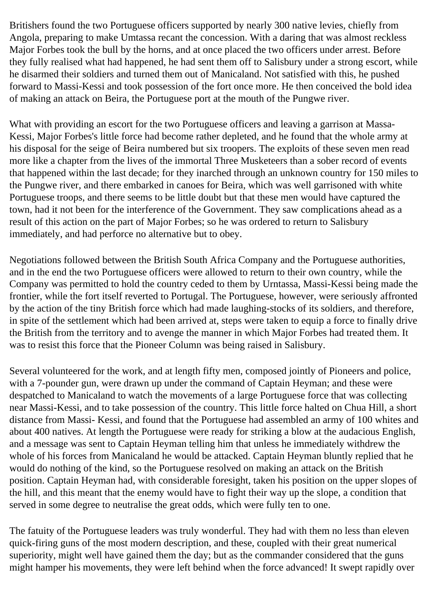Britishers found the two Portuguese officers supported by nearly 300 native levies, chiefly from Angola, preparing to make Umtassa recant the concession. With a daring that was almost reckless Major Forbes took the bull by the horns, and at once placed the two officers under arrest. Before they fully realised what had happened, he had sent them off to Salisbury under a strong escort, while he disarmed their soldiers and turned them out of Manicaland. Not satisfied with this, he pushed forward to Massi-Kessi and took possession of the fort once more. He then conceived the bold idea of making an attack on Beira, the Portuguese port at the mouth of the Pungwe river.

What with providing an escort for the two Portuguese officers and leaving a garrison at Massa-Kessi, Major Forbes's little force had become rather depleted, and he found that the whole army at his disposal for the seige of Beira numbered but six troopers. The exploits of these seven men read more like a chapter from the lives of the immortal Three Musketeers than a sober record of events that happened within the last decade; for they inarched through an unknown country for 150 miles to the Pungwe river, and there embarked in canoes for Beira, which was well garrisoned with white Portuguese troops, and there seems to be little doubt but that these men would have captured the town, had it not been for the interference of the Government. They saw complications ahead as a result of this action on the part of Major Forbes; so he was ordered to return to Salisbury immediately, and had perforce no alternative but to obey.

Negotiations followed between the British South Africa Company and the Portuguese authorities, and in the end the two Portuguese officers were allowed to return to their own country, while the Company was permitted to hold the country ceded to them by Urntassa, Massi-Kessi being made the frontier, while the fort itself reverted to Portugal. The Portuguese, however, were seriously affronted by the action of the tiny British force which had made laughing-stocks of its soldiers, and therefore, in spite of the settlement which had been arrived at, steps were taken to equip a force to finally drive the British from the territory and to avenge the manner in which Major Forbes had treated them. It was to resist this force that the Pioneer Column was being raised in Salisbury.

Several volunteered for the work, and at length fifty men, composed jointly of Pioneers and police, with a 7-pounder gun, were drawn up under the command of Captain Heyman; and these were despatched to Manicaland to watch the movements of a large Portuguese force that was collecting near Massi-Kessi, and to take possession of the country. This little force halted on Chua Hill, a short distance from Massi- Kessi, and found that the Portuguese had assembled an army of 100 whites and about 400 natives. At length the Portuguese were ready for striking a blow at the audacious English, and a message was sent to Captain Heyman telling him that unless he immediately withdrew the whole of his forces from Manicaland he would be attacked. Captain Heyman bluntly replied that he would do nothing of the kind, so the Portuguese resolved on making an attack on the British position. Captain Heyman had, with considerable foresight, taken his position on the upper slopes of the hill, and this meant that the enemy would have to fight their way up the slope, a condition that served in some degree to neutralise the great odds, which were fully ten to one.

The fatuity of the Portuguese leaders was truly wonderful. They had with them no less than eleven quick-firing guns of the most modern description, and these, coupled with their great numerical superiority, might well have gained them the day; but as the commander considered that the guns might hamper his movements, they were left behind when the force advanced! It swept rapidly over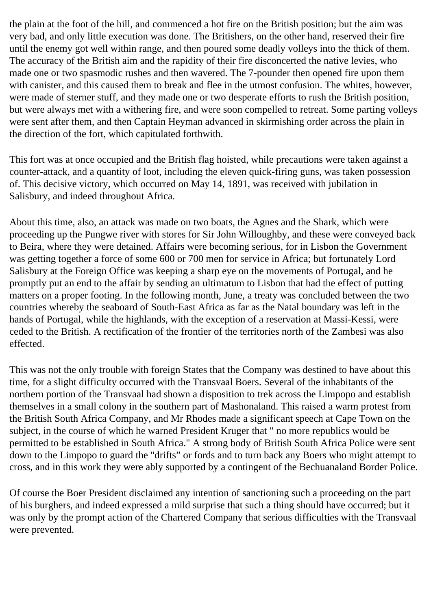the plain at the foot of the hill, and commenced a hot fire on the British position; but the aim was very bad, and only little execution was done. The Britishers, on the other hand, reserved their fire until the enemy got well within range, and then poured some deadly volleys into the thick of them. The accuracy of the British aim and the rapidity of their fire disconcerted the native levies, who made one or two spasmodic rushes and then wavered. The 7-pounder then opened fire upon them with canister, and this caused them to break and flee in the utmost confusion. The whites, however, were made of sterner stuff, and they made one or two desperate efforts to rush the British position, but were always met with a withering fire, and were soon compelled to retreat. Some parting volleys were sent after them, and then Captain Heyman advanced in skirmishing order across the plain in the direction of the fort, which capitulated forthwith.

This fort was at once occupied and the British flag hoisted, while precautions were taken against a counter-attack, and a quantity of loot, including the eleven quick-firing guns, was taken possession of. This decisive victory, which occurred on May 14, 1891, was received with jubilation in Salisbury, and indeed throughout Africa.

About this time, also, an attack was made on two boats, the Agnes and the Shark, which were proceeding up the Pungwe river with stores for Sir John Willoughby, and these were conveyed back to Beira, where they were detained. Affairs were becoming serious, for in Lisbon the Government was getting together a force of some 600 or 700 men for service in Africa; but fortunately Lord Salisbury at the Foreign Office was keeping a sharp eye on the movements of Portugal, and he promptly put an end to the affair by sending an ultimatum to Lisbon that had the effect of putting matters on a proper footing. In the following month, June, a treaty was concluded between the two countries whereby the seaboard of South-East Africa as far as the Natal boundary was left in the hands of Portugal, while the highlands, with the exception of a reservation at Massi-Kessi, were ceded to the British. A rectification of the frontier of the territories north of the Zambesi was also effected.

This was not the only trouble with foreign States that the Company was destined to have about this time, for a slight difficulty occurred with the Transvaal Boers. Several of the inhabitants of the northern portion of the Transvaal had shown a disposition to trek across the Limpopo and establish themselves in a small colony in the southern part of Mashonaland. This raised a warm protest from the British South Africa Company, and Mr Rhodes made a significant speech at Cape Town on the subject, in the course of which he warned President Kruger that " no more republics would be permitted to be established in South Africa." A strong body of British South Africa Police were sent down to the Limpopo to guard the "drifts" or fords and to turn back any Boers who might attempt to cross, and in this work they were ably supported by a contingent of the Bechuanaland Border Police.

Of course the Boer President disclaimed any intention of sanctioning such a proceeding on the part of his burghers, and indeed expressed a mild surprise that such a thing should have occurred; but it was only by the prompt action of the Chartered Company that serious difficulties with the Transvaal were prevented.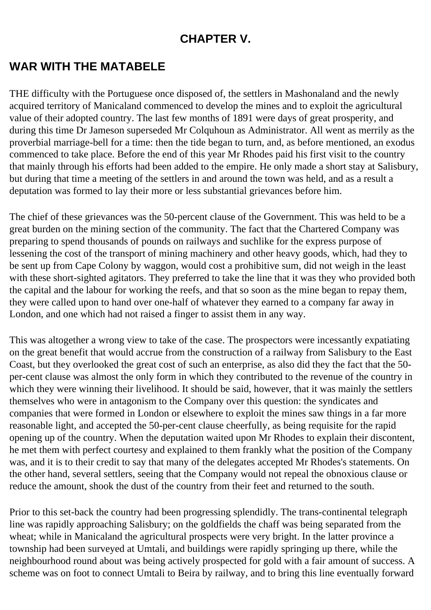### **CHAPTER V.**

## **WAR WITH THE MATABELE**

THE difficulty with the Portuguese once disposed of, the settlers in Mashonaland and the newly acquired territory of Manicaland commenced to develop the mines and to exploit the agricultural value of their adopted country. The last few months of 1891 were days of great prosperity, and during this time Dr Jameson superseded Mr Colquhoun as Administrator. All went as merrily as the proverbial marriage-bell for a time: then the tide began to turn, and, as before mentioned, an exodus commenced to take place. Before the end of this year Mr Rhodes paid his first visit to the country that mainly through his efforts had been added to the empire. He only made a short stay at Salisbury, but during that time a meeting of the settlers in and around the town was held, and as a result a deputation was formed to lay their more or less substantial grievances before him.

The chief of these grievances was the 50-percent clause of the Government. This was held to be a great burden on the mining section of the community. The fact that the Chartered Company was preparing to spend thousands of pounds on railways and suchlike for the express purpose of lessening the cost of the transport of mining machinery and other heavy goods, which, had they to be sent up from Cape Colony by waggon, would cost a prohibitive sum, did not weigh in the least with these short-sighted agitators. They preferred to take the line that it was they who provided both the capital and the labour for working the reefs, and that so soon as the mine began to repay them, they were called upon to hand over one-half of whatever they earned to a company far away in London, and one which had not raised a finger to assist them in any way.

This was altogether a wrong view to take of the case. The prospectors were incessantly expatiating on the great benefit that would accrue from the construction of a railway from Salisbury to the East Coast, but they overlooked the great cost of such an enterprise, as also did they the fact that the 50 per-cent clause was almost the only form in which they contributed to the revenue of the country in which they were winning their livelihood. It should be said, however, that it was mainly the settlers themselves who were in antagonism to the Company over this question: the syndicates and companies that were formed in London or elsewhere to exploit the mines saw things in a far more reasonable light, and accepted the 50-per-cent clause cheerfully, as being requisite for the rapid opening up of the country. When the deputation waited upon Mr Rhodes to explain their discontent, he met them with perfect courtesy and explained to them frankly what the position of the Company was, and it is to their credit to say that many of the delegates accepted Mr Rhodes's statements. On the other hand, several settlers, seeing that the Company would not repeal the obnoxious clause or reduce the amount, shook the dust of the country from their feet and returned to the south.

Prior to this set-back the country had been progressing splendidly. The trans-continental telegraph line was rapidly approaching Salisbury; on the goldfields the chaff was being separated from the wheat; while in Manicaland the agricultural prospects were very bright. In the latter province a township had been surveyed at Umtali, and buildings were rapidly springing up there, while the neighbourhood round about was being actively prospected for gold with a fair amount of success. A scheme was on foot to connect Umtali to Beira by railway, and to bring this line eventually forward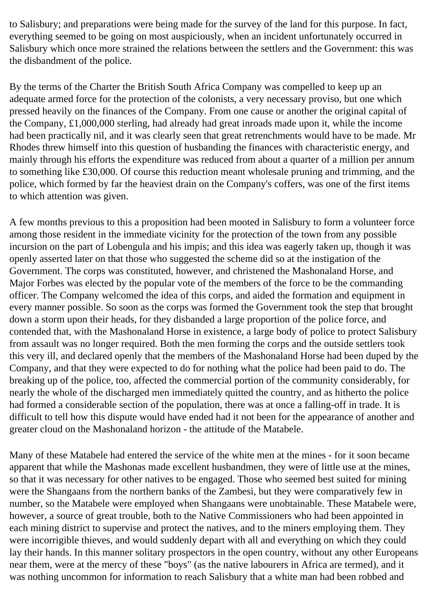to Salisbury; and preparations were being made for the survey of the land for this purpose. In fact, everything seemed to be going on most auspiciously, when an incident unfortunately occurred in Salisbury which once more strained the relations between the settlers and the Government: this was the disbandment of the police.

By the terms of the Charter the British South Africa Company was compelled to keep up an adequate armed force for the protection of the colonists, a very necessary proviso, but one which pressed heavily on the finances of the Company. From one cause or another the original capital of the Company, £1,000,000 sterling, had already had great inroads made upon it, while the income had been practically nil, and it was clearly seen that great retrenchments would have to be made. Mr Rhodes threw himself into this question of husbanding the finances with characteristic energy, and mainly through his efforts the expenditure was reduced from about a quarter of a million per annum to something like £30,000. Of course this reduction meant wholesale pruning and trimming, and the police, which formed by far the heaviest drain on the Company's coffers, was one of the first items to which attention was given.

A few months previous to this a proposition had been mooted in Salisbury to form a volunteer force among those resident in the immediate vicinity for the protection of the town from any possible incursion on the part of Lobengula and his impis; and this idea was eagerly taken up, though it was openly asserted later on that those who suggested the scheme did so at the instigation of the Government. The corps was constituted, however, and christened the Mashonaland Horse, and Major Forbes was elected by the popular vote of the members of the force to be the commanding officer. The Company welcomed the idea of this corps, and aided the formation and equipment in every manner possible. So soon as the corps was formed the Government took the step that brought down a storm upon their heads, for they disbanded a large proportion of the police force, and contended that, with the Mashonaland Horse in existence, a large body of police to protect Salisbury from assault was no longer required. Both the men forming the corps and the outside settlers took this very ill, and declared openly that the members of the Mashonaland Horse had been duped by the Company, and that they were expected to do for nothing what the police had been paid to do. The breaking up of the police, too, affected the commercial portion of the community considerably, for nearly the whole of the discharged men immediately quitted the country, and as hitherto the police had formed a considerable section of the population, there was at once a falling-off in trade. It is difficult to tell how this dispute would have ended had it not been for the appearance of another and greater cloud on the Mashonaland horizon - the attitude of the Matabele.

Many of these Matabele had entered the service of the white men at the mines - for it soon became apparent that while the Mashonas made excellent husbandmen, they were of little use at the mines, so that it was necessary for other natives to be engaged. Those who seemed best suited for mining were the Shangaans from the northern banks of the Zambesi, but they were comparatively few in number, so the Matabele were employed when Shangaans were unobtainable. These Matabele were, however, a source of great trouble, both to the Native Commissioners who had been appointed in each mining district to supervise and protect the natives, and to the miners employing them. They were incorrigible thieves, and would suddenly depart with all and everything on which they could lay their hands. In this manner solitary prospectors in the open country, without any other Europeans near them, were at the mercy of these "boys" (as the native labourers in Africa are termed), and it was nothing uncommon for information to reach Salisbury that a white man had been robbed and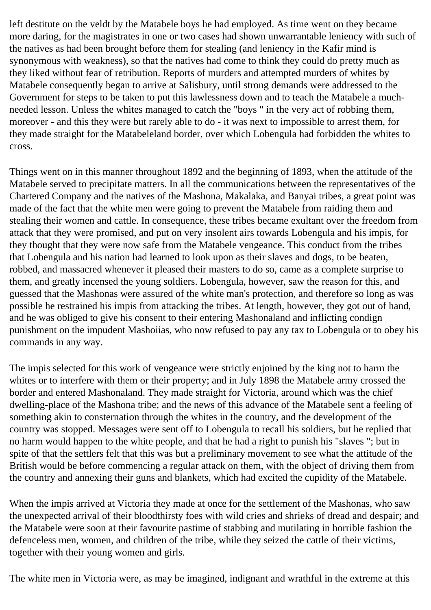left destitute on the veldt by the Matabele boys he had employed. As time went on they became more daring, for the magistrates in one or two cases had shown unwarrantable leniency with such of the natives as had been brought before them for stealing (and leniency in the Kafir mind is synonymous with weakness), so that the natives had come to think they could do pretty much as they liked without fear of retribution. Reports of murders and attempted murders of whites by Matabele consequently began to arrive at Salisbury, until strong demands were addressed to the Government for steps to be taken to put this lawlessness down and to teach the Matabele a muchneeded lesson. Unless the whites managed to catch the "boys " in the very act of robbing them, moreover - and this they were but rarely able to do - it was next to impossible to arrest them, for they made straight for the Matabeleland border, over which Lobengula had forbidden the whites to cross.

Things went on in this manner throughout 1892 and the beginning of 1893, when the attitude of the Matabele served to precipitate matters. In all the communications between the representatives of the Chartered Company and the natives of the Mashona, Makalaka, and Banyai tribes, a great point was made of the fact that the white men were going to prevent the Matabele from raiding them and stealing their women and cattle. In consequence, these tribes became exultant over the freedom from attack that they were promised, and put on very insolent airs towards Lobengula and his impis, for they thought that they were now safe from the Matabele vengeance. This conduct from the tribes that Lobengula and his nation had learned to look upon as their slaves and dogs, to be beaten, robbed, and massacred whenever it pleased their masters to do so, came as a complete surprise to them, and greatly incensed the young soldiers. Lobengula, however, saw the reason for this, and guessed that the Mashonas were assured of the white man's protection, and therefore so long as was possible he restrained his impis from attacking the tribes. At length, however, they got out of hand, and he was obliged to give his consent to their entering Mashonaland and inflicting condign punishment on the impudent Mashoiias, who now refused to pay any tax to Lobengula or to obey his commands in any way.

The impis selected for this work of vengeance were strictly enjoined by the king not to harm the whites or to interfere with them or their property; and in July 1898 the Matabele army crossed the border and entered Mashonaland. They made straight for Victoria, around which was the chief dwelling-place of the Mashona tribe; and the news of this advance of the Matabele sent a feeling of something akin to consternation through the whites in the country, and the development of the country was stopped. Messages were sent off to Lobengula to recall his soldiers, but he replied that no harm would happen to the white people, and that he had a right to punish his "slaves "; but in spite of that the settlers felt that this was but a preliminary movement to see what the attitude of the British would be before commencing a regular attack on them, with the object of driving them from the country and annexing their guns and blankets, which had excited the cupidity of the Matabele.

When the impis arrived at Victoria they made at once for the settlement of the Mashonas, who saw the unexpected arrival of their bloodthirsty foes with wild cries and shrieks of dread and despair; and the Matabele were soon at their favourite pastime of stabbing and mutilating in horrible fashion the defenceless men, women, and children of the tribe, while they seized the cattle of their victims, together with their young women and girls.

The white men in Victoria were, as may be imagined, indignant and wrathful in the extreme at this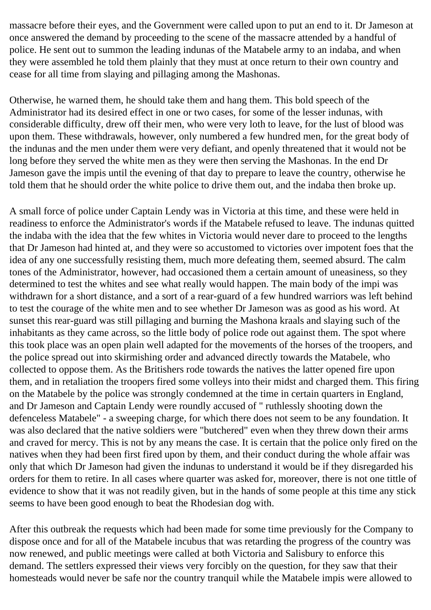massacre before their eyes, and the Government were called upon to put an end to it. Dr Jameson at once answered the demand by proceeding to the scene of the massacre attended by a handful of police. He sent out to summon the leading indunas of the Matabele army to an indaba, and when they were assembled he told them plainly that they must at once return to their own country and cease for all time from slaying and pillaging among the Mashonas.

Otherwise, he warned them, he should take them and hang them. This bold speech of the Administrator had its desired effect in one or two cases, for some of the lesser indunas, with considerable difficulty, drew off their men, who were very loth to leave, for the lust of blood was upon them. These withdrawals, however, only numbered a few hundred men, for the great body of the indunas and the men under them were very defiant, and openly threatened that it would not be long before they served the white men as they were then serving the Mashonas. In the end Dr Jameson gave the impis until the evening of that day to prepare to leave the country, otherwise he told them that he should order the white police to drive them out, and the indaba then broke up.

A small force of police under Captain Lendy was in Victoria at this time, and these were held in readiness to enforce the Administrator's words if the Matabele refused to leave. The indunas quitted the indaba with the idea that the few whites in Victoria would never dare to proceed to the lengths that Dr Jameson had hinted at, and they were so accustomed to victories over impotent foes that the idea of any one successfully resisting them, much more defeating them, seemed absurd. The calm tones of the Administrator, however, had occasioned them a certain amount of uneasiness, so they determined to test the whites and see what really would happen. The main body of the impi was withdrawn for a short distance, and a sort of a rear-guard of a few hundred warriors was left behind to test the courage of the white men and to see whether Dr Jameson was as good as his word. At sunset this rear-guard was still pillaging and burning the Mashona kraals and slaying such of the inhabitants as they came across, so the little body of police rode out against them. The spot where this took place was an open plain well adapted for the movements of the horses of the troopers, and the police spread out into skirmishing order and advanced directly towards the Matabele, who collected to oppose them. As the Britishers rode towards the natives the latter opened fire upon them, and in retaliation the troopers fired some volleys into their midst and charged them. This firing on the Matabele by the police was strongly condemned at the time in certain quarters in England, and Dr Jameson and Captain Lendy were roundly accused of " ruthlessly shooting down the defenceless Matabele" - a sweeping charge, for which there does not seem to be any foundation. It was also declared that the native soldiers were "butchered" even when they threw down their arms and craved for mercy. This is not by any means the case. It is certain that the police only fired on the natives when they had been first fired upon by them, and their conduct during the whole affair was only that which Dr Jameson had given the indunas to understand it would be if they disregarded his orders for them to retire. In all cases where quarter was asked for, moreover, there is not one tittle of evidence to show that it was not readily given, but in the hands of some people at this time any stick seems to have been good enough to beat the Rhodesian dog with.

After this outbreak the requests which had been made for some time previously for the Company to dispose once and for all of the Matabele incubus that was retarding the progress of the country was now renewed, and public meetings were called at both Victoria and Salisbury to enforce this demand. The settlers expressed their views very forcibly on the question, for they saw that their homesteads would never be safe nor the country tranquil while the Matabele impis were allowed to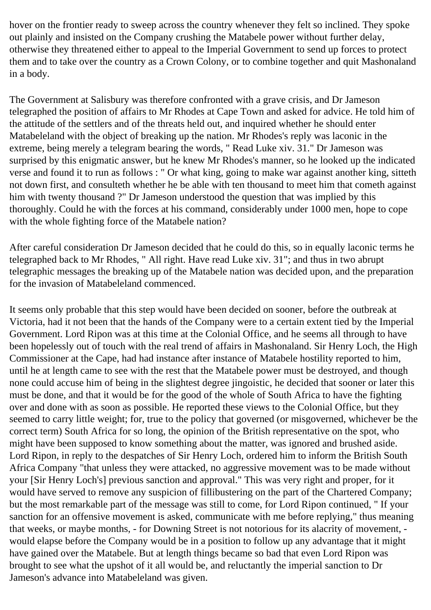hover on the frontier ready to sweep across the country whenever they felt so inclined. They spoke out plainly and insisted on the Company crushing the Matabele power without further delay, otherwise they threatened either to appeal to the Imperial Government to send up forces to protect them and to take over the country as a Crown Colony, or to combine together and quit Mashonaland in a body.

The Government at Salisbury was therefore confronted with a grave crisis, and Dr Jameson telegraphed the position of affairs to Mr Rhodes at Cape Town and asked for advice. He told him of the attitude of the settlers and of the threats held out, and inquired whether he should enter Matabeleland with the object of breaking up the nation. Mr Rhodes's reply was laconic in the extreme, being merely a telegram bearing the words, " Read Luke xiv. 31." Dr Jameson was surprised by this enigmatic answer, but he knew Mr Rhodes's manner, so he looked up the indicated verse and found it to run as follows : " Or what king, going to make war against another king, sitteth not down first, and consulteth whether he be able with ten thousand to meet him that cometh against him with twenty thousand ?" Dr Jameson understood the question that was implied by this thoroughly. Could he with the forces at his command, considerably under 1000 men, hope to cope with the whole fighting force of the Matabele nation?

After careful consideration Dr Jameson decided that he could do this, so in equally laconic terms he telegraphed back to Mr Rhodes, " All right. Have read Luke xiv. 31"; and thus in two abrupt telegraphic messages the breaking up of the Matabele nation was decided upon, and the preparation for the invasion of Matabeleland commenced.

It seems only probable that this step would have been decided on sooner, before the outbreak at Victoria, had it not been that the hands of the Company were to a certain extent tied by the Imperial Government. Lord Ripon was at this time at the Colonial Office, and he seems all through to have been hopelessly out of touch with the real trend of affairs in Mashonaland. Sir Henry Loch, the High Commissioner at the Cape, had had instance after instance of Matabele hostility reported to him, until he at length came to see with the rest that the Matabele power must be destroyed, and though none could accuse him of being in the slightest degree jingoistic, he decided that sooner or later this must be done, and that it would be for the good of the whole of South Africa to have the fighting over and done with as soon as possible. He reported these views to the Colonial Office, but they seemed to carry little weight; for, true to the policy that governed (or misgoverned, whichever be the correct term) South Africa for so long, the opinion of the British representative on the spot, who might have been supposed to know something about the matter, was ignored and brushed aside. Lord Ripon, in reply to the despatches of Sir Henry Loch, ordered him to inform the British South Africa Company "that unless they were attacked, no aggressive movement was to be made without your [Sir Henry Loch's] previous sanction and approval." This was very right and proper, for it would have served to remove any suspicion of fillibustering on the part of the Chartered Company; but the most remarkable part of the message was still to come, for Lord Ripon continued, " If your sanction for an offensive movement is asked, communicate with me before replying," thus meaning that weeks, or maybe months, - for Downing Street is not notorious for its alacrity of movement, would elapse before the Company would be in a position to follow up any advantage that it might have gained over the Matabele. But at length things became so bad that even Lord Ripon was brought to see what the upshot of it all would be, and reluctantly the imperial sanction to Dr Jameson's advance into Matabeleland was given.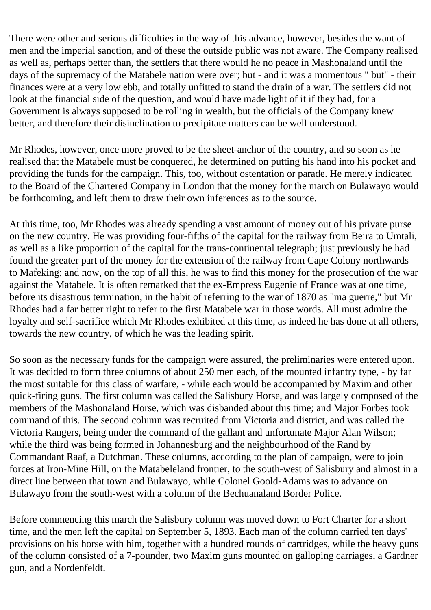There were other and serious difficulties in the way of this advance, however, besides the want of men and the imperial sanction, and of these the outside public was not aware. The Company realised as well as, perhaps better than, the settlers that there would he no peace in Mashonaland until the days of the supremacy of the Matabele nation were over; but - and it was a momentous " but" - their finances were at a very low ebb, and totally unfitted to stand the drain of a war. The settlers did not look at the financial side of the question, and would have made light of it if they had, for a Government is always supposed to be rolling in wealth, but the officials of the Company knew better, and therefore their disinclination to precipitate matters can be well understood.

Mr Rhodes, however, once more proved to be the sheet-anchor of the country, and so soon as he realised that the Matabele must be conquered, he determined on putting his hand into his pocket and providing the funds for the campaign. This, too, without ostentation or parade. He merely indicated to the Board of the Chartered Company in London that the money for the march on Bulawayo would be forthcoming, and left them to draw their own inferences as to the source.

At this time, too, Mr Rhodes was already spending a vast amount of money out of his private purse on the new country. He was providing four-fifths of the capital for the railway from Beira to Umtali, as well as a like proportion of the capital for the trans-continental telegraph; just previously he had found the greater part of the money for the extension of the railway from Cape Colony northwards to Mafeking; and now, on the top of all this, he was to find this money for the prosecution of the war against the Matabele. It is often remarked that the ex-Empress Eugenie of France was at one time, before its disastrous termination, in the habit of referring to the war of 1870 as "ma guerre," but Mr Rhodes had a far better right to refer to the first Matabele war in those words. All must admire the loyalty and self-sacrifice which Mr Rhodes exhibited at this time, as indeed he has done at all others, towards the new country, of which he was the leading spirit.

So soon as the necessary funds for the campaign were assured, the preliminaries were entered upon. It was decided to form three columns of about 250 men each, of the mounted infantry type, - by far the most suitable for this class of warfare, - while each would be accompanied by Maxim and other quick-firing guns. The first column was called the Salisbury Horse, and was largely composed of the members of the Mashonaland Horse, which was disbanded about this time; and Major Forbes took command of this. The second column was recruited from Victoria and district, and was called the Victoria Rangers, being under the command of the gallant and unfortunate Major Alan Wilson; while the third was being formed in Johannesburg and the neighbourhood of the Rand by Commandant Raaf, a Dutchman. These columns, according to the plan of campaign, were to join forces at Iron-Mine Hill, on the Matabeleland frontier, to the south-west of Salisbury and almost in a direct line between that town and Bulawayo, while Colonel Goold-Adams was to advance on Bulawayo from the south-west with a column of the Bechuanaland Border Police.

Before commencing this march the Salisbury column was moved down to Fort Charter for a short time, and the men left the capital on September 5, 1893. Each man of the column carried ten days' provisions on his horse with him, together with a hundred rounds of cartridges, while the heavy guns of the column consisted of a 7-pounder, two Maxim guns mounted on galloping carriages, a Gardner gun, and a Nordenfeldt.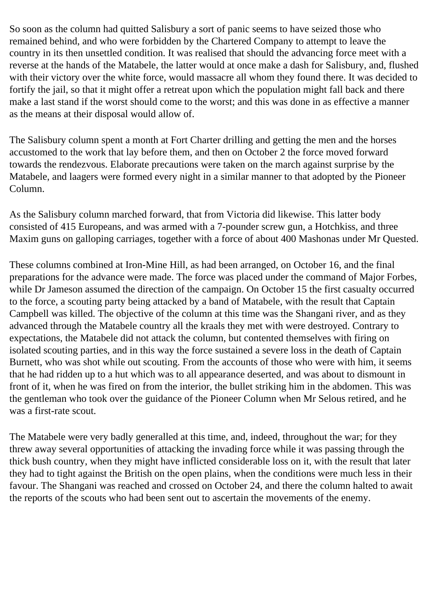So soon as the column had quitted Salisbury a sort of panic seems to have seized those who remained behind, and who were forbidden by the Chartered Company to attempt to leave the country in its then unsettled condition. It was realised that should the advancing force meet with a reverse at the hands of the Matabele, the latter would at once make a dash for Salisbury, and, flushed with their victory over the white force, would massacre all whom they found there. It was decided to fortify the jail, so that it might offer a retreat upon which the population might fall back and there make a last stand if the worst should come to the worst; and this was done in as effective a manner as the means at their disposal would allow of.

The Salisbury column spent a month at Fort Charter drilling and getting the men and the horses accustomed to the work that lay before them, and then on October 2 the force moved forward towards the rendezvous. Elaborate precautions were taken on the march against surprise by the Matabele, and laagers were formed every night in a similar manner to that adopted by the Pioneer Column.

As the Salisbury column marched forward, that from Victoria did likewise. This latter body consisted of 415 Europeans, and was armed with a 7-pounder screw gun, a Hotchkiss, and three Maxim guns on galloping carriages, together with a force of about 400 Mashonas under Mr Quested.

These columns combined at Iron-Mine Hill, as had been arranged, on October 16, and the final preparations for the advance were made. The force was placed under the command of Major Forbes, while Dr Jameson assumed the direction of the campaign. On October 15 the first casualty occurred to the force, a scouting party being attacked by a band of Matabele, with the result that Captain Campbell was killed. The objective of the column at this time was the Shangani river, and as they advanced through the Matabele country all the kraals they met with were destroyed. Contrary to expectations, the Matabele did not attack the column, but contented themselves with firing on isolated scouting parties, and in this way the force sustained a severe loss in the death of Captain Burnett, who was shot while out scouting. From the accounts of those who were with him, it seems that he had ridden up to a hut which was to all appearance deserted, and was about to dismount in front of it, when he was fired on from the interior, the bullet striking him in the abdomen. This was the gentleman who took over the guidance of the Pioneer Column when Mr Selous retired, and he was a first-rate scout.

The Matabele were very badly generalled at this time, and, indeed, throughout the war; for they threw away several opportunities of attacking the invading force while it was passing through the thick bush country, when they might have inflicted considerable loss on it, with the result that later they had to tight against the British on the open plains, when the conditions were much less in their favour. The Shangani was reached and crossed on October 24, and there the column halted to await the reports of the scouts who had been sent out to ascertain the movements of the enemy.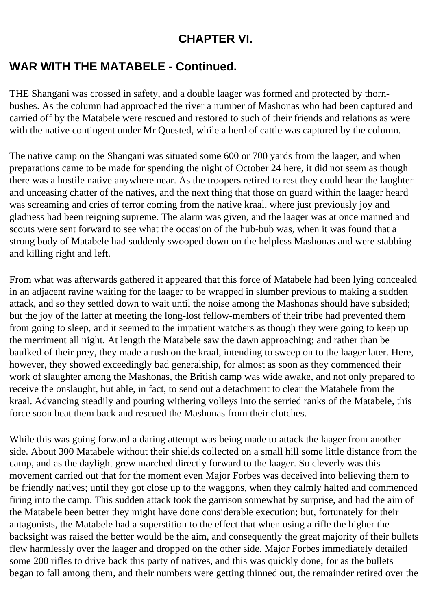## **CHAPTER VI.**

# **WAR WITH THE MATABELE - Continued.**

THE Shangani was crossed in safety, and a double laager was formed and protected by thornbushes. As the column had approached the river a number of Mashonas who had been captured and carried off by the Matabele were rescued and restored to such of their friends and relations as were with the native contingent under Mr Quested, while a herd of cattle was captured by the column.

The native camp on the Shangani was situated some 600 or 700 yards from the laager, and when preparations came to be made for spending the night of October 24 here, it did not seem as though there was a hostile native anywhere near. As the troopers retired to rest they could hear the laughter and unceasing chatter of the natives, and the next thing that those on guard within the laager heard was screaming and cries of terror coming from the native kraal, where just previously joy and gladness had been reigning supreme. The alarm was given, and the laager was at once manned and scouts were sent forward to see what the occasion of the hub-bub was, when it was found that a strong body of Matabele had suddenly swooped down on the helpless Mashonas and were stabbing and killing right and left.

From what was afterwards gathered it appeared that this force of Matabele had been lying concealed in an adjacent ravine waiting for the laager to be wrapped in slumber previous to making a sudden attack, and so they settled down to wait until the noise among the Mashonas should have subsided; but the joy of the latter at meeting the long-lost fellow-members of their tribe had prevented them from going to sleep, and it seemed to the impatient watchers as though they were going to keep up the merriment all night. At length the Matabele saw the dawn approaching; and rather than be baulked of their prey, they made a rush on the kraal, intending to sweep on to the laager later. Here, however, they showed exceedingly bad generalship, for almost as soon as they commenced their work of slaughter among the Mashonas, the British camp was wide awake, and not only prepared to receive the onslaught, but able, in fact, to send out a detachment to clear the Matabele from the kraal. Advancing steadily and pouring withering volleys into the serried ranks of the Matabele, this force soon beat them back and rescued the Mashonas from their clutches.

While this was going forward a daring attempt was being made to attack the laager from another side. About 300 Matabele without their shields collected on a small hill some little distance from the camp, and as the daylight grew marched directly forward to the laager. So cleverly was this movement carried out that for the moment even Major Forbes was deceived into believing them to be friendly natives; until they got close up to the waggons, when they calmly halted and commenced firing into the camp. This sudden attack took the garrison somewhat by surprise, and had the aim of the Matabele been better they might have done considerable execution; but, fortunately for their antagonists, the Matabele had a superstition to the effect that when using a rifle the higher the backsight was raised the better would be the aim, and consequently the great majority of their bullets flew harmlessly over the laager and dropped on the other side. Major Forbes immediately detailed some 200 rifles to drive back this party of natives, and this was quickly done; for as the bullets began to fall among them, and their numbers were getting thinned out, the remainder retired over the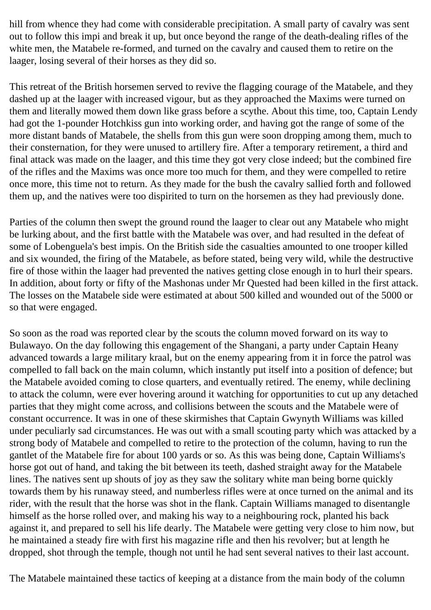hill from whence they had come with considerable precipitation. A small party of cavalry was sent out to follow this impi and break it up, but once beyond the range of the death-dealing rifles of the white men, the Matabele re-formed, and turned on the cavalry and caused them to retire on the laager, losing several of their horses as they did so.

This retreat of the British horsemen served to revive the flagging courage of the Matabele, and they dashed up at the laager with increased vigour, but as they approached the Maxims were turned on them and literally mowed them down like grass before a scythe. About this time, too, Captain Lendy had got the 1-pounder Hotchkiss gun into working order, and having got the range of some of the more distant bands of Matabele, the shells from this gun were soon dropping among them, much to their consternation, for they were unused to artillery fire. After a temporary retirement, a third and final attack was made on the laager, and this time they got very close indeed; but the combined fire of the rifles and the Maxims was once more too much for them, and they were compelled to retire once more, this time not to return. As they made for the bush the cavalry sallied forth and followed them up, and the natives were too dispirited to turn on the horsemen as they had previously done.

Parties of the column then swept the ground round the laager to clear out any Matabele who might be lurking about, and the first battle with the Matabele was over, and had resulted in the defeat of some of Lobenguela's best impis. On the British side the casualties amounted to one trooper killed and six wounded, the firing of the Matabele, as before stated, being very wild, while the destructive fire of those within the laager had prevented the natives getting close enough in to hurl their spears. In addition, about forty or fifty of the Mashonas under Mr Quested had been killed in the first attack. The losses on the Matabele side were estimated at about 500 killed and wounded out of the 5000 or so that were engaged.

So soon as the road was reported clear by the scouts the column moved forward on its way to Bulawayo. On the day following this engagement of the Shangani, a party under Captain Heany advanced towards a large military kraal, but on the enemy appearing from it in force the patrol was compelled to fall back on the main column, which instantly put itself into a position of defence; but the Matabele avoided coming to close quarters, and eventually retired. The enemy, while declining to attack the column, were ever hovering around it watching for opportunities to cut up any detached parties that they might come across, and collisions between the scouts and the Matabele were of constant occurrence. It was in one of these skirmishes that Captain Gwynyth Williams was killed under peculiarly sad circumstances. He was out with a small scouting party which was attacked by a strong body of Matabele and compelled to retire to the protection of the column, having to run the gantlet of the Matabele fire for about 100 yards or so. As this was being done, Captain Williams's horse got out of hand, and taking the bit between its teeth, dashed straight away for the Matabele lines. The natives sent up shouts of joy as they saw the solitary white man being borne quickly towards them by his runaway steed, and numberless rifles were at once turned on the animal and its rider, with the result that the horse was shot in the flank. Captain Williams managed to disentangle himself as the horse rolled over, and making his way to a neighbouring rock, planted his back against it, and prepared to sell his life dearly. The Matabele were getting very close to him now, but he maintained a steady fire with first his magazine rifle and then his revolver; but at length he dropped, shot through the temple, though not until he had sent several natives to their last account.

The Matabele maintained these tactics of keeping at a distance from the main body of the column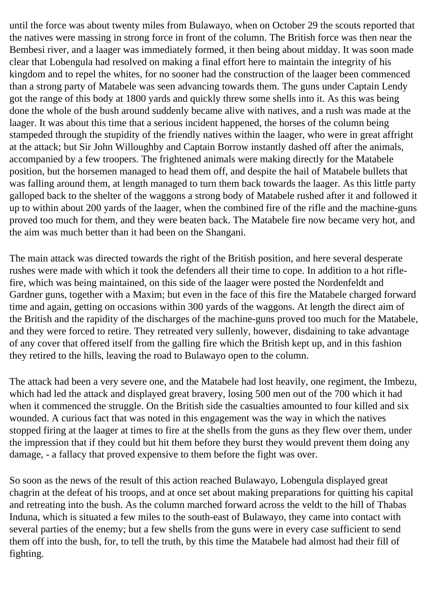until the force was about twenty miles from Bulawayo, when on October 29 the scouts reported that the natives were massing in strong force in front of the column. The British force was then near the Bembesi river, and a laager was immediately formed, it then being about midday. It was soon made clear that Lobengula had resolved on making a final effort here to maintain the integrity of his kingdom and to repel the whites, for no sooner had the construction of the laager been commenced than a strong party of Matabele was seen advancing towards them. The guns under Captain Lendy got the range of this body at 1800 yards and quickly threw some shells into it. As this was being done the whole of the bush around suddenly became alive with natives, and a rush was made at the laager. It was about this time that a serious incident happened, the horses of the column being stampeded through the stupidity of the friendly natives within the laager, who were in great affright at the attack; but Sir John Willoughby and Captain Borrow instantly dashed off after the animals, accompanied by a few troopers. The frightened animals were making directly for the Matabele position, but the horsemen managed to head them off, and despite the hail of Matabele bullets that was falling around them, at length managed to turn them back towards the laager. As this little party galloped back to the shelter of the waggons a strong body of Matabele rushed after it and followed it up to within about 200 yards of the laager, when the combined fire of the rifle and the machine-guns proved too much for them, and they were beaten back. The Matabele fire now became very hot, and the aim was much better than it had been on the Shangani.

The main attack was directed towards the right of the British position, and here several desperate rushes were made with which it took the defenders all their time to cope. In addition to a hot riflefire, which was being maintained, on this side of the laager were posted the Nordenfeldt and Gardner guns, together with a Maxim; but even in the face of this fire the Matabele charged forward time and again, getting on occasions within 300 yards of the waggons. At length the direct aim of the British and the rapidity of the discharges of the machine-guns proved too much for the Matabele, and they were forced to retire. They retreated very sullenly, however, disdaining to take advantage of any cover that offered itself from the galling fire which the British kept up, and in this fashion they retired to the hills, leaving the road to Bulawayo open to the column.

The attack had been a very severe one, and the Matabele had lost heavily, one regiment, the Imbezu, which had led the attack and displayed great bravery, losing 500 men out of the 700 which it had when it commenced the struggle. On the British side the casualties amounted to four killed and six wounded. A curious fact that was noted in this engagement was the way in which the natives stopped firing at the laager at times to fire at the shells from the guns as they flew over them, under the impression that if they could but hit them before they burst they would prevent them doing any damage, - a fallacy that proved expensive to them before the fight was over.

So soon as the news of the result of this action reached Bulawayo, Lobengula displayed great chagrin at the defeat of his troops, and at once set about making preparations for quitting his capital and retreating into the bush. As the column marched forward across the veldt to the hill of Thabas Induna, which is situated a few miles to the south-east of Bulawayo, they came into contact with several parties of the enemy; but a few shells from the guns were in every case sufficient to send them off into the bush, for, to tell the truth, by this time the Matabele had almost had their fill of fighting.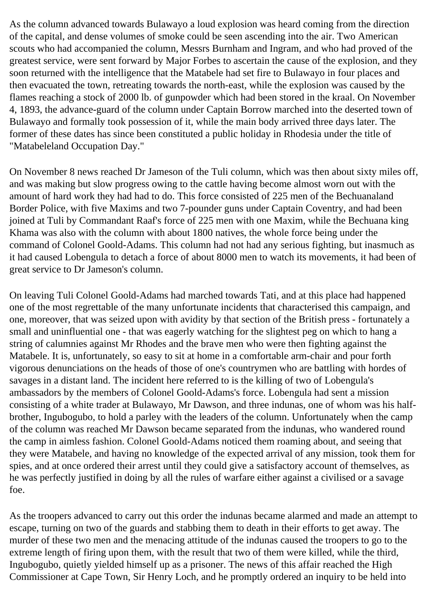As the column advanced towards Bulawayo a loud explosion was heard coming from the direction of the capital, and dense volumes of smoke could be seen ascending into the air. Two American scouts who had accompanied the column, Messrs Burnham and Ingram, and who had proved of the greatest service, were sent forward by Major Forbes to ascertain the cause of the explosion, and they soon returned with the intelligence that the Matabele had set fire to Bulawayo in four places and then evacuated the town, retreating towards the north-east, while the explosion was caused by the flames reaching a stock of 2000 lb. of gunpowder which had been stored in the kraal. On November 4, 1893, the advance-guard of the column under Captain Borrow marched into the deserted town of Bulawayo and formally took possession of it, while the main body arrived three days later. The former of these dates has since been constituted a public holiday in Rhodesia under the title of "Matabeleland Occupation Day."

On November 8 news reached Dr Jameson of the Tuli column, which was then about sixty miles off, and was making but slow progress owing to the cattle having become almost worn out with the amount of hard work they had had to do. This force consisted of 225 men of the Bechuanaland Border Police, with five Maxims and two 7-pounder guns under Captain Coventry, and had been joined at Tuli by Commandant Raaf's force of 225 men with one Maxim, while the Bechuana king Khama was also with the column with about 1800 natives, the whole force being under the command of Colonel Goold-Adams. This column had not had any serious fighting, but inasmuch as it had caused Lobengula to detach a force of about 8000 men to watch its movements, it had been of great service to Dr Jameson's column.

On leaving Tuli Colonel Goold-Adams had marched towards Tati, and at this place had happened one of the most regrettable of the many unfortunate incidents that characterised this campaign, and one, moreover, that was seized upon with avidity by that section of the British press - fortunately a small and uninfluential one - that was eagerly watching for the slightest peg on which to hang a string of calumnies against Mr Rhodes and the brave men who were then fighting against the Matabele. It is, unfortunately, so easy to sit at home in a comfortable arm-chair and pour forth vigorous denunciations on the heads of those of one's countrymen who are battling with hordes of savages in a distant land. The incident here referred to is the killing of two of Lobengula's ambassadors by the members of Colonel Goold-Adams's force. Lobengula had sent a mission consisting of a white trader at Bulawayo, Mr Dawson, and three indunas, one of whom was his halfbrother, Ingubogubo, to hold a parley with the leaders of the column. Unfortunately when the camp of the column was reached Mr Dawson became separated from the indunas, who wandered round the camp in aimless fashion. Colonel Goold-Adams noticed them roaming about, and seeing that they were Matabele, and having no knowledge of the expected arrival of any mission, took them for spies, and at once ordered their arrest until they could give a satisfactory account of themselves, as he was perfectly justified in doing by all the rules of warfare either against a civilised or a savage foe.

As the troopers advanced to carry out this order the indunas became alarmed and made an attempt to escape, turning on two of the guards and stabbing them to death in their efforts to get away. The murder of these two men and the menacing attitude of the indunas caused the troopers to go to the extreme length of firing upon them, with the result that two of them were killed, while the third, Ingubogubo, quietly yielded himself up as a prisoner. The news of this affair reached the High Commissioner at Cape Town, Sir Henry Loch, and he promptly ordered an inquiry to be held into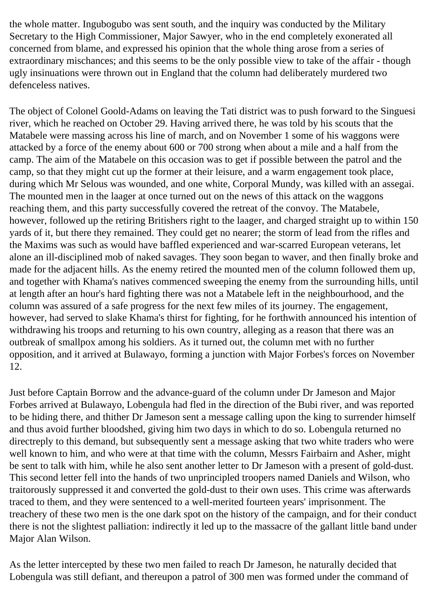the whole matter. Ingubogubo was sent south, and the inquiry was conducted by the Military Secretary to the High Commissioner, Major Sawyer, who in the end completely exonerated all concerned from blame, and expressed his opinion that the whole thing arose from a series of extraordinary mischances; and this seems to be the only possible view to take of the affair - though ugly insinuations were thrown out in England that the column had deliberately murdered two defenceless natives.

The object of Colonel Goold-Adams on leaving the Tati district was to push forward to the Singuesi river, which he reached on October 29. Having arrived there, he was told by his scouts that the Matabele were massing across his line of march, and on November 1 some of his waggons were attacked by a force of the enemy about 600 or 700 strong when about a mile and a half from the camp. The aim of the Matabele on this occasion was to get if possible between the patrol and the camp, so that they might cut up the former at their leisure, and a warm engagement took place, during which Mr Selous was wounded, and one white, Corporal Mundy, was killed with an assegai. The mounted men in the laager at once turned out on the news of this attack on the waggons reaching them, and this party successfully covered the retreat of the convoy. The Matabele, however, followed up the retiring Britishers right to the laager, and charged straight up to within 150 yards of it, but there they remained. They could get no nearer; the storm of lead from the rifles and the Maxims was such as would have baffled experienced and war-scarred European veterans, let alone an ill-disciplined mob of naked savages. They soon began to waver, and then finally broke and made for the adjacent hills. As the enemy retired the mounted men of the column followed them up, and together with Khama's natives commenced sweeping the enemy from the surrounding hills, until at length after an hour's hard fighting there was not a Matabele left in the neighbourhood, and the column was assured of a safe progress for the next few miles of its journey. The engagement, however, had served to slake Khama's thirst for fighting, for he forthwith announced his intention of withdrawing his troops and returning to his own country, alleging as a reason that there was an outbreak of smallpox among his soldiers. As it turned out, the column met with no further opposition, and it arrived at Bulawayo, forming a junction with Major Forbes's forces on November 12.

Just before Captain Borrow and the advance-guard of the column under Dr Jameson and Major Forbes arrived at Bulawayo, Lobengula had fled in the direction of the Bubi river, and was reported to be hiding there, and thither Dr Jameson sent a message calling upon the king to surrender himself and thus avoid further bloodshed, giving him two days in which to do so. Lobengula returned no directreply to this demand, but subsequently sent a message asking that two white traders who were well known to him, and who were at that time with the column, Messrs Fairbairn and Asher, might be sent to talk with him, while he also sent another letter to Dr Jameson with a present of gold-dust. This second letter fell into the hands of two unprincipled troopers named Daniels and Wilson, who traitorously suppressed it and converted the gold-dust to their own uses. This crime was afterwards traced to them, and they were sentenced to a well-merited fourteen years' imprisonment. The treachery of these two men is the one dark spot on the history of the campaign, and for their conduct there is not the slightest palliation: indirectly it led up to the massacre of the gallant little band under Major Alan Wilson.

As the letter intercepted by these two men failed to reach Dr Jameson, he naturally decided that Lobengula was still defiant, and thereupon a patrol of 300 men was formed under the command of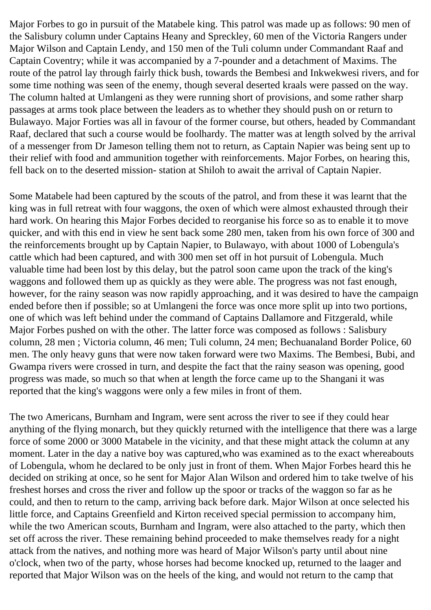Major Forbes to go in pursuit of the Matabele king. This patrol was made up as follows: 90 men of the Salisbury column under Captains Heany and Spreckley, 60 men of the Victoria Rangers under Major Wilson and Captain Lendy, and 150 men of the Tuli column under Commandant Raaf and Captain Coventry; while it was accompanied by a 7-pounder and a detachment of Maxims. The route of the patrol lay through fairly thick bush, towards the Bembesi and Inkwekwesi rivers, and for some time nothing was seen of the enemy, though several deserted kraals were passed on the way. The column halted at Umlangeni as they were running short of provisions, and some rather sharp passages at arms took place between the leaders as to whether they should push on or return to Bulawayo. Major Forties was all in favour of the former course, but others, headed by Commandant Raaf, declared that such a course would be foolhardy. The matter was at length solved by the arrival of a messenger from Dr Jameson telling them not to return, as Captain Napier was being sent up to their relief with food and ammunition together with reinforcements. Major Forbes, on hearing this, fell back on to the deserted mission- station at Shiloh to await the arrival of Captain Napier.

Some Matabele had been captured by the scouts of the patrol, and from these it was learnt that the king was in full retreat with four waggons, the oxen of which were almost exhausted through their hard work. On hearing this Major Forbes decided to reorganise his force so as to enable it to move quicker, and with this end in view he sent back some 280 men, taken from his own force of 300 and the reinforcements brought up by Captain Napier, to Bulawayo, with about 1000 of Lobengula's cattle which had been captured, and with 300 men set off in hot pursuit of Lobengula. Much valuable time had been lost by this delay, but the patrol soon came upon the track of the king's waggons and followed them up as quickly as they were able. The progress was not fast enough, however, for the rainy season was now rapidly approaching, and it was desired to have the campaign ended before then if possible; so at Umlangeni the force was once more split up into two portions, one of which was left behind under the command of Captains Dallamore and Fitzgerald, while Major Forbes pushed on with the other. The latter force was composed as follows : Salisbury column, 28 men ; Victoria column, 46 men; Tuli column, 24 men; Bechuanaland Border Police, 60 men. The only heavy guns that were now taken forward were two Maxims. The Bembesi, Bubi, and Gwampa rivers were crossed in turn, and despite the fact that the rainy season was opening, good progress was made, so much so that when at length the force came up to the Shangani it was reported that the king's waggons were only a few miles in front of them.

The two Americans, Burnham and Ingram, were sent across the river to see if they could hear anything of the flying monarch, but they quickly returned with the intelligence that there was a large force of some 2000 or 3000 Matabele in the vicinity, and that these might attack the column at any moment. Later in the day a native boy was captured,who was examined as to the exact whereabouts of Lobengula, whom he declared to be only just in front of them. When Major Forbes heard this he decided on striking at once, so he sent for Major Alan Wilson and ordered him to take twelve of his freshest horses and cross the river and follow up the spoor or tracks of the waggon so far as he could, and then to return to the camp, arriving back before dark. Major Wilson at once selected his little force, and Captains Greenfield and Kirton received special permission to accompany him, while the two American scouts, Burnham and Ingram, were also attached to the party, which then set off across the river. These remaining behind proceeded to make themselves ready for a night attack from the natives, and nothing more was heard of Major Wilson's party until about nine o'clock, when two of the party, whose horses had become knocked up, returned to the laager and reported that Major Wilson was on the heels of the king, and would not return to the camp that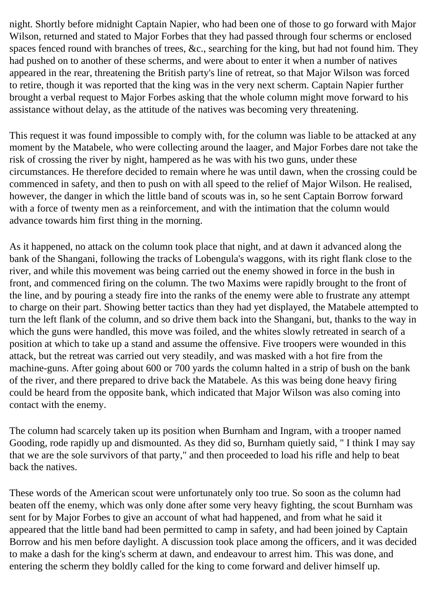night. Shortly before midnight Captain Napier, who had been one of those to go forward with Major Wilson, returned and stated to Major Forbes that they had passed through four scherms or enclosed spaces fenced round with branches of trees, &c., searching for the king, but had not found him. They had pushed on to another of these scherms, and were about to enter it when a number of natives appeared in the rear, threatening the British party's line of retreat, so that Major Wilson was forced to retire, though it was reported that the king was in the very next scherm. Captain Napier further brought a verbal request to Major Forbes asking that the whole column might move forward to his assistance without delay, as the attitude of the natives was becoming very threatening.

This request it was found impossible to comply with, for the column was liable to be attacked at any moment by the Matabele, who were collecting around the laager, and Major Forbes dare not take the risk of crossing the river by night, hampered as he was with his two guns, under these circumstances. He therefore decided to remain where he was until dawn, when the crossing could be commenced in safety, and then to push on with all speed to the relief of Major Wilson. He realised, however, the danger in which the little band of scouts was in, so he sent Captain Borrow forward with a force of twenty men as a reinforcement, and with the intimation that the column would advance towards him first thing in the morning.

As it happened, no attack on the column took place that night, and at dawn it advanced along the bank of the Shangani, following the tracks of Lobengula's waggons, with its right flank close to the river, and while this movement was being carried out the enemy showed in force in the bush in front, and commenced firing on the column. The two Maxims were rapidly brought to the front of the line, and by pouring a steady fire into the ranks of the enemy were able to frustrate any attempt to charge on their part. Showing better tactics than they had yet displayed, the Matabele attempted to turn the left flank of the column, and so drive them back into the Shangani, but, thanks to the way in which the guns were handled, this move was foiled, and the whites slowly retreated in search of a position at which to take up a stand and assume the offensive. Five troopers were wounded in this attack, but the retreat was carried out very steadily, and was masked with a hot fire from the machine-guns. After going about 600 or 700 yards the column halted in a strip of bush on the bank of the river, and there prepared to drive back the Matabele. As this was being done heavy firing could be heard from the opposite bank, which indicated that Major Wilson was also coming into contact with the enemy.

The column had scarcely taken up its position when Burnham and Ingram, with a trooper named Gooding, rode rapidly up and dismounted. As they did so, Burnham quietly said, " I think I may say that we are the sole survivors of that party," and then proceeded to load his rifle and help to beat back the natives.

These words of the American scout were unfortunately only too true. So soon as the column had beaten off the enemy, which was only done after some very heavy fighting, the scout Burnham was sent for by Major Forbes to give an account of what had happened, and from what he said it appeared that the little band had been permitted to camp in safety, and had been joined by Captain Borrow and his men before daylight. A discussion took place among the officers, and it was decided to make a dash for the king's scherm at dawn, and endeavour to arrest him. This was done, and entering the scherm they boldly called for the king to come forward and deliver himself up.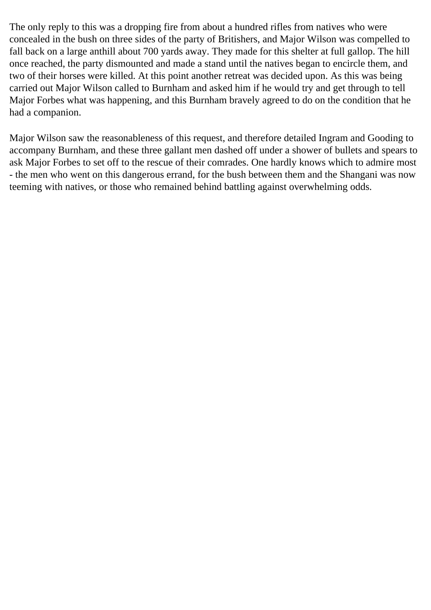The only reply to this was a dropping fire from about a hundred rifles from natives who were concealed in the bush on three sides of the party of Britishers, and Major Wilson was compelled to fall back on a large anthill about 700 yards away. They made for this shelter at full gallop. The hill once reached, the party dismounted and made a stand until the natives began to encircle them, and two of their horses were killed. At this point another retreat was decided upon. As this was being carried out Major Wilson called to Burnham and asked him if he would try and get through to tell Major Forbes what was happening, and this Burnham bravely agreed to do on the condition that he had a companion.

Major Wilson saw the reasonableness of this request, and therefore detailed Ingram and Gooding to accompany Burnham, and these three gallant men dashed off under a shower of bullets and spears to ask Major Forbes to set off to the rescue of their comrades. One hardly knows which to admire most - the men who went on this dangerous errand, for the bush between them and the Shangani was now teeming with natives, or those who remained behind battling against overwhelming odds.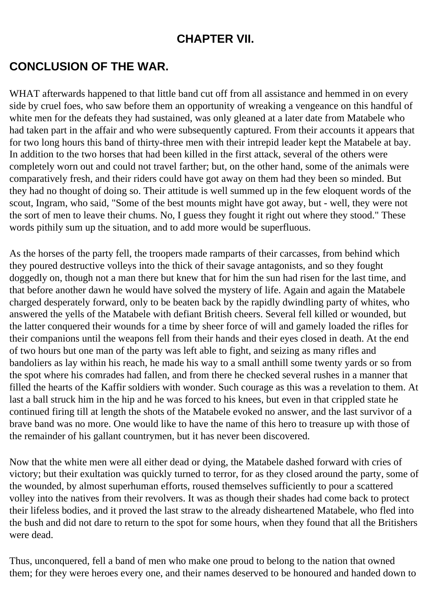#### **CHAPTER VII.**

## **CONCLUSION OF THE WAR.**

WHAT afterwards happened to that little band cut off from all assistance and hemmed in on every side by cruel foes, who saw before them an opportunity of wreaking a vengeance on this handful of white men for the defeats they had sustained, was only gleaned at a later date from Matabele who had taken part in the affair and who were subsequently captured. From their accounts it appears that for two long hours this band of thirty-three men with their intrepid leader kept the Matabele at bay. In addition to the two horses that had been killed in the first attack, several of the others were completely worn out and could not travel farther; but, on the other hand, some of the animals were comparatively fresh, and their riders could have got away on them had they been so minded. But they had no thought of doing so. Their attitude is well summed up in the few eloquent words of the scout, Ingram, who said, "Some of the best mounts might have got away, but - well, they were not the sort of men to leave their chums. No, I guess they fought it right out where they stood." These words pithily sum up the situation, and to add more would be superfluous.

As the horses of the party fell, the troopers made ramparts of their carcasses, from behind which they poured destructive volleys into the thick of their savage antagonists, and so they fought doggedly on, though not a man there but knew that for him the sun had risen for the last time, and that before another dawn he would have solved the mystery of life. Again and again the Matabele charged desperately forward, only to be beaten back by the rapidly dwindling party of whites, who answered the yells of the Matabele with defiant British cheers. Several fell killed or wounded, but the latter conquered their wounds for a time by sheer force of will and gamely loaded the rifles for their companions until the weapons fell from their hands and their eyes closed in death. At the end of two hours but one man of the party was left able to fight, and seizing as many rifles and bandoliers as lay within his reach, he made his way to a small anthill some twenty yards or so from the spot where his comrades had fallen, and from there he checked several rushes in a manner that filled the hearts of the Kaffir soldiers with wonder. Such courage as this was a revelation to them. At last a ball struck him in the hip and he was forced to his knees, but even in that crippled state he continued firing till at length the shots of the Matabele evoked no answer, and the last survivor of a brave band was no more. One would like to have the name of this hero to treasure up with those of the remainder of his gallant countrymen, but it has never been discovered.

Now that the white men were all either dead or dying, the Matabele dashed forward with cries of victory; but their exultation was quickly turned to terror, for as they closed around the party, some of the wounded, by almost superhuman efforts, roused themselves sufficiently to pour a scattered volley into the natives from their revolvers. It was as though their shades had come back to protect their lifeless bodies, and it proved the last straw to the already disheartened Matabele, who fled into the bush and did not dare to return to the spot for some hours, when they found that all the Britishers were dead.

Thus, unconquered, fell a band of men who make one proud to belong to the nation that owned them; for they were heroes every one, and their names deserved to be honoured and handed down to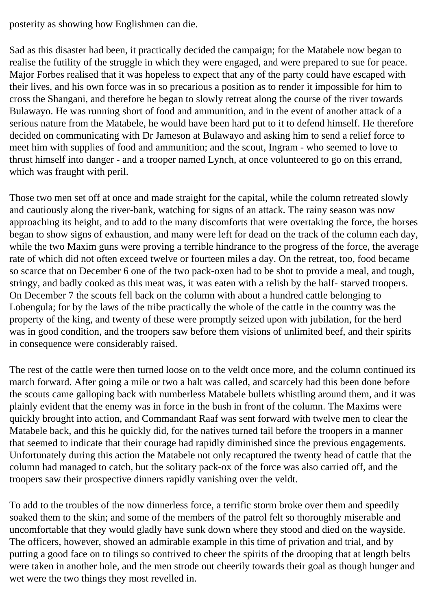posterity as showing how Englishmen can die.

Sad as this disaster had been, it practically decided the campaign; for the Matabele now began to realise the futility of the struggle in which they were engaged, and were prepared to sue for peace. Major Forbes realised that it was hopeless to expect that any of the party could have escaped with their lives, and his own force was in so precarious a position as to render it impossible for him to cross the Shangani, and therefore he began to slowly retreat along the course of the river towards Bulawayo. He was running short of food and ammunition, and in the event of another attack of a serious nature from the Matabele, he would have been hard put to it to defend himself. He therefore decided on communicating with Dr Jameson at Bulawayo and asking him to send a relief force to meet him with supplies of food and ammunition; and the scout, Ingram - who seemed to love to thrust himself into danger - and a trooper named Lynch, at once volunteered to go on this errand, which was fraught with peril.

Those two men set off at once and made straight for the capital, while the column retreated slowly and cautiously along the river-bank, watching for signs of an attack. The rainy season was now approaching its height, and to add to the many discomforts that were overtaking the force, the horses began to show signs of exhaustion, and many were left for dead on the track of the column each day, while the two Maxim guns were proving a terrible hindrance to the progress of the force, the average rate of which did not often exceed twelve or fourteen miles a day. On the retreat, too, food became so scarce that on December 6 one of the two pack-oxen had to be shot to provide a meal, and tough, stringy, and badly cooked as this meat was, it was eaten with a relish by the half- starved troopers. On December 7 the scouts fell back on the column with about a hundred cattle belonging to Lobengula; for by the laws of the tribe practically the whole of the cattle in the country was the property of the king, and twenty of these were promptly seized upon with jubilation, for the herd was in good condition, and the troopers saw before them visions of unlimited beef, and their spirits in consequence were considerably raised.

The rest of the cattle were then turned loose on to the veldt once more, and the column continued its march forward. After going a mile or two a halt was called, and scarcely had this been done before the scouts came galloping back with numberless Matabele bullets whistling around them, and it was plainly evident that the enemy was in force in the bush in front of the column. The Maxims were quickly brought into action, and Commandant Raaf was sent forward with twelve men to clear the Matabele back, and this he quickly did, for the natives turned tail before the troopers in a manner that seemed to indicate that their courage had rapidly diminished since the previous engagements. Unfortunately during this action the Matabele not only recaptured the twenty head of cattle that the column had managed to catch, but the solitary pack-ox of the force was also carried off, and the troopers saw their prospective dinners rapidly vanishing over the veldt.

To add to the troubles of the now dinnerless force, a terrific storm broke over them and speedily soaked them to the skin; and some of the members of the patrol felt so thoroughly miserable and uncomfortable that they would gladly have sunk down where they stood and died on the wayside. The officers, however, showed an admirable example in this time of privation and trial, and by putting a good face on to tilings so contrived to cheer the spirits of the drooping that at length belts were taken in another hole, and the men strode out cheerily towards their goal as though hunger and wet were the two things they most revelled in.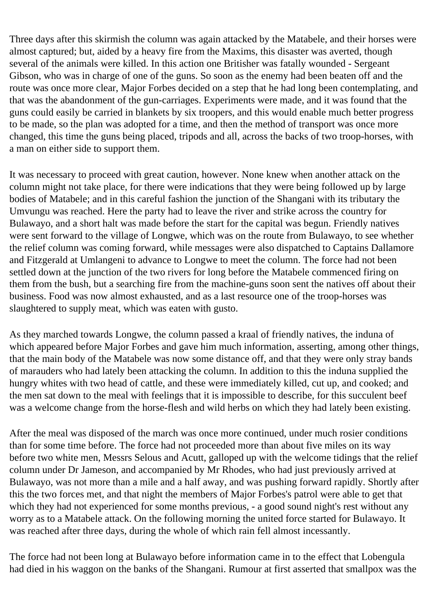Three days after this skirmish the column was again attacked by the Matabele, and their horses were almost captured; but, aided by a heavy fire from the Maxims, this disaster was averted, though several of the animals were killed. In this action one Britisher was fatally wounded - Sergeant Gibson, who was in charge of one of the guns. So soon as the enemy had been beaten off and the route was once more clear, Major Forbes decided on a step that he had long been contemplating, and that was the abandonment of the gun-carriages. Experiments were made, and it was found that the guns could easily be carried in blankets by six troopers, and this would enable much better progress to be made, so the plan was adopted for a time, and then the method of transport was once more changed, this time the guns being placed, tripods and all, across the backs of two troop-horses, with a man on either side to support them.

It was necessary to proceed with great caution, however. None knew when another attack on the column might not take place, for there were indications that they were being followed up by large bodies of Matabele; and in this careful fashion the junction of the Shangani with its tributary the Umvungu was reached. Here the party had to leave the river and strike across the country for Bulawayo, and a short halt was made before the start for the capital was begun. Friendly natives were sent forward to the village of Longwe, which was on the route from Bulawayo, to see whether the relief column was coming forward, while messages were also dispatched to Captains Dallamore and Fitzgerald at Umlangeni to advance to Longwe to meet the column. The force had not been settled down at the junction of the two rivers for long before the Matabele commenced firing on them from the bush, but a searching fire from the machine-guns soon sent the natives off about their business. Food was now almost exhausted, and as a last resource one of the troop-horses was slaughtered to supply meat, which was eaten with gusto.

As they marched towards Longwe, the column passed a kraal of friendly natives, the induna of which appeared before Major Forbes and gave him much information, asserting, among other things, that the main body of the Matabele was now some distance off, and that they were only stray bands of marauders who had lately been attacking the column. In addition to this the induna supplied the hungry whites with two head of cattle, and these were immediately killed, cut up, and cooked; and the men sat down to the meal with feelings that it is impossible to describe, for this succulent beef was a welcome change from the horse-flesh and wild herbs on which they had lately been existing.

After the meal was disposed of the march was once more continued, under much rosier conditions than for some time before. The force had not proceeded more than about five miles on its way before two white men, Messrs Selous and Acutt, galloped up with the welcome tidings that the relief column under Dr Jameson, and accompanied by Mr Rhodes, who had just previously arrived at Bulawayo, was not more than a mile and a half away, and was pushing forward rapidly. Shortly after this the two forces met, and that night the members of Major Forbes's patrol were able to get that which they had not experienced for some months previous, - a good sound night's rest without any worry as to a Matabele attack. On the following morning the united force started for Bulawayo. It was reached after three days, during the whole of which rain fell almost incessantly.

The force had not been long at Bulawayo before information came in to the effect that Lobengula had died in his waggon on the banks of the Shangani. Rumour at first asserted that smallpox was the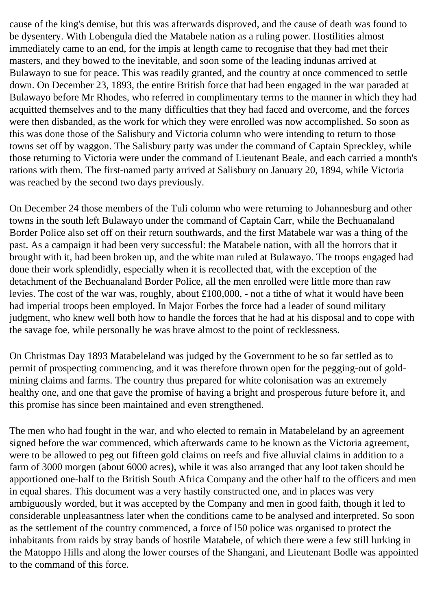cause of the king's demise, but this was afterwards disproved, and the cause of death was found to be dysentery. With Lobengula died the Matabele nation as a ruling power. Hostilities almost immediately came to an end, for the impis at length came to recognise that they had met their masters, and they bowed to the inevitable, and soon some of the leading indunas arrived at Bulawayo to sue for peace. This was readily granted, and the country at once commenced to settle down. On December 23, 1893, the entire British force that had been engaged in the war paraded at Bulawayo before Mr Rhodes, who referred in complimentary terms to the manner in which they had acquitted themselves and to the many difficulties that they had faced and overcome, and the forces were then disbanded, as the work for which they were enrolled was now accomplished. So soon as this was done those of the Salisbury and Victoria column who were intending to return to those towns set off by waggon. The Salisbury party was under the command of Captain Spreckley, while those returning to Victoria were under the command of Lieutenant Beale, and each carried a month's rations with them. The first-named party arrived at Salisbury on January 20, 1894, while Victoria was reached by the second two days previously.

On December 24 those members of the Tuli column who were returning to Johannesburg and other towns in the south left Bulawayo under the command of Captain Carr, while the Bechuanaland Border Police also set off on their return southwards, and the first Matabele war was a thing of the past. As a campaign it had been very successful: the Matabele nation, with all the horrors that it brought with it, had been broken up, and the white man ruled at Bulawayo. The troops engaged had done their work splendidly, especially when it is recollected that, with the exception of the detachment of the Bechuanaland Border Police, all the men enrolled were little more than raw levies. The cost of the war was, roughly, about £100,000, - not a tithe of what it would have been had imperial troops been employed. In Major Forbes the force had a leader of sound military judgment, who knew well both how to handle the forces that he had at his disposal and to cope with the savage foe, while personally he was brave almost to the point of recklessness.

On Christmas Day 1893 Matabeleland was judged by the Government to be so far settled as to permit of prospecting commencing, and it was therefore thrown open for the pegging-out of goldmining claims and farms. The country thus prepared for white colonisation was an extremely healthy one, and one that gave the promise of having a bright and prosperous future before it, and this promise has since been maintained and even strengthened.

The men who had fought in the war, and who elected to remain in Matabeleland by an agreement signed before the war commenced, which afterwards came to be known as the Victoria agreement, were to be allowed to peg out fifteen gold claims on reefs and five alluvial claims in addition to a farm of 3000 morgen (about 6000 acres), while it was also arranged that any loot taken should be apportioned one-half to the British South Africa Company and the other half to the officers and men in equal shares. This document was a very hastily constructed one, and in places was very ambiguously worded, but it was accepted by the Company and men in good faith, though it led to considerable unpleasantness later when the conditions came to be analysed and interpreted. So soon as the settlement of the country commenced, a force of l50 police was organised to protect the inhabitants from raids by stray bands of hostile Matabele, of which there were a few still lurking in the Matoppo Hills and along the lower courses of the Shangani, and Lieutenant Bodle was appointed to the command of this force.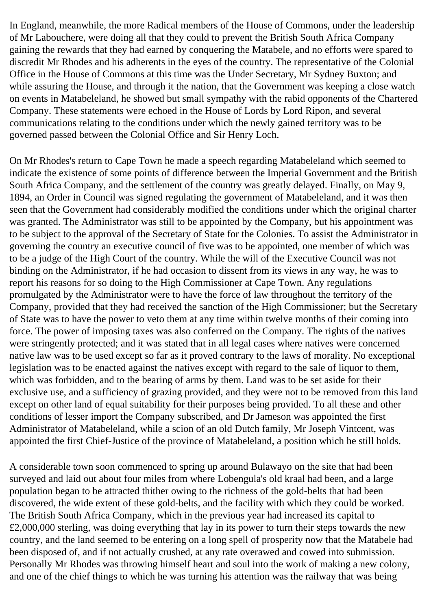In England, meanwhile, the more Radical members of the House of Commons, under the leadership of Mr Labouchere, were doing all that they could to prevent the British South Africa Company gaining the rewards that they had earned by conquering the Matabele, and no efforts were spared to discredit Mr Rhodes and his adherents in the eyes of the country. The representative of the Colonial Office in the House of Commons at this time was the Under Secretary, Mr Sydney Buxton; and while assuring the House, and through it the nation, that the Government was keeping a close watch on events in Matabeleland, he showed but small sympathy with the rabid opponents of the Chartered Company. These statements were echoed in the House of Lords by Lord Ripon, and several communications relating to the conditions under which the newly gained territory was to be governed passed between the Colonial Office and Sir Henry Loch.

On Mr Rhodes's return to Cape Town he made a speech regarding Matabeleland which seemed to indicate the existence of some points of difference between the Imperial Government and the British South Africa Company, and the settlement of the country was greatly delayed. Finally, on May 9, 1894, an Order in Council was signed regulating the government of Matabeleland, and it was then seen that the Government had considerably modified the conditions under which the original charter was granted. The Administrator was still to be appointed by the Company, but his appointment was to be subject to the approval of the Secretary of State for the Colonies. To assist the Administrator in governing the country an executive council of five was to be appointed, one member of which was to be a judge of the High Court of the country. While the will of the Executive Council was not binding on the Administrator, if he had occasion to dissent from its views in any way, he was to report his reasons for so doing to the High Commissioner at Cape Town. Any regulations promulgated by the Administrator were to have the force of law throughout the territory of the Company, provided that they had received the sanction of the High Commissioner; but the Secretary of State was to have the power to veto them at any time within twelve months of their coming into force. The power of imposing taxes was also conferred on the Company. The rights of the natives were stringently protected; and it was stated that in all legal cases where natives were concerned native law was to be used except so far as it proved contrary to the laws of morality. No exceptional legislation was to be enacted against the natives except with regard to the sale of liquor to them, which was forbidden, and to the bearing of arms by them. Land was to be set aside for their exclusive use, and a sufficiency of grazing provided, and they were not to be removed from this land except on other land of equal suitability for their purposes being provided. To all these and other conditions of lesser import the Company subscribed, and Dr Jameson was appointed the first Administrator of Matabeleland, while a scion of an old Dutch family, Mr Joseph Vintcent, was appointed the first Chief-Justice of the province of Matabeleland, a position which he still holds.

A considerable town soon commenced to spring up around Bulawayo on the site that had been surveyed and laid out about four miles from where Lobengula's old kraal had been, and a large population began to be attracted thither owing to the richness of the gold-belts that had been discovered, the wide extent of these gold-belts, and the facility with which they could be worked. The British South Africa Company, which in the previous year had increased its capital to £2,000,000 sterling, was doing everything that lay in its power to turn their steps towards the new country, and the land seemed to be entering on a long spell of prosperity now that the Matabele had been disposed of, and if not actually crushed, at any rate overawed and cowed into submission. Personally Mr Rhodes was throwing himself heart and soul into the work of making a new colony, and one of the chief things to which he was turning his attention was the railway that was being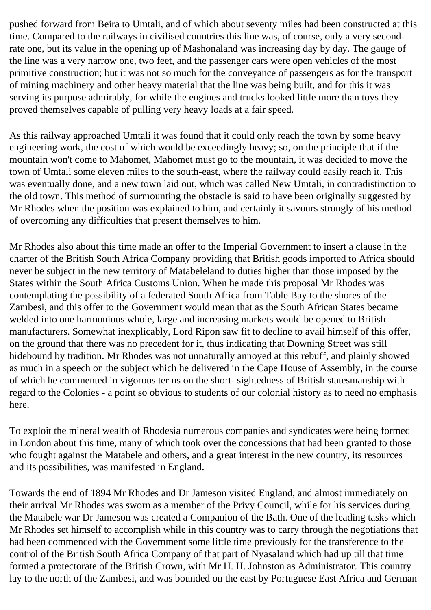pushed forward from Beira to Umtali, and of which about seventy miles had been constructed at this time. Compared to the railways in civilised countries this line was, of course, only a very secondrate one, but its value in the opening up of Mashonaland was increasing day by day. The gauge of the line was a very narrow one, two feet, and the passenger cars were open vehicles of the most primitive construction; but it was not so much for the conveyance of passengers as for the transport of mining machinery and other heavy material that the line was being built, and for this it was serving its purpose admirably, for while the engines and trucks looked little more than toys they proved themselves capable of pulling very heavy loads at a fair speed.

As this railway approached Umtali it was found that it could only reach the town by some heavy engineering work, the cost of which would be exceedingly heavy; so, on the principle that if the mountain won't come to Mahomet, Mahomet must go to the mountain, it was decided to move the town of Umtali some eleven miles to the south-east, where the railway could easily reach it. This was eventually done, and a new town laid out, which was called New Umtali, in contradistinction to the old town. This method of surmounting the obstacle is said to have been originally suggested by Mr Rhodes when the position was explained to him, and certainly it savours strongly of his method of overcoming any difficulties that present themselves to him.

Mr Rhodes also about this time made an offer to the Imperial Government to insert a clause in the charter of the British South Africa Company providing that British goods imported to Africa should never be subject in the new territory of Matabeleland to duties higher than those imposed by the States within the South Africa Customs Union. When he made this proposal Mr Rhodes was contemplating the possibility of a federated South Africa from Table Bay to the shores of the Zambesi, and this offer to the Government would mean that as the South African States became welded into one harmonious whole, large and increasing markets would be opened to British manufacturers. Somewhat inexplicably, Lord Ripon saw fit to decline to avail himself of this offer, on the ground that there was no precedent for it, thus indicating that Downing Street was still hidebound by tradition. Mr Rhodes was not unnaturally annoyed at this rebuff, and plainly showed as much in a speech on the subject which he delivered in the Cape House of Assembly, in the course of which he commented in vigorous terms on the short- sightedness of British statesmanship with regard to the Colonies - a point so obvious to students of our colonial history as to need no emphasis here.

To exploit the mineral wealth of Rhodesia numerous companies and syndicates were being formed in London about this time, many of which took over the concessions that had been granted to those who fought against the Matabele and others, and a great interest in the new country, its resources and its possibilities, was manifested in England.

Towards the end of 1894 Mr Rhodes and Dr Jameson visited England, and almost immediately on their arrival Mr Rhodes was sworn as a member of the Privy Council, while for his services during the Matabele war Dr Jameson was created a Companion of the Bath. One of the leading tasks which Mr Rhodes set himself to accomplish while in this country was to carry through the negotiations that had been commenced with the Government some little time previously for the transference to the control of the British South Africa Company of that part of Nyasaland which had up till that time formed a protectorate of the British Crown, with Mr H. H. Johnston as Administrator. This country lay to the north of the Zambesi, and was bounded on the east by Portuguese East Africa and German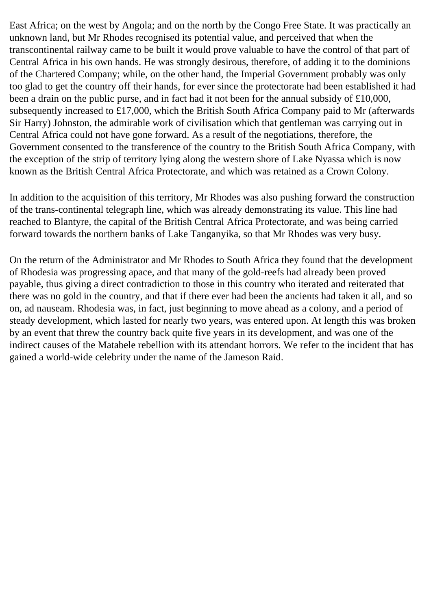East Africa; on the west by Angola; and on the north by the Congo Free State. It was practically an unknown land, but Mr Rhodes recognised its potential value, and perceived that when the transcontinental railway came to be built it would prove valuable to have the control of that part of Central Africa in his own hands. He was strongly desirous, therefore, of adding it to the dominions of the Chartered Company; while, on the other hand, the Imperial Government probably was only too glad to get the country off their hands, for ever since the protectorate had been established it had been a drain on the public purse, and in fact had it not been for the annual subsidy of £10,000, subsequently increased to £17,000, which the British South Africa Company paid to Mr (afterwards Sir Harry) Johnston, the admirable work of civilisation which that gentleman was carrying out in Central Africa could not have gone forward. As a result of the negotiations, therefore, the Government consented to the transference of the country to the British South Africa Company, with the exception of the strip of territory lying along the western shore of Lake Nyassa which is now known as the British Central Africa Protectorate, and which was retained as a Crown Colony.

In addition to the acquisition of this territory, Mr Rhodes was also pushing forward the construction of the trans-continental telegraph line, which was already demonstrating its value. This line had reached to Blantyre, the capital of the British Central Africa Protectorate, and was being carried forward towards the northern banks of Lake Tanganyika, so that Mr Rhodes was very busy.

On the return of the Administrator and Mr Rhodes to South Africa they found that the development of Rhodesia was progressing apace, and that many of the gold-reefs had already been proved payable, thus giving a direct contradiction to those in this country who iterated and reiterated that there was no gold in the country, and that if there ever had been the ancients had taken it all, and so on, ad nauseam. Rhodesia was, in fact, just beginning to move ahead as a colony, and a period of steady development, which lasted for nearly two years, was entered upon. At length this was broken by an event that threw the country back quite five years in its development, and was one of the indirect causes of the Matabele rebellion with its attendant horrors. We refer to the incident that has gained a world-wide celebrity under the name of the Jameson Raid.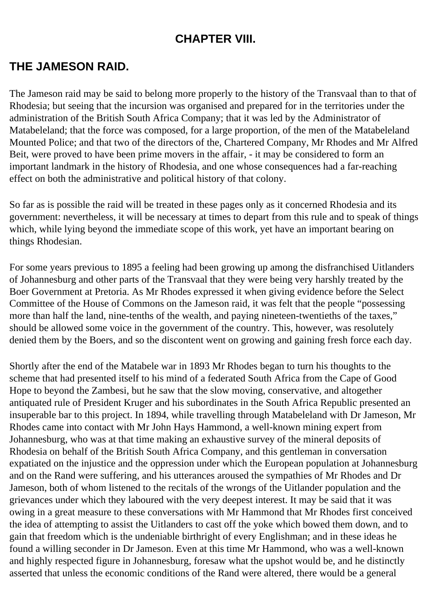### **CHAPTER VIII.**

# **THE JAMESON RAID.**

The Jameson raid may be said to belong more properly to the history of the Transvaal than to that of Rhodesia; but seeing that the incursion was organised and prepared for in the territories under the administration of the British South Africa Company; that it was led by the Administrator of Matabeleland; that the force was composed, for a large proportion, of the men of the Matabeleland Mounted Police; and that two of the directors of the, Chartered Company, Mr Rhodes and Mr Alfred Beit, were proved to have been prime movers in the affair, - it may be considered to form an important landmark in the history of Rhodesia, and one whose consequences had a far-reaching effect on both the administrative and political history of that colony.

So far as is possible the raid will be treated in these pages only as it concerned Rhodesia and its government: nevertheless, it will be necessary at times to depart from this rule and to speak of things which, while lying beyond the immediate scope of this work, yet have an important bearing on things Rhodesian.

For some years previous to 1895 a feeling had been growing up among the disfranchised Uitlanders of Johannesburg and other parts of the Transvaal that they were being very harshly treated by the Boer Government at Pretoria. As Mr Rhodes expressed it when giving evidence before the Select Committee of the House of Commons on the Jameson raid, it was felt that the people "possessing more than half the land, nine-tenths of the wealth, and paying nineteen-twentieths of the taxes," should be allowed some voice in the government of the country. This, however, was resolutely denied them by the Boers, and so the discontent went on growing and gaining fresh force each day.

Shortly after the end of the Matabele war in 1893 Mr Rhodes began to turn his thoughts to the scheme that had presented itself to his mind of a federated South Africa from the Cape of Good Hope to beyond the Zambesi, but he saw that the slow moving, conservative, and altogether antiquated rule of President Kruger and his subordinates in the South Africa Republic presented an insuperable bar to this project. In 1894, while travelling through Matabeleland with Dr Jameson, Mr Rhodes came into contact with Mr John Hays Hammond, a well-known mining expert from Johannesburg, who was at that time making an exhaustive survey of the mineral deposits of Rhodesia on behalf of the British South Africa Company, and this gentleman in conversation expatiated on the injustice and the oppression under which the European population at Johannesburg and on the Rand were suffering, and his utterances aroused the sympathies of Mr Rhodes and Dr Jameson, both of whom listened to the recitals of the wrongs of the Uitlander population and the grievances under which they laboured with the very deepest interest. It may be said that it was owing in a great measure to these conversations with Mr Hammond that Mr Rhodes first conceived the idea of attempting to assist the Uitlanders to cast off the yoke which bowed them down, and to gain that freedom which is the undeniable birthright of every Englishman; and in these ideas he found a willing seconder in Dr Jameson. Even at this time Mr Hammond, who was a well-known and highly respected figure in Johannesburg, foresaw what the upshot would be, and he distinctly asserted that unless the economic conditions of the Rand were altered, there would be a general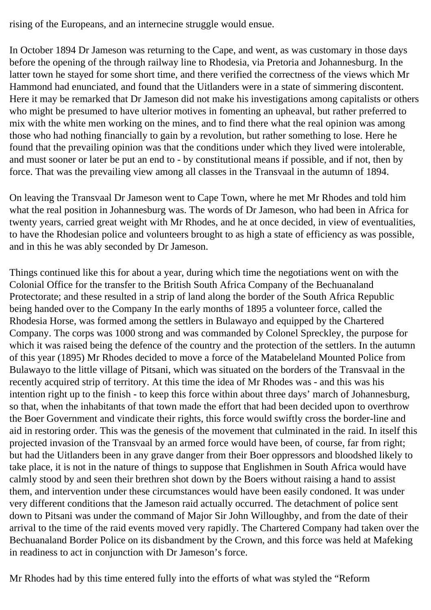rising of the Europeans, and an internecine struggle would ensue.

In October 1894 Dr Jameson was returning to the Cape, and went, as was customary in those days before the opening of the through railway line to Rhodesia, via Pretoria and Johannesburg. In the latter town he stayed for some short time, and there verified the correctness of the views which Mr Hammond had enunciated, and found that the Uitlanders were in a state of simmering discontent. Here it may be remarked that Dr Jameson did not make his investigations among capitalists or others who might be presumed to have ulterior motives in fomenting an upheaval, but rather preferred to mix with the white men working on the mines, and to find there what the real opinion was among those who had nothing financially to gain by a revolution, but rather something to lose. Here he found that the prevailing opinion was that the conditions under which they lived were intolerable, and must sooner or later be put an end to - by constitutional means if possible, and if not, then by force. That was the prevailing view among all classes in the Transvaal in the autumn of 1894.

On leaving the Transvaal Dr Jameson went to Cape Town, where he met Mr Rhodes and told him what the real position in Johannesburg was. The words of Dr Jameson, who had been in Africa for twenty years, carried great weight with Mr Rhodes, and he at once decided, in view of eventualities, to have the Rhodesian police and volunteers brought to as high a state of efficiency as was possible, and in this he was ably seconded by Dr Jameson.

Things continued like this for about a year, during which time the negotiations went on with the Colonial Office for the transfer to the British South Africa Company of the Bechuanaland Protectorate; and these resulted in a strip of land along the border of the South Africa Republic being handed over to the Company In the early months of 1895 a volunteer force, called the Rhodesia Horse, was formed among the settlers in Bulawayo and equipped by the Chartered Company. The corps was 1000 strong and was commanded by Colonel Spreckley, the purpose for which it was raised being the defence of the country and the protection of the settlers. In the autumn of this year (1895) Mr Rhodes decided to move a force of the Matabeleland Mounted Police from Bulawayo to the little village of Pitsani, which was situated on the borders of the Transvaal in the recently acquired strip of territory. At this time the idea of Mr Rhodes was - and this was his intention right up to the finish - to keep this force within about three days' march of Johannesburg, so that, when the inhabitants of that town made the effort that had been decided upon to overthrow the Boer Government and vindicate their rights, this force would swiftly cross the border-line and aid in restoring order. This was the genesis of the movement that culminated in the raid. In itself this projected invasion of the Transvaal by an armed force would have been, of course, far from right; but had the Uitlanders been in any grave danger from their Boer oppressors and bloodshed likely to take place, it is not in the nature of things to suppose that Englishmen in South Africa would have calmly stood by and seen their brethren shot down by the Boers without raising a hand to assist them, and intervention under these circumstances would have been easily condoned. It was under very different conditions that the Jameson raid actually occurred. The detachment of police sent down to Pitsani was under the command of Major Sir John Willoughby, and from the date of their arrival to the time of the raid events moved very rapidly. The Chartered Company had taken over the Bechuanaland Border Police on its disbandment by the Crown, and this force was held at Mafeking in readiness to act in conjunction with Dr Jameson's force.

Mr Rhodes had by this time entered fully into the efforts of what was styled the "Reform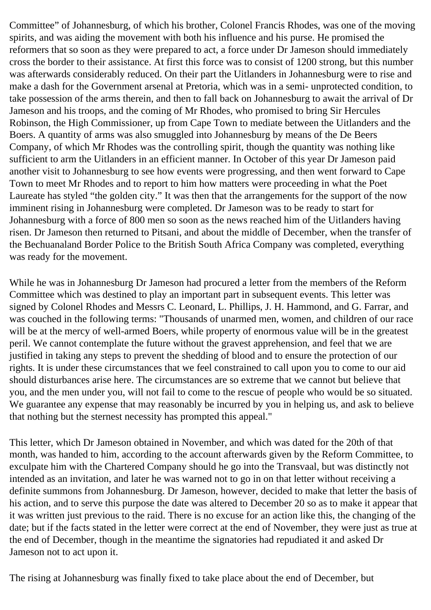Committee" of Johannesburg, of which his brother, Colonel Francis Rhodes, was one of the moving spirits, and was aiding the movement with both his influence and his purse. He promised the reformers that so soon as they were prepared to act, a force under Dr Jameson should immediately cross the border to their assistance. At first this force was to consist of 1200 strong, but this number was afterwards considerably reduced. On their part the Uitlanders in Johannesburg were to rise and make a dash for the Government arsenal at Pretoria, which was in a semi- unprotected condition, to take possession of the arms therein, and then to fall back on Johannesburg to await the arrival of Dr Jameson and his troops, and the coming of Mr Rhodes, who promised to bring Sir Hercules Robinson, the High Commissioner, up from Cape Town to mediate between the Uitlanders and the Boers. A quantity of arms was also smuggled into Johannesburg by means of the De Beers Company, of which Mr Rhodes was the controlling spirit, though the quantity was nothing like sufficient to arm the Uitlanders in an efficient manner. In October of this year Dr Jameson paid another visit to Johannesburg to see how events were progressing, and then went forward to Cape Town to meet Mr Rhodes and to report to him how matters were proceeding in what the Poet Laureate has styled "the golden city." It was then that the arrangements for the support of the now imminent rising in Johannesburg were completed. Dr Jameson was to be ready to start for Johannesburg with a force of 800 men so soon as the news reached him of the Uitlanders having risen. Dr Jameson then returned to Pitsani, and about the middle of December, when the transfer of the Bechuanaland Border Police to the British South Africa Company was completed, everything was ready for the movement.

While he was in Johannesburg Dr Jameson had procured a letter from the members of the Reform Committee which was destined to play an important part in subsequent events. This letter was signed by Colonel Rhodes and Messrs C. Leonard, L. Phillips, J. H. Hammond, and G. Farrar, and was couched in the following terms: "Thousands of unarmed men, women, and children of our race will be at the mercy of well-armed Boers, while property of enormous value will be in the greatest peril. We cannot contemplate the future without the gravest apprehension, and feel that we are justified in taking any steps to prevent the shedding of blood and to ensure the protection of our rights. It is under these circumstances that we feel constrained to call upon you to come to our aid should disturbances arise here. The circumstances are so extreme that we cannot but believe that you, and the men under you, will not fail to come to the rescue of people who would be so situated. We guarantee any expense that may reasonably be incurred by you in helping us, and ask to believe that nothing but the sternest necessity has prompted this appeal."

This letter, which Dr Jameson obtained in November, and which was dated for the 20th of that month, was handed to him, according to the account afterwards given by the Reform Committee, to exculpate him with the Chartered Company should he go into the Transvaal, but was distinctly not intended as an invitation, and later he was warned not to go in on that letter without receiving a definite summons from Johannesburg. Dr Jameson, however, decided to make that letter the basis of his action, and to serve this purpose the date was altered to December 20 so as to make it appear that it was written just previous to the raid. There is no excuse for an action like this, the changing of the date; but if the facts stated in the letter were correct at the end of November, they were just as true at the end of December, though in the meantime the signatories had repudiated it and asked Dr Jameson not to act upon it.

The rising at Johannesburg was finally fixed to take place about the end of December, but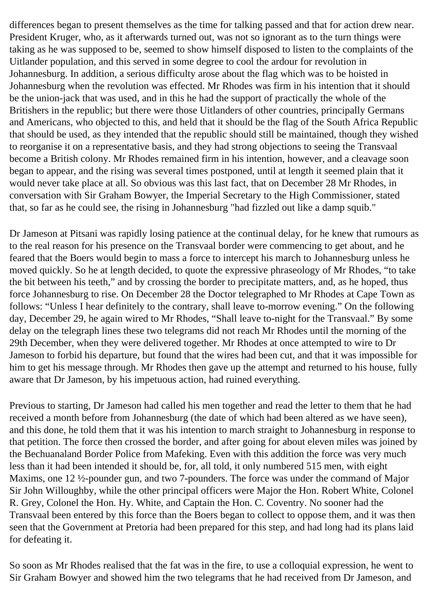differences began to present themselves as the time for talking passed and that for action drew near. President Kruger, who, as it afterwards turned out, was not so ignorant as to the turn things were taking as he was supposed to be, seemed to show himself disposed to listen to the complaints of the Uitlander population, and this served in some degree to cool the ardour for revolution in Johannesburg. In addition, a serious difficulty arose about the flag which was to be hoisted in Johannesburg when the revolution was effected. Mr Rhodes was firm in his intention that it should be the union-jack that was used, and in this he had the support of practically the whole of the Britishers in the republic; but there were those Uitlanders of other countries, principally Germans and Americans, who objected to this, and held that it should be the flag of the South Africa Republic that should be used, as they intended that the republic should still be maintained, though they wished to reorganise it on a representative basis, and they had strong objections to seeing the Transvaal become a British colony. Mr Rhodes remained firm in his intention, however, and a cleavage soon began to appear, and the rising was several times postponed, until at length it seemed plain that it would never take place at all. So obvious was this last fact, that on December 28 Mr Rhodes, in conversation with Sir Graham Bowyer, the Imperial Secretary to the High Commissioner, stated that, so far as he could see, the rising in Johannesburg "had fizzled out like a damp squib."

Dr Jameson at Pitsani was rapidly losing patience at the continual delay, for he knew that rumours as to the real reason for his presence on the Transvaal border were commencing to get about, and he feared that the Boers would begin to mass a force to intercept his march to Johannesburg unless he moved quickly. So he at length decided, to quote the expressive phraseology of Mr Rhodes, "to take the bit between his teeth," and by crossing the border to precipitate matters, and, as he hoped, thus force Johannesburg to rise. On December 28 the Doctor telegraphed to Mr Rhodes at Cape Town as follows: "Unless I hear definitely to the contrary, shall leave to-morrow evening." On the following day, December 29, he again wired to Mr Rhodes, "Shall leave to-night for the Transvaal." By some delay on the telegraph lines these two telegrams did not reach Mr Rhodes until the morning of the 29th December, when they were delivered together. Mr Rhodes at once attempted to wire to Dr Jameson to forbid his departure, but found that the wires had been cut, and that it was impossible for him to get his message through. Mr Rhodes then gave up the attempt and returned to his house, fully aware that Dr Jameson, by his impetuous action, had ruined everything.

Previous to starting, Dr Jameson had called his men together and read the letter to them that he had received a month before from Johannesburg (the date of which had been altered as we have seen), and this done, he told them that it was his intention to march straight to Johannesburg in response to that petition. The force then crossed the border, and after going for about eleven miles was joined by the Bechuanaland Border Police from Mafeking. Even with this addition the force was very much less than it had been intended it should be, for, all told, it only numbered 515 men, with eight Maxims, one 12 ½-pounder gun, and two 7-pounders. The force was under the command of Major Sir John Willoughby, while the other principal officers were Major the Hon. Robert White, Colonel R. Grey, Colonel the Hon. Hy. White, and Captain the Hon. C. Coventry. No sooner had the Transvaal been entered by this force than the Boers began to collect to oppose them, and it was then seen that the Government at Pretoria had been prepared for this step, and had long had its plans laid for defeating it.

So soon as Mr Rhodes realised that the fat was in the fire, to use a colloquial expression, he went to Sir Graham Bowyer and showed him the two telegrams that he had received from Dr Jameson, and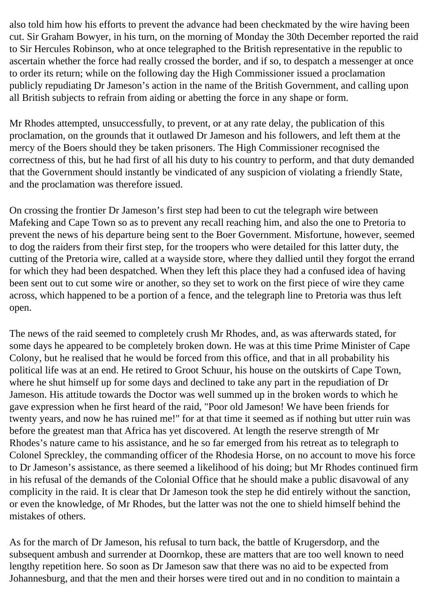also told him how his efforts to prevent the advance had been checkmated by the wire having been cut. Sir Graham Bowyer, in his turn, on the morning of Monday the 30th December reported the raid to Sir Hercules Robinson, who at once telegraphed to the British representative in the republic to ascertain whether the force had really crossed the border, and if so, to despatch a messenger at once to order its return; while on the following day the High Commissioner issued a proclamation publicly repudiating Dr Jameson's action in the name of the British Government, and calling upon all British subjects to refrain from aiding or abetting the force in any shape or form.

Mr Rhodes attempted, unsuccessfully, to prevent, or at any rate delay, the publication of this proclamation, on the grounds that it outlawed Dr Jameson and his followers, and left them at the mercy of the Boers should they be taken prisoners. The High Commissioner recognised the correctness of this, but he had first of all his duty to his country to perform, and that duty demanded that the Government should instantly be vindicated of any suspicion of violating a friendly State, and the proclamation was therefore issued.

On crossing the frontier Dr Jameson's first step had been to cut the telegraph wire between Mafeking and Cape Town so as to prevent any recall reaching him, and also the one to Pretoria to prevent the news of his departure being sent to the Boer Government. Misfortune, however, seemed to dog the raiders from their first step, for the troopers who were detailed for this latter duty, the cutting of the Pretoria wire, called at a wayside store, where they dallied until they forgot the errand for which they had been despatched. When they left this place they had a confused idea of having been sent out to cut some wire or another, so they set to work on the first piece of wire they came across, which happened to be a portion of a fence, and the telegraph line to Pretoria was thus left open.

The news of the raid seemed to completely crush Mr Rhodes, and, as was afterwards stated, for some days he appeared to be completely broken down. He was at this time Prime Minister of Cape Colony, but he realised that he would be forced from this office, and that in all probability his political life was at an end. He retired to Groot Schuur, his house on the outskirts of Cape Town, where he shut himself up for some days and declined to take any part in the repudiation of Dr Jameson. His attitude towards the Doctor was well summed up in the broken words to which he gave expression when he first heard of the raid, "Poor old Jameson! We have been friends for twenty years, and now he has ruined me!" for at that time it seemed as if nothing but utter ruin was before the greatest man that Africa has yet discovered. At length the reserve strength of Mr Rhodes's nature came to his assistance, and he so far emerged from his retreat as to telegraph to Colonel Spreckley, the commanding officer of the Rhodesia Horse, on no account to move his force to Dr Jameson's assistance, as there seemed a likelihood of his doing; but Mr Rhodes continued firm in his refusal of the demands of the Colonial Office that he should make a public disavowal of any complicity in the raid. It is clear that Dr Jameson took the step he did entirely without the sanction, or even the knowledge, of Mr Rhodes, but the latter was not the one to shield himself behind the mistakes of others.

As for the march of Dr Jameson, his refusal to turn back, the battle of Krugersdorp, and the subsequent ambush and surrender at Doornkop, these are matters that are too well known to need lengthy repetition here. So soon as Dr Jameson saw that there was no aid to be expected from Johannesburg, and that the men and their horses were tired out and in no condition to maintain a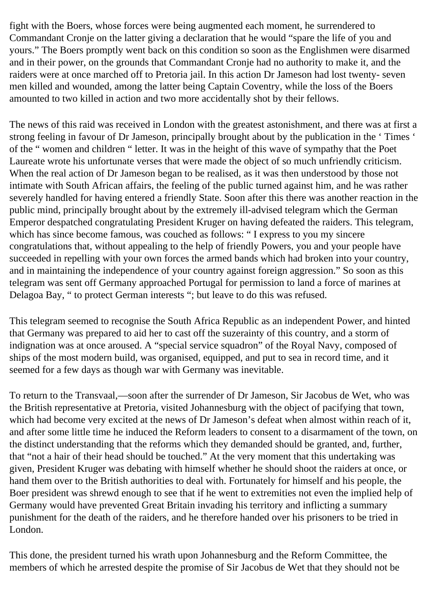fight with the Boers, whose forces were being augmented each moment, he surrendered to Commandant Cronje on the latter giving a declaration that he would "spare the life of you and yours." The Boers promptly went back on this condition so soon as the Englishmen were disarmed and in their power, on the grounds that Commandant Cronje had no authority to make it, and the raiders were at once marched off to Pretoria jail. In this action Dr Jameson had lost twenty- seven men killed and wounded, among the latter being Captain Coventry, while the loss of the Boers amounted to two killed in action and two more accidentally shot by their fellows.

The news of this raid was received in London with the greatest astonishment, and there was at first a strong feeling in favour of Dr Jameson, principally brought about by the publication in the ' Times ' of the " women and children " letter. It was in the height of this wave of sympathy that the Poet Laureate wrote his unfortunate verses that were made the object of so much unfriendly criticism. When the real action of Dr Jameson began to be realised, as it was then understood by those not intimate with South African affairs, the feeling of the public turned against him, and he was rather severely handled for having entered a friendly State. Soon after this there was another reaction in the public mind, principally brought about by the extremely ill-advised telegram which the German Emperor despatched congratulating President Kruger on having defeated the raiders. This telegram, which has since become famous, was couched as follows: " I express to you my sincere congratulations that, without appealing to the help of friendly Powers, you and your people have succeeded in repelling with your own forces the armed bands which had broken into your country, and in maintaining the independence of your country against foreign aggression." So soon as this telegram was sent off Germany approached Portugal for permission to land a force of marines at Delagoa Bay, " to protect German interests "; but leave to do this was refused.

This telegram seemed to recognise the South Africa Republic as an independent Power, and hinted that Germany was prepared to aid her to cast off the suzerainty of this country, and a storm of indignation was at once aroused. A "special service squadron" of the Royal Navy, composed of ships of the most modern build, was organised, equipped, and put to sea in record time, and it seemed for a few days as though war with Germany was inevitable.

To return to the Transvaal,—soon after the surrender of Dr Jameson, Sir Jacobus de Wet, who was the British representative at Pretoria, visited Johannesburg with the object of pacifying that town, which had become very excited at the news of Dr Jameson's defeat when almost within reach of it, and after some little time he induced the Reform leaders to consent to a disarmament of the town, on the distinct understanding that the reforms which they demanded should be granted, and, further, that "not a hair of their head should be touched." At the very moment that this undertaking was given, President Kruger was debating with himself whether he should shoot the raiders at once, or hand them over to the British authorities to deal with. Fortunately for himself and his people, the Boer president was shrewd enough to see that if he went to extremities not even the implied help of Germany would have prevented Great Britain invading his territory and inflicting a summary punishment for the death of the raiders, and he therefore handed over his prisoners to be tried in London.

This done, the president turned his wrath upon Johannesburg and the Reform Committee, the members of which he arrested despite the promise of Sir Jacobus de Wet that they should not be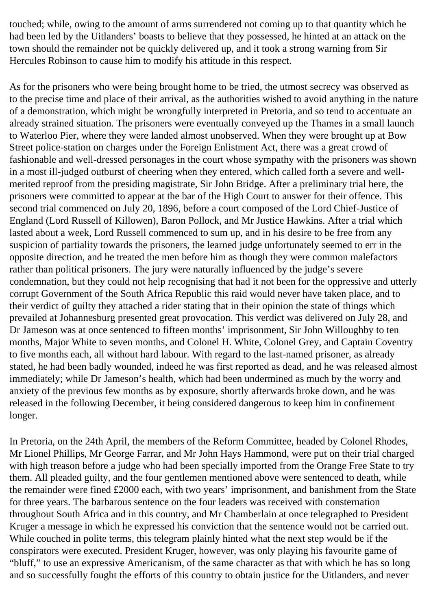touched; while, owing to the amount of arms surrendered not coming up to that quantity which he had been led by the Uitlanders' boasts to believe that they possessed, he hinted at an attack on the town should the remainder not be quickly delivered up, and it took a strong warning from Sir Hercules Robinson to cause him to modify his attitude in this respect.

As for the prisoners who were being brought home to be tried, the utmost secrecy was observed as to the precise time and place of their arrival, as the authorities wished to avoid anything in the nature of a demonstration, which might be wrongfully interpreted in Pretoria, and so tend to accentuate an already strained situation. The prisoners were eventually conveyed up the Thames in a small launch to Waterloo Pier, where they were landed almost unobserved. When they were brought up at Bow Street police-station on charges under the Foreign Enlistment Act, there was a great crowd of fashionable and well-dressed personages in the court whose sympathy with the prisoners was shown in a most ill-judged outburst of cheering when they entered, which called forth a severe and wellmerited reproof from the presiding magistrate, Sir John Bridge. After a preliminary trial here, the prisoners were committed to appear at the bar of the High Court to answer for their offence. This second trial commenced on July 20, 1896, before a court composed of the Lord Chief-Justice of England (Lord Russell of Killowen), Baron Pollock, and Mr Justice Hawkins. After a trial which lasted about a week, Lord Russell commenced to sum up, and in his desire to be free from any suspicion of partiality towards the prisoners, the learned judge unfortunately seemed to err in the opposite direction, and he treated the men before him as though they were common malefactors rather than political prisoners. The jury were naturally influenced by the judge's severe condemnation, but they could not help recognising that had it not been for the oppressive and utterly corrupt Government of the South Africa Republic this raid would never have taken place, and to their verdict of guilty they attached a rider stating that in their opinion the state of things which prevailed at Johannesburg presented great provocation. This verdict was delivered on July 28, and Dr Jameson was at once sentenced to fifteen months' imprisonment, Sir John Willoughby to ten months, Major White to seven months, and Colonel H. White, Colonel Grey, and Captain Coventry to five months each, all without hard labour. With regard to the last-named prisoner, as already stated, he had been badly wounded, indeed he was first reported as dead, and he was released almost immediately; while Dr Jameson's health, which had been undermined as much by the worry and anxiety of the previous few months as by exposure, shortly afterwards broke down, and he was released in the following December, it being considered dangerous to keep him in confinement longer.

In Pretoria, on the 24th April, the members of the Reform Committee, headed by Colonel Rhodes, Mr Lionel Phillips, Mr George Farrar, and Mr John Hays Hammond, were put on their trial charged with high treason before a judge who had been specially imported from the Orange Free State to try them. All pleaded guilty, and the four gentlemen mentioned above were sentenced to death, while the remainder were fined £2000 each, with two years' imprisonment, and banishment from the State for three years. The barbarous sentence on the four leaders was received with consternation throughout South Africa and in this country, and Mr Chamberlain at once telegraphed to President Kruger a message in which he expressed his conviction that the sentence would not be carried out. While couched in polite terms, this telegram plainly hinted what the next step would be if the conspirators were executed. President Kruger, however, was only playing his favourite game of "bluff," to use an expressive Americanism, of the same character as that with which he has so long and so successfully fought the efforts of this country to obtain justice for the Uitlanders, and never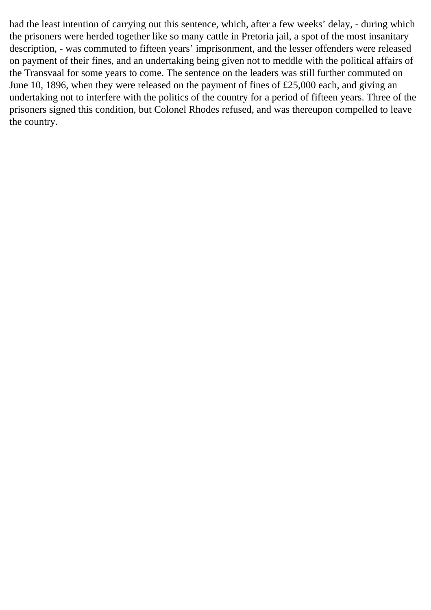had the least intention of carrying out this sentence, which, after a few weeks' delay, - during which the prisoners were herded together like so many cattle in Pretoria jail, a spot of the most insanitary description, - was commuted to fifteen years' imprisonment, and the lesser offenders were released on payment of their fines, and an undertaking being given not to meddle with the political affairs of the Transvaal for some years to come. The sentence on the leaders was still further commuted on June 10, 1896, when they were released on the payment of fines of £25,000 each, and giving an undertaking not to interfere with the politics of the country for a period of fifteen years. Three of the prisoners signed this condition, but Colonel Rhodes refused, and was thereupon compelled to leave the country.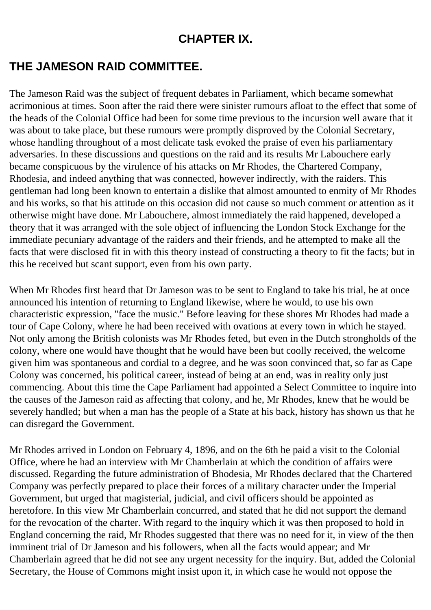#### **CHAPTER IX.**

### **THE JAMESON RAID COMMITTEE.**

The Jameson Raid was the subject of frequent debates in Parliament, which became somewhat acrimonious at times. Soon after the raid there were sinister rumours afloat to the effect that some of the heads of the Colonial Office had been for some time previous to the incursion well aware that it was about to take place, but these rumours were promptly disproved by the Colonial Secretary, whose handling throughout of a most delicate task evoked the praise of even his parliamentary adversaries. In these discussions and questions on the raid and its results Mr Labouchere early became conspicuous by the virulence of his attacks on Mr Rhodes, the Chartered Company, Rhodesia, and indeed anything that was connected, however indirectly, with the raiders. This gentleman had long been known to entertain a dislike that almost amounted to enmity of Mr Rhodes and his works, so that his attitude on this occasion did not cause so much comment or attention as it otherwise might have done. Mr Labouchere, almost immediately the raid happened, developed a theory that it was arranged with the sole object of influencing the London Stock Exchange for the immediate pecuniary advantage of the raiders and their friends, and he attempted to make all the facts that were disclosed fit in with this theory instead of constructing a theory to fit the facts; but in this he received but scant support, even from his own party.

When Mr Rhodes first heard that Dr Jameson was to be sent to England to take his trial, he at once announced his intention of returning to England likewise, where he would, to use his own characteristic expression, "face the music." Before leaving for these shores Mr Rhodes had made a tour of Cape Colony, where he had been received with ovations at every town in which he stayed. Not only among the British colonists was Mr Rhodes feted, but even in the Dutch strongholds of the colony, where one would have thought that he would have been but coolly received, the welcome given him was spontaneous and cordial to a degree, and he was soon convinced that, so far as Cape Colony was concerned, his political career, instead of being at an end, was in reality only just commencing. About this time the Cape Parliament had appointed a Select Committee to inquire into the causes of the Jameson raid as affecting that colony, and he, Mr Rhodes, knew that he would be severely handled; but when a man has the people of a State at his back, history has shown us that he can disregard the Government.

Mr Rhodes arrived in London on February 4, 1896, and on the 6th he paid a visit to the Colonial Office, where he had an interview with Mr Chamberlain at which the condition of affairs were discussed. Regarding the future administration of Bhodesia, Mr Rhodes declared that the Chartered Company was perfectly prepared to place their forces of a military character under the Imperial Government, but urged that magisterial, judicial, and civil officers should be appointed as heretofore. In this view Mr Chamberlain concurred, and stated that he did not support the demand for the revocation of the charter. With regard to the inquiry which it was then proposed to hold in England concerning the raid, Mr Rhodes suggested that there was no need for it, in view of the then imminent trial of Dr Jameson and his followers, when all the facts would appear; and Mr Chamberlain agreed that he did not see any urgent necessity for the inquiry. But, added the Colonial Secretary, the House of Commons might insist upon it, in which case he would not oppose the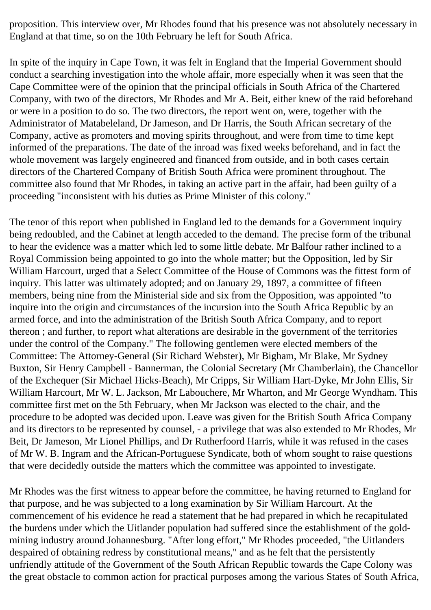proposition. This interview over, Mr Rhodes found that his presence was not absolutely necessary in England at that time, so on the 10th February he left for South Africa.

In spite of the inquiry in Cape Town, it was felt in England that the Imperial Government should conduct a searching investigation into the whole affair, more especially when it was seen that the Cape Committee were of the opinion that the principal officials in South Africa of the Chartered Company, with two of the directors, Mr Rhodes and Mr A. Beit, either knew of the raid beforehand or were in a position to do so. The two directors, the report went on, were, together with the Administrator of Matabeleland, Dr Jameson, and Dr Harris, the South African secretary of the Company, active as promoters and moving spirits throughout, and were from time to time kept informed of the preparations. The date of the inroad was fixed weeks beforehand, and in fact the whole movement was largely engineered and financed from outside, and in both cases certain directors of the Chartered Company of British South Africa were prominent throughout. The committee also found that Mr Rhodes, in taking an active part in the affair, had been guilty of a proceeding "inconsistent with his duties as Prime Minister of this colony."

The tenor of this report when published in England led to the demands for a Government inquiry being redoubled, and the Cabinet at length acceded to the demand. The precise form of the tribunal to hear the evidence was a matter which led to some little debate. Mr Balfour rather inclined to a Royal Commission being appointed to go into the whole matter; but the Opposition, led by Sir William Harcourt, urged that a Select Committee of the House of Commons was the fittest form of inquiry. This latter was ultimately adopted; and on January 29, 1897, a committee of fifteen members, being nine from the Ministerial side and six from the Opposition, was appointed "to inquire into the origin and circumstances of the incursion into the South Africa Republic by an armed force, and into the administration of the British South Africa Company, and to report thereon ; and further, to report what alterations are desirable in the government of the territories under the control of the Company." The following gentlemen were elected members of the Committee: The Attorney-General (Sir Richard Webster), Mr Bigham, Mr Blake, Mr Sydney Buxton, Sir Henry Campbell - Bannerman, the Colonial Secretary (Mr Chamberlain), the Chancellor of the Exchequer (Sir Michael Hicks-Beach), Mr Cripps, Sir William Hart-Dyke, Mr John Ellis, Sir William Harcourt, Mr W. L. Jackson, Mr Labouchere, Mr Wharton, and Mr George Wyndham. This committee first met on the 5th February, when Mr Jackson was elected to the chair, and the procedure to be adopted was decided upon. Leave was given for the British South Africa Company and its directors to be represented by counsel, - a privilege that was also extended to Mr Rhodes, Mr Beit, Dr Jameson, Mr Lionel Phillips, and Dr Rutherfoord Harris, while it was refused in the cases of Mr W. B. Ingram and the African-Portuguese Syndicate, both of whom sought to raise questions that were decidedly outside the matters which the committee was appointed to investigate.

Mr Rhodes was the first witness to appear before the committee, he having returned to England for that purpose, and he was subjected to a long examination by Sir William Harcourt. At the commencement of his evidence he read a statement that he had prepared in which he recapitulated the burdens under which the Uitlander population had suffered since the establishment of the goldmining industry around Johannesburg. "After long effort," Mr Rhodes proceeded, "the Uitlanders despaired of obtaining redress by constitutional means," and as he felt that the persistently unfriendly attitude of the Government of the South African Republic towards the Cape Colony was the great obstacle to common action for practical purposes among the various States of South Africa,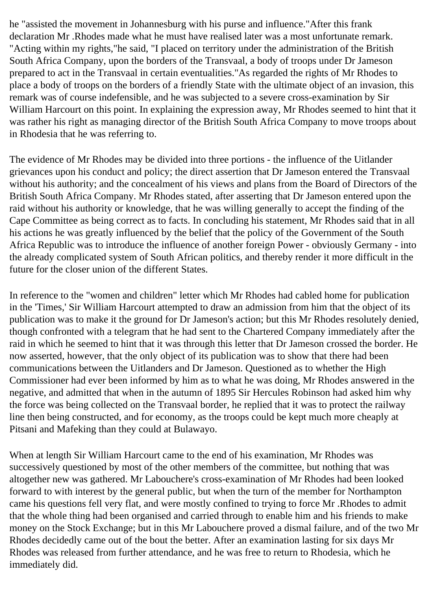he "assisted the movement in Johannesburg with his purse and influence."After this frank declaration Mr .Rhodes made what he must have realised later was a most unfortunate remark. "Acting within my rights,"he said, "I placed on territory under the administration of the British South Africa Company, upon the borders of the Transvaal, a body of troops under Dr Jameson prepared to act in the Transvaal in certain eventualities."As regarded the rights of Mr Rhodes to place a body of troops on the borders of a friendly State with the ultimate object of an invasion, this remark was of course indefensible, and he was subjected to a severe cross-examination by Sir William Harcourt on this point. In explaining the expression away, Mr Rhodes seemed to hint that it was rather his right as managing director of the British South Africa Company to move troops about in Rhodesia that he was referring to.

The evidence of Mr Rhodes may be divided into three portions - the influence of the Uitlander grievances upon his conduct and policy; the direct assertion that Dr Jameson entered the Transvaal without his authority; and the concealment of his views and plans from the Board of Directors of the British South Africa Company. Mr Rhodes stated, after asserting that Dr Jameson entered upon the raid without his authority or knowledge, that he was willing generally to accept the finding of the Cape Committee as being correct as to facts. In concluding his statement, Mr Rhodes said that in all his actions he was greatly influenced by the belief that the policy of the Government of the South Africa Republic was to introduce the influence of another foreign Power - obviously Germany - into the already complicated system of South African politics, and thereby render it more difficult in the future for the closer union of the different States.

In reference to the "women and children" letter which Mr Rhodes had cabled home for publication in the 'Times,' Sir William Harcourt attempted to draw an admission from him that the object of its publication was to make it the ground for Dr Jameson's action; but this Mr Rhodes resolutely denied, though confronted with a telegram that he had sent to the Chartered Company immediately after the raid in which he seemed to hint that it was through this letter that Dr Jameson crossed the border. He now asserted, however, that the only object of its publication was to show that there had been communications between the Uitlanders and Dr Jameson. Questioned as to whether the High Commissioner had ever been informed by him as to what he was doing, Mr Rhodes answered in the negative, and admitted that when in the autumn of 1895 Sir Hercules Robinson had asked him why the force was being collected on the Transvaal border, he replied that it was to protect the railway line then being constructed, and for economy, as the troops could be kept much more cheaply at Pitsani and Mafeking than they could at Bulawayo.

When at length Sir William Harcourt came to the end of his examination, Mr Rhodes was successively questioned by most of the other members of the committee, but nothing that was altogether new was gathered. Mr Labouchere's cross-examination of Mr Rhodes had been looked forward to with interest by the general public, but when the turn of the member for Northampton came his questions fell very flat, and were mostly confined to trying to force Mr .Rhodes to admit that the whole thing had been organised and carried through to enable him and his friends to make money on the Stock Exchange; but in this Mr Labouchere proved a dismal failure, and of the two Mr Rhodes decidedly came out of the bout the better. After an examination lasting for six days Mr Rhodes was released from further attendance, and he was free to return to Rhodesia, which he immediately did.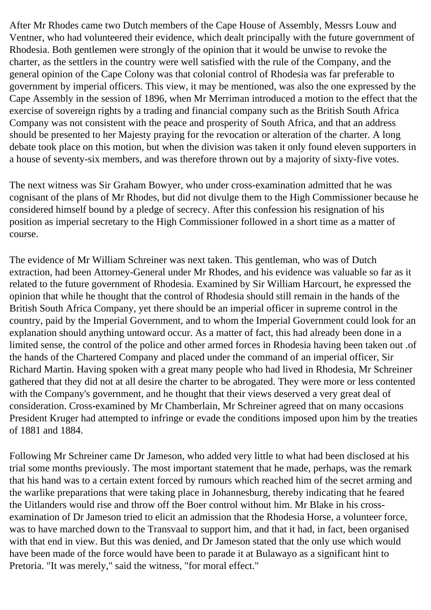After Mr Rhodes came two Dutch members of the Cape House of Assembly, Messrs Louw and Ventner, who had volunteered their evidence, which dealt principally with the future government of Rhodesia. Both gentlemen were strongly of the opinion that it would be unwise to revoke the charter, as the settlers in the country were well satisfied with the rule of the Company, and the general opinion of the Cape Colony was that colonial control of Rhodesia was far preferable to government by imperial officers. This view, it may be mentioned, was also the one expressed by the Cape Assembly in the session of 1896, when Mr Merriman introduced a motion to the effect that the exercise of sovereign rights by a trading and financial company such as the British South Africa Company was not consistent with the peace and prosperity of South Africa, and that an address should be presented to her Majesty praying for the revocation or alteration of the charter. A long debate took place on this motion, but when the division was taken it only found eleven supporters in a house of seventy-six members, and was therefore thrown out by a majority of sixty-five votes.

The next witness was Sir Graham Bowyer, who under cross-examination admitted that he was cognisant of the plans of Mr Rhodes, but did not divulge them to the High Commissioner because he considered himself bound by a pledge of secrecy. After this confession his resignation of his position as imperial secretary to the High Commissioner followed in a short time as a matter of course.

The evidence of Mr William Schreiner was next taken. This gentleman, who was of Dutch extraction, had been Attorney-General under Mr Rhodes, and his evidence was valuable so far as it related to the future government of Rhodesia. Examined by Sir William Harcourt, he expressed the opinion that while he thought that the control of Rhodesia should still remain in the hands of the British South Africa Company, yet there should be an imperial officer in supreme control in the country, paid by the Imperial Government, and to whom the Imperial Government could look for an explanation should anything untoward occur. As a matter of fact, this had already been done in a limited sense, the control of the police and other armed forces in Rhodesia having been taken out .of the hands of the Chartered Company and placed under the command of an imperial officer, Sir Richard Martin. Having spoken with a great many people who had lived in Rhodesia, Mr Schreiner gathered that they did not at all desire the charter to be abrogated. They were more or less contented with the Company's government, and he thought that their views deserved a very great deal of consideration. Cross-examined by Mr Chamberlain, Mr Schreiner agreed that on many occasions President Kruger had attempted to infringe or evade the conditions imposed upon him by the treaties of 1881 and 1884.

Following Mr Schreiner came Dr Jameson, who added very little to what had been disclosed at his trial some months previously. The most important statement that he made, perhaps, was the remark that his hand was to a certain extent forced by rumours which reached him of the secret arming and the warlike preparations that were taking place in Johannesburg, thereby indicating that he feared the Uitlanders would rise and throw off the Boer control without him. Mr Blake in his crossexamination of Dr Jameson tried to elicit an admission that the Rhodesia Horse, a volunteer force, was to have marched down to the Transvaal to support him, and that it had, in fact, been organised with that end in view. But this was denied, and Dr Jameson stated that the only use which would have been made of the force would have been to parade it at Bulawayo as a significant hint to Pretoria. "It was merely," said the witness, "for moral effect."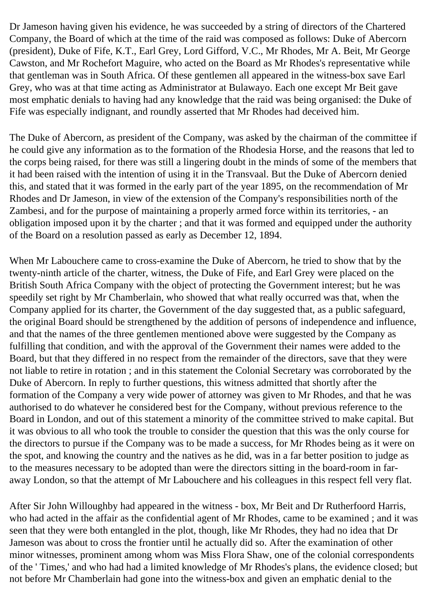Dr Jameson having given his evidence, he was succeeded by a string of directors of the Chartered Company, the Board of which at the time of the raid was composed as follows: Duke of Abercorn (president), Duke of Fife, K.T., Earl Grey, Lord Gifford, V.C., Mr Rhodes, Mr A. Beit, Mr George Cawston, and Mr Rochefort Maguire, who acted on the Board as Mr Rhodes's representative while that gentleman was in South Africa. Of these gentlemen all appeared in the witness-box save Earl Grey, who was at that time acting as Administrator at Bulawayo. Each one except Mr Beit gave most emphatic denials to having had any knowledge that the raid was being organised: the Duke of Fife was especially indignant, and roundly asserted that Mr Rhodes had deceived him.

The Duke of Abercorn, as president of the Company, was asked by the chairman of the committee if he could give any information as to the formation of the Rhodesia Horse, and the reasons that led to the corps being raised, for there was still a lingering doubt in the minds of some of the members that it had been raised with the intention of using it in the Transvaal. But the Duke of Abercorn denied this, and stated that it was formed in the early part of the year 1895, on the recommendation of Mr Rhodes and Dr Jameson, in view of the extension of the Company's responsibilities north of the Zambesi, and for the purpose of maintaining a properly armed force within its territories, - an obligation imposed upon it by the charter ; and that it was formed and equipped under the authority of the Board on a resolution passed as early as December 12, 1894.

When Mr Labouchere came to cross-examine the Duke of Abercorn, he tried to show that by the twenty-ninth article of the charter, witness, the Duke of Fife, and Earl Grey were placed on the British South Africa Company with the object of protecting the Government interest; but he was speedily set right by Mr Chamberlain, who showed that what really occurred was that, when the Company applied for its charter, the Government of the day suggested that, as a public safeguard, the original Board should be strengthened by the addition of persons of independence and influence, and that the names of the three gentlemen mentioned above were suggested by the Company as fulfilling that condition, and with the approval of the Government their names were added to the Board, but that they differed in no respect from the remainder of the directors, save that they were not liable to retire in rotation ; and in this statement the Colonial Secretary was corroborated by the Duke of Abercorn. In reply to further questions, this witness admitted that shortly after the formation of the Company a very wide power of attorney was given to Mr Rhodes, and that he was authorised to do whatever he considered best for the Company, without previous reference to the Board in London, and out of this statement a minority of the committee strived to make capital. But it was obvious to all who took the trouble to consider the question that this was the only course for the directors to pursue if the Company was to be made a success, for Mr Rhodes being as it were on the spot, and knowing the country and the natives as he did, was in a far better position to judge as to the measures necessary to be adopted than were the directors sitting in the board-room in faraway London, so that the attempt of Mr Labouchere and his colleagues in this respect fell very flat.

After Sir John Willoughby had appeared in the witness - box, Mr Beit and Dr Rutherfoord Harris, who had acted in the affair as the confidential agent of Mr Rhodes, came to be examined ; and it was seen that they were both entangled in the plot, though, like Mr Rhodes, they had no idea that Dr Jameson was about to cross the frontier until he actually did so. After the examination of other minor witnesses, prominent among whom was Miss Flora Shaw, one of the colonial correspondents of the ' Times,' and who had had a limited knowledge of Mr Rhodes's plans, the evidence closed; but not before Mr Chamberlain had gone into the witness-box and given an emphatic denial to the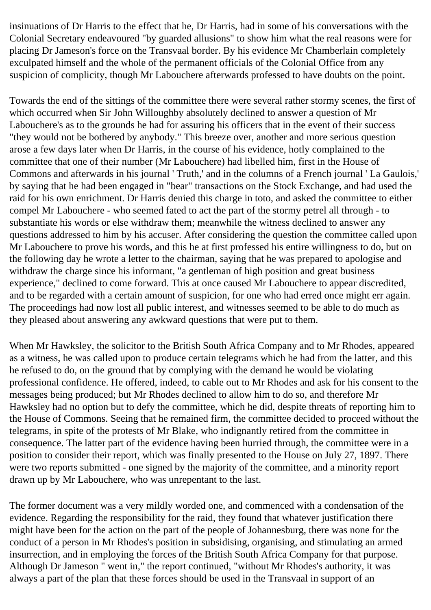insinuations of Dr Harris to the effect that he, Dr Harris, had in some of his conversations with the Colonial Secretary endeavoured "by guarded allusions" to show him what the real reasons were for placing Dr Jameson's force on the Transvaal border. By his evidence Mr Chamberlain completely exculpated himself and the whole of the permanent officials of the Colonial Office from any suspicion of complicity, though Mr Labouchere afterwards professed to have doubts on the point.

Towards the end of the sittings of the committee there were several rather stormy scenes, the first of which occurred when Sir John Willoughby absolutely declined to answer a question of Mr Labouchere's as to the grounds he had for assuring his officers that in the event of their success "they would not be bothered by anybody." This breeze over, another and more serious question arose a few days later when Dr Harris, in the course of his evidence, hotly complained to the committee that one of their number (Mr Labouchere) had libelled him, first in the House of Commons and afterwards in his journal ' Truth,' and in the columns of a French journal ' La Gaulois,' by saying that he had been engaged in "bear" transactions on the Stock Exchange, and had used the raid for his own enrichment. Dr Harris denied this charge in toto, and asked the committee to either compel Mr Labouchere - who seemed fated to act the part of the stormy petrel all through - to substantiate his words or else withdraw them; meanwhile the witness declined to answer any questions addressed to him by his accuser. After considering the question the committee called upon Mr Labouchere to prove his words, and this he at first professed his entire willingness to do, but on the following day he wrote a letter to the chairman, saying that he was prepared to apologise and withdraw the charge since his informant, "a gentleman of high position and great business experience," declined to come forward. This at once caused Mr Labouchere to appear discredited, and to be regarded with a certain amount of suspicion, for one who had erred once might err again. The proceedings had now lost all public interest, and witnesses seemed to be able to do much as they pleased about answering any awkward questions that were put to them.

When Mr Hawksley, the solicitor to the British South Africa Company and to Mr Rhodes, appeared as a witness, he was called upon to produce certain telegrams which he had from the latter, and this he refused to do, on the ground that by complying with the demand he would be violating professional confidence. He offered, indeed, to cable out to Mr Rhodes and ask for his consent to the messages being produced; but Mr Rhodes declined to allow him to do so, and therefore Mr Hawksley had no option but to defy the committee, which he did, despite threats of reporting him to the House of Commons. Seeing that he remained firm, the committee decided to proceed without the telegrams, in spite of the protests of Mr Blake, who indignantly retired from the committee in consequence. The latter part of the evidence having been hurried through, the committee were in a position to consider their report, which was finally presented to the House on July 27, 1897. There were two reports submitted - one signed by the majority of the committee, and a minority report drawn up by Mr Labouchere, who was unrepentant to the last.

The former document was a very mildly worded one, and commenced with a condensation of the evidence. Regarding the responsibility for the raid, they found that whatever justification there might have been for the action on the part of the people of Johannesburg, there was none for the conduct of a person in Mr Rhodes's position in subsidising, organising, and stimulating an armed insurrection, and in employing the forces of the British South Africa Company for that purpose. Although Dr Jameson " went in," the report continued, "without Mr Rhodes's authority, it was always a part of the plan that these forces should be used in the Transvaal in support of an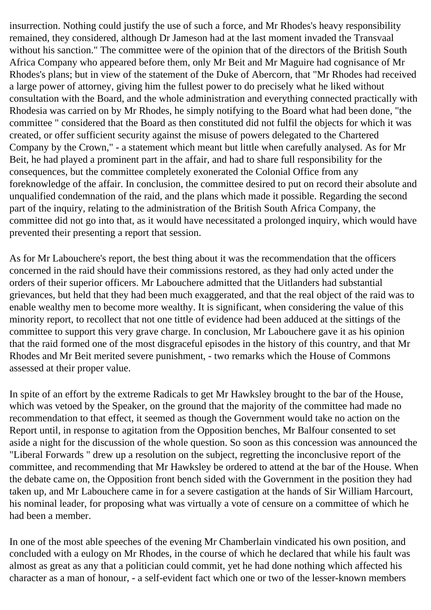insurrection. Nothing could justify the use of such a force, and Mr Rhodes's heavy responsibility remained, they considered, although Dr Jameson had at the last moment invaded the Transvaal without his sanction." The committee were of the opinion that of the directors of the British South Africa Company who appeared before them, only Mr Beit and Mr Maguire had cognisance of Mr Rhodes's plans; but in view of the statement of the Duke of Abercorn, that "Mr Rhodes had received a large power of attorney, giving him the fullest power to do precisely what he liked without consultation with the Board, and the whole administration and everything connected practically with Rhodesia was carried on by Mr Rhodes, he simply notifying to the Board what had been done, "the committee " considered that the Board as then constituted did not fulfil the objects for which it was created, or offer sufficient security against the misuse of powers delegated to the Chartered Company by the Crown," - a statement which meant but little when carefully analysed. As for Mr Beit, he had played a prominent part in the affair, and had to share full responsibility for the consequences, but the committee completely exonerated the Colonial Office from any foreknowledge of the affair. In conclusion, the committee desired to put on record their absolute and unqualified condemnation of the raid, and the plans which made it possible. Regarding the second part of the inquiry, relating to the administration of the British South Africa Company, the committee did not go into that, as it would have necessitated a prolonged inquiry, which would have prevented their presenting a report that session.

As for Mr Labouchere's report, the best thing about it was the recommendation that the officers concerned in the raid should have their commissions restored, as they had only acted under the orders of their superior officers. Mr Labouchere admitted that the Uitlanders had substantial grievances, but held that they had been much exaggerated, and that the real object of the raid was to enable wealthy men to become more wealthy. It is significant, when considering the value of this minority report, to recollect that not one tittle of evidence had been adduced at the sittings of the committee to support this very grave charge. In conclusion, Mr Labouchere gave it as his opinion that the raid formed one of the most disgraceful episodes in the history of this country, and that Mr Rhodes and Mr Beit merited severe punishment, - two remarks which the House of Commons assessed at their proper value.

In spite of an effort by the extreme Radicals to get Mr Hawksley brought to the bar of the House, which was vetoed by the Speaker, on the ground that the majority of the committee had made no recommendation to that effect, it seemed as though the Government would take no action on the Report until, in response to agitation from the Opposition benches, Mr Balfour consented to set aside a night for the discussion of the whole question. So soon as this concession was announced the "Liberal Forwards " drew up a resolution on the subject, regretting the inconclusive report of the committee, and recommending that Mr Hawksley be ordered to attend at the bar of the House. When the debate came on, the Opposition front bench sided with the Government in the position they had taken up, and Mr Labouchere came in for a severe castigation at the hands of Sir William Harcourt, his nominal leader, for proposing what was virtually a vote of censure on a committee of which he had been a member.

In one of the most able speeches of the evening Mr Chamberlain vindicated his own position, and concluded with a eulogy on Mr Rhodes, in the course of which he declared that while his fault was almost as great as any that a politician could commit, yet he had done nothing which affected his character as a man of honour, - a self-evident fact which one or two of the lesser-known members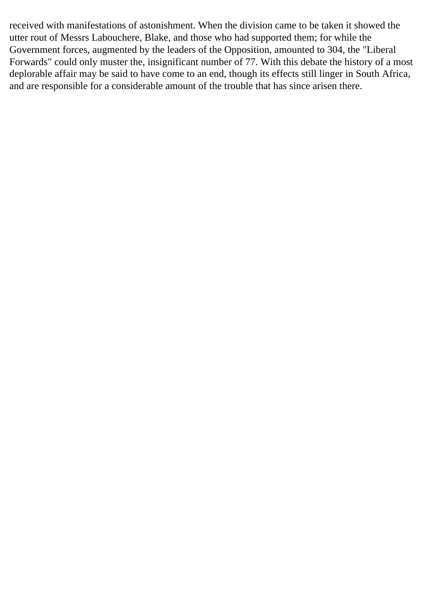received with manifestations of astonishment. When the division came to be taken it showed the utter rout of Messrs Labouchere, Blake, and those who had supported them; for while the Government forces, augmented by the leaders of the Opposition, amounted to 304, the "Liberal Forwards" could only muster the, insignificant number of 77. With this debate the history of a most deplorable affair may be said to have come to an end, though its effects still linger in South Africa, and are responsible for a considerable amount of the trouble that has since arisen there.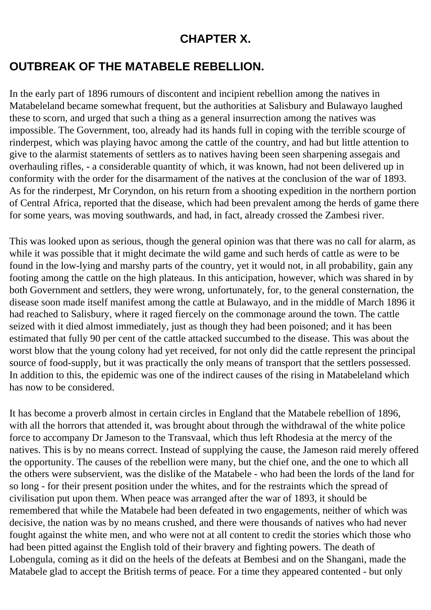## **CHAPTER X.**

## **OUTBREAK OF THE MATABELE REBELLION.**

In the early part of 1896 rumours of discontent and incipient rebellion among the natives in Matabeleland became somewhat frequent, but the authorities at Salisbury and Bulawayo laughed these to scorn, and urged that such a thing as a general insurrection among the natives was impossible. The Government, too, already had its hands full in coping with the terrible scourge of rinderpest, which was playing havoc among the cattle of the country, and had but little attention to give to the alarmist statements of settlers as to natives having been seen sharpening assegais and overhauling rifles, - a considerable quantity of which, it was known, had not been delivered up in conformity with the order for the disarmament of the natives at the conclusion of the war of 1893. As for the rinderpest, Mr Coryndon, on his return from a shooting expedition in the northern portion of Central Africa, reported that the disease, which had been prevalent among the herds of game there for some years, was moving southwards, and had, in fact, already crossed the Zambesi river.

This was looked upon as serious, though the general opinion was that there was no call for alarm, as while it was possible that it might decimate the wild game and such herds of cattle as were to be found in the low-lying and marshy parts of the country, yet it would not, in all probability, gain any footing among the cattle on the high plateaus. In this anticipation, however, which was shared in by both Government and settlers, they were wrong, unfortunately, for, to the general consternation, the disease soon made itself manifest among the cattle at Bulawayo, and in the middle of March 1896 it had reached to Salisbury, where it raged fiercely on the commonage around the town. The cattle seized with it died almost immediately, just as though they had been poisoned; and it has been estimated that fully 90 per cent of the cattle attacked succumbed to the disease. This was about the worst blow that the young colony had yet received, for not only did the cattle represent the principal source of food-supply, but it was practically the only means of transport that the settlers possessed. In addition to this, the epidemic was one of the indirect causes of the rising in Matabeleland which has now to be considered.

It has become a proverb almost in certain circles in England that the Matabele rebellion of 1896, with all the horrors that attended it, was brought about through the withdrawal of the white police force to accompany Dr Jameson to the Transvaal, which thus left Rhodesia at the mercy of the natives. This is by no means correct. Instead of supplying the cause, the Jameson raid merely offered the opportunity. The causes of the rebellion were many, but the chief one, and the one to which all the others were subservient, was the dislike of the Matabele - who had been the lords of the land for so long - for their present position under the whites, and for the restraints which the spread of civilisation put upon them. When peace was arranged after the war of 1893, it should be remembered that while the Matabele had been defeated in two engagements, neither of which was decisive, the nation was by no means crushed, and there were thousands of natives who had never fought against the white men, and who were not at all content to credit the stories which those who had been pitted against the English told of their bravery and fighting powers. The death of Lobengula, coming as it did on the heels of the defeats at Bembesi and on the Shangani, made the Matabele glad to accept the British terms of peace. For a time they appeared contented - but only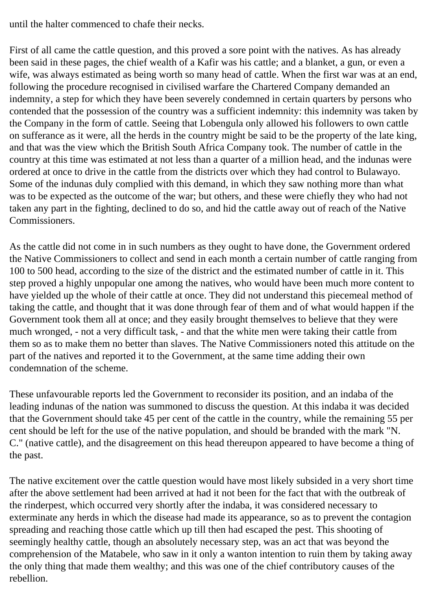until the halter commenced to chafe their necks.

First of all came the cattle question, and this proved a sore point with the natives. As has already been said in these pages, the chief wealth of a Kafir was his cattle; and a blanket, a gun, or even a wife, was always estimated as being worth so many head of cattle. When the first war was at an end, following the procedure recognised in civilised warfare the Chartered Company demanded an indemnity, a step for which they have been severely condemned in certain quarters by persons who contended that the possession of the country was a sufficient indemnity: this indemnity was taken by the Company in the form of cattle. Seeing that Lobengula only allowed his followers to own cattle on sufferance as it were, all the herds in the country might be said to be the property of the late king, and that was the view which the British South Africa Company took. The number of cattle in the country at this time was estimated at not less than a quarter of a million head, and the indunas were ordered at once to drive in the cattle from the districts over which they had control to Bulawayo. Some of the indunas duly complied with this demand, in which they saw nothing more than what was to be expected as the outcome of the war; but others, and these were chiefly they who had not taken any part in the fighting, declined to do so, and hid the cattle away out of reach of the Native Commissioners.

As the cattle did not come in in such numbers as they ought to have done, the Government ordered the Native Commissioners to collect and send in each month a certain number of cattle ranging from 100 to 500 head, according to the size of the district and the estimated number of cattle in it. This step proved a highly unpopular one among the natives, who would have been much more content to have yielded up the whole of their cattle at once. They did not understand this piecemeal method of taking the cattle, and thought that it was done through fear of them and of what would happen if the Government took them all at once; and they easily brought themselves to believe that they were much wronged, - not a very difficult task, - and that the white men were taking their cattle from them so as to make them no better than slaves. The Native Commissioners noted this attitude on the part of the natives and reported it to the Government, at the same time adding their own condemnation of the scheme.

These unfavourable reports led the Government to reconsider its position, and an indaba of the leading indunas of the nation was summoned to discuss the question. At this indaba it was decided that the Government should take 45 per cent of the cattle in the country, while the remaining 55 per cent should be left for the use of the native population, and should be branded with the mark "N. C." (native cattle), and the disagreement on this head thereupon appeared to have become a thing of the past.

The native excitement over the cattle question would have most likely subsided in a very short time after the above settlement had been arrived at had it not been for the fact that with the outbreak of the rinderpest, which occurred very shortly after the indaba, it was considered necessary to exterminate any herds in which the disease had made its appearance, so as to prevent the contagion spreading and reaching those cattle which up till then had escaped the pest. This shooting of seemingly healthy cattle, though an absolutely necessary step, was an act that was beyond the comprehension of the Matabele, who saw in it only a wanton intention to ruin them by taking away the only thing that made them wealthy; and this was one of the chief contributory causes of the rebellion.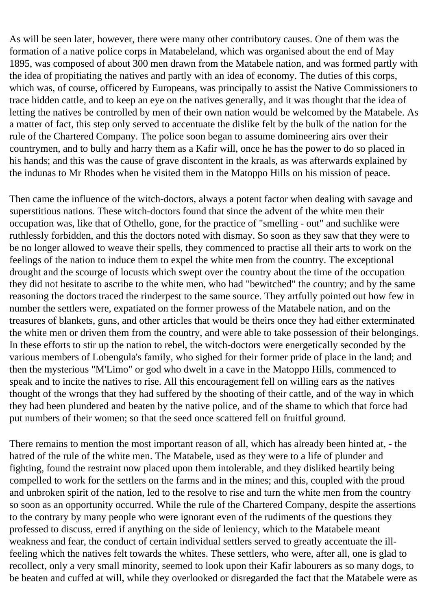As will be seen later, however, there were many other contributory causes. One of them was the formation of a native police corps in Matabeleland, which was organised about the end of May 1895, was composed of about 300 men drawn from the Matabele nation, and was formed partly with the idea of propitiating the natives and partly with an idea of economy. The duties of this corps, which was, of course, officered by Europeans, was principally to assist the Native Commissioners to trace hidden cattle, and to keep an eye on the natives generally, and it was thought that the idea of letting the natives be controlled by men of their own nation would be welcomed by the Matabele. As a matter of fact, this step only served to accentuate the dislike felt by the bulk of the nation for the rule of the Chartered Company. The police soon began to assume domineering airs over their countrymen, and to bully and harry them as a Kafir will, once he has the power to do so placed in his hands; and this was the cause of grave discontent in the kraals, as was afterwards explained by the indunas to Mr Rhodes when he visited them in the Matoppo Hills on his mission of peace.

Then came the influence of the witch-doctors, always a potent factor when dealing with savage and superstitious nations. These witch-doctors found that since the advent of the white men their occupation was, like that of Othello, gone, for the practice of "smelling - out" and suchlike were ruthlessly forbidden, and this the doctors noted with dismay. So soon as they saw that they were to be no longer allowed to weave their spells, they commenced to practise all their arts to work on the feelings of the nation to induce them to expel the white men from the country. The exceptional drought and the scourge of locusts which swept over the country about the time of the occupation they did not hesitate to ascribe to the white men, who had "bewitched" the country; and by the same reasoning the doctors traced the rinderpest to the same source. They artfully pointed out how few in number the settlers were, expatiated on the former prowess of the Matabele nation, and on the treasures of blankets, guns, and other articles that would be theirs once they had either exterminated the white men or driven them from the country, and were able to take possession of their belongings. In these efforts to stir up the nation to rebel, the witch-doctors were energetically seconded by the various members of Lobengula's family, who sighed for their former pride of place in the land; and then the mysterious "M'Limo" or god who dwelt in a cave in the Matoppo Hills, commenced to speak and to incite the natives to rise. All this encouragement fell on willing ears as the natives thought of the wrongs that they had suffered by the shooting of their cattle, and of the way in which they had been plundered and beaten by the native police, and of the shame to which that force had put numbers of their women; so that the seed once scattered fell on fruitful ground.

There remains to mention the most important reason of all, which has already been hinted at, - the hatred of the rule of the white men. The Matabele, used as they were to a life of plunder and fighting, found the restraint now placed upon them intolerable, and they disliked heartily being compelled to work for the settlers on the farms and in the mines; and this, coupled with the proud and unbroken spirit of the nation, led to the resolve to rise and turn the white men from the country so soon as an opportunity occurred. While the rule of the Chartered Company, despite the assertions to the contrary by many people who were ignorant even of the rudiments of the questions they professed to discuss, erred if anything on the side of leniency, which to the Matabele meant weakness and fear, the conduct of certain individual settlers served to greatly accentuate the illfeeling which the natives felt towards the whites. These settlers, who were, after all, one is glad to recollect, only a very small minority, seemed to look upon their Kafir labourers as so many dogs, to be beaten and cuffed at will, while they overlooked or disregarded the fact that the Matabele were as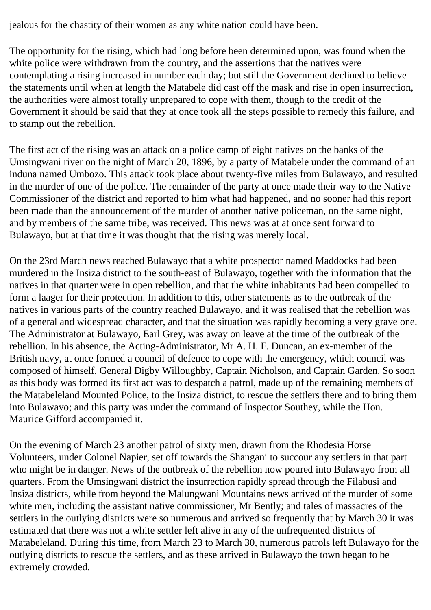jealous for the chastity of their women as any white nation could have been.

The opportunity for the rising, which had long before been determined upon, was found when the white police were withdrawn from the country, and the assertions that the natives were contemplating a rising increased in number each day; but still the Government declined to believe the statements until when at length the Matabele did cast off the mask and rise in open insurrection, the authorities were almost totally unprepared to cope with them, though to the credit of the Government it should be said that they at once took all the steps possible to remedy this failure, and to stamp out the rebellion.

The first act of the rising was an attack on a police camp of eight natives on the banks of the Umsingwani river on the night of March 20, 1896, by a party of Matabele under the command of an induna named Umbozo. This attack took place about twenty-five miles from Bulawayo, and resulted in the murder of one of the police. The remainder of the party at once made their way to the Native Commissioner of the district and reported to him what had happened, and no sooner had this report been made than the announcement of the murder of another native policeman, on the same night, and by members of the same tribe, was received. This news was at at once sent forward to Bulawayo, but at that time it was thought that the rising was merely local.

On the 23rd March news reached Bulawayo that a white prospector named Maddocks had been murdered in the Insiza district to the south-east of Bulawayo, together with the information that the natives in that quarter were in open rebellion, and that the white inhabitants had been compelled to form a laager for their protection. In addition to this, other statements as to the outbreak of the natives in various parts of the country reached Bulawayo, and it was realised that the rebellion was of a general and widespread character, and that the situation was rapidly becoming a very grave one. The Administrator at Bulawayo, Earl Grey, was away on leave at the time of the outbreak of the rebellion. In his absence, the Acting-Administrator, Mr A. H. F. Duncan, an ex-member of the British navy, at once formed a council of defence to cope with the emergency, which council was composed of himself, General Digby Willoughby, Captain Nicholson, and Captain Garden. So soon as this body was formed its first act was to despatch a patrol, made up of the remaining members of the Matabeleland Mounted Police, to the Insiza district, to rescue the settlers there and to bring them into Bulawayo; and this party was under the command of Inspector Southey, while the Hon. Maurice Gifford accompanied it.

On the evening of March 23 another patrol of sixty men, drawn from the Rhodesia Horse Volunteers, under Colonel Napier, set off towards the Shangani to succour any settlers in that part who might be in danger. News of the outbreak of the rebellion now poured into Bulawayo from all quarters. From the Umsingwani district the insurrection rapidly spread through the Filabusi and Insiza districts, while from beyond the Malungwani Mountains news arrived of the murder of some white men, including the assistant native commissioner, Mr Bently; and tales of massacres of the settlers in the outlying districts were so numerous and arrived so frequently that by March 30 it was estimated that there was not a white settler left alive in any of the unfrequented districts of Matabeleland. During this time, from March 23 to March 30, numerous patrols left Bulawayo for the outlying districts to rescue the settlers, and as these arrived in Bulawayo the town began to be extremely crowded.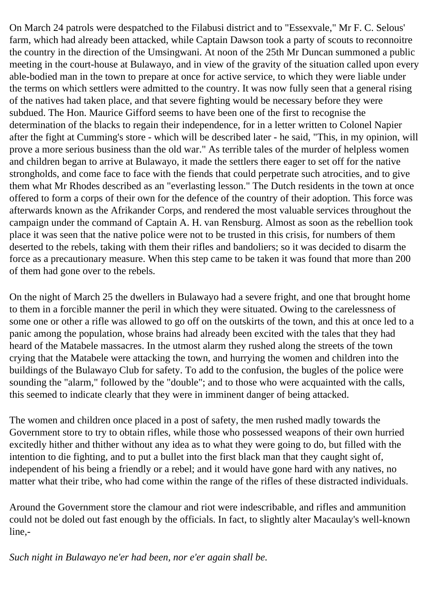On March 24 patrols were despatched to the Filabusi district and to "Essexvale," Mr F. C. Selous' farm, which had already been attacked, while Captain Dawson took a party of scouts to reconnoitre the country in the direction of the Umsingwani. At noon of the 25th Mr Duncan summoned a public meeting in the court-house at Bulawayo, and in view of the gravity of the situation called upon every able-bodied man in the town to prepare at once for active service, to which they were liable under the terms on which settlers were admitted to the country. It was now fully seen that a general rising of the natives had taken place, and that severe fighting would be necessary before they were subdued. The Hon. Maurice Gifford seems to have been one of the first to recognise the determination of the blacks to regain their independence, for in a letter written to Colonel Napier after the fight at Cumming's store - which will be described later - he said, "This, in my opinion, will prove a more serious business than the old war." As terrible tales of the murder of helpless women and children began to arrive at Bulawayo, it made the settlers there eager to set off for the native strongholds, and come face to face with the fiends that could perpetrate such atrocities, and to give them what Mr Rhodes described as an "everlasting lesson." The Dutch residents in the town at once offered to form a corps of their own for the defence of the country of their adoption. This force was afterwards known as the Afrikander Corps, and rendered the most valuable services throughout the campaign under the command of Captain A. H. van Rensburg. Almost as soon as the rebellion took place it was seen that the native police were not to be trusted in this crisis, for numbers of them deserted to the rebels, taking with them their rifles and bandoliers; so it was decided to disarm the force as a precautionary measure. When this step came to be taken it was found that more than 200 of them had gone over to the rebels.

On the night of March 25 the dwellers in Bulawayo had a severe fright, and one that brought home to them in a forcible manner the peril in which they were situated. Owing to the carelessness of some one or other a rifle was allowed to go off on the outskirts of the town, and this at once led to a panic among the population, whose brains had already been excited with the tales that they had heard of the Matabele massacres. In the utmost alarm they rushed along the streets of the town crying that the Matabele were attacking the town, and hurrying the women and children into the buildings of the Bulawayo Club for safety. To add to the confusion, the bugles of the police were sounding the "alarm," followed by the "double"; and to those who were acquainted with the calls, this seemed to indicate clearly that they were in imminent danger of being attacked.

The women and children once placed in a post of safety, the men rushed madly towards the Government store to try to obtain rifles, while those who possessed weapons of their own hurried excitedly hither and thither without any idea as to what they were going to do, but filled with the intention to die fighting, and to put a bullet into the first black man that they caught sight of, independent of his being a friendly or a rebel; and it would have gone hard with any natives, no matter what their tribe, who had come within the range of the rifles of these distracted individuals.

Around the Government store the clamour and riot were indescribable, and rifles and ammunition could not be doled out fast enough by the officials. In fact, to slightly alter Macaulay's well-known line,-

*Such night in Bulawayo ne'er had been, nor e'er again shall be.*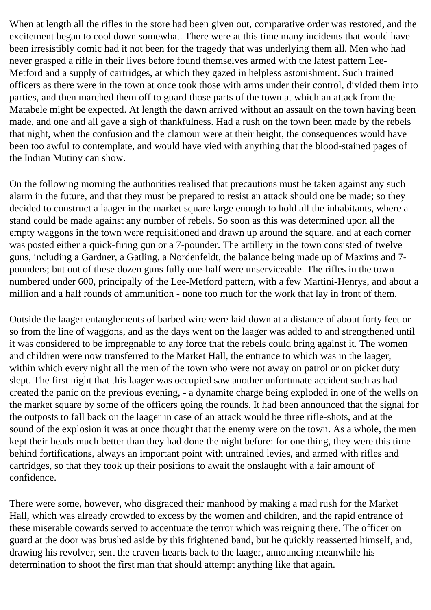When at length all the rifles in the store had been given out, comparative order was restored, and the excitement began to cool down somewhat. There were at this time many incidents that would have been irresistibly comic had it not been for the tragedy that was underlying them all. Men who had never grasped a rifle in their lives before found themselves armed with the latest pattern Lee-Metford and a supply of cartridges, at which they gazed in helpless astonishment. Such trained officers as there were in the town at once took those with arms under their control, divided them into parties, and then marched them off to guard those parts of the town at which an attack from the Matabele might be expected. At length the dawn arrived without an assault on the town having been made, and one and all gave a sigh of thankfulness. Had a rush on the town been made by the rebels that night, when the confusion and the clamour were at their height, the consequences would have been too awful to contemplate, and would have vied with anything that the blood-stained pages of the Indian Mutiny can show.

On the following morning the authorities realised that precautions must be taken against any such alarm in the future, and that they must be prepared to resist an attack should one be made; so they decided to construct a laager in the market square large enough to hold all the inhabitants, where a stand could be made against any number of rebels. So soon as this was determined upon all the empty waggons in the town were requisitioned and drawn up around the square, and at each corner was posted either a quick-firing gun or a 7-pounder. The artillery in the town consisted of twelve guns, including a Gardner, a Gatling, a Nordenfeldt, the balance being made up of Maxims and 7 pounders; but out of these dozen guns fully one-half were unserviceable. The rifles in the town numbered under 600, principally of the Lee-Metford pattern, with a few Martini-Henrys, and about a million and a half rounds of ammunition - none too much for the work that lay in front of them.

Outside the laager entanglements of barbed wire were laid down at a distance of about forty feet or so from the line of waggons, and as the days went on the laager was added to and strengthened until it was considered to be impregnable to any force that the rebels could bring against it. The women and children were now transferred to the Market Hall, the entrance to which was in the laager, within which every night all the men of the town who were not away on patrol or on picket duty slept. The first night that this laager was occupied saw another unfortunate accident such as had created the panic on the previous evening, - a dynamite charge being exploded in one of the wells on the market square by some of the officers going the rounds. It had been announced that the signal for the outposts to fall back on the laager in case of an attack would be three rifle-shots, and at the sound of the explosion it was at once thought that the enemy were on the town. As a whole, the men kept their heads much better than they had done the night before: for one thing, they were this time behind fortifications, always an important point with untrained levies, and armed with rifles and cartridges, so that they took up their positions to await the onslaught with a fair amount of confidence.

There were some, however, who disgraced their manhood by making a mad rush for the Market Hall, which was already crowded to excess by the women and children, and the rapid entrance of these miserable cowards served to accentuate the terror which was reigning there. The officer on guard at the door was brushed aside by this frightened band, but he quickly reasserted himself, and, drawing his revolver, sent the craven-hearts back to the laager, announcing meanwhile his determination to shoot the first man that should attempt anything like that again.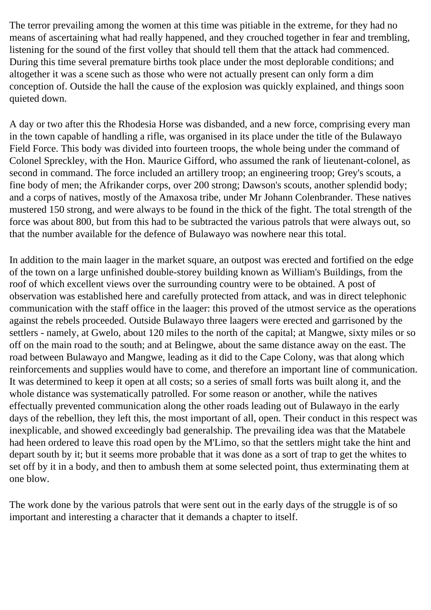The terror prevailing among the women at this time was pitiable in the extreme, for they had no means of ascertaining what had really happened, and they crouched together in fear and trembling, listening for the sound of the first volley that should tell them that the attack had commenced. During this time several premature births took place under the most deplorable conditions; and altogether it was a scene such as those who were not actually present can only form a dim conception of. Outside the hall the cause of the explosion was quickly explained, and things soon quieted down.

A day or two after this the Rhodesia Horse was disbanded, and a new force, comprising every man in the town capable of handling a rifle, was organised in its place under the title of the Bulawayo Field Force. This body was divided into fourteen troops, the whole being under the command of Colonel Spreckley, with the Hon. Maurice Gifford, who assumed the rank of lieutenant-colonel, as second in command. The force included an artillery troop; an engineering troop; Grey's scouts, a fine body of men; the Afrikander corps, over 200 strong; Dawson's scouts, another splendid body; and a corps of natives, mostly of the Amaxosa tribe, under Mr Johann Colenbrander. These natives mustered 150 strong, and were always to be found in the thick of the fight. The total strength of the force was about 800, but from this had to be subtracted the various patrols that were always out, so that the number available for the defence of Bulawayo was nowhere near this total.

In addition to the main laager in the market square, an outpost was erected and fortified on the edge of the town on a large unfinished double-storey building known as William's Buildings, from the roof of which excellent views over the surrounding country were to be obtained. A post of observation was established here and carefully protected from attack, and was in direct telephonic communication with the staff office in the laager: this proved of the utmost service as the operations against the rebels proceeded. Outside Bulawayo three laagers were erected and garrisoned by the settlers - namely, at Gwelo, about 120 miles to the north of the capital; at Mangwe, sixty miles or so off on the main road to the south; and at Belingwe, about the same distance away on the east. The road between Bulawayo and Mangwe, leading as it did to the Cape Colony, was that along which reinforcements and supplies would have to come, and therefore an important line of communication. It was determined to keep it open at all costs; so a series of small forts was built along it, and the whole distance was systematically patrolled. For some reason or another, while the natives effectually prevented communication along the other roads leading out of Bulawayo in the early days of the rebellion, they left this, the most important of all, open. Their conduct in this respect was inexplicable, and showed exceedingly bad generalship. The prevailing idea was that the Matabele had heen ordered to leave this road open by the M'Limo, so that the settlers might take the hint and depart south by it; but it seems more probable that it was done as a sort of trap to get the whites to set off by it in a body, and then to ambush them at some selected point, thus exterminating them at one blow.

The work done by the various patrols that were sent out in the early days of the struggle is of so important and interesting a character that it demands a chapter to itself.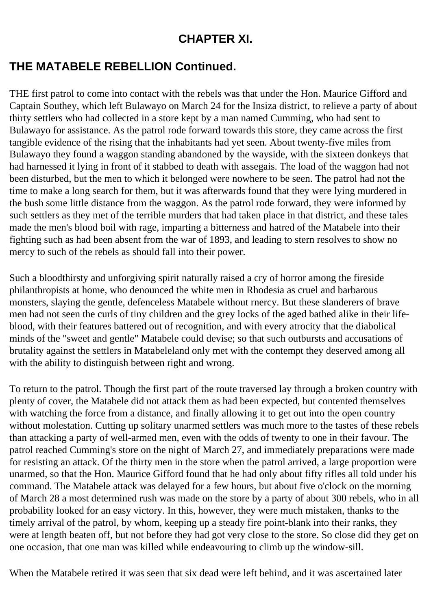## **CHAPTER XI.**

## **THE MATABELE REBELLION Continued.**

THE first patrol to come into contact with the rebels was that under the Hon. Maurice Gifford and Captain Southey, which left Bulawayo on March 24 for the Insiza district, to relieve a party of about thirty settlers who had collected in a store kept by a man named Cumming, who had sent to Bulawayo for assistance. As the patrol rode forward towards this store, they came across the first tangible evidence of the rising that the inhabitants had yet seen. About twenty-five miles from Bulawayo they found a waggon standing abandoned by the wayside, with the sixteen donkeys that had harnessed it lying in front of it stabbed to death with assegais. The load of the waggon had not been disturbed, but the men to which it belonged were nowhere to be seen. The patrol had not the time to make a long search for them, but it was afterwards found that they were lying murdered in the bush some little distance from the waggon. As the patrol rode forward, they were informed by such settlers as they met of the terrible murders that had taken place in that district, and these tales made the men's blood boil with rage, imparting a bitterness and hatred of the Matabele into their fighting such as had been absent from the war of 1893, and leading to stern resolves to show no mercy to such of the rebels as should fall into their power.

Such a bloodthirsty and unforgiving spirit naturally raised a cry of horror among the fireside philanthropists at home, who denounced the white men in Rhodesia as cruel and barbarous monsters, slaying the gentle, defenceless Matabele without rnercy. But these slanderers of brave men had not seen the curls of tiny children and the grey locks of the aged bathed alike in their lifeblood, with their features battered out of recognition, and with every atrocity that the diabolical minds of the "sweet and gentle" Matabele could devise; so that such outbursts and accusations of brutality against the settlers in Matabeleland only met with the contempt they deserved among all with the ability to distinguish between right and wrong.

To return to the patrol. Though the first part of the route traversed lay through a broken country with plenty of cover, the Matabele did not attack them as had been expected, but contented themselves with watching the force from a distance, and finally allowing it to get out into the open country without molestation. Cutting up solitary unarmed settlers was much more to the tastes of these rebels than attacking a party of well-armed men, even with the odds of twenty to one in their favour. The patrol reached Cumming's store on the night of March 27, and immediately preparations were made for resisting an attack. Of the thirty men in the store when the patrol arrived, a large proportion were unarmed, so that the Hon. Maurice Gifford found that he had only about fifty rifles all told under his command. The Matabele attack was delayed for a few hours, but about five o'clock on the morning of March 28 a most determined rush was made on the store by a party of about 300 rebels, who in all probability looked for an easy victory. In this, however, they were much mistaken, thanks to the timely arrival of the patrol, by whom, keeping up a steady fire point-blank into their ranks, they were at length beaten off, but not before they had got very close to the store. So close did they get on one occasion, that one man was killed while endeavouring to climb up the window-sill.

When the Matabele retired it was seen that six dead were left behind, and it was ascertained later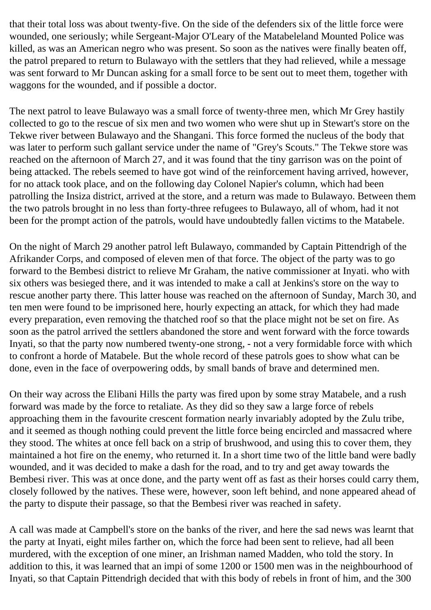that their total loss was about twenty-five. On the side of the defenders six of the little force were wounded, one seriously; while Sergeant-Major O'Leary of the Matabeleland Mounted Police was killed, as was an American negro who was present. So soon as the natives were finally beaten off, the patrol prepared to return to Bulawayo with the settlers that they had relieved, while a message was sent forward to Mr Duncan asking for a small force to be sent out to meet them, together with waggons for the wounded, and if possible a doctor.

The next patrol to leave Bulawayo was a small force of twenty-three men, which Mr Grey hastily collected to go to the rescue of six men and two women who were shut up in Stewart's store on the Tekwe river between Bulawayo and the Shangani. This force formed the nucleus of the body that was later to perform such gallant service under the name of "Grey's Scouts." The Tekwe store was reached on the afternoon of March 27, and it was found that the tiny garrison was on the point of being attacked. The rebels seemed to have got wind of the reinforcement having arrived, however, for no attack took place, and on the following day Colonel Napier's column, which had been patrolling the Insiza district, arrived at the store, and a return was made to Bulawayo. Between them the two patrols brought in no less than forty-three refugees to Bulawayo, all of whom, had it not been for the prompt action of the patrols, would have undoubtedly fallen victims to the Matabele.

On the night of March 29 another patrol left Bulawayo, commanded by Captain Pittendrigh of the Afrikander Corps, and composed of eleven men of that force. The object of the party was to go forward to the Bembesi district to relieve Mr Graham, the native commissioner at Inyati. who with six others was besieged there, and it was intended to make a call at Jenkins's store on the way to rescue another party there. This latter house was reached on the afternoon of Sunday, March 30, and ten men were found to be imprisoned here, hourly expecting an attack, for which they had made every preparation, even removing the thatched roof so that the place might not be set on fire. As soon as the patrol arrived the settlers abandoned the store and went forward with the force towards Inyati, so that the party now numbered twenty-one strong, - not a very formidable force with which to confront a horde of Matabele. But the whole record of these patrols goes to show what can be done, even in the face of overpowering odds, by small bands of brave and determined men.

On their way across the Elibani Hills the party was fired upon by some stray Matabele, and a rush forward was made by the force to retaliate. As they did so they saw a large force of rebels approaching them in the favourite crescent formation nearly invariably adopted by the Zulu tribe, and it seemed as though nothing could prevent the little force being encircled and massacred where they stood. The whites at once fell back on a strip of brushwood, and using this to cover them, they maintained a hot fire on the enemy, who returned it. In a short time two of the little band were badly wounded, and it was decided to make a dash for the road, and to try and get away towards the Bembesi river. This was at once done, and the party went off as fast as their horses could carry them, closely followed by the natives. These were, however, soon left behind, and none appeared ahead of the party to dispute their passage, so that the Bembesi river was reached in safety.

A call was made at Campbell's store on the banks of the river, and here the sad news was learnt that the party at Inyati, eight miles farther on, which the force had been sent to relieve, had all been murdered, with the exception of one miner, an Irishman named Madden, who told the story. In addition to this, it was learned that an impi of some 1200 or 1500 men was in the neighbourhood of Inyati, so that Captain Pittendrigh decided that with this body of rebels in front of him, and the 300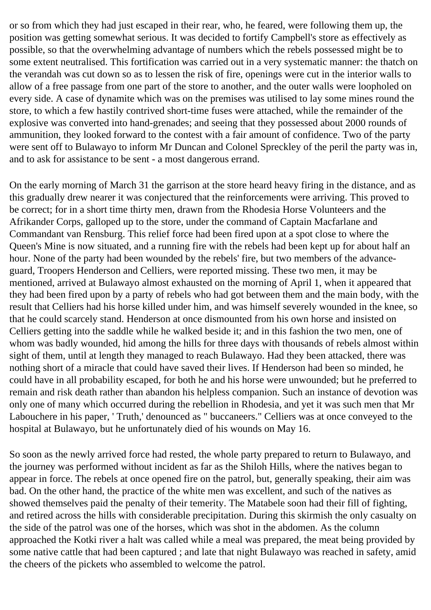or so from which they had just escaped in their rear, who, he feared, were following them up, the position was getting somewhat serious. It was decided to fortify Campbell's store as effectively as possible, so that the overwhelming advantage of numbers which the rebels possessed might be to some extent neutralised. This fortification was carried out in a very systematic manner: the thatch on the verandah was cut down so as to lessen the risk of fire, openings were cut in the interior walls to allow of a free passage from one part of the store to another, and the outer walls were loopholed on every side. A case of dynamite which was on the premises was utilised to lay some mines round the store, to which a few hastily contrived short-time fuses were attached, while the remainder of the explosive was converted into hand-grenades; and seeing that they possessed about 2000 rounds of ammunition, they looked forward to the contest with a fair amount of confidence. Two of the party were sent off to Bulawayo to inform Mr Duncan and Colonel Spreckley of the peril the party was in, and to ask for assistance to be sent - a most dangerous errand.

On the early morning of March 31 the garrison at the store heard heavy firing in the distance, and as this gradually drew nearer it was conjectured that the reinforcements were arriving. This proved to be correct; for in a short time thirty men, drawn from the Rhodesia Horse Volunteers and the Afrikander Corps, galloped up to the store, under the command of Captain Macfarlane and Commandant van Rensburg. This relief force had been fired upon at a spot close to where the Queen's Mine is now situated, and a running fire with the rebels had been kept up for about half an hour. None of the party had been wounded by the rebels' fire, but two members of the advanceguard, Troopers Henderson and Celliers, were reported missing. These two men, it may be mentioned, arrived at Bulawayo almost exhausted on the morning of April 1, when it appeared that they had been fired upon by a party of rebels who had got between them and the main body, with the result that Celliers had his horse killed under him, and was himself severely wounded in the knee, so that he could scarcely stand. Henderson at once dismounted from his own horse and insisted on Celliers getting into the saddle while he walked beside it; and in this fashion the two men, one of whom was badly wounded, hid among the hills for three days with thousands of rebels almost within sight of them, until at length they managed to reach Bulawayo. Had they been attacked, there was nothing short of a miracle that could have saved their lives. If Henderson had been so minded, he could have in all probability escaped, for both he and his horse were unwounded; but he preferred to remain and risk death rather than abandon his helpless companion. Such an instance of devotion was only one of many which occurred during the rebellion in Rhodesia, and yet it was such men that Mr Labouchere in his paper, ' Truth,' denounced as " buccaneers." Celliers was at once conveyed to the hospital at Bulawayo, but he unfortunately died of his wounds on May 16.

So soon as the newly arrived force had rested, the whole party prepared to return to Bulawayo, and the journey was performed without incident as far as the Shiloh Hills, where the natives began to appear in force. The rebels at once opened fire on the patrol, but, generally speaking, their aim was bad. On the other hand, the practice of the white men was excellent, and such of the natives as showed themselves paid the penalty of their temerity. The Matabele soon had their fill of fighting, and retired across the hills with considerable precipitation. During this skirmish the only casualty on the side of the patrol was one of the horses, which was shot in the abdomen. As the column approached the Kotki river a halt was called while a meal was prepared, the meat being provided by some native cattle that had been captured ; and late that night Bulawayo was reached in safety, amid the cheers of the pickets who assembled to welcome the patrol.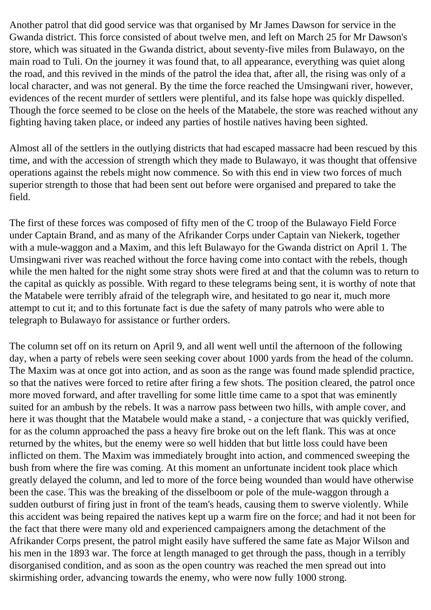Another patrol that did good service was that organised by Mr James Dawson for service in the Gwanda district. This force consisted of about twelve men, and left on March 25 for Mr Dawson's store, which was situated in the Gwanda district, about seventy-five miles from Bulawayo, on the main road to Tuli. On the journey it was found that, to all appearance, everything was quiet along the road, and this revived in the minds of the patrol the idea that, after all, the rising was only of a local character, and was not general. By the time the force reached the Umsingwani river, however, evidences of the recent murder of settlers were plentiful, and its false hope was quickly dispelled. Though the force seemed to be close on the heels of the Matabele, the store was reached without any fighting having taken place, or indeed any parties of hostile natives having been sighted.

Almost all of the settlers in the outlying districts that had escaped massacre had been rescued by this time, and with the accession of strength which they made to Bulawayo, it was thought that offensive operations against the rebels might now commence. So with this end in view two forces of much superior strength to those that had been sent out before were organised and prepared to take the field.

The first of these forces was composed of fifty men of the C troop of the Bulawayo Field Force under Captain Brand, and as many of the Afrikander Corps under Captain van Niekerk, together with a mule-waggon and a Maxim, and this left Bulawayo for the Gwanda district on April 1. The Umsingwani river was reached without the force having come into contact with the rebels, though while the men halted for the night some stray shots were fired at and that the column was to return to the capital as quickly as possible. With regard to these telegrams being sent, it is worthy of note that the Matabele were terribly afraid of the telegraph wire, and hesitated to go near it, much more attempt to cut it; and to this fortunate fact is due the safety of many patrols who were able to telegraph to Bulawayo for assistance or further orders.

The column set off on its return on April 9, and all went well until the afternoon of the following day, when a party of rebels were seen seeking cover about 1000 yards from the head of the column. The Maxim was at once got into action, and as soon as the range was found made splendid practice, so that the natives were forced to retire after firing a few shots. The position cleared, the patrol once more moved forward, and after travelling for some little time came to a spot that was eminently suited for an ambush by the rebels. It was a narrow pass between two hills, with ample cover, and here it was thought that the Matabele would make a stand, - a conjecture that was quickly verified, for as the column approached the pass a heavy fire broke out on the left flank. This was at once returned by the whites, but the enemy were so well hidden that but little loss could have been inflicted on them. The Maxim was immediately brought into action, and commenced sweeping the bush from where the fire was coming. At this moment an unfortunate incident took place which greatly delayed the column, and led to more of the force being wounded than would have otherwise been the case. This was the breaking of the disselboom or pole of the mule-waggon through a sudden outburst of firing just in front of the team's heads, causing them to swerve violently. While this accident was being repaired the natives kept up a warm fire on the force; and had it not been for the fact that there were many old and experienced campaigners among the detachment of the Afrikander Corps present, the patrol might easily have suffered the same fate as Major Wilson and his men in the 1893 war. The force at length managed to get through the pass, though in a terribly disorganised condition, and as soon as the open country was reached the men spread out into skirmishing order, advancing towards the enemy, who were now fully 1000 strong.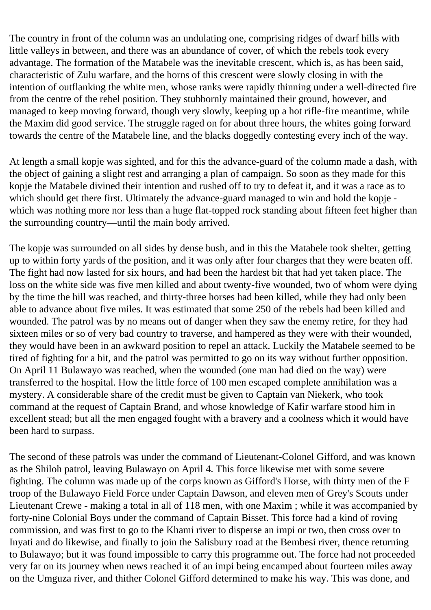The country in front of the column was an undulating one, comprising ridges of dwarf hills with little valleys in between, and there was an abundance of cover, of which the rebels took every advantage. The formation of the Matabele was the inevitable crescent, which is, as has been said, characteristic of Zulu warfare, and the horns of this crescent were slowly closing in with the intention of outflanking the white men, whose ranks were rapidly thinning under a well-directed fire from the centre of the rebel position. They stubbornly maintained their ground, however, and managed to keep moving forward, though very slowly, keeping up a hot rifle-fire meantime, while the Maxim did good service. The struggle raged on for about three hours, the whites going forward towards the centre of the Matabele line, and the blacks doggedly contesting every inch of the way.

At length a small kopje was sighted, and for this the advance-guard of the column made a dash, with the object of gaining a slight rest and arranging a plan of campaign. So soon as they made for this kopje the Matabele divined their intention and rushed off to try to defeat it, and it was a race as to which should get there first. Ultimately the advance-guard managed to win and hold the kopje which was nothing more nor less than a huge flat-topped rock standing about fifteen feet higher than the surrounding country—until the main body arrived.

The kopje was surrounded on all sides by dense bush, and in this the Matabele took shelter, getting up to within forty yards of the position, and it was only after four charges that they were beaten off. The fight had now lasted for six hours, and had been the hardest bit that had yet taken place. The loss on the white side was five men killed and about twenty-five wounded, two of whom were dying by the time the hill was reached, and thirty-three horses had been killed, while they had only been able to advance about five miles. It was estimated that some 250 of the rebels had been killed and wounded. The patrol was by no means out of danger when they saw the enemy retire, for they had sixteen miles or so of very bad country to traverse, and hampered as they were with their wounded, they would have been in an awkward position to repel an attack. Luckily the Matabele seemed to be tired of fighting for a bit, and the patrol was permitted to go on its way without further opposition. On April 11 Bulawayo was reached, when the wounded (one man had died on the way) were transferred to the hospital. How the little force of 100 men escaped complete annihilation was a mystery. A considerable share of the credit must be given to Captain van Niekerk, who took command at the request of Captain Brand, and whose knowledge of Kafir warfare stood him in excellent stead; but all the men engaged fought with a bravery and a coolness which it would have been hard to surpass.

The second of these patrols was under the command of Lieutenant-Colonel Gifford, and was known as the Shiloh patrol, leaving Bulawayo on April 4. This force likewise met with some severe fighting. The column was made up of the corps known as Gifford's Horse, with thirty men of the F troop of the Bulawayo Field Force under Captain Dawson, and eleven men of Grey's Scouts under Lieutenant Crewe - making a total in all of 118 men, with one Maxim ; while it was accompanied by forty-nine Colonial Boys under the command of Captain Bisset. This force had a kind of roving commission, and was first to go to the Khami river to disperse an impi or two, then cross over to Inyati and do likewise, and finally to join the Salisbury road at the Bembesi river, thence returning to Bulawayo; but it was found impossible to carry this programme out. The force had not proceeded very far on its journey when news reached it of an impi being encamped about fourteen miles away on the Umguza river, and thither Colonel Gifford determined to make his way. This was done, and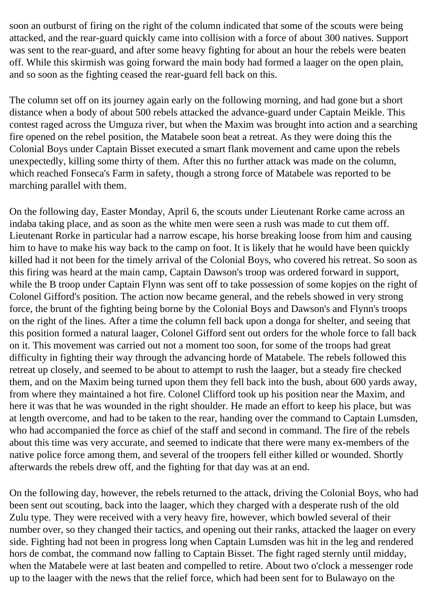soon an outburst of firing on the right of the column indicated that some of the scouts were being attacked, and the rear-guard quickly came into collision with a force of about 300 natives. Support was sent to the rear-guard, and after some heavy fighting for about an hour the rebels were beaten off. While this skirmish was going forward the main body had formed a laager on the open plain, and so soon as the fighting ceased the rear-guard fell back on this.

The column set off on its journey again early on the following morning, and had gone but a short distance when a body of about 500 rebels attacked the advance-guard under Captain Meikle. This contest raged across the Umguza river, but when the Maxim was brought into action and a searching fire opened on the rebel position, the Matabele soon beat a retreat. As they were doing this the Colonial Boys under Captain Bisset executed a smart flank movement and came upon the rebels unexpectedly, killing some thirty of them. After this no further attack was made on the column, which reached Fonseca's Farm in safety, though a strong force of Matabele was reported to be marching parallel with them.

On the following day, Easter Monday, April 6, the scouts under Lieutenant Rorke came across an indaba taking place, and as soon as the white men were seen a rush was made to cut them off. Lieutenant Rorke in particular had a narrow escape, his horse breaking loose from him and causing him to have to make his way back to the camp on foot. It is likely that he would have been quickly killed had it not been for the timely arrival of the Colonial Boys, who covered his retreat. So soon as this firing was heard at the main camp, Captain Dawson's troop was ordered forward in support, while the B troop under Captain Flynn was sent off to take possession of some kopjes on the right of Colonel Gifford's position. The action now became general, and the rebels showed in very strong force, the brunt of the fighting being borne by the Colonial Boys and Dawson's and Flynn's troops on the right of the lines. After a time the column fell back upon a donga for shelter, and seeing that this position formed a natural laager, Colonel Gifford sent out orders for the whole force to fall back on it. This movement was carried out not a moment too soon, for some of the troops had great difficulty in fighting their way through the advancing horde of Matabele. The rebels followed this retreat up closely, and seemed to be about to attempt to rush the laager, but a steady fire checked them, and on the Maxim being turned upon them they fell back into the bush, about 600 yards away, from where they maintained a hot fire. Colonel Clifford took up his position near the Maxim, and here it was that he was wounded in the right shoulder. He made an effort to keep his place, but was at length overcome, and had to be taken to the rear, handing over the command to Captain Lumsden, who had accompanied the force as chief of the staff and second in command. The fire of the rebels about this time was very accurate, and seemed to indicate that there were many ex-members of the native police force among them, and several of the troopers fell either killed or wounded. Shortly afterwards the rebels drew off, and the fighting for that day was at an end.

On the following day, however, the rebels returned to the attack, driving the Colonial Boys, who had been sent out scouting, back into the laager, which they charged with a desperate rush of the old Zulu type. They were received with a very heavy fire, however, which bowled several of their number over, so they changed their tactics, and opening out their ranks, attacked the laager on every side. Fighting had not been in progress long when Captain Lumsden was hit in the leg and rendered hors de combat, the command now falling to Captain Bisset. The fight raged sternly until midday, when the Matabele were at last beaten and compelled to retire. About two o'clock a messenger rode up to the laager with the news that the relief force, which had been sent for to Bulawayo on the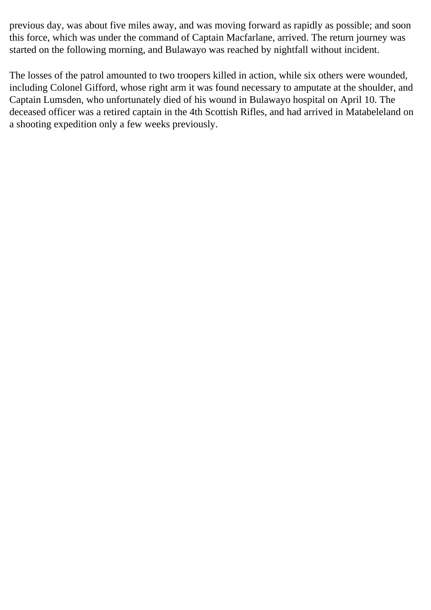previous day, was about five miles away, and was moving forward as rapidly as possible; and soon this force, which was under the command of Captain Macfarlane, arrived. The return journey was started on the following morning, and Bulawayo was reached by nightfall without incident.

The losses of the patrol amounted to two troopers killed in action, while six others were wounded, including Colonel Gifford, whose right arm it was found necessary to amputate at the shoulder, and Captain Lumsden, who unfortunately died of his wound in Bulawayo hospital on April 10. The deceased officer was a retired captain in the 4th Scottish Rifles, and had arrived in Matabeleland on a shooting expedition only a few weeks previously.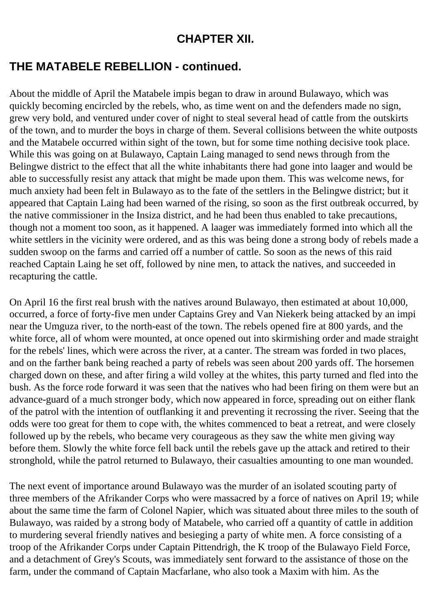#### **CHAPTER XII.**

#### **THE MATABELE REBELLION - continued.**

About the middle of April the Matabele impis began to draw in around Bulawayo, which was quickly becoming encircled by the rebels, who, as time went on and the defenders made no sign, grew very bold, and ventured under cover of night to steal several head of cattle from the outskirts of the town, and to murder the boys in charge of them. Several collisions between the white outposts and the Matabele occurred within sight of the town, but for some time nothing decisive took place. While this was going on at Bulawayo, Captain Laing managed to send news through from the Belingwe district to the effect that all the white inhabitants there had gone into laager and would be able to successfully resist any attack that might be made upon them. This was welcome news, for much anxiety had been felt in Bulawayo as to the fate of the settlers in the Belingwe district; but it appeared that Captain Laing had been warned of the rising, so soon as the first outbreak occurred, by the native commissioner in the Insiza district, and he had been thus enabled to take precautions, though not a moment too soon, as it happened. A laager was immediately formed into which all the white settlers in the vicinity were ordered, and as this was being done a strong body of rebels made a sudden swoop on the farms and carried off a number of cattle. So soon as the news of this raid reached Captain Laing he set off, followed by nine men, to attack the natives, and succeeded in recapturing the cattle.

On April 16 the first real brush with the natives around Bulawayo, then estimated at about 10,000, occurred, a force of forty-five men under Captains Grey and Van Niekerk being attacked by an impi near the Umguza river, to the north-east of the town. The rebels opened fire at 800 yards, and the white force, all of whom were mounted, at once opened out into skirmishing order and made straight for the rebels' lines, which were across the river, at a canter. The stream was forded in two places, and on the farther bank being reached a party of rebels was seen about 200 yards off. The horsemen charged down on these, and after firing a wild volley at the whites, this party turned and fled into the bush. As the force rode forward it was seen that the natives who had been firing on them were but an advance-guard of a much stronger body, which now appeared in force, spreading out on either flank of the patrol with the intention of outflanking it and preventing it recrossing the river. Seeing that the odds were too great for them to cope with, the whites commenced to beat a retreat, and were closely followed up by the rebels, who became very courageous as they saw the white men giving way before them. Slowly the white force fell back until the rebels gave up the attack and retired to their stronghold, while the patrol returned to Bulawayo, their casualties amounting to one man wounded.

The next event of importance around Bulawayo was the murder of an isolated scouting party of three members of the Afrikander Corps who were massacred by a force of natives on April 19; while about the same time the farm of Colonel Napier, which was situated about three miles to the south of Bulawayo, was raided by a strong body of Matabele, who carried off a quantity of cattle in addition to murdering several friendly natives and besieging a party of white men. A force consisting of a troop of the Afrikander Corps under Captain Pittendrigh, the K troop of the Bulawayo Field Force, and a detachment of Grey's Scouts, was immediately sent forward to the assistance of those on the farm, under the command of Captain Macfarlane, who also took a Maxim with him. As the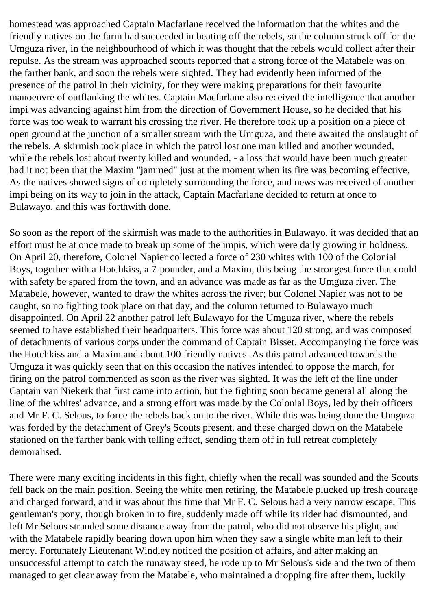homestead was approached Captain Macfarlane received the information that the whites and the friendly natives on the farm had succeeded in beating off the rebels, so the column struck off for the Umguza river, in the neighbourhood of which it was thought that the rebels would collect after their repulse. As the stream was approached scouts reported that a strong force of the Matabele was on the farther bank, and soon the rebels were sighted. They had evidently been informed of the presence of the patrol in their vicinity, for they were making preparations for their favourite manoeuvre of outflanking the whites. Captain Macfarlane also received the intelligence that another impi was advancing against him from the direction of Government House, so he decided that his force was too weak to warrant his crossing the river. He therefore took up a position on a piece of open ground at the junction of a smaller stream with the Umguza, and there awaited the onslaught of the rebels. A skirmish took place in which the patrol lost one man killed and another wounded, while the rebels lost about twenty killed and wounded, - a loss that would have been much greater had it not been that the Maxim "jammed" just at the moment when its fire was becoming effective. As the natives showed signs of completely surrounding the force, and news was received of another impi being on its way to join in the attack, Captain Macfarlane decided to return at once to Bulawayo, and this was forthwith done.

So soon as the report of the skirmish was made to the authorities in Bulawayo, it was decided that an effort must be at once made to break up some of the impis, which were daily growing in boldness. On April 20, therefore, Colonel Napier collected a force of 230 whites with 100 of the Colonial Boys, together with a Hotchkiss, a 7-pounder, and a Maxim, this being the strongest force that could with safety be spared from the town, and an advance was made as far as the Umguza river. The Matabele, however, wanted to draw the whites across the river; but Colonel Napier was not to be caught, so no fighting took place on that day, and the column returned to Bulawayo much disappointed. On April 22 another patrol left Bulawayo for the Umguza river, where the rebels seemed to have established their headquarters. This force was about 120 strong, and was composed of detachments of various corps under the command of Captain Bisset. Accompanying the force was the Hotchkiss and a Maxim and about 100 friendly natives. As this patrol advanced towards the Umguza it was quickly seen that on this occasion the natives intended to oppose the march, for firing on the patrol commenced as soon as the river was sighted. It was the left of the line under Captain van Niekerk that first came into action, but the fighting soon became general all along the line of the whites' advance, and a strong effort was made by the Colonial Boys, led by their officers and Mr F. C. Selous, to force the rebels back on to the river. While this was being done the Umguza was forded by the detachment of Grey's Scouts present, and these charged down on the Matabele stationed on the farther bank with telling effect, sending them off in full retreat completely demoralised.

There were many exciting incidents in this fight, chiefly when the recall was sounded and the Scouts fell back on the main position. Seeing the white men retiring, the Matabele plucked up fresh courage and charged forward, and it was about this time that Mr F. C. Selous had a very narrow escape. This gentleman's pony, though broken in to fire, suddenly made off while its rider had dismounted, and left Mr Selous stranded some distance away from the patrol, who did not observe his plight, and with the Matabele rapidly bearing down upon him when they saw a single white man left to their mercy. Fortunately Lieutenant Windley noticed the position of affairs, and after making an unsuccessful attempt to catch the runaway steed, he rode up to Mr Selous's side and the two of them managed to get clear away from the Matabele, who maintained a dropping fire after them, luckily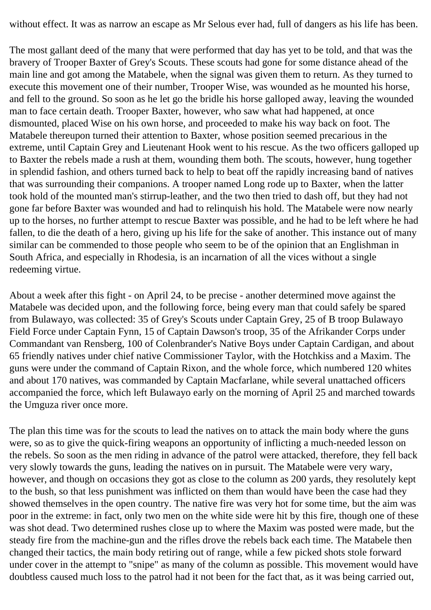without effect. It was as narrow an escape as Mr Selous ever had, full of dangers as his life has been.

The most gallant deed of the many that were performed that day has yet to be told, and that was the bravery of Trooper Baxter of Grey's Scouts. These scouts had gone for some distance ahead of the main line and got among the Matabele, when the signal was given them to return. As they turned to execute this movement one of their number, Trooper Wise, was wounded as he mounted his horse, and fell to the ground. So soon as he let go the bridle his horse galloped away, leaving the wounded man to face certain death. Trooper Baxter, however, who saw what had happened, at once dismounted, placed Wise on his own horse, and proceeded to make his way back on foot. The Matabele thereupon turned their attention to Baxter, whose position seemed precarious in the extreme, until Captain Grey and Lieutenant Hook went to his rescue. As the two officers galloped up to Baxter the rebels made a rush at them, wounding them both. The scouts, however, hung together in splendid fashion, and others turned back to help to beat off the rapidly increasing band of natives that was surrounding their companions. A trooper named Long rode up to Baxter, when the latter took hold of the mounted man's stirrup-leather, and the two then tried to dash off, but they had not gone far before Baxter was wounded and had to relinquish his hold. The Matabele were now nearly up to the horses, no further attempt to rescue Baxter was possible, and he had to be left where he had fallen, to die the death of a hero, giving up his life for the sake of another. This instance out of many similar can be commended to those people who seem to be of the opinion that an Englishman in South Africa, and especially in Rhodesia, is an incarnation of all the vices without a single redeeming virtue.

About a week after this fight - on April 24, to be precise - another determined move against the Matabele was decided upon, and the following force, being every man that could safely be spared from Bulawayo, was collected: 35 of Grey's Scouts under Captain Grey, 25 of B troop Bulawayo Field Force under Captain Fynn, 15 of Captain Dawson's troop, 35 of the Afrikander Corps under Commandant van Rensberg, 100 of Colenbrander's Native Boys under Captain Cardigan, and about 65 friendly natives under chief native Commissioner Taylor, with the Hotchkiss and a Maxim. The guns were under the command of Captain Rixon, and the whole force, which numbered 120 whites and about 170 natives, was commanded by Captain Macfarlane, while several unattached officers accompanied the force, which left Bulawayo early on the morning of April 25 and marched towards the Umguza river once more.

The plan this time was for the scouts to lead the natives on to attack the main body where the guns were, so as to give the quick-firing weapons an opportunity of inflicting a much-needed lesson on the rebels. So soon as the men riding in advance of the patrol were attacked, therefore, they fell back very slowly towards the guns, leading the natives on in pursuit. The Matabele were very wary, however, and though on occasions they got as close to the column as 200 yards, they resolutely kept to the bush, so that less punishment was inflicted on them than would have been the case had they showed themselves in the open country. The native fire was very hot for some time, but the aim was poor in the extreme: in fact, only two men on the white side were hit by this fire, though one of these was shot dead. Two determined rushes close up to where the Maxim was posted were made, but the steady fire from the machine-gun and the rifles drove the rebels back each time. The Matabele then changed their tactics, the main body retiring out of range, while a few picked shots stole forward under cover in the attempt to "snipe" as many of the column as possible. This movement would have doubtless caused much loss to the patrol had it not been for the fact that, as it was being carried out,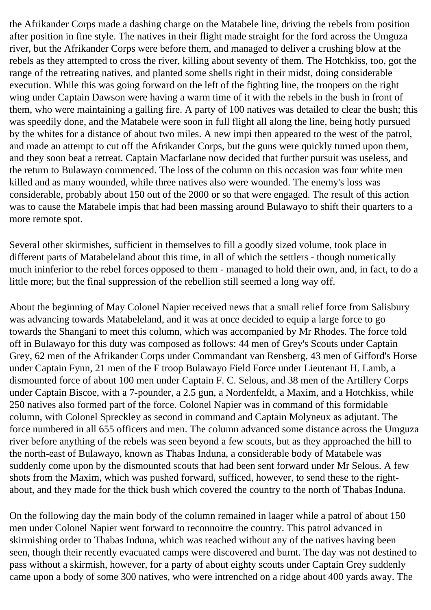the Afrikander Corps made a dashing charge on the Matabele line, driving the rebels from position after position in fine style. The natives in their flight made straight for the ford across the Umguza river, but the Afrikander Corps were before them, and managed to deliver a crushing blow at the rebels as they attempted to cross the river, killing about seventy of them. The Hotchkiss, too, got the range of the retreating natives, and planted some shells right in their midst, doing considerable execution. While this was going forward on the left of the fighting line, the troopers on the right wing under Captain Dawson were having a warm time of it with the rebels in the bush in front of them, who were maintaining a galling fire. A party of 100 natives was detailed to clear the bush; this was speedily done, and the Matabele were soon in full flight all along the line, being hotly pursued by the whites for a distance of about two miles. A new impi then appeared to the west of the patrol, and made an attempt to cut off the Afrikander Corps, but the guns were quickly turned upon them, and they soon beat a retreat. Captain Macfarlane now decided that further pursuit was useless, and the return to Bulawayo commenced. The loss of the column on this occasion was four white men killed and as many wounded, while three natives also were wounded. The enemy's loss was considerable, probably about 150 out of the 2000 or so that were engaged. The result of this action was to cause the Matabele impis that had been massing around Bulawayo to shift their quarters to a more remote spot.

Several other skirmishes, sufficient in themselves to fill a goodly sized volume, took place in different parts of Matabeleland about this time, in all of which the settlers - though numerically much ininferior to the rebel forces opposed to them - managed to hold their own, and, in fact, to do a little more; but the final suppression of the rebellion still seemed a long way off.

About the beginning of May Colonel Napier received news that a small relief force from Salisbury was advancing towards Matabeleland, and it was at once decided to equip a large force to go towards the Shangani to meet this column, which was accompanied by Mr Rhodes. The force told off in Bulawayo for this duty was composed as follows: 44 men of Grey's Scouts under Captain Grey, 62 men of the Afrikander Corps under Commandant van Rensberg, 43 men of Gifford's Horse under Captain Fynn, 21 men of the F troop Bulawayo Field Force under Lieutenant H. Lamb, a dismounted force of about 100 men under Captain F. C. Selous, and 38 men of the Artillery Corps under Captain Biscoe, with a 7-pounder, a 2.5 gun, a Nordenfeldt, a Maxim, and a Hotchkiss, while 250 natives also formed part of the force. Colonel Napier was in command of this formidable column, with Colonel Spreckley as second in command and Captain Molyneux as adjutant. The force numbered in all 655 officers and men. The column advanced some distance across the Umguza river before anything of the rebels was seen beyond a few scouts, but as they approached the hill to the north-east of Bulawayo, known as Thabas Induna, a considerable body of Matabele was suddenly come upon by the dismounted scouts that had been sent forward under Mr Selous. A few shots from the Maxim, which was pushed forward, sufficed, however, to send these to the rightabout, and they made for the thick bush which covered the country to the north of Thabas Induna.

On the following day the main body of the column remained in laager while a patrol of about 150 men under Colonel Napier went forward to reconnoitre the country. This patrol advanced in skirmishing order to Thabas Induna, which was reached without any of the natives having been seen, though their recently evacuated camps were discovered and burnt. The day was not destined to pass without a skirmish, however, for a party of about eighty scouts under Captain Grey suddenly came upon a body of some 300 natives, who were intrenched on a ridge about 400 yards away. The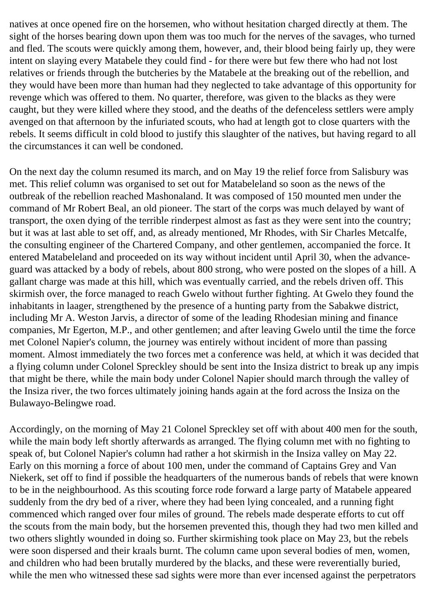natives at once opened fire on the horsemen, who without hesitation charged directly at them. The sight of the horses bearing down upon them was too much for the nerves of the savages, who turned and fled. The scouts were quickly among them, however, and, their blood being fairly up, they were intent on slaying every Matabele they could find - for there were but few there who had not lost relatives or friends through the butcheries by the Matabele at the breaking out of the rebellion, and they would have been more than human had they neglected to take advantage of this opportunity for revenge which was offered to them. No quarter, therefore, was given to the blacks as they were caught, but they were killed where they stood, and the deaths of the defenceless settlers were amply avenged on that afternoon by the infuriated scouts, who had at length got to close quarters with the rebels. It seems difficult in cold blood to justify this slaughter of the natives, but having regard to all the circumstances it can well be condoned.

On the next day the column resumed its march, and on May 19 the relief force from Salisbury was met. This relief column was organised to set out for Matabeleland so soon as the news of the outbreak of the rebellion reached Mashonaland. It was composed of 150 mounted men under the command of Mr Robert Beal, an old pioneer. The start of the corps was much delayed by want of transport, the oxen dying of the terrible rinderpest almost as fast as they were sent into the country; but it was at last able to set off, and, as already mentioned, Mr Rhodes, with Sir Charles Metcalfe, the consulting engineer of the Chartered Company, and other gentlemen, accompanied the force. It entered Matabeleland and proceeded on its way without incident until April 30, when the advanceguard was attacked by a body of rebels, about 800 strong, who were posted on the slopes of a hill. A gallant charge was made at this hill, which was eventually carried, and the rebels driven off. This skirmish over, the force managed to reach Gwelo without further fighting. At Gwelo they found the inhabitants in laager, strengthened by the presence of a hunting party from the Sabakwe district, including Mr A. Weston Jarvis, a director of some of the leading Rhodesian mining and finance companies, Mr Egerton, M.P., and other gentlemen; and after leaving Gwelo until the time the force met Colonel Napier's column, the journey was entirely without incident of more than passing moment. Almost immediately the two forces met a conference was held, at which it was decided that a flying column under Colonel Spreckley should be sent into the Insiza district to break up any impis that might be there, while the main body under Colonel Napier should march through the valley of the Insiza river, the two forces ultimately joining hands again at the ford across the Insiza on the Bulawayo-Belingwe road.

Accordingly, on the morning of May 21 Colonel Spreckley set off with about 400 men for the south, while the main body left shortly afterwards as arranged. The flying column met with no fighting to speak of, but Colonel Napier's column had rather a hot skirmish in the Insiza valley on May 22. Early on this morning a force of about 100 men, under the command of Captains Grey and Van Niekerk, set off to find if possible the headquarters of the numerous bands of rebels that were known to be in the neighbourhood. As this scouting force rode forward a large party of Matabele appeared suddenly from the dry bed of a river, where they had been lying concealed, and a running fight commenced which ranged over four miles of ground. The rebels made desperate efforts to cut off the scouts from the main body, but the horsemen prevented this, though they had two men killed and two others slightly wounded in doing so. Further skirmishing took place on May 23, but the rebels were soon dispersed and their kraals burnt. The column came upon several bodies of men, women, and children who had been brutally murdered by the blacks, and these were reverentially buried, while the men who witnessed these sad sights were more than ever incensed against the perpetrators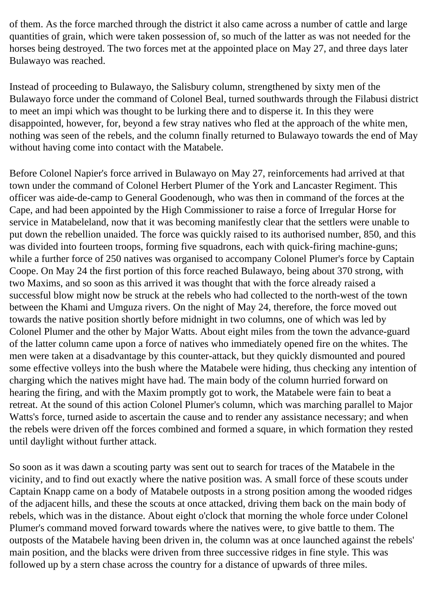of them. As the force marched through the district it also came across a number of cattle and large quantities of grain, which were taken possession of, so much of the latter as was not needed for the horses being destroyed. The two forces met at the appointed place on May 27, and three days later Bulawayo was reached.

Instead of proceeding to Bulawayo, the Salisbury column, strengthened by sixty men of the Bulawayo force under the command of Colonel Beal, turned southwards through the Filabusi district to meet an impi which was thought to be lurking there and to disperse it. In this they were disappointed, however, for, beyond a few stray natives who fled at the approach of the white men, nothing was seen of the rebels, and the column finally returned to Bulawayo towards the end of May without having come into contact with the Matabele.

Before Colonel Napier's force arrived in Bulawayo on May 27, reinforcements had arrived at that town under the command of Colonel Herbert Plumer of the York and Lancaster Regiment. This officer was aide-de-camp to General Goodenough, who was then in command of the forces at the Cape, and had been appointed by the High Commissioner to raise a force of Irregular Horse for service in Matabeleland, now that it was becoming manifestly clear that the settlers were unable to put down the rebellion unaided. The force was quickly raised to its authorised number, 850, and this was divided into fourteen troops, forming five squadrons, each with quick-firing machine-guns; while a further force of 250 natives was organised to accompany Colonel Plumer's force by Captain Coope. On May 24 the first portion of this force reached Bulawayo, being about 370 strong, with two Maxims, and so soon as this arrived it was thought that with the force already raised a successful blow might now be struck at the rebels who had collected to the north-west of the town between the Khami and Umguza rivers. On the night of May 24, therefore, the force moved out towards the native position shortly before midnight in two columns, one of which was led by Colonel Plumer and the other by Major Watts. About eight miles from the town the advance-guard of the latter column came upon a force of natives who immediately opened fire on the whites. The men were taken at a disadvantage by this counter-attack, but they quickly dismounted and poured some effective volleys into the bush where the Matabele were hiding, thus checking any intention of charging which the natives might have had. The main body of the column hurried forward on hearing the firing, and with the Maxim promptly got to work, the Matabele were fain to beat a retreat. At the sound of this action Colonel Plumer's column, which was marching parallel to Major Watts's force, turned aside to ascertain the cause and to render any assistance necessary; and when the rebels were driven off the forces combined and formed a square, in which formation they rested until daylight without further attack.

So soon as it was dawn a scouting party was sent out to search for traces of the Matabele in the vicinity, and to find out exactly where the native position was. A small force of these scouts under Captain Knapp came on a body of Matabele outposts in a strong position among the wooded ridges of the adjacent hills, and these the scouts at once attacked, driving them back on the main body of rebels, which was in the distance. About eight o'clock that morning the whole force under Colonel Plumer's command moved forward towards where the natives were, to give battle to them. The outposts of the Matabele having been driven in, the column was at once launched against the rebels' main position, and the blacks were driven from three successive ridges in fine style. This was followed up by a stern chase across the country for a distance of upwards of three miles.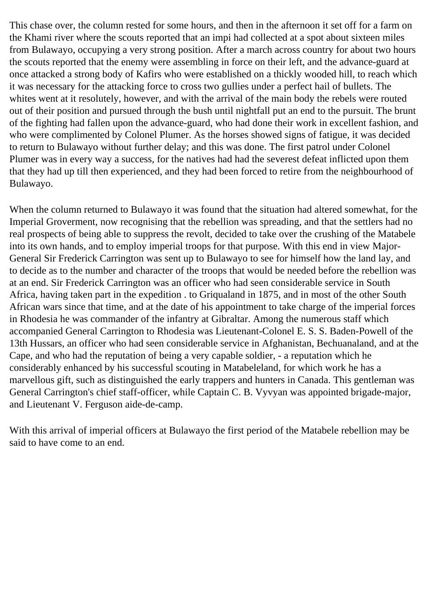This chase over, the column rested for some hours, and then in the afternoon it set off for a farm on the Khami river where the scouts reported that an impi had collected at a spot about sixteen miles from Bulawayo, occupying a very strong position. After a march across country for about two hours the scouts reported that the enemy were assembling in force on their left, and the advance-guard at once attacked a strong body of Kafirs who were established on a thickly wooded hill, to reach which it was necessary for the attacking force to cross two gullies under a perfect hail of bullets. The whites went at it resolutely, however, and with the arrival of the main body the rebels were routed out of their position and pursued through the bush until nightfall put an end to the pursuit. The brunt of the fighting had fallen upon the advance-guard, who had done their work in excellent fashion, and who were complimented by Colonel Plumer. As the horses showed signs of fatigue, it was decided to return to Bulawayo without further delay; and this was done. The first patrol under Colonel Plumer was in every way a success, for the natives had had the severest defeat inflicted upon them that they had up till then experienced, and they had been forced to retire from the neighbourhood of Bulawayo.

When the column returned to Bulawayo it was found that the situation had altered somewhat, for the Imperial Groverment, now recognising that the rebellion was spreading, and that the settlers had no real prospects of being able to suppress the revolt, decided to take over the crushing of the Matabele into its own hands, and to employ imperial troops for that purpose. With this end in view Major-General Sir Frederick Carrington was sent up to Bulawayo to see for himself how the land lay, and to decide as to the number and character of the troops that would be needed before the rebellion was at an end. Sir Frederick Carrington was an officer who had seen considerable service in South Africa, having taken part in the expedition . to Griqualand in 1875, and in most of the other South African wars since that time, and at the date of his appointment to take charge of the imperial forces in Rhodesia he was commander of the infantry at Gibraltar. Among the numerous staff which accompanied General Carrington to Rhodesia was Lieutenant-Colonel E. S. S. Baden-Powell of the 13th Hussars, an officer who had seen considerable service in Afghanistan, Bechuanaland, and at the Cape, and who had the reputation of being a very capable soldier, - a reputation which he considerably enhanced by his successful scouting in Matabeleland, for which work he has a marvellous gift, such as distinguished the early trappers and hunters in Canada. This gentleman was General Carrington's chief staff-officer, while Captain C. B. Vyvyan was appointed brigade-major, and Lieutenant V. Ferguson aide-de-camp.

With this arrival of imperial officers at Bulawayo the first period of the Matabele rebellion may be said to have come to an end.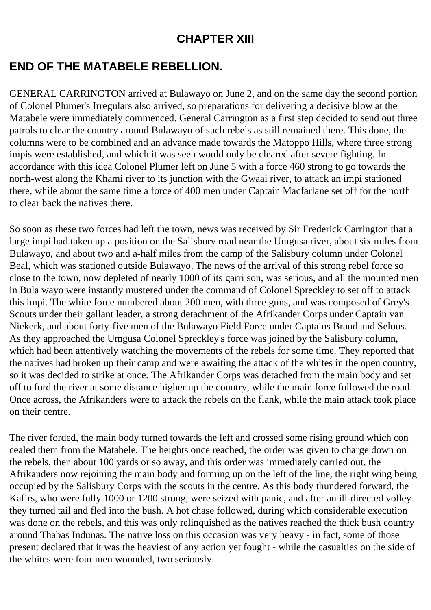### **CHAPTER XIII**

# **END OF THE MATABELE REBELLION.**

GENERAL CARRINGTON arrived at Bulawayo on June 2, and on the same day the second portion of Colonel Plumer's Irregulars also arrived, so preparations for delivering a decisive blow at the Matabele were immediately commenced. General Carrington as a first step decided to send out three patrols to clear the country around Bulawayo of such rebels as still remained there. This done, the columns were to be combined and an advance made towards the Matoppo Hills, where three strong impis were established, and which it was seen would only be cleared after severe fighting. In accordance with this idea Colonel Plumer left on June 5 with a force 460 strong to go towards the north-west along the Khami river to its junction with the Gwaai river, to attack an impi stationed there, while about the same time a force of 400 men under Captain Macfarlane set off for the north to clear back the natives there.

So soon as these two forces had left the town, news was received by Sir Frederick Carrington that a large impi had taken up a position on the Salisbury road near the Umgusa river, about six miles from Bulawayo, and about two and a-half miles from the camp of the Salisbury column under Colonel Beal, which was stationed outside Bulawayo. The news of the arrival of this strong rebel force so close to the town, now depleted of nearly 1000 of its garri son, was serious, and all the mounted men in Bula wayo were instantly mustered under the command of Colonel Spreckley to set off to attack this impi. The white force numbered about 200 men, with three guns, and was composed of Grey's Scouts under their gallant leader, a strong detachment of the Afrikander Corps under Captain van Niekerk, and about forty-five men of the Bulawayo Field Force under Captains Brand and Selous. As they approached the Umgusa Colonel Spreckley's force was joined by the Salisbury column, which had been attentively watching the movements of the rebels for some time. They reported that the natives had broken up their camp and were awaiting the attack of the whites in the open country, so it was decided to strike at once. The Afrikander Corps was detached from the main body and set off to ford the river at some distance higher up the country, while the main force followed the road. Once across, the Afrikanders were to attack the rebels on the flank, while the main attack took place on their centre.

The river forded, the main body turned towards the left and crossed some rising ground which con cealed them from the Matabele. The heights once reached, the order was given to charge down on the rebels, then about 100 yards or so away, and this order was immediately carried out, the Afrikanders now rejoining the main body and forming up on the left of the line, the right wing being occupied by the Salisbury Corps with the scouts in the centre. As this body thundered forward, the Kafirs, who were fully 1000 or 1200 strong, were seized with panic, and after an ill-directed volley they turned tail and fled into the bush. A hot chase followed, during which considerable execution was done on the rebels, and this was only relinquished as the natives reached the thick bush country around Thabas Indunas. The native loss on this occasion was very heavy - in fact, some of those present declared that it was the heaviest of any action yet fought - while the casualties on the side of the whites were four men wounded, two seriously.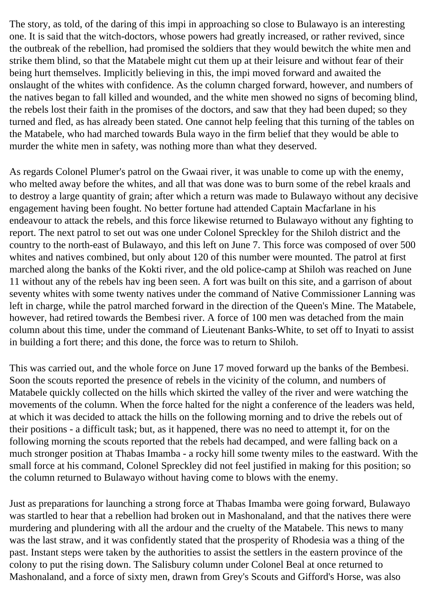The story, as told, of the daring of this impi in approaching so close to Bulawayo is an interesting one. It is said that the witch-doctors, whose powers had greatly increased, or rather revived, since the outbreak of the rebellion, had promised the soldiers that they would bewitch the white men and strike them blind, so that the Matabele might cut them up at their leisure and without fear of their being hurt themselves. Implicitly believing in this, the impi moved forward and awaited the onslaught of the whites with confidence. As the column charged forward, however, and numbers of the natives began to fall killed and wounded, and the white men showed no signs of becoming blind, the rebels lost their faith in the promises of the doctors, and saw that they had been duped; so they turned and fled, as has already been stated. One cannot help feeling that this turning of the tables on the Matabele, who had marched towards Bula wayo in the firm belief that they would be able to murder the white men in safety, was nothing more than what they deserved.

As regards Colonel Plumer's patrol on the Gwaai river, it was unable to come up with the enemy, who melted away before the whites, and all that was done was to burn some of the rebel kraals and to destroy a large quantity of grain; after which a return was made to Bulawayo without any decisive engagement having been fought. No better fortune had attended Captain Macfarlane in his endeavour to attack the rebels, and this force likewise returned to Bulawayo without any fighting to report. The next patrol to set out was one under Colonel Spreckley for the Shiloh district and the country to the north-east of Bulawayo, and this left on June 7. This force was composed of over 500 whites and natives combined, but only about 120 of this number were mounted. The patrol at first marched along the banks of the Kokti river, and the old police-camp at Shiloh was reached on June 11 without any of the rebels hav ing been seen. A fort was built on this site, and a garrison of about seventy whites with some twenty natives under the command of Native Commissioner Lanning was left in charge, while the patrol marched forward in the direction of the Queen's Mine. The Matabele, however, had retired towards the Bembesi river. A force of 100 men was detached from the main column about this time, under the command of Lieutenant Banks-White, to set off to Inyati to assist in building a fort there; and this done, the force was to return to Shiloh.

This was carried out, and the whole force on June 17 moved forward up the banks of the Bembesi. Soon the scouts reported the presence of rebels in the vicinity of the column, and numbers of Matabele quickly collected on the hills which skirted the valley of the river and were watching the movements of the column. When the force halted for the night a conference of the leaders was held, at which it was decided to attack the hills on the following morning and to drive the rebels out of their positions - a difficult task; but, as it happened, there was no need to attempt it, for on the following morning the scouts reported that the rebels had decamped, and were falling back on a much stronger position at Thabas Imamba - a rocky hill some twenty miles to the eastward. With the small force at his command, Colonel Spreckley did not feel justified in making for this position; so the column returned to Bulawayo without having come to blows with the enemy.

Just as preparations for launching a strong force at Thabas Imamba were going forward, Bulawayo was startled to hear that a rebellion had broken out in Mashonaland, and that the natives there were murdering and plundering with all the ardour and the cruelty of the Matabele. This news to many was the last straw, and it was confidently stated that the prosperity of Rhodesia was a thing of the past. Instant steps were taken by the authorities to assist the settlers in the eastern province of the colony to put the rising down. The Salisbury column under Colonel Beal at once returned to Mashonaland, and a force of sixty men, drawn from Grey's Scouts and Gifford's Horse, was also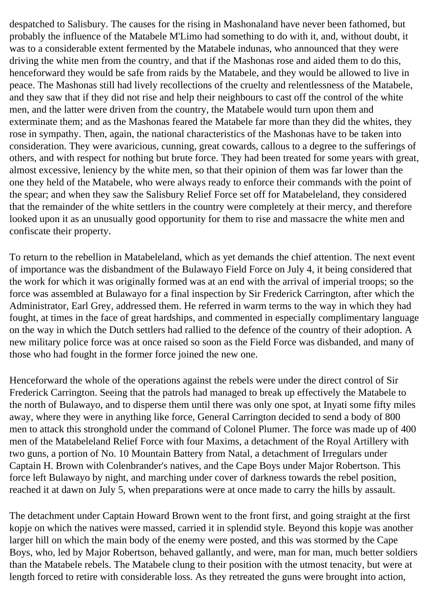despatched to Salisbury. The causes for the rising in Mashonaland have never been fathomed, but probably the influence of the Matabele M'Limo had something to do with it, and, without doubt, it was to a considerable extent fermented by the Matabele indunas, who announced that they were driving the white men from the country, and that if the Mashonas rose and aided them to do this, henceforward they would be safe from raids by the Matabele, and they would be allowed to live in peace. The Mashonas still had lively recollections of the cruelty and relentlessness of the Matabele, and they saw that if they did not rise and help their neighbours to cast off the control of the white men, and the latter were driven from the country, the Matabele would turn upon them and exterminate them; and as the Mashonas feared the Matabele far more than they did the whites, they rose in sympathy. Then, again, the national characteristics of the Mashonas have to be taken into consideration. They were avaricious, cunning, great cowards, callous to a degree to the sufferings of others, and with respect for nothing but brute force. They had been treated for some years with great, almost excessive, leniency by the white men, so that their opinion of them was far lower than the one they held of the Matabele, who were always ready to enforce their commands with the point of the spear; and when they saw the Salisbury Relief Force set off for Matabeleland, they considered that the remainder of the white settlers in the country were completely at their mercy, and therefore looked upon it as an unusually good opportunity for them to rise and massacre the white men and confiscate their property.

To return to the rebellion in Matabeleland, which as yet demands the chief attention. The next event of importance was the disbandment of the Bulawayo Field Force on July 4, it being considered that the work for which it was originally formed was at an end with the arrival of imperial troops; so the force was assembled at Bulawayo for a final inspection by Sir Frederick Carrington, after which the Administrator, Earl Grey, addressed them. He referred in warm terms to the way in which they had fought, at times in the face of great hardships, and commented in especially complimentary language on the way in which the Dutch settlers had rallied to the defence of the country of their adoption. A new military police force was at once raised so soon as the Field Force was disbanded, and many of those who had fought in the former force joined the new one.

Henceforward the whole of the operations against the rebels were under the direct control of Sir Frederick Carrington. Seeing that the patrols had managed to break up effectively the Matabele to the north of Bulawayo, and to disperse them until there was only one spot, at Inyati some fifty miles away, where they were in anything like force, General Carrington decided to send a body of 800 men to attack this stronghold under the command of Colonel Plumer. The force was made up of 400 men of the Matabeleland Relief Force with four Maxims, a detachment of the Royal Artillery with two guns, a portion of No. 10 Mountain Battery from Natal, a detachment of Irregulars under Captain H. Brown with Colenbrander's natives, and the Cape Boys under Major Robertson. This force left Bulawayo by night, and marching under cover of darkness towards the rebel position, reached it at dawn on July 5, when preparations were at once made to carry the hills by assault.

The detachment under Captain Howard Brown went to the front first, and going straight at the first kopje on which the natives were massed, carried it in splendid style. Beyond this kopje was another larger hill on which the main body of the enemy were posted, and this was stormed by the Cape Boys, who, led by Major Robertson, behaved gallantly, and were, man for man, much better soldiers than the Matabele rebels. The Matabele clung to their position with the utmost tenacity, but were at length forced to retire with considerable loss. As they retreated the guns were brought into action,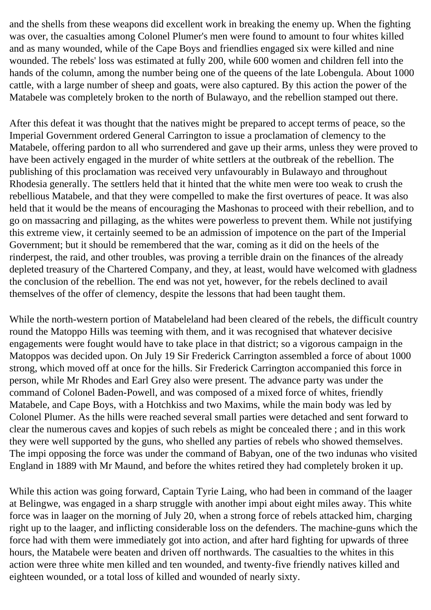and the shells from these weapons did excellent work in breaking the enemy up. When the fighting was over, the casualties among Colonel Plumer's men were found to amount to four whites killed and as many wounded, while of the Cape Boys and friendlies engaged six were killed and nine wounded. The rebels' loss was estimated at fully 200, while 600 women and children fell into the hands of the column, among the number being one of the queens of the late Lobengula. About 1000 cattle, with a large number of sheep and goats, were also captured. By this action the power of the Matabele was completely broken to the north of Bulawayo, and the rebellion stamped out there.

After this defeat it was thought that the natives might be prepared to accept terms of peace, so the Imperial Government ordered General Carrington to issue a proclamation of clemency to the Matabele, offering pardon to all who surrendered and gave up their arms, unless they were proved to have been actively engaged in the murder of white settlers at the outbreak of the rebellion. The publishing of this proclamation was received very unfavourably in Bulawayo and throughout Rhodesia generally. The settlers held that it hinted that the white men were too weak to crush the rebellious Matabele, and that they were compelled to make the first overtures of peace. It was also held that it would be the means of encouraging the Mashonas to proceed with their rebellion, and to go on massacring and pillaging, as the whites were powerless to prevent them. While not justifying this extreme view, it certainly seemed to be an admission of impotence on the part of the Imperial Government; but it should be remembered that the war, coming as it did on the heels of the rinderpest, the raid, and other troubles, was proving a terrible drain on the finances of the already depleted treasury of the Chartered Company, and they, at least, would have welcomed with gladness the conclusion of the rebellion. The end was not yet, however, for the rebels declined to avail themselves of the offer of clemency, despite the lessons that had been taught them.

While the north-western portion of Matabeleland had been cleared of the rebels, the difficult country round the Matoppo Hills was teeming with them, and it was recognised that whatever decisive engagements were fought would have to take place in that district; so a vigorous campaign in the Matoppos was decided upon. On July 19 Sir Frederick Carrington assembled a force of about 1000 strong, which moved off at once for the hills. Sir Frederick Carrington accompanied this force in person, while Mr Rhodes and Earl Grey also were present. The advance party was under the command of Colonel Baden-Powell, and was composed of a mixed force of whites, friendly Matabele, and Cape Boys, with a Hotchkiss and two Maxims, while the main body was led by Colonel Plumer. As the hills were reached several small parties were detached and sent forward to clear the numerous caves and kopjes of such rebels as might be concealed there ; and in this work they were well supported by the guns, who shelled any parties of rebels who showed themselves. The impi opposing the force was under the command of Babyan, one of the two indunas who visited England in 1889 with Mr Maund, and before the whites retired they had completely broken it up.

While this action was going forward, Captain Tyrie Laing, who had been in command of the laager at Belingwe, was engaged in a sharp struggle with another impi about eight miles away. This white force was in laager on the morning of July 20, when a strong force of rebels attacked him, charging right up to the laager, and inflicting considerable loss on the defenders. The machine-guns which the force had with them were immediately got into action, and after hard fighting for upwards of three hours, the Matabele were beaten and driven off northwards. The casualties to the whites in this action were three white men killed and ten wounded, and twenty-five friendly natives killed and eighteen wounded, or a total loss of killed and wounded of nearly sixty.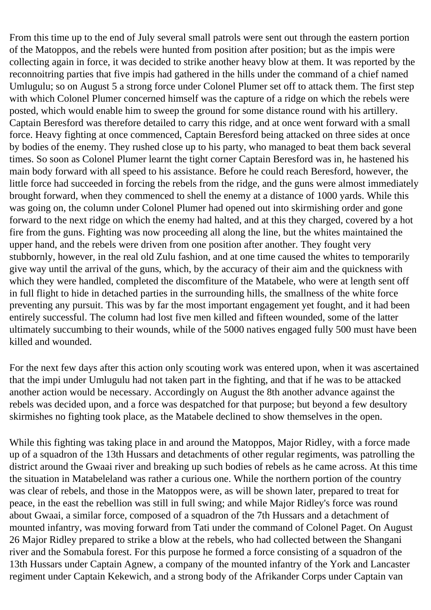From this time up to the end of July several small patrols were sent out through the eastern portion of the Matoppos, and the rebels were hunted from position after position; but as the impis were collecting again in force, it was decided to strike another heavy blow at them. It was reported by the reconnoitring parties that five impis had gathered in the hills under the command of a chief named Umlugulu; so on August 5 a strong force under Colonel Plumer set off to attack them. The first step with which Colonel Plumer concerned himself was the capture of a ridge on which the rebels were posted, which would enable him to sweep the ground for some distance round with his artillery. Captain Beresford was therefore detailed to carry this ridge, and at once went forward with a small force. Heavy fighting at once commenced, Captain Beresford being attacked on three sides at once by bodies of the enemy. They rushed close up to his party, who managed to beat them back several times. So soon as Colonel Plumer learnt the tight corner Captain Beresford was in, he hastened his main body forward with all speed to his assistance. Before he could reach Beresford, however, the little force had succeeded in forcing the rebels from the ridge, and the guns were almost immediately brought forward, when they commenced to shell the enemy at a distance of 1000 yards. While this was going on, the column under Colonel Plumer had opened out into skirmishing order and gone forward to the next ridge on which the enemy had halted, and at this they charged, covered by a hot fire from the guns. Fighting was now proceeding all along the line, but the whites maintained the upper hand, and the rebels were driven from one position after another. They fought very stubbornly, however, in the real old Zulu fashion, and at one time caused the whites to temporarily give way until the arrival of the guns, which, by the accuracy of their aim and the quickness with which they were handled, completed the discomfiture of the Matabele, who were at length sent off in full flight to hide in detached parties in the surrounding hills, the smallness of the white force preventing any pursuit. This was by far the most important engagement yet fought, and it had been entirely successful. The column had lost five men killed and fifteen wounded, some of the latter ultimately succumbing to their wounds, while of the 5000 natives engaged fully 500 must have been killed and wounded.

For the next few days after this action only scouting work was entered upon, when it was ascertained that the impi under Umlugulu had not taken part in the fighting, and that if he was to be attacked another action would be necessary. Accordingly on August the 8th another advance against the rebels was decided upon, and a force was despatched for that purpose; but beyond a few desultory skirmishes no fighting took place, as the Matabele declined to show themselves in the open.

While this fighting was taking place in and around the Matoppos, Major Ridley, with a force made up of a squadron of the 13th Hussars and detachments of other regular regiments, was patrolling the district around the Gwaai river and breaking up such bodies of rebels as he came across. At this time the situation in Matabeleland was rather a curious one. While the northern portion of the country was clear of rebels, and those in the Matoppos were, as will be shown later, prepared to treat for peace, in the east the rebellion was still in full swing; and while Major Ridley's force was round about Gwaai, a similar force, composed of a squadron of the 7th Hussars and a detachment of mounted infantry, was moving forward from Tati under the command of Colonel Paget. On August 26 Major Ridley prepared to strike a blow at the rebels, who had collected between the Shangani river and the Somabula forest. For this purpose he formed a force consisting of a squadron of the 13th Hussars under Captain Agnew, a company of the mounted infantry of the York and Lancaster regiment under Captain Kekewich, and a strong body of the Afrikander Corps under Captain van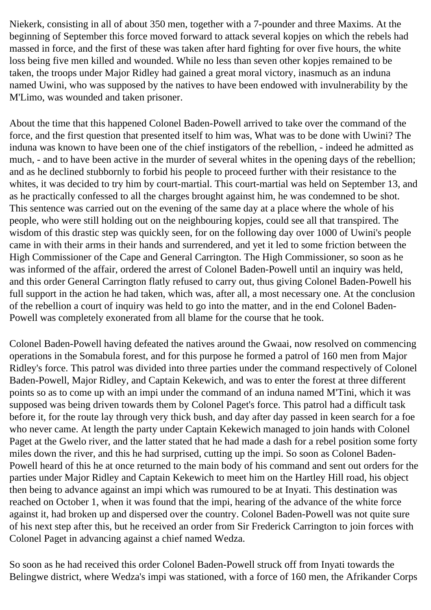Niekerk, consisting in all of about 350 men, together with a 7-pounder and three Maxims. At the beginning of September this force moved forward to attack several kopjes on which the rebels had massed in force, and the first of these was taken after hard fighting for over five hours, the white loss being five men killed and wounded. While no less than seven other kopjes remained to be taken, the troops under Major Ridley had gained a great moral victory, inasmuch as an induna named Uwini, who was supposed by the natives to have been endowed with invulnerability by the M'Limo, was wounded and taken prisoner.

About the time that this happened Colonel Baden-Powell arrived to take over the command of the force, and the first question that presented itself to him was, What was to be done with Uwini? The induna was known to have been one of the chief instigators of the rebellion, - indeed he admitted as much, - and to have been active in the murder of several whites in the opening days of the rebellion; and as he declined stubbornly to forbid his people to proceed further with their resistance to the whites, it was decided to try him by court-martial. This court-martial was held on September 13, and as he practically confessed to all the charges brought against him, he was condemned to be shot. This sentence was carried out on the evening of the same day at a place where the whole of his people, who were still holding out on the neighbouring kopjes, could see all that transpired. The wisdom of this drastic step was quickly seen, for on the following day over 1000 of Uwini's people came in with their arms in their hands and surrendered, and yet it led to some friction between the High Commissioner of the Cape and General Carrington. The High Commissioner, so soon as he was informed of the affair, ordered the arrest of Colonel Baden-Powell until an inquiry was held, and this order General Carrington flatly refused to carry out, thus giving Colonel Baden-Powell his full support in the action he had taken, which was, after all, a most necessary one. At the conclusion of the rebellion a court of inquiry was held to go into the matter, and in the end Colonel Baden-Powell was completely exonerated from all blame for the course that he took.

Colonel Baden-Powell having defeated the natives around the Gwaai, now resolved on commencing operations in the Somabula forest, and for this purpose he formed a patrol of 160 men from Major Ridley's force. This patrol was divided into three parties under the command respectively of Colonel Baden-Powell, Major Ridley, and Captain Kekewich, and was to enter the forest at three different points so as to come up with an impi under the command of an induna named M'Tini, which it was supposed was being driven towards them by Colonel Paget's force. This patrol had a difficult task before it, for the route lay through very thick bush, and day after day passed in keen search for a foe who never came. At length the party under Captain Kekewich managed to join hands with Colonel Paget at the Gwelo river, and the latter stated that he had made a dash for a rebel position some forty miles down the river, and this he had surprised, cutting up the impi. So soon as Colonel Baden-Powell heard of this he at once returned to the main body of his command and sent out orders for the parties under Major Ridley and Captain Kekewich to meet him on the Hartley Hill road, his object then being to advance against an impi which was rumoured to be at Inyati. This destination was reached on October 1, when it was found that the impi, hearing of the advance of the white force against it, had broken up and dispersed over the country. Colonel Baden-Powell was not quite sure of his next step after this, but he received an order from Sir Frederick Carrington to join forces with Colonel Paget in advancing against a chief named Wedza.

So soon as he had received this order Colonel Baden-Powell struck off from Inyati towards the Belingwe district, where Wedza's impi was stationed, with a force of 160 men, the Afrikander Corps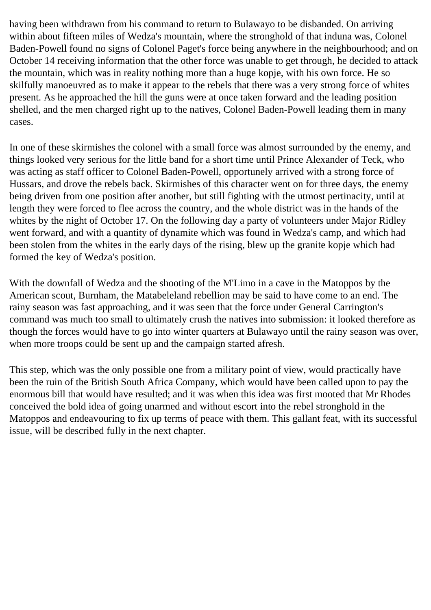having been withdrawn from his command to return to Bulawayo to be disbanded. On arriving within about fifteen miles of Wedza's mountain, where the stronghold of that induna was, Colonel Baden-Powell found no signs of Colonel Paget's force being anywhere in the neighbourhood; and on October 14 receiving information that the other force was unable to get through, he decided to attack the mountain, which was in reality nothing more than a huge kopje, with his own force. He so skilfully manoeuvred as to make it appear to the rebels that there was a very strong force of whites present. As he approached the hill the guns were at once taken forward and the leading position shelled, and the men charged right up to the natives, Colonel Baden-Powell leading them in many cases.

In one of these skirmishes the colonel with a small force was almost surrounded by the enemy, and things looked very serious for the little band for a short time until Prince Alexander of Teck, who was acting as staff officer to Colonel Baden-Powell, opportunely arrived with a strong force of Hussars, and drove the rebels back. Skirmishes of this character went on for three days, the enemy being driven from one position after another, but still fighting with the utmost pertinacity, until at length they were forced to flee across the country, and the whole district was in the hands of the whites by the night of October 17. On the following day a party of volunteers under Major Ridley went forward, and with a quantity of dynamite which was found in Wedza's camp, and which had been stolen from the whites in the early days of the rising, blew up the granite kopje which had formed the key of Wedza's position.

With the downfall of Wedza and the shooting of the M'Limo in a cave in the Matoppos by the American scout, Burnham, the Matabeleland rebellion may be said to have come to an end. The rainy season was fast approaching, and it was seen that the force under General Carrington's command was much too small to ultimately crush the natives into submission: it looked therefore as though the forces would have to go into winter quarters at Bulawayo until the rainy season was over, when more troops could be sent up and the campaign started afresh.

This step, which was the only possible one from a military point of view, would practically have been the ruin of the British South Africa Company, which would have been called upon to pay the enormous bill that would have resulted; and it was when this idea was first mooted that Mr Rhodes conceived the bold idea of going unarmed and without escort into the rebel stronghold in the Matoppos and endeavouring to fix up terms of peace with them. This gallant feat, with its successful issue, will be described fully in the next chapter.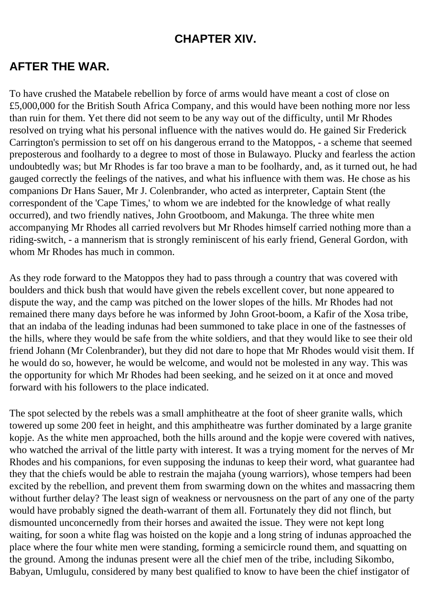### **CHAPTER XIV.**

#### **AFTER THE WAR.**

To have crushed the Matabele rebellion by force of arms would have meant a cost of close on £5,000,000 for the British South Africa Company, and this would have been nothing more nor less than ruin for them. Yet there did not seem to be any way out of the difficulty, until Mr Rhodes resolved on trying what his personal influence with the natives would do. He gained Sir Frederick Carrington's permission to set off on his dangerous errand to the Matoppos, - a scheme that seemed preposterous and foolhardy to a degree to most of those in Bulawayo. Plucky and fearless the action undoubtedly was; but Mr Rhodes is far too brave a man to be foolhardy, and, as it turned out, he had gauged correctly the feelings of the natives, and what his influence with them was. He chose as his companions Dr Hans Sauer, Mr J. Colenbrander, who acted as interpreter, Captain Stent (the correspondent of the 'Cape Times,' to whom we are indebted for the knowledge of what really occurred), and two friendly natives, John Grootboom, and Makunga. The three white men accompanying Mr Rhodes all carried revolvers but Mr Rhodes himself carried nothing more than a riding-switch, - a mannerism that is strongly reminiscent of his early friend, General Gordon, with whom Mr Rhodes has much in common.

As they rode forward to the Matoppos they had to pass through a country that was covered with boulders and thick bush that would have given the rebels excellent cover, but none appeared to dispute the way, and the camp was pitched on the lower slopes of the hills. Mr Rhodes had not remained there many days before he was informed by John Groot-boom, a Kafir of the Xosa tribe, that an indaba of the leading indunas had been summoned to take place in one of the fastnesses of the hills, where they would be safe from the white soldiers, and that they would like to see their old friend Johann (Mr Colenbrander), but they did not dare to hope that Mr Rhodes would visit them. If he would do so, however, he would be welcome, and would not be molested in any way. This was the opportunity for which Mr Rhodes had been seeking, and he seized on it at once and moved forward with his followers to the place indicated.

The spot selected by the rebels was a small amphitheatre at the foot of sheer granite walls, which towered up some 200 feet in height, and this amphitheatre was further dominated by a large granite kopje. As the white men approached, both the hills around and the kopje were covered with natives, who watched the arrival of the little party with interest. It was a trying moment for the nerves of Mr Rhodes and his companions, for even supposing the indunas to keep their word, what guarantee had they that the chiefs would be able to restrain the majaha (young warriors), whose tempers had been excited by the rebellion, and prevent them from swarming down on the whites and massacring them without further delay? The least sign of weakness or nervousness on the part of any one of the party would have probably signed the death-warrant of them all. Fortunately they did not flinch, but dismounted unconcernedly from their horses and awaited the issue. They were not kept long waiting, for soon a white flag was hoisted on the kopje and a long string of indunas approached the place where the four white men were standing, forming a semicircle round them, and squatting on the ground. Among the indunas present were all the chief men of the tribe, including Sikombo, Babyan, Umlugulu, considered by many best qualified to know to have been the chief instigator of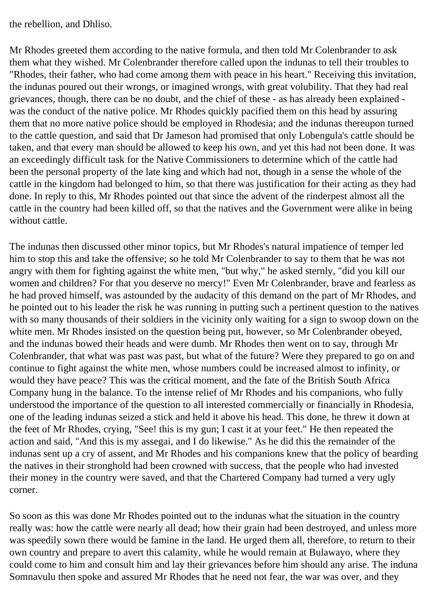the rebellion, and Dhliso.

Mr Rhodes greeted them according to the native formula, and then told Mr Colenbrander to ask them what they wished. Mr Colenbrander therefore called upon the indunas to tell their troubles to "Rhodes, their father, who had come among them with peace in his heart." Receiving this invitation, the indunas poured out their wrongs, or imagined wrongs, with great volubility. That they had real grievances, though, there can be no doubt, and the chief of these - as has already been explained was the conduct of the native police. Mr Rhodes quickly pacified them on this head by assuring them that no more native police should be employed in Rhodesia; and the indunas thereupon turned to the cattle question, and said that Dr Jameson had promised that only Lobengula's cattle should be taken, and that every man should be allowed to keep his own, and yet this had not been done. It was an exceedingly difficult task for the Native Commissioners to determine which of the cattle had been the personal property of the late king and which had not, though in a sense the whole of the cattle in the kingdom had belonged to him, so that there was justification for their acting as they had done. In reply to this, Mr Rhodes pointed out that since the advent of the rinderpest almost all the cattle in the country had been killed off, so that the natives and the Government were alike in being without cattle.

The indunas then discussed other minor topics, but Mr Rhodes's natural impatience of temper led him to stop this and take the offensive; so he told Mr Colenbrander to say to them that he was not angry with them for fighting against the white men, "but why," he asked sternly, "did you kill our women and children? For that you deserve no mercy!" Even Mr Colenbrander, brave and fearless as he had proved himself, was astounded by the audacity of this demand on the part of Mr Rhodes, and he pointed out to his leader the risk he was running in putting such a pertinent question to the natives with so many thousands of their soldiers in the vicinity only waiting for a sign to swoop down on the white men. Mr Rhodes insisted on the question being put, however, so Mr Colenbrander obeyed, and the indunas bowed their heads and were dumb. Mr Rhodes then went on to say, through Mr Colenbrander, that what was past was past, but what of the future? Were they prepared to go on and continue to fight against the white men, whose numbers could be increased almost to infinity, or would they have peace? This was the critical moment, and the fate of the British South Africa Company hung in the balance. To the intense relief of Mr Rhodes and his companions, who fully understood the importance of the question to all interested commercially or financially in Rhodesia, one of the leading indunas seized a stick and held it above his head. This done, he threw it down at the feet of Mr Rhodes, crying, "See! this is my gun; I cast it at your feet." He then repeated the action and said, "And this is my assegai, and I do likewise." As he did this the remainder of the indunas sent up a cry of assent, and Mr Rhodes and his companions knew that the policy of bearding the natives in their stronghold had been crowned with success, that the people who had invested their money in the country were saved, and that the Chartered Company had turned a very ugly corner.

So soon as this was done Mr Rhodes pointed out to the indunas what the situation in the country really was: how the cattle were nearly all dead; how their grain had been destroyed, and unless more was speedily sown there would be famine in the land. He urged them all, therefore, to return to their own country and prepare to avert this calamity, while he would remain at Bulawayo, where they could come to him and consult him and lay their grievances before him should any arise. The induna Somnavulu then spoke and assured Mr Rhodes that he need not fear, the war was over, and they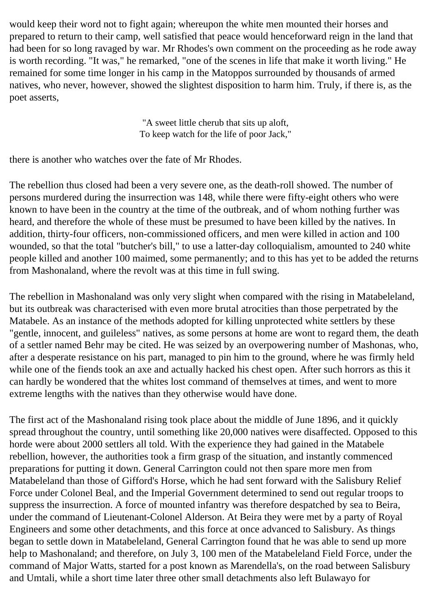would keep their word not to fight again; whereupon the white men mounted their horses and prepared to return to their camp, well satisfied that peace would henceforward reign in the land that had been for so long ravaged by war. Mr Rhodes's own comment on the proceeding as he rode away is worth recording. "It was," he remarked, "one of the scenes in life that make it worth living." He remained for some time longer in his camp in the Matoppos surrounded by thousands of armed natives, who never, however, showed the slightest disposition to harm him. Truly, if there is, as the poet asserts,

> "A sweet little cherub that sits up aloft, To keep watch for the life of poor Jack,"

there is another who watches over the fate of Mr Rhodes.

The rebellion thus closed had been a very severe one, as the death-roll showed. The number of persons murdered during the insurrection was 148, while there were fifty-eight others who were known to have been in the country at the time of the outbreak, and of whom nothing further was heard, and therefore the whole of these must be presumed to have been killed by the natives. In addition, thirty-four officers, non-commissioned officers, and men were killed in action and 100 wounded, so that the total "butcher's bill," to use a latter-day colloquialism, amounted to 240 white people killed and another 100 maimed, some permanently; and to this has yet to be added the returns from Mashonaland, where the revolt was at this time in full swing.

The rebellion in Mashonaland was only very slight when compared with the rising in Matabeleland, but its outbreak was characterised with even more brutal atrocities than those perpetrated by the Matabele. As an instance of the methods adopted for killing unprotected white settlers by these "gentle, innocent, and guileless" natives, as some persons at home are wont to regard them, the death of a settler named Behr may be cited. He was seized by an overpowering number of Mashonas, who, after a desperate resistance on his part, managed to pin him to the ground, where he was firmly held while one of the fiends took an axe and actually hacked his chest open. After such horrors as this it can hardly be wondered that the whites lost command of themselves at times, and went to more extreme lengths with the natives than they otherwise would have done.

The first act of the Mashonaland rising took place about the middle of June 1896, and it quickly spread throughout the country, until something like 20,000 natives were disaffected. Opposed to this horde were about 2000 settlers all told. With the experience they had gained in the Matabele rebellion, however, the authorities took a firm grasp of the situation, and instantly commenced preparations for putting it down. General Carrington could not then spare more men from Matabeleland than those of Gifford's Horse, which he had sent forward with the Salisbury Relief Force under Colonel Beal, and the Imperial Government determined to send out regular troops to suppress the insurrection. A force of mounted infantry was therefore despatched by sea to Beira, under the command of Lieutenant-Colonel Alderson. At Beira they were met by a party of Royal Engineers and some other detachments, and this force at once advanced to Salisbury. As things began to settle down in Matabeleland, General Carrington found that he was able to send up more help to Mashonaland; and therefore, on July 3, 100 men of the Matabeleland Field Force, under the command of Major Watts, started for a post known as Marendella's, on the road between Salisbury and Umtali, while a short time later three other small detachments also left Bulawayo for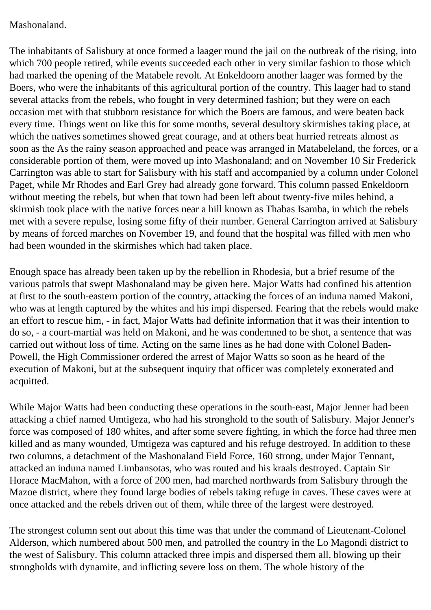#### Mashonaland.

The inhabitants of Salisbury at once formed a laager round the jail on the outbreak of the rising, into which 700 people retired, while events succeeded each other in very similar fashion to those which had marked the opening of the Matabele revolt. At Enkeldoorn another laager was formed by the Boers, who were the inhabitants of this agricultural portion of the country. This laager had to stand several attacks from the rebels, who fought in very determined fashion; but they were on each occasion met with that stubborn resistance for which the Boers are famous, and were beaten back every time. Things went on like this for some months, several desultory skirmishes taking place, at which the natives sometimes showed great courage, and at others beat hurried retreats almost as soon as the As the rainy season approached and peace was arranged in Matabeleland, the forces, or a considerable portion of them, were moved up into Mashonaland; and on November 10 Sir Frederick Carrington was able to start for Salisbury with his staff and accompanied by a column under Colonel Paget, while Mr Rhodes and Earl Grey had already gone forward. This column passed Enkeldoorn without meeting the rebels, but when that town had been left about twenty-five miles behind, a skirmish took place with the native forces near a hill known as Thabas Isamba, in which the rebels met with a severe repulse, losing some fifty of their number. General Carrington arrived at Salisbury by means of forced marches on November 19, and found that the hospital was filled with men who had been wounded in the skirmishes which had taken place.

Enough space has already been taken up by the rebellion in Rhodesia, but a brief resume of the various patrols that swept Mashonaland may be given here. Major Watts had confined his attention at first to the south-eastern portion of the country, attacking the forces of an induna named Makoni, who was at length captured by the whites and his impi dispersed. Fearing that the rebels would make an effort to rescue him, - in fact, Major Watts had definite information that it was their intention to do so, - a court-martial was held on Makoni, and he was condemned to be shot, a sentence that was carried out without loss of time. Acting on the same lines as he had done with Colonel Baden-Powell, the High Commissioner ordered the arrest of Major Watts so soon as he heard of the execution of Makoni, but at the subsequent inquiry that officer was completely exonerated and acquitted.

While Major Watts had been conducting these operations in the south-east, Major Jenner had been attacking a chief named Umtigeza, who had his stronghold to the south of Salisbury. Major Jenner's force was composed of 180 whites, and after some severe fighting, in which the force had three men killed and as many wounded, Umtigeza was captured and his refuge destroyed. In addition to these two columns, a detachment of the Mashonaland Field Force, 160 strong, under Major Tennant, attacked an induna named Limbansotas, who was routed and his kraals destroyed. Captain Sir Horace MacMahon, with a force of 200 men, had marched northwards from Salisbury through the Mazoe district, where they found large bodies of rebels taking refuge in caves. These caves were at once attacked and the rebels driven out of them, while three of the largest were destroyed.

The strongest column sent out about this time was that under the command of Lieutenant-Colonel Alderson, which numbered about 500 men, and patrolled the country in the Lo Magondi district to the west of Salisbury. This column attacked three impis and dispersed them all, blowing up their strongholds with dynamite, and inflicting severe loss on them. The whole history of the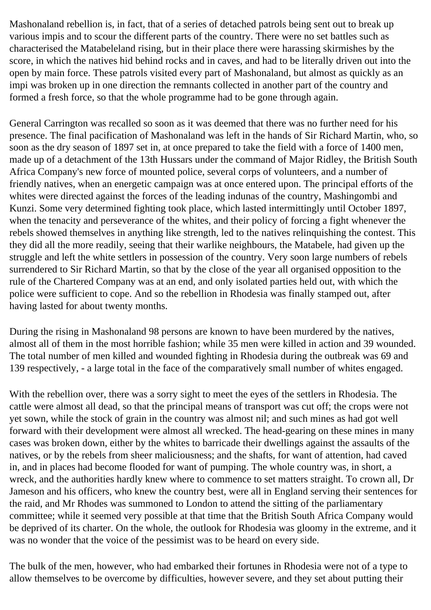Mashonaland rebellion is, in fact, that of a series of detached patrols being sent out to break up various impis and to scour the different parts of the country. There were no set battles such as characterised the Matabeleland rising, but in their place there were harassing skirmishes by the score, in which the natives hid behind rocks and in caves, and had to be literally driven out into the open by main force. These patrols visited every part of Mashonaland, but almost as quickly as an impi was broken up in one direction the remnants collected in another part of the country and formed a fresh force, so that the whole programme had to be gone through again.

General Carrington was recalled so soon as it was deemed that there was no further need for his presence. The final pacification of Mashonaland was left in the hands of Sir Richard Martin, who, so soon as the dry season of 1897 set in, at once prepared to take the field with a force of 1400 men, made up of a detachment of the 13th Hussars under the command of Major Ridley, the British South Africa Company's new force of mounted police, several corps of volunteers, and a number of friendly natives, when an energetic campaign was at once entered upon. The principal efforts of the whites were directed against the forces of the leading indunas of the country, Mashingombi and Kunzi. Some very determined fighting took place, which lasted intermittingly until October 1897, when the tenacity and perseverance of the whites, and their policy of forcing a fight whenever the rebels showed themselves in anything like strength, led to the natives relinquishing the contest. This they did all the more readily, seeing that their warlike neighbours, the Matabele, had given up the struggle and left the white settlers in possession of the country. Very soon large numbers of rebels surrendered to Sir Richard Martin, so that by the close of the year all organised opposition to the rule of the Chartered Company was at an end, and only isolated parties held out, with which the police were sufficient to cope. And so the rebellion in Rhodesia was finally stamped out, after having lasted for about twenty months.

During the rising in Mashonaland 98 persons are known to have been murdered by the natives, almost all of them in the most horrible fashion; while 35 men were killed in action and 39 wounded. The total number of men killed and wounded fighting in Rhodesia during the outbreak was 69 and 139 respectively, - a large total in the face of the comparatively small number of whites engaged.

With the rebellion over, there was a sorry sight to meet the eyes of the settlers in Rhodesia. The cattle were almost all dead, so that the principal means of transport was cut off; the crops were not yet sown, while the stock of grain in the country was almost nil; and such mines as had got well forward with their development were almost all wrecked. The head-gearing on these mines in many cases was broken down, either by the whites to barricade their dwellings against the assaults of the natives, or by the rebels from sheer maliciousness; and the shafts, for want of attention, had caved in, and in places had become flooded for want of pumping. The whole country was, in short, a wreck, and the authorities hardly knew where to commence to set matters straight. To crown all, Dr Jameson and his officers, who knew the country best, were all in England serving their sentences for the raid, and Mr Rhodes was summoned to London to attend the sitting of the parliamentary committee; while it seemed very possible at that time that the British South Africa Company would be deprived of its charter. On the whole, the outlook for Rhodesia was gloomy in the extreme, and it was no wonder that the voice of the pessimist was to be heard on every side.

The bulk of the men, however, who had embarked their fortunes in Rhodesia were not of a type to allow themselves to be overcome by difficulties, however severe, and they set about putting their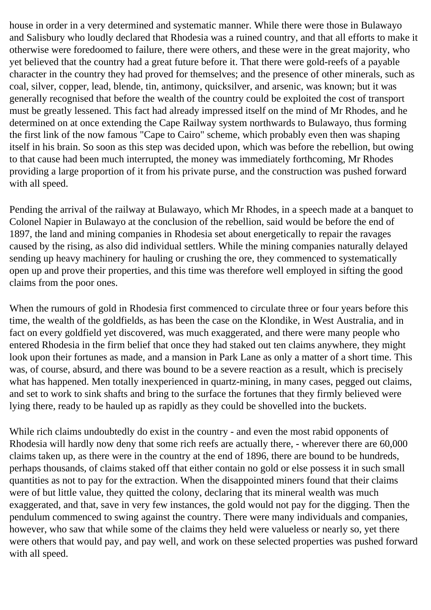house in order in a very determined and systematic manner. While there were those in Bulawayo and Salisbury who loudly declared that Rhodesia was a ruined country, and that all efforts to make it otherwise were foredoomed to failure, there were others, and these were in the great majority, who yet believed that the country had a great future before it. That there were gold-reefs of a payable character in the country they had proved for themselves; and the presence of other minerals, such as coal, silver, copper, lead, blende, tin, antimony, quicksilver, and arsenic, was known; but it was generally recognised that before the wealth of the country could be exploited the cost of transport must be greatly lessened. This fact had already impressed itself on the mind of Mr Rhodes, and he determined on at once extending the Cape Railway system northwards to Bulawayo, thus forming the first link of the now famous "Cape to Cairo" scheme, which probably even then was shaping itself in his brain. So soon as this step was decided upon, which was before the rebellion, but owing to that cause had been much interrupted, the money was immediately forthcoming, Mr Rhodes providing a large proportion of it from his private purse, and the construction was pushed forward with all speed.

Pending the arrival of the railway at Bulawayo, which Mr Rhodes, in a speech made at a banquet to Colonel Napier in Bulawayo at the conclusion of the rebellion, said would be before the end of 1897, the land and mining companies in Rhodesia set about energetically to repair the ravages caused by the rising, as also did individual settlers. While the mining companies naturally delayed sending up heavy machinery for hauling or crushing the ore, they commenced to systematically open up and prove their properties, and this time was therefore well employed in sifting the good claims from the poor ones.

When the rumours of gold in Rhodesia first commenced to circulate three or four years before this time, the wealth of the goldfields, as has been the case on the Klondike, in West Australia, and in fact on every goldfield yet discovered, was much exaggerated, and there were many people who entered Rhodesia in the firm belief that once they had staked out ten claims anywhere, they might look upon their fortunes as made, and a mansion in Park Lane as only a matter of a short time. This was, of course, absurd, and there was bound to be a severe reaction as a result, which is precisely what has happened. Men totally inexperienced in quartz-mining, in many cases, pegged out claims, and set to work to sink shafts and bring to the surface the fortunes that they firmly believed were lying there, ready to be hauled up as rapidly as they could be shovelled into the buckets.

While rich claims undoubtedly do exist in the country - and even the most rabid opponents of Rhodesia will hardly now deny that some rich reefs are actually there, - wherever there are 60,000 claims taken up, as there were in the country at the end of 1896, there are bound to be hundreds, perhaps thousands, of claims staked off that either contain no gold or else possess it in such small quantities as not to pay for the extraction. When the disappointed miners found that their claims were of but little value, they quitted the colony, declaring that its mineral wealth was much exaggerated, and that, save in very few instances, the gold would not pay for the digging. Then the pendulum commenced to swing against the country. There were many individuals and companies, however, who saw that while some of the claims they held were valueless or nearly so, yet there were others that would pay, and pay well, and work on these selected properties was pushed forward with all speed.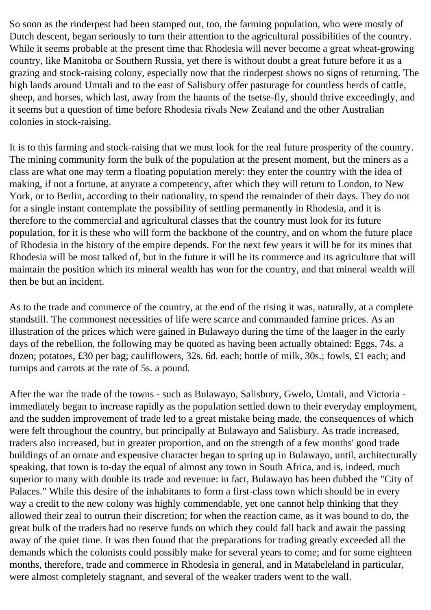So soon as the rinderpest had been stamped out, too, the farming population, who were mostly of Dutch descent, began seriously to turn their attention to the agricultural possibilities of the country. While it seems probable at the present time that Rhodesia will never become a great wheat-growing country, like Manitoba or Southern Russia, yet there is without doubt a great future before it as a grazing and stock-raising colony, especially now that the rinderpest shows no signs of returning. The high lands around Umtali and to the east of Salisbury offer pasturage for countless herds of cattle, sheep, and horses, which last, away from the haunts of the tsetse-fly, should thrive exceedingly, and it seems but a question of time before Rhodesia rivals New Zealand and the other Australian colonies in stock-raising.

It is to this farming and stock-raising that we must look for the real future prosperity of the country. The mining community form the bulk of the population at the present moment, but the miners as a class are what one may term a floating population merely: they enter the country with the idea of making, if not a fortune, at anyrate a competency, after which they will return to London, to New York, or to Berlin, according to their nationality, to spend the remainder of their days. They do not for a single instant contemplate the possibility of settling permanently in Rhodesia, and it is therefore to the commercial and agricultural classes that the country must look for its future population, for it is these who will form the backbone of the country, and on whom the future place of Rhodesia in the history of the empire depends. For the next few years it will be for its mines that Rhodesia will be most talked of, but in the future it will be its commerce and its agriculture that will maintain the position which its mineral wealth has won for the country, and that mineral wealth will then be but an incident.

As to the trade and commerce of the country, at the end of the rising it was, naturally, at a complete standstill. The commonest necessities of life were scarce and commanded famine prices. As an illustration of the prices which were gained in Bulawayo during the time of the laager in the early days of the rebellion, the following may be quoted as having been actually obtained: Eggs, 74s. a dozen; potatoes, £30 per bag; cauliflowers, 32s. 6d. each; bottle of milk, 30s.; fowls, £1 each; and turnips and carrots at the rate of 5s. a pound.

After the war the trade of the towns - such as Bulawayo, Salisbury, Gwelo, Umtali, and Victoria immediately began to increase rapidly as the population settled down to their everyday employment, and the sudden improvement of trade led to a great mistake being made, the consequences of which were felt throughout the country, but principally at Bulawayo and Salisbury. As trade increased, traders also increased, but in greater proportion, and on the strength of a few months' good trade buildings of an ornate and expensive character began to spring up in Bulawayo, until, architecturally speaking, that town is to-day the equal of almost any town in South Africa, and is, indeed, much superior to many with double its trade and revenue: in fact, Bulawayo has been dubbed the "City of Palaces." While this desire of the inhabitants to form a first-class town which should be in every way a credit to the new colony was highly commendable, yet one cannot help thinking that they allowed their zeal to outrun their discretion; for when the reaction came, as it was bound to do, the great bulk of the traders had no reserve funds on which they could fall back and await the passing away of the quiet time. It was then found that the preparations for trading greatly exceeded all the demands which the colonists could possibly make for several years to come; and for some eighteen months, therefore, trade and commerce in Rhodesia in general, and in Matabeleland in particular, were almost completely stagnant, and several of the weaker traders went to the wall.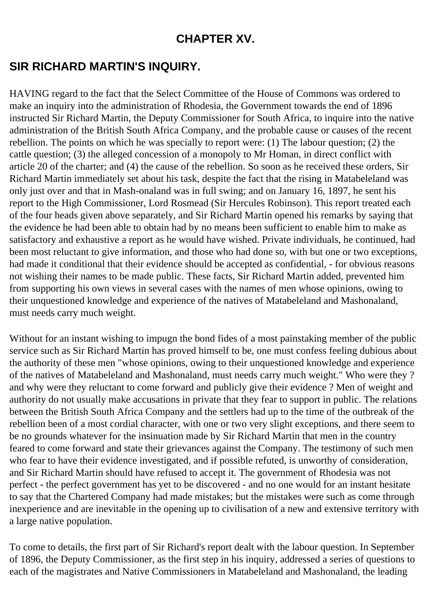#### **CHAPTER XV.**

## **SIR RICHARD MARTIN'S INQUIRY.**

HAVING regard to the fact that the Select Committee of the House of Commons was ordered to make an inquiry into the administration of Rhodesia, the Government towards the end of 1896 instructed Sir Richard Martin, the Deputy Commissioner for South Africa, to inquire into the native administration of the British South Africa Company, and the probable cause or causes of the recent rebellion. The points on which he was specially to report were: (1) The labour question; (2) the cattle question; (3) the alleged concession of a monopoly to Mr Homan, in direct conflict with article 20 of the charter; and (4) the cause of the rebellion. So soon as he received these orders, Sir Richard Martin immediately set about his task, despite the fact that the rising in Matabeleland was only just over and that in Mash-onaland was in full swing; and on January 16, 1897, he sent his report to the High Commissioner, Lord Rosmead (Sir Hercules Robinson). This report treated each of the four heads given above separately, and Sir Richard Martin opened his remarks by saying that the evidence he had been able to obtain had by no means been sufficient to enable him to make as satisfactory and exhaustive a report as he would have wished. Private individuals, he continued, had been most reluctant to give information, and those who had done so, with but one or two exceptions, had made it conditional that their evidence should be accepted as confidential, - for obvious reasons not wishing their names to be made public. These facts, Sir Richard Martin added, prevented him from supporting his own views in several cases with the names of men whose opinions, owing to their unquestioned knowledge and experience of the natives of Matabeleland and Mashonaland, must needs carry much weight.

Without for an instant wishing to impugn the bond fides of a most painstaking member of the public service such as Sir Richard Martin has proved himself to be, one must confess feeling dubious about the authority of these men "whose opinions, owing to their unquestioned knowledge and experience of the natives of Matabeleland and Mashonaland, must needs carry much weight." Who were they ? and why were they reluctant to come forward and publicly give their evidence ? Men of weight and authority do not usually make accusations in private that they fear to support in public. The relations between the British South Africa Company and the settlers had up to the time of the outbreak of the rebellion been of a most cordial character, with one or two very slight exceptions, and there seem to be no grounds whatever for the insinuation made by Sir Richard Martin that men in the country feared to come forward and state their grievances against the Company. The testimony of such men who fear to have their evidence investigated, and if possible refuted, is unworthy of consideration, and Sir Richard Martin should have refused to accept it. The government of Rhodesia was not perfect - the perfect government has yet to be discovered - and no one would for an instant hesitate to say that the Chartered Company had made mistakes; but the mistakes were such as come through inexperience and are inevitable in the opening up to civilisation of a new and extensive territory with a large native population.

To come to details, the first part of Sir Richard's report dealt with the labour question. In September of 1896, the Deputy Commissioner, as the first step in his inquiry, addressed a series of questions to each of the magistrates and Native Commissioners in Matabeleland and Mashonaland, the leading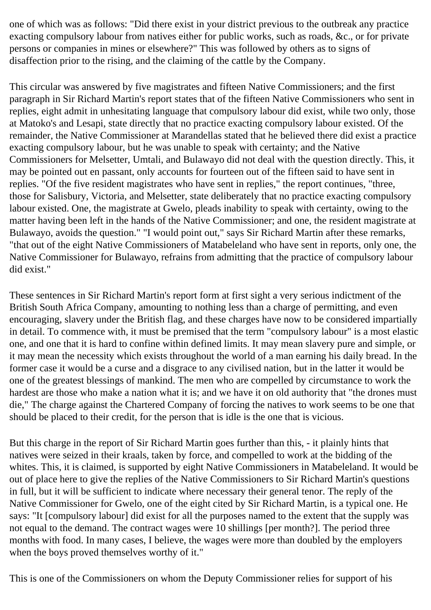one of which was as follows: "Did there exist in your district previous to the outbreak any practice exacting compulsory labour from natives either for public works, such as roads, &c., or for private persons or companies in mines or elsewhere?" This was followed by others as to signs of disaffection prior to the rising, and the claiming of the cattle by the Company.

This circular was answered by five magistrates and fifteen Native Commissioners; and the first paragraph in Sir Richard Martin's report states that of the fifteen Native Commissioners who sent in replies, eight admit in unhesitating language that compulsory labour did exist, while two only, those at Matoko's and Lesapi, state directly that no practice exacting compulsory labour existed. Of the remainder, the Native Commissioner at Marandellas stated that he believed there did exist a practice exacting compulsory labour, but he was unable to speak with certainty; and the Native Commissioners for Melsetter, Umtali, and Bulawayo did not deal with the question directly. This, it may be pointed out en passant, only accounts for fourteen out of the fifteen said to have sent in replies. "Of the five resident magistrates who have sent in replies," the report continues, "three, those for Salisbury, Victoria, and Melsetter, state deliberately that no practice exacting compulsory labour existed. One, the magistrate at Gwelo, pleads inability to speak with certainty, owing to the matter having been left in the hands of the Native Commissioner; and one, the resident magistrate at Bulawayo, avoids the question." "I would point out," says Sir Richard Martin after these remarks, "that out of the eight Native Commissioners of Matabeleland who have sent in reports, only one, the Native Commissioner for Bulawayo, refrains from admitting that the practice of compulsory labour did exist."

These sentences in Sir Richard Martin's report form at first sight a very serious indictment of the British South Africa Company, amounting to nothing less than a charge of permitting, and even encouraging, slavery under the British flag, and these charges have now to be considered impartially in detail. To commence with, it must be premised that the term "compulsory labour" is a most elastic one, and one that it is hard to confine within defined limits. It may mean slavery pure and simple, or it may mean the necessity which exists throughout the world of a man earning his daily bread. In the former case it would be a curse and a disgrace to any civilised nation, but in the latter it would be one of the greatest blessings of mankind. The men who are compelled by circumstance to work the hardest are those who make a nation what it is; and we have it on old authority that "the drones must die," The charge against the Chartered Company of forcing the natives to work seems to be one that should be placed to their credit, for the person that is idle is the one that is vicious.

But this charge in the report of Sir Richard Martin goes further than this, - it plainly hints that natives were seized in their kraals, taken by force, and compelled to work at the bidding of the whites. This, it is claimed, is supported by eight Native Commissioners in Matabeleland. It would be out of place here to give the replies of the Native Commissioners to Sir Richard Martin's questions in full, but it will be sufficient to indicate where necessary their general tenor. The reply of the Native Commissioner for Gwelo, one of the eight cited by Sir Richard Martin, is a typical one. He says: "It [compulsory labour] did exist for all the purposes named to the extent that the supply was not equal to the demand. The contract wages were 10 shillings [per month?]. The period three months with food. In many cases, I believe, the wages were more than doubled by the employers when the boys proved themselves worthy of it."

This is one of the Commissioners on whom the Deputy Commissioner relies for support of his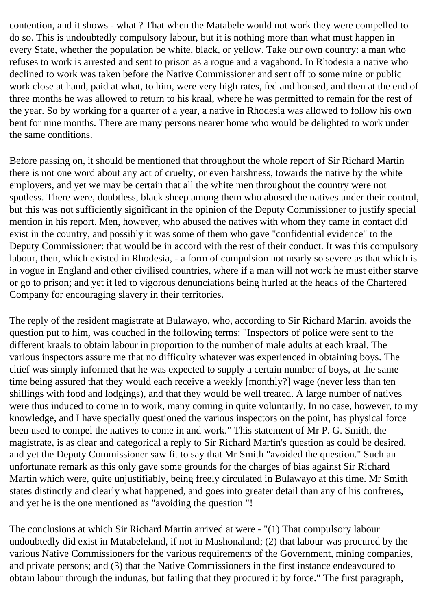contention, and it shows - what ? That when the Matabele would not work they were compelled to do so. This is undoubtedly compulsory labour, but it is nothing more than what must happen in every State, whether the population be white, black, or yellow. Take our own country: a man who refuses to work is arrested and sent to prison as a rogue and a vagabond. In Rhodesia a native who declined to work was taken before the Native Commissioner and sent off to some mine or public work close at hand, paid at what, to him, were very high rates, fed and housed, and then at the end of three months he was allowed to return to his kraal, where he was permitted to remain for the rest of the year. So by working for a quarter of a year, a native in Rhodesia was allowed to follow his own bent for nine months. There are many persons nearer home who would be delighted to work under the same conditions.

Before passing on, it should be mentioned that throughout the whole report of Sir Richard Martin there is not one word about any act of cruelty, or even harshness, towards the native by the white employers, and yet we may be certain that all the white men throughout the country were not spotless. There were, doubtless, black sheep among them who abused the natives under their control, but this was not sufficiently significant in the opinion of the Deputy Commissioner to justify special mention in his report. Men, however, who abused the natives with whom they came in contact did exist in the country, and possibly it was some of them who gave "confidential evidence" to the Deputy Commissioner: that would be in accord with the rest of their conduct. It was this compulsory labour, then, which existed in Rhodesia, - a form of compulsion not nearly so severe as that which is in vogue in England and other civilised countries, where if a man will not work he must either starve or go to prison; and yet it led to vigorous denunciations being hurled at the heads of the Chartered Company for encouraging slavery in their territories.

The reply of the resident magistrate at Bulawayo, who, according to Sir Richard Martin, avoids the question put to him, was couched in the following terms: "Inspectors of police were sent to the different kraals to obtain labour in proportion to the number of male adults at each kraal. The various inspectors assure me that no difficulty whatever was experienced in obtaining boys. The chief was simply informed that he was expected to supply a certain number of boys, at the same time being assured that they would each receive a weekly [monthly?] wage (never less than ten shillings with food and lodgings), and that they would be well treated. A large number of natives were thus induced to come in to work, many coming in quite voluntarily. In no case, however, to my knowledge, and I have specially questioned the various inspectors on the point, has physical force been used to compel the natives to come in and work." This statement of Mr P. G. Smith, the magistrate, is as clear and categorical a reply to Sir Richard Martin's question as could be desired, and yet the Deputy Commissioner saw fit to say that Mr Smith "avoided the question." Such an unfortunate remark as this only gave some grounds for the charges of bias against Sir Richard Martin which were, quite unjustifiably, being freely circulated in Bulawayo at this time. Mr Smith states distinctly and clearly what happened, and goes into greater detail than any of his confreres, and yet he is the one mentioned as "avoiding the question "!

The conclusions at which Sir Richard Martin arrived at were - "(1) That compulsory labour undoubtedly did exist in Matabeleland, if not in Mashonaland; (2) that labour was procured by the various Native Commissioners for the various requirements of the Government, mining companies, and private persons; and (3) that the Native Commissioners in the first instance endeavoured to obtain labour through the indunas, but failing that they procured it by force." The first paragraph,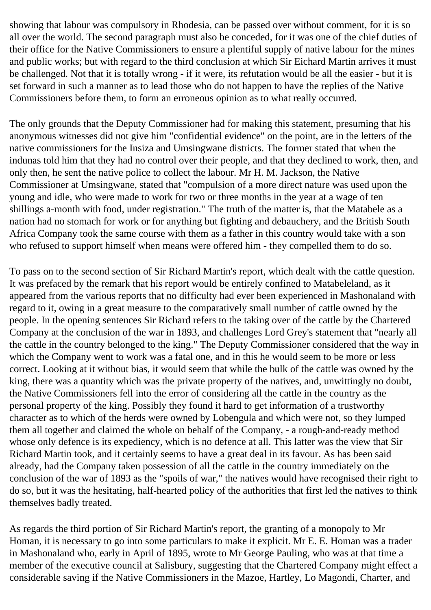showing that labour was compulsory in Rhodesia, can be passed over without comment, for it is so all over the world. The second paragraph must also be conceded, for it was one of the chief duties of their office for the Native Commissioners to ensure a plentiful supply of native labour for the mines and public works; but with regard to the third conclusion at which Sir Eichard Martin arrives it must be challenged. Not that it is totally wrong - if it were, its refutation would be all the easier - but it is set forward in such a manner as to lead those who do not happen to have the replies of the Native Commissioners before them, to form an erroneous opinion as to what really occurred.

The only grounds that the Deputy Commissioner had for making this statement, presuming that his anonymous witnesses did not give him "confidential evidence" on the point, are in the letters of the native commissioners for the Insiza and Umsingwane districts. The former stated that when the indunas told him that they had no control over their people, and that they declined to work, then, and only then, he sent the native police to collect the labour. Mr H. M. Jackson, the Native Commissioner at Umsingwane, stated that "compulsion of a more direct nature was used upon the young and idle, who were made to work for two or three months in the year at a wage of ten shillings a-month with food, under registration." The truth of the matter is, that the Matabele as a nation had no stomach for work or for anything but fighting and debauchery, and the British South Africa Company took the same course with them as a father in this country would take with a son who refused to support himself when means were offered him - they compelled them to do so.

To pass on to the second section of Sir Richard Martin's report, which dealt with the cattle question. It was prefaced by the remark that his report would be entirely confined to Matabeleland, as it appeared from the various reports that no difficulty had ever been experienced in Mashonaland with regard to it, owing in a great measure to the comparatively small number of cattle owned by the people. In the opening sentences Sir Richard refers to the taking over of the cattle by the Chartered Company at the conclusion of the war in 1893, and challenges Lord Grey's statement that "nearly all the cattle in the country belonged to the king." The Deputy Commissioner considered that the way in which the Company went to work was a fatal one, and in this he would seem to be more or less correct. Looking at it without bias, it would seem that while the bulk of the cattle was owned by the king, there was a quantity which was the private property of the natives, and, unwittingly no doubt, the Native Commissioners fell into the error of considering all the cattle in the country as the personal property of the king. Possibly they found it hard to get information of a trustworthy character as to which of the herds were owned by Lobengula and which were not, so they lumped them all together and claimed the whole on behalf of the Company, - a rough-and-ready method whose only defence is its expediency, which is no defence at all. This latter was the view that Sir Richard Martin took, and it certainly seems to have a great deal in its favour. As has been said already, had the Company taken possession of all the cattle in the country immediately on the conclusion of the war of 1893 as the "spoils of war," the natives would have recognised their right to do so, but it was the hesitating, half-hearted policy of the authorities that first led the natives to think themselves badly treated.

As regards the third portion of Sir Richard Martin's report, the granting of a monopoly to Mr Homan, it is necessary to go into some particulars to make it explicit. Mr E. E. Homan was a trader in Mashonaland who, early in April of 1895, wrote to Mr George Pauling, who was at that time a member of the executive council at Salisbury, suggesting that the Chartered Company might effect a considerable saving if the Native Commissioners in the Mazoe, Hartley, Lo Magondi, Charter, and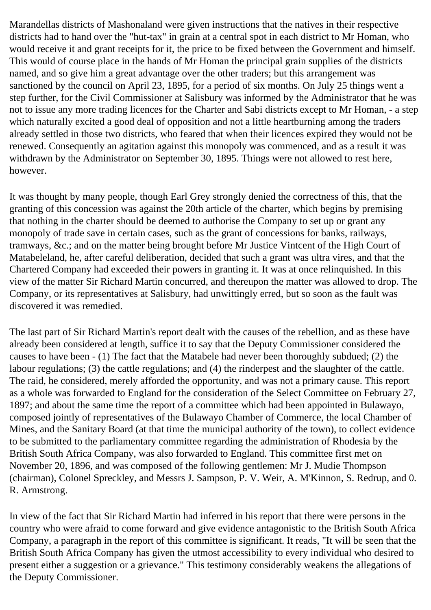Marandellas districts of Mashonaland were given instructions that the natives in their respective districts had to hand over the "hut-tax" in grain at a central spot in each district to Mr Homan, who would receive it and grant receipts for it, the price to be fixed between the Government and himself. This would of course place in the hands of Mr Homan the principal grain supplies of the districts named, and so give him a great advantage over the other traders; but this arrangement was sanctioned by the council on April 23, 1895, for a period of six months. On July 25 things went a step further, for the Civil Commissioner at Salisbury was informed by the Administrator that he was not to issue any more trading licences for the Charter and Sabi districts except to Mr Homan, - a step which naturally excited a good deal of opposition and not a little heartburning among the traders already settled in those two districts, who feared that when their licences expired they would not be renewed. Consequently an agitation against this monopoly was commenced, and as a result it was withdrawn by the Administrator on September 30, 1895. Things were not allowed to rest here, however.

It was thought by many people, though Earl Grey strongly denied the correctness of this, that the granting of this concession was against the 20th article of the charter, which begins by premising that nothing in the charter should be deemed to authorise the Company to set up or grant any monopoly of trade save in certain cases, such as the grant of concessions for banks, railways, tramways, &c.; and on the matter being brought before Mr Justice Vintcent of the High Court of Matabeleland, he, after careful deliberation, decided that such a grant was ultra vires, and that the Chartered Company had exceeded their powers in granting it. It was at once relinquished. In this view of the matter Sir Richard Martin concurred, and thereupon the matter was allowed to drop. The Company, or its representatives at Salisbury, had unwittingly erred, but so soon as the fault was discovered it was remedied.

The last part of Sir Richard Martin's report dealt with the causes of the rebellion, and as these have already been considered at length, suffice it to say that the Deputy Commissioner considered the causes to have been - (1) The fact that the Matabele had never been thoroughly subdued; (2) the labour regulations; (3) the cattle regulations; and (4) the rinderpest and the slaughter of the cattle. The raid, he considered, merely afforded the opportunity, and was not a primary cause. This report as a whole was forwarded to England for the consideration of the Select Committee on February 27, 1897; and about the same time the report of a committee which had been appointed in Bulawayo, composed jointly of representatives of the Bulawayo Chamber of Commerce, the local Chamber of Mines, and the Sanitary Board (at that time the municipal authority of the town), to collect evidence to be submitted to the parliamentary committee regarding the administration of Rhodesia by the British South Africa Company, was also forwarded to England. This committee first met on November 20, 1896, and was composed of the following gentlemen: Mr J. Mudie Thompson (chairman), Colonel Spreckley, and Messrs J. Sampson, P. V. Weir, A. M'Kinnon, S. Redrup, and 0. R. Armstrong.

In view of the fact that Sir Richard Martin had inferred in his report that there were persons in the country who were afraid to come forward and give evidence antagonistic to the British South Africa Company, a paragraph in the report of this committee is significant. It reads, "It will be seen that the British South Africa Company has given the utmost accessibility to every individual who desired to present either a suggestion or a grievance." This testimony considerably weakens the allegations of the Deputy Commissioner.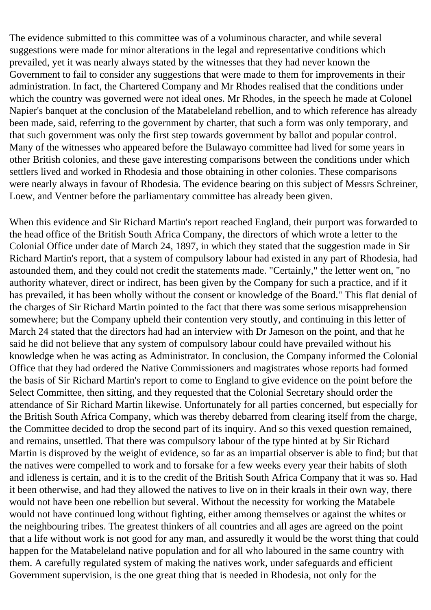The evidence submitted to this committee was of a voluminous character, and while several suggestions were made for minor alterations in the legal and representative conditions which prevailed, yet it was nearly always stated by the witnesses that they had never known the Government to fail to consider any suggestions that were made to them for improvements in their administration. In fact, the Chartered Company and Mr Rhodes realised that the conditions under which the country was governed were not ideal ones. Mr Rhodes, in the speech he made at Colonel Napier's banquet at the conclusion of the Matabeleland rebellion, and to which reference has already been made, said, referring to the government by charter, that such a form was only temporary, and that such government was only the first step towards government by ballot and popular control. Many of the witnesses who appeared before the Bulawayo committee had lived for some years in other British colonies, and these gave interesting comparisons between the conditions under which settlers lived and worked in Rhodesia and those obtaining in other colonies. These comparisons were nearly always in favour of Rhodesia. The evidence bearing on this subject of Messrs Schreiner, Loew, and Ventner before the parliamentary committee has already been given.

When this evidence and Sir Richard Martin's report reached England, their purport was forwarded to the head office of the British South Africa Company, the directors of which wrote a letter to the Colonial Office under date of March 24, 1897, in which they stated that the suggestion made in Sir Richard Martin's report, that a system of compulsory labour had existed in any part of Rhodesia, had astounded them, and they could not credit the statements made. "Certainly," the letter went on, "no authority whatever, direct or indirect, has been given by the Company for such a practice, and if it has prevailed, it has been wholly without the consent or knowledge of the Board." This flat denial of the charges of Sir Richard Martin pointed to the fact that there was some serious misapprehension somewhere; but the Company upheld their contention very stoutly, and continuing in this letter of March 24 stated that the directors had had an interview with Dr Jameson on the point, and that he said he did not believe that any system of compulsory labour could have prevailed without his knowledge when he was acting as Administrator. In conclusion, the Company informed the Colonial Office that they had ordered the Native Commissioners and magistrates whose reports had formed the basis of Sir Richard Martin's report to come to England to give evidence on the point before the Select Committee, then sitting, and they requested that the Colonial Secretary should order the attendance of Sir Richard Martin likewise. Unfortunately for all parties concerned, but especially for the British South Africa Company, which was thereby debarred from clearing itself from the charge, the Committee decided to drop the second part of its inquiry. And so this vexed question remained, and remains, unsettled. That there was compulsory labour of the type hinted at by Sir Richard Martin is disproved by the weight of evidence, so far as an impartial observer is able to find; but that the natives were compelled to work and to forsake for a few weeks every year their habits of sloth and idleness is certain, and it is to the credit of the British South Africa Company that it was so. Had it been otherwise, and had they allowed the natives to live on in their kraals in their own way, there would not have been one rebellion but several. Without the necessity for working the Matabele would not have continued long without fighting, either among themselves or against the whites or the neighbouring tribes. The greatest thinkers of all countries and all ages are agreed on the point that a life without work is not good for any man, and assuredly it would be the worst thing that could happen for the Matabeleland native population and for all who laboured in the same country with them. A carefully regulated system of making the natives work, under safeguards and efficient Government supervision, is the one great thing that is needed in Rhodesia, not only for the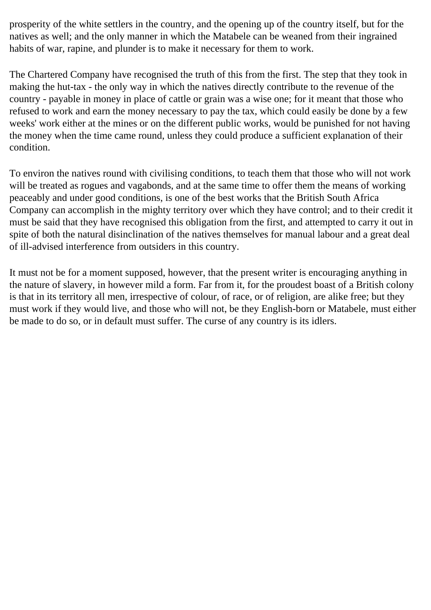prosperity of the white settlers in the country, and the opening up of the country itself, but for the natives as well; and the only manner in which the Matabele can be weaned from their ingrained habits of war, rapine, and plunder is to make it necessary for them to work.

The Chartered Company have recognised the truth of this from the first. The step that they took in making the hut-tax - the only way in which the natives directly contribute to the revenue of the country - payable in money in place of cattle or grain was a wise one; for it meant that those who refused to work and earn the money necessary to pay the tax, which could easily be done by a few weeks' work either at the mines or on the different public works, would be punished for not having the money when the time came round, unless they could produce a sufficient explanation of their condition.

To environ the natives round with civilising conditions, to teach them that those who will not work will be treated as rogues and vagabonds, and at the same time to offer them the means of working peaceably and under good conditions, is one of the best works that the British South Africa Company can accomplish in the mighty territory over which they have control; and to their credit it must be said that they have recognised this obligation from the first, and attempted to carry it out in spite of both the natural disinclination of the natives themselves for manual labour and a great deal of ill-advised interference from outsiders in this country.

It must not be for a moment supposed, however, that the present writer is encouraging anything in the nature of slavery, in however mild a form. Far from it, for the proudest boast of a British colony is that in its territory all men, irrespective of colour, of race, or of religion, are alike free; but they must work if they would live, and those who will not, be they English-born or Matabele, must either be made to do so, or in default must suffer. The curse of any country is its idlers.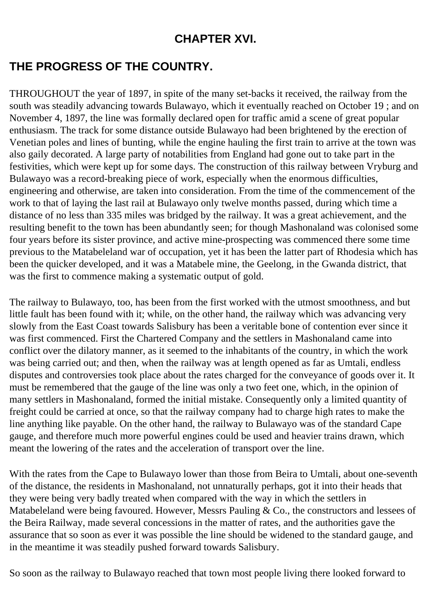### **CHAPTER XVI.**

# **THE PROGRESS OF THE COUNTRY.**

THROUGHOUT the year of 1897, in spite of the many set-backs it received, the railway from the south was steadily advancing towards Bulawayo, which it eventually reached on October 19 ; and on November 4, 1897, the line was formally declared open for traffic amid a scene of great popular enthusiasm. The track for some distance outside Bulawayo had been brightened by the erection of Venetian poles and lines of bunting, while the engine hauling the first train to arrive at the town was also gaily decorated. A large party of notabilities from England had gone out to take part in the festivities, which were kept up for some days. The construction of this railway between Vryburg and Bulawayo was a record-breaking piece of work, especially when the enormous difficulties, engineering and otherwise, are taken into consideration. From the time of the commencement of the work to that of laying the last rail at Bulawayo only twelve months passed, during which time a distance of no less than 335 miles was bridged by the railway. It was a great achievement, and the resulting benefit to the town has been abundantly seen; for though Mashonaland was colonised some four years before its sister province, and active mine-prospecting was commenced there some time previous to the Matabeleland war of occupation, yet it has been the latter part of Rhodesia which has been the quicker developed, and it was a Matabele mine, the Geelong, in the Gwanda district, that was the first to commence making a systematic output of gold.

The railway to Bulawayo, too, has been from the first worked with the utmost smoothness, and but little fault has been found with it; while, on the other hand, the railway which was advancing very slowly from the East Coast towards Salisbury has been a veritable bone of contention ever since it was first commenced. First the Chartered Company and the settlers in Mashonaland came into conflict over the dilatory manner, as it seemed to the inhabitants of the country, in which the work was being carried out; and then, when the railway was at length opened as far as Umtali, endless disputes and controversies took place about the rates charged for the conveyance of goods over it. It must be remembered that the gauge of the line was only a two feet one, which, in the opinion of many settlers in Mashonaland, formed the initial mistake. Consequently only a limited quantity of freight could be carried at once, so that the railway company had to charge high rates to make the line anything like payable. On the other hand, the railway to Bulawayo was of the standard Cape gauge, and therefore much more powerful engines could be used and heavier trains drawn, which meant the lowering of the rates and the acceleration of transport over the line.

With the rates from the Cape to Bulawayo lower than those from Beira to Umtali, about one-seventh of the distance, the residents in Mashonaland, not unnaturally perhaps, got it into their heads that they were being very badly treated when compared with the way in which the settlers in Matabeleland were being favoured. However, Messrs Pauling & Co., the constructors and lessees of the Beira Railway, made several concessions in the matter of rates, and the authorities gave the assurance that so soon as ever it was possible the line should be widened to the standard gauge, and in the meantime it was steadily pushed forward towards Salisbury.

So soon as the railway to Bulawayo reached that town most people living there looked forward to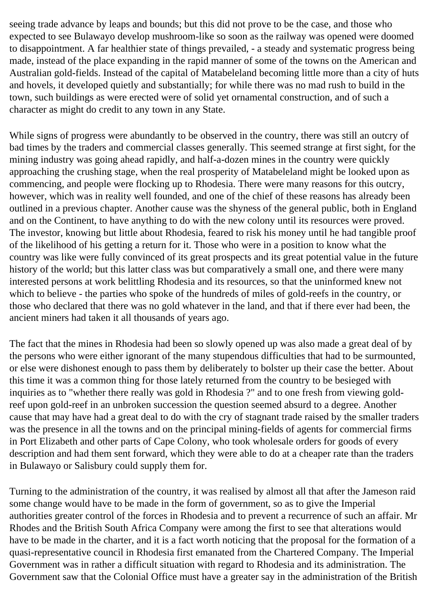seeing trade advance by leaps and bounds; but this did not prove to be the case, and those who expected to see Bulawayo develop mushroom-like so soon as the railway was opened were doomed to disappointment. A far healthier state of things prevailed, - a steady and systematic progress being made, instead of the place expanding in the rapid manner of some of the towns on the American and Australian gold-fields. Instead of the capital of Matabeleland becoming little more than a city of huts and hovels, it developed quietly and substantially; for while there was no mad rush to build in the town, such buildings as were erected were of solid yet ornamental construction, and of such a character as might do credit to any town in any State.

While signs of progress were abundantly to be observed in the country, there was still an outcry of bad times by the traders and commercial classes generally. This seemed strange at first sight, for the mining industry was going ahead rapidly, and half-a-dozen mines in the country were quickly approaching the crushing stage, when the real prosperity of Matabeleland might be looked upon as commencing, and people were flocking up to Rhodesia. There were many reasons for this outcry, however, which was in reality well founded, and one of the chief of these reasons has already been outlined in a previous chapter. Another cause was the shyness of the general public, both in England and on the Continent, to have anything to do with the new colony until its resources were proved. The investor, knowing but little about Rhodesia, feared to risk his money until he had tangible proof of the likelihood of his getting a return for it. Those who were in a position to know what the country was like were fully convinced of its great prospects and its great potential value in the future history of the world; but this latter class was but comparatively a small one, and there were many interested persons at work belittling Rhodesia and its resources, so that the uninformed knew not which to believe - the parties who spoke of the hundreds of miles of gold-reefs in the country, or those who declared that there was no gold whatever in the land, and that if there ever had been, the ancient miners had taken it all thousands of years ago.

The fact that the mines in Rhodesia had been so slowly opened up was also made a great deal of by the persons who were either ignorant of the many stupendous difficulties that had to be surmounted, or else were dishonest enough to pass them by deliberately to bolster up their case the better. About this time it was a common thing for those lately returned from the country to be besieged with inquiries as to "whether there really was gold in Rhodesia ?" and to one fresh from viewing goldreef upon gold-reef in an unbroken succession the question seemed absurd to a degree. Another cause that may have had a great deal to do with the cry of stagnant trade raised by the smaller traders was the presence in all the towns and on the principal mining-fields of agents for commercial firms in Port Elizabeth and other parts of Cape Colony, who took wholesale orders for goods of every description and had them sent forward, which they were able to do at a cheaper rate than the traders in Bulawayo or Salisbury could supply them for.

Turning to the administration of the country, it was realised by almost all that after the Jameson raid some change would have to be made in the form of government, so as to give the Imperial authorities greater control of the forces in Rhodesia and to prevent a recurrence of such an affair. Mr Rhodes and the British South Africa Company were among the first to see that alterations would have to be made in the charter, and it is a fact worth noticing that the proposal for the formation of a quasi-representative council in Rhodesia first emanated from the Chartered Company. The Imperial Government was in rather a difficult situation with regard to Rhodesia and its administration. The Government saw that the Colonial Office must have a greater say in the administration of the British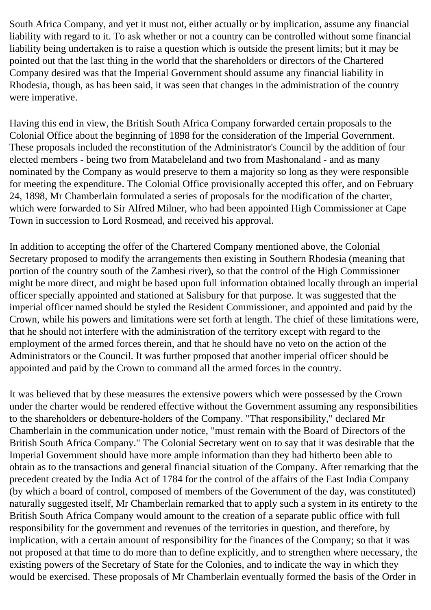South Africa Company, and yet it must not, either actually or by implication, assume any financial liability with regard to it. To ask whether or not a country can be controlled without some financial liability being undertaken is to raise a question which is outside the present limits; but it may be pointed out that the last thing in the world that the shareholders or directors of the Chartered Company desired was that the Imperial Government should assume any financial liability in Rhodesia, though, as has been said, it was seen that changes in the administration of the country were imperative.

Having this end in view, the British South Africa Company forwarded certain proposals to the Colonial Office about the beginning of 1898 for the consideration of the Imperial Government. These proposals included the reconstitution of the Administrator's Council by the addition of four elected members - being two from Matabeleland and two from Mashonaland - and as many nominated by the Company as would preserve to them a majority so long as they were responsible for meeting the expenditure. The Colonial Office provisionally accepted this offer, and on February 24, 1898, Mr Chamberlain formulated a series of proposals for the modification of the charter, which were forwarded to Sir Alfred Milner, who had been appointed High Commissioner at Cape Town in succession to Lord Rosmead, and received his approval.

In addition to accepting the offer of the Chartered Company mentioned above, the Colonial Secretary proposed to modify the arrangements then existing in Southern Rhodesia (meaning that portion of the country south of the Zambesi river), so that the control of the High Commissioner might be more direct, and might be based upon full information obtained locally through an imperial officer specially appointed and stationed at Salisbury for that purpose. It was suggested that the imperial officer named should be styled the Resident Commissioner, and appointed and paid by the Crown, while his powers and limitations were set forth at length. The chief of these limitations were, that he should not interfere with the administration of the territory except with regard to the employment of the armed forces therein, and that he should have no veto on the action of the Administrators or the Council. It was further proposed that another imperial officer should be appointed and paid by the Crown to command all the armed forces in the country.

It was believed that by these measures the extensive powers which were possessed by the Crown under the charter would be rendered effective without the Government assuming any responsibilities to the shareholders or debenture-holders of the Company. "That responsibility," declared Mr Chamberlain in the communication under notice, "must remain with the Board of Directors of the British South Africa Company." The Colonial Secretary went on to say that it was desirable that the Imperial Government should have more ample information than they had hitherto been able to obtain as to the transactions and general financial situation of the Company. After remarking that the precedent created by the India Act of 1784 for the control of the affairs of the East India Company (by which a board of control, composed of members of the Government of the day, was constituted) naturally suggested itself, Mr Chamberlain remarked that to apply such a system in its entirety to the British South Africa Company would amount to the creation of a separate public office with full responsibility for the government and revenues of the territories in question, and therefore, by implication, with a certain amount of responsibility for the finances of the Company; so that it was not proposed at that time to do more than to define explicitly, and to strengthen where necessary, the existing powers of the Secretary of State for the Colonies, and to indicate the way in which they would be exercised. These proposals of Mr Chamberlain eventually formed the basis of the Order in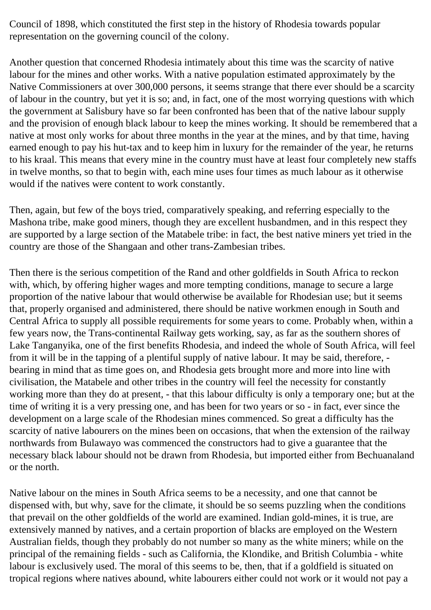Council of 1898, which constituted the first step in the history of Rhodesia towards popular representation on the governing council of the colony.

Another question that concerned Rhodesia intimately about this time was the scarcity of native labour for the mines and other works. With a native population estimated approximately by the Native Commissioners at over 300,000 persons, it seems strange that there ever should be a scarcity of labour in the country, but yet it is so; and, in fact, one of the most worrying questions with which the government at Salisbury have so far been confronted has been that of the native labour supply and the provision of enough black labour to keep the mines working. It should be remembered that a native at most only works for about three months in the year at the mines, and by that time, having earned enough to pay his hut-tax and to keep him in luxury for the remainder of the year, he returns to his kraal. This means that every mine in the country must have at least four completely new staffs in twelve months, so that to begin with, each mine uses four times as much labour as it otherwise would if the natives were content to work constantly.

Then, again, but few of the boys tried, comparatively speaking, and referring especially to the Mashona tribe, make good miners, though they are excellent husbandmen, and in this respect they are supported by a large section of the Matabele tribe: in fact, the best native miners yet tried in the country are those of the Shangaan and other trans-Zambesian tribes.

Then there is the serious competition of the Rand and other goldfields in South Africa to reckon with, which, by offering higher wages and more tempting conditions, manage to secure a large proportion of the native labour that would otherwise be available for Rhodesian use; but it seems that, properly organised and administered, there should be native workmen enough in South and Central Africa to supply all possible requirements for some years to come. Probably when, within a few years now, the Trans-continental Railway gets working, say, as far as the southern shores of Lake Tanganyika, one of the first benefits Rhodesia, and indeed the whole of South Africa, will feel from it will be in the tapping of a plentiful supply of native labour. It may be said, therefore, bearing in mind that as time goes on, and Rhodesia gets brought more and more into line with civilisation, the Matabele and other tribes in the country will feel the necessity for constantly working more than they do at present, - that this labour difficulty is only a temporary one; but at the time of writing it is a very pressing one, and has been for two years or so - in fact, ever since the development on a large scale of the Rhodesian mines commenced. So great a difficulty has the scarcity of native labourers on the mines been on occasions, that when the extension of the railway northwards from Bulawayo was commenced the constructors had to give a guarantee that the necessary black labour should not be drawn from Rhodesia, but imported either from Bechuanaland or the north.

Native labour on the mines in South Africa seems to be a necessity, and one that cannot be dispensed with, but why, save for the climate, it should be so seems puzzling when the conditions that prevail on the other goldfields of the world are examined. Indian gold-mines, it is true, are extensively manned by natives, and a certain proportion of blacks are employed on the Western Australian fields, though they probably do not number so many as the white miners; while on the principal of the remaining fields - such as California, the Klondike, and British Columbia - white labour is exclusively used. The moral of this seems to be, then, that if a goldfield is situated on tropical regions where natives abound, white labourers either could not work or it would not pay a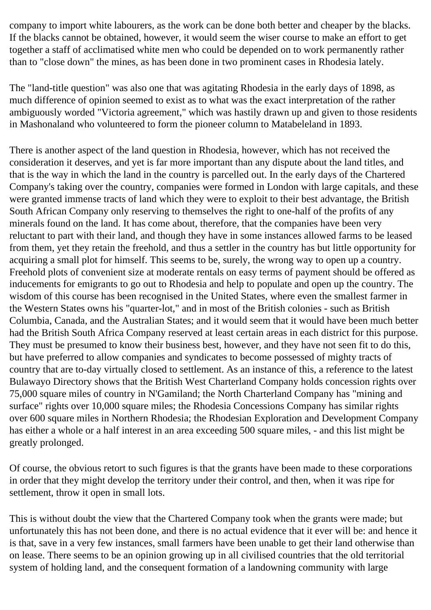company to import white labourers, as the work can be done both better and cheaper by the blacks. If the blacks cannot be obtained, however, it would seem the wiser course to make an effort to get together a staff of acclimatised white men who could be depended on to work permanently rather than to "close down" the mines, as has been done in two prominent cases in Rhodesia lately.

The "land-title question" was also one that was agitating Rhodesia in the early days of 1898, as much difference of opinion seemed to exist as to what was the exact interpretation of the rather ambiguously worded "Victoria agreement," which was hastily drawn up and given to those residents in Mashonaland who volunteered to form the pioneer column to Matabeleland in 1893.

There is another aspect of the land question in Rhodesia, however, which has not received the consideration it deserves, and yet is far more important than any dispute about the land titles, and that is the way in which the land in the country is parcelled out. In the early days of the Chartered Company's taking over the country, companies were formed in London with large capitals, and these were granted immense tracts of land which they were to exploit to their best advantage, the British South African Company only reserving to themselves the right to one-half of the profits of any minerals found on the land. It has come about, therefore, that the companies have been very reluctant to part with their land, and though they have in some instances allowed farms to be leased from them, yet they retain the freehold, and thus a settler in the country has but little opportunity for acquiring a small plot for himself. This seems to be, surely, the wrong way to open up a country. Freehold plots of convenient size at moderate rentals on easy terms of payment should be offered as inducements for emigrants to go out to Rhodesia and help to populate and open up the country. The wisdom of this course has been recognised in the United States, where even the smallest farmer in the Western States owns his "quarter-lot," and in most of the British colonies - such as British Columbia, Canada, and the Australian States; and it would seem that it would have been much better had the British South Africa Company reserved at least certain areas in each district for this purpose. They must be presumed to know their business best, however, and they have not seen fit to do this, but have preferred to allow companies and syndicates to become possessed of mighty tracts of country that are to-day virtually closed to settlement. As an instance of this, a reference to the latest Bulawayo Directory shows that the British West Charterland Company holds concession rights over 75,000 square miles of country in N'Gamiland; the North Charterland Company has "mining and surface" rights over 10,000 square miles; the Rhodesia Concessions Company has similar rights over 600 square miles in Northern Rhodesia; the Rhodesian Exploration and Development Company has either a whole or a half interest in an area exceeding 500 square miles, - and this list might be greatly prolonged.

Of course, the obvious retort to such figures is that the grants have been made to these corporations in order that they might develop the territory under their control, and then, when it was ripe for settlement, throw it open in small lots.

This is without doubt the view that the Chartered Company took when the grants were made; but unfortunately this has not been done, and there is no actual evidence that it ever will be: and hence it is that, save in a very few instances, small farmers have been unable to get their land otherwise than on lease. There seems to be an opinion growing up in all civilised countries that the old territorial system of holding land, and the consequent formation of a landowning community with large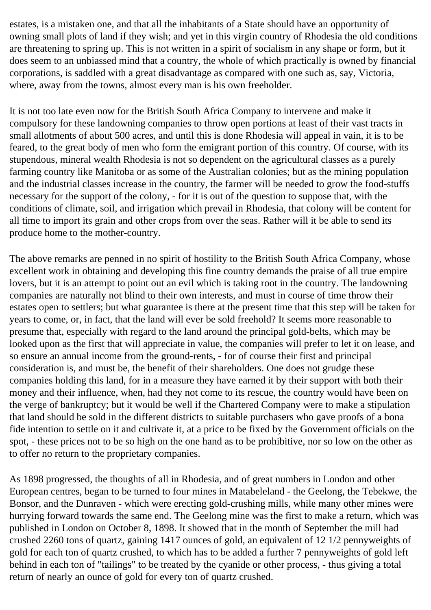estates, is a mistaken one, and that all the inhabitants of a State should have an opportunity of owning small plots of land if they wish; and yet in this virgin country of Rhodesia the old conditions are threatening to spring up. This is not written in a spirit of socialism in any shape or form, but it does seem to an unbiassed mind that a country, the whole of which practically is owned by financial corporations, is saddled with a great disadvantage as compared with one such as, say, Victoria, where, away from the towns, almost every man is his own freeholder.

It is not too late even now for the British South Africa Company to intervene and make it compulsory for these landowning companies to throw open portions at least of their vast tracts in small allotments of about 500 acres, and until this is done Rhodesia will appeal in vain, it is to be feared, to the great body of men who form the emigrant portion of this country. Of course, with its stupendous, mineral wealth Rhodesia is not so dependent on the agricultural classes as a purely farming country like Manitoba or as some of the Australian colonies; but as the mining population and the industrial classes increase in the country, the farmer will be needed to grow the food-stuffs necessary for the support of the colony, - for it is out of the question to suppose that, with the conditions of climate, soil, and irrigation which prevail in Rhodesia, that colony will be content for all time to import its grain and other crops from over the seas. Rather will it be able to send its produce home to the mother-country.

The above remarks are penned in no spirit of hostility to the British South Africa Company, whose excellent work in obtaining and developing this fine country demands the praise of all true empire lovers, but it is an attempt to point out an evil which is taking root in the country. The landowning companies are naturally not blind to their own interests, and must in course of time throw their estates open to settlers; but what guarantee is there at the present time that this step will be taken for years to come, or, in fact, that the land will ever be sold freehold? It seems more reasonable to presume that, especially with regard to the land around the principal gold-belts, which may be looked upon as the first that will appreciate in value, the companies will prefer to let it on lease, and so ensure an annual income from the ground-rents, - for of course their first and principal consideration is, and must be, the benefit of their shareholders. One does not grudge these companies holding this land, for in a measure they have earned it by their support with both their money and their influence, when, had they not come to its rescue, the country would have been on the verge of bankruptcy; but it would be well if the Chartered Company were to make a stipulation that land should be sold in the different districts to suitable purchasers who gave proofs of a bona fide intention to settle on it and cultivate it, at a price to be fixed by the Government officials on the spot, - these prices not to be so high on the one hand as to be prohibitive, nor so low on the other as to offer no return to the proprietary companies.

As 1898 progressed, the thoughts of all in Rhodesia, and of great numbers in London and other European centres, began to be turned to four mines in Matabeleland - the Geelong, the Tebekwe, the Bonsor, and the Dunraven - which were erecting gold-crushing mills, while many other mines were hurrying forward towards the same end. The Geelong mine was the first to make a return, which was published in London on October 8, 1898. It showed that in the month of September the mill had crushed 2260 tons of quartz, gaining 1417 ounces of gold, an equivalent of 12 1/2 pennyweights of gold for each ton of quartz crushed, to which has to be added a further 7 pennyweights of gold left behind in each ton of "tailings" to be treated by the cyanide or other process, - thus giving a total return of nearly an ounce of gold for every ton of quartz crushed.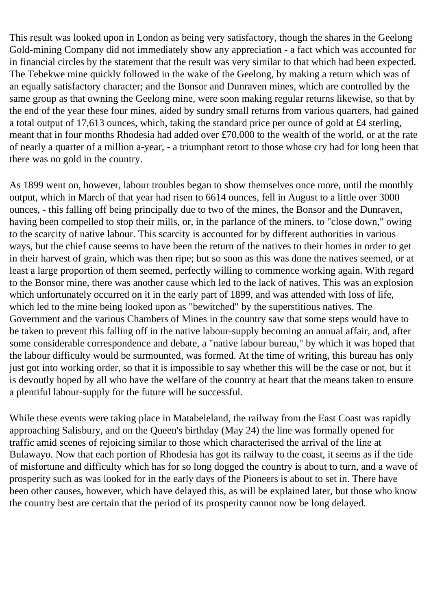This result was looked upon in London as being very satisfactory, though the shares in the Geelong Gold-mining Company did not immediately show any appreciation - a fact which was accounted for in financial circles by the statement that the result was very similar to that which had been expected. The Tebekwe mine quickly followed in the wake of the Geelong, by making a return which was of an equally satisfactory character; and the Bonsor and Dunraven mines, which are controlled by the same group as that owning the Geelong mine, were soon making regular returns likewise, so that by the end of the year these four mines, aided by sundry small returns from various quarters, had gained a total output of 17,613 ounces, which, taking the standard price per ounce of gold at £4 sterling, meant that in four months Rhodesia had added over £70,000 to the wealth of the world, or at the rate of nearly a quarter of a million a-year, - a triumphant retort to those whose cry had for long been that there was no gold in the country.

As 1899 went on, however, labour troubles began to show themselves once more, until the monthly output, which in March of that year had risen to 6614 ounces, fell in August to a little over 3000 ounces, - this falling off being principally due to two of the mines, the Bonsor and the Dunraven, having been compelled to stop their mills, or, in the parlance of the miners, to "close down," owing to the scarcity of native labour. This scarcity is accounted for by different authorities in various ways, but the chief cause seems to have been the return of the natives to their homes in order to get in their harvest of grain, which was then ripe; but so soon as this was done the natives seemed, or at least a large proportion of them seemed, perfectly willing to commence working again. With regard to the Bonsor mine, there was another cause which led to the lack of natives. This was an explosion which unfortunately occurred on it in the early part of 1899, and was attended with loss of life, which led to the mine being looked upon as "bewitched" by the superstitious natives. The Government and the various Chambers of Mines in the country saw that some steps would have to be taken to prevent this falling off in the native labour-supply becoming an annual affair, and, after some considerable correspondence and debate, a "native labour bureau," by which it was hoped that the labour difficulty would be surmounted, was formed. At the time of writing, this bureau has only just got into working order, so that it is impossible to say whether this will be the case or not, but it is devoutly hoped by all who have the welfare of the country at heart that the means taken to ensure a plentiful labour-supply for the future will be successful.

While these events were taking place in Matabeleland, the railway from the East Coast was rapidly approaching Salisbury, and on the Queen's birthday (May 24) the line was formally opened for traffic amid scenes of rejoicing similar to those which characterised the arrival of the line at Bulawayo. Now that each portion of Rhodesia has got its railway to the coast, it seems as if the tide of misfortune and difficulty which has for so long dogged the country is about to turn, and a wave of prosperity such as was looked for in the early days of the Pioneers is about to set in. There have been other causes, however, which have delayed this, as will be explained later, but those who know the country best are certain that the period of its prosperity cannot now be long delayed.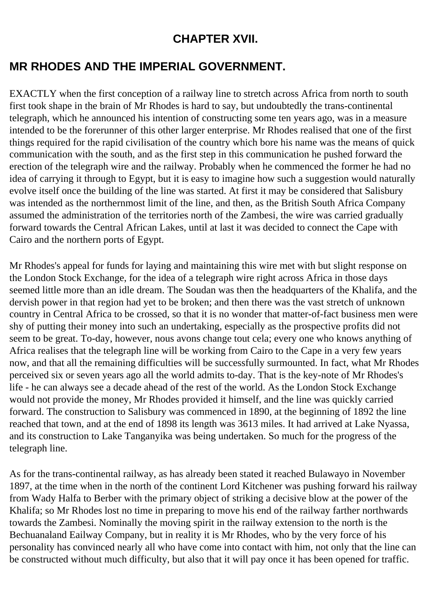### **CHAPTER XVII.**

# **MR RHODES AND THE IMPERIAL GOVERNMENT.**

EXACTLY when the first conception of a railway line to stretch across Africa from north to south first took shape in the brain of Mr Rhodes is hard to say, but undoubtedly the trans-continental telegraph, which he announced his intention of constructing some ten years ago, was in a measure intended to be the forerunner of this other larger enterprise. Mr Rhodes realised that one of the first things required for the rapid civilisation of the country which bore his name was the means of quick communication with the south, and as the first step in this communication he pushed forward the erection of the telegraph wire and the railway. Probably when he commenced the former he had no idea of carrying it through to Egypt, but it is easy to imagine how such a suggestion would naturally evolve itself once the building of the line was started. At first it may be considered that Salisbury was intended as the northernmost limit of the line, and then, as the British South Africa Company assumed the administration of the territories north of the Zambesi, the wire was carried gradually forward towards the Central African Lakes, until at last it was decided to connect the Cape with Cairo and the northern ports of Egypt.

Mr Rhodes's appeal for funds for laying and maintaining this wire met with but slight response on the London Stock Exchange, for the idea of a telegraph wire right across Africa in those days seemed little more than an idle dream. The Soudan was then the headquarters of the Khalifa, and the dervish power in that region had yet to be broken; and then there was the vast stretch of unknown country in Central Africa to be crossed, so that it is no wonder that matter-of-fact business men were shy of putting their money into such an undertaking, especially as the prospective profits did not seem to be great. To-day, however, nous avons change tout cela; every one who knows anything of Africa realises that the telegraph line will be working from Cairo to the Cape in a very few years now, and that all the remaining difficulties will be successfully surmounted. In fact, what Mr Rhodes perceived six or seven years ago all the world admits to-day. That is the key-note of Mr Rhodes's life - he can always see a decade ahead of the rest of the world. As the London Stock Exchange would not provide the money, Mr Rhodes provided it himself, and the line was quickly carried forward. The construction to Salisbury was commenced in 1890, at the beginning of 1892 the line reached that town, and at the end of 1898 its length was 3613 miles. It had arrived at Lake Nyassa, and its construction to Lake Tanganyika was being undertaken. So much for the progress of the telegraph line.

As for the trans-continental railway, as has already been stated it reached Bulawayo in November 1897, at the time when in the north of the continent Lord Kitchener was pushing forward his railway from Wady Halfa to Berber with the primary object of striking a decisive blow at the power of the Khalifa; so Mr Rhodes lost no time in preparing to move his end of the railway farther northwards towards the Zambesi. Nominally the moving spirit in the railway extension to the north is the Bechuanaland Eailway Company, but in reality it is Mr Rhodes, who by the very force of his personality has convinced nearly all who have come into contact with him, not only that the line can be constructed without much difficulty, but also that it will pay once it has been opened for traffic.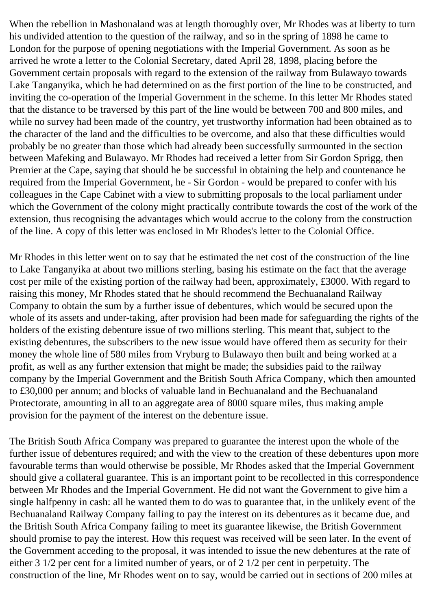When the rebellion in Mashonaland was at length thoroughly over, Mr Rhodes was at liberty to turn his undivided attention to the question of the railway, and so in the spring of 1898 he came to London for the purpose of opening negotiations with the Imperial Government. As soon as he arrived he wrote a letter to the Colonial Secretary, dated April 28, 1898, placing before the Government certain proposals with regard to the extension of the railway from Bulawayo towards Lake Tanganyika, which he had determined on as the first portion of the line to be constructed, and inviting the co-operation of the Imperial Government in the scheme. In this letter Mr Rhodes stated that the distance to be traversed by this part of the line would be between 700 and 800 miles, and while no survey had been made of the country, yet trustworthy information had been obtained as to the character of the land and the difficulties to be overcome, and also that these difficulties would probably be no greater than those which had already been successfully surmounted in the section between Mafeking and Bulawayo. Mr Rhodes had received a letter from Sir Gordon Sprigg, then Premier at the Cape, saying that should he be successful in obtaining the help and countenance he required from the Imperial Government, he - Sir Gordon - would be prepared to confer with his colleagues in the Cape Cabinet with a view to submitting proposals to the local parliament under which the Government of the colony might practically contribute towards the cost of the work of the extension, thus recognising the advantages which would accrue to the colony from the construction of the line. A copy of this letter was enclosed in Mr Rhodes's letter to the Colonial Office.

Mr Rhodes in this letter went on to say that he estimated the net cost of the construction of the line to Lake Tanganyika at about two millions sterling, basing his estimate on the fact that the average cost per mile of the existing portion of the railway had been, approximately, £3000. With regard to raising this money, Mr Rhodes stated that he should recommend the Bechuanaland Railway Company to obtain the sum by a further issue of debentures, which would be secured upon the whole of its assets and under-taking, after provision had been made for safeguarding the rights of the holders of the existing debenture issue of two millions sterling. This meant that, subject to the existing debentures, the subscribers to the new issue would have offered them as security for their money the whole line of 580 miles from Vryburg to Bulawayo then built and being worked at a profit, as well as any further extension that might be made; the subsidies paid to the railway company by the Imperial Government and the British South Africa Company, which then amounted to £30,000 per annum; and blocks of valuable land in Bechuanaland and the Bechuanaland Protectorate, amounting in all to an aggregate area of 8000 square miles, thus making ample provision for the payment of the interest on the debenture issue.

The British South Africa Company was prepared to guarantee the interest upon the whole of the further issue of debentures required; and with the view to the creation of these debentures upon more favourable terms than would otherwise be possible, Mr Rhodes asked that the Imperial Government should give a collateral guarantee. This is an important point to be recollected in this correspondence between Mr Rhodes and the Imperial Government. He did not want the Government to give him a single halfpenny in cash: all he wanted them to do was to guarantee that, in the unlikely event of the Bechuanaland Railway Company failing to pay the interest on its debentures as it became due, and the British South Africa Company failing to meet its guarantee likewise, the British Government should promise to pay the interest. How this request was received will be seen later. In the event of the Government acceding to the proposal, it was intended to issue the new debentures at the rate of either 3 1/2 per cent for a limited number of years, or of 2 1/2 per cent in perpetuity. The construction of the line, Mr Rhodes went on to say, would be carried out in sections of 200 miles at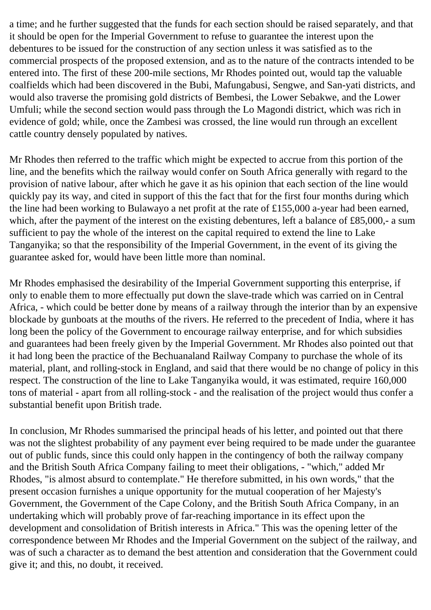a time; and he further suggested that the funds for each section should be raised separately, and that it should be open for the Imperial Government to refuse to guarantee the interest upon the debentures to be issued for the construction of any section unless it was satisfied as to the commercial prospects of the proposed extension, and as to the nature of the contracts intended to be entered into. The first of these 200-mile sections, Mr Rhodes pointed out, would tap the valuable coalfields which had been discovered in the Bubi, Mafungabusi, Sengwe, and San-yati districts, and would also traverse the promising gold districts of Bembesi, the Lower Sebakwe, and the Lower Umfuli; while the second section would pass through the Lo Magondi district, which was rich in evidence of gold; while, once the Zambesi was crossed, the line would run through an excellent cattle country densely populated by natives.

Mr Rhodes then referred to the traffic which might be expected to accrue from this portion of the line, and the benefits which the railway would confer on South Africa generally with regard to the provision of native labour, after which he gave it as his opinion that each section of the line would quickly pay its way, and cited in support of this the fact that for the first four months during which the line had been working to Bulawayo a net profit at the rate of £155,000 a-year had been earned, which, after the payment of the interest on the existing debentures, left a balance of £85,000,- a sum sufficient to pay the whole of the interest on the capital required to extend the line to Lake Tanganyika; so that the responsibility of the Imperial Government, in the event of its giving the guarantee asked for, would have been little more than nominal.

Mr Rhodes emphasised the desirability of the Imperial Government supporting this enterprise, if only to enable them to more effectually put down the slave-trade which was carried on in Central Africa, - which could be better done by means of a railway through the interior than by an expensive blockade by gunboats at the mouths of the rivers. He referred to the precedent of India, where it has long been the policy of the Government to encourage railway enterprise, and for which subsidies and guarantees had been freely given by the Imperial Government. Mr Rhodes also pointed out that it had long been the practice of the Bechuanaland Railway Company to purchase the whole of its material, plant, and rolling-stock in England, and said that there would be no change of policy in this respect. The construction of the line to Lake Tanganyika would, it was estimated, require 160,000 tons of material - apart from all rolling-stock - and the realisation of the project would thus confer a substantial benefit upon British trade.

In conclusion, Mr Rhodes summarised the principal heads of his letter, and pointed out that there was not the slightest probability of any payment ever being required to be made under the guarantee out of public funds, since this could only happen in the contingency of both the railway company and the British South Africa Company failing to meet their obligations, - "which," added Mr Rhodes, "is almost absurd to contemplate." He therefore submitted, in his own words," that the present occasion furnishes a unique opportunity for the mutual cooperation of her Majesty's Government, the Government of the Cape Colony, and the British South Africa Company, in an undertaking which will probably prove of far-reaching importance in its effect upon the development and consolidation of British interests in Africa." This was the opening letter of the correspondence between Mr Rhodes and the Imperial Government on the subject of the railway, and was of such a character as to demand the best attention and consideration that the Government could give it; and this, no doubt, it received.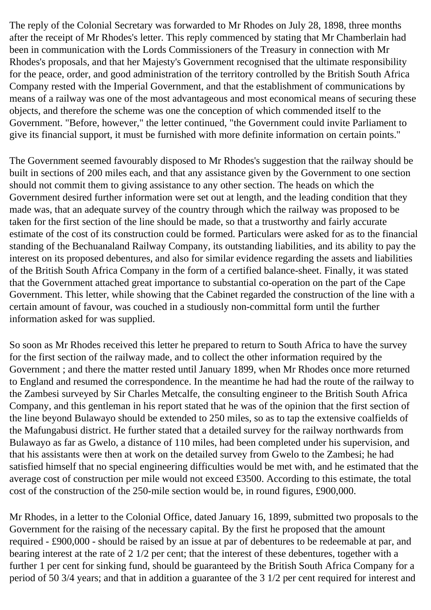The reply of the Colonial Secretary was forwarded to Mr Rhodes on July 28, 1898, three months after the receipt of Mr Rhodes's letter. This reply commenced by stating that Mr Chamberlain had been in communication with the Lords Commissioners of the Treasury in connection with Mr Rhodes's proposals, and that her Majesty's Government recognised that the ultimate responsibility for the peace, order, and good administration of the territory controlled by the British South Africa Company rested with the Imperial Government, and that the establishment of communications by means of a railway was one of the most advantageous and most economical means of securing these objects, and therefore the scheme was one the conception of which commended itself to the Government. "Before, however," the letter continued, "the Government could invite Parliament to give its financial support, it must be furnished with more definite information on certain points."

The Government seemed favourably disposed to Mr Rhodes's suggestion that the railway should be built in sections of 200 miles each, and that any assistance given by the Government to one section should not commit them to giving assistance to any other section. The heads on which the Government desired further information were set out at length, and the leading condition that they made was, that an adequate survey of the country through which the railway was proposed to be taken for the first section of the line should be made, so that a trustworthy and fairly accurate estimate of the cost of its construction could be formed. Particulars were asked for as to the financial standing of the Bechuanaland Railway Company, its outstanding liabilities, and its ability to pay the interest on its proposed debentures, and also for similar evidence regarding the assets and liabilities of the British South Africa Company in the form of a certified balance-sheet. Finally, it was stated that the Government attached great importance to substantial co-operation on the part of the Cape Government. This letter, while showing that the Cabinet regarded the construction of the line with a certain amount of favour, was couched in a studiously non-committal form until the further information asked for was supplied.

So soon as Mr Rhodes received this letter he prepared to return to South Africa to have the survey for the first section of the railway made, and to collect the other information required by the Government ; and there the matter rested until January 1899, when Mr Rhodes once more returned to England and resumed the correspondence. In the meantime he had had the route of the railway to the Zambesi surveyed by Sir Charles Metcalfe, the consulting engineer to the British South Africa Company, and this gentleman in his report stated that he was of the opinion that the first section of the line beyond Bulawayo should be extended to 250 miles, so as to tap the extensive coalfields of the Mafungabusi district. He further stated that a detailed survey for the railway northwards from Bulawayo as far as Gwelo, a distance of 110 miles, had been completed under his supervision, and that his assistants were then at work on the detailed survey from Gwelo to the Zambesi; he had satisfied himself that no special engineering difficulties would be met with, and he estimated that the average cost of construction per mile would not exceed £3500. According to this estimate, the total cost of the construction of the 250-mile section would be, in round figures, £900,000.

Mr Rhodes, in a letter to the Colonial Office, dated January 16, 1899, submitted two proposals to the Government for the raising of the necessary capital. By the first he proposed that the amount required - £900,000 - should be raised by an issue at par of debentures to be redeemable at par, and bearing interest at the rate of 2 1/2 per cent; that the interest of these debentures, together with a further 1 per cent for sinking fund, should be guaranteed by the British South Africa Company for a period of 50 3/4 years; and that in addition a guarantee of the 3 1/2 per cent required for interest and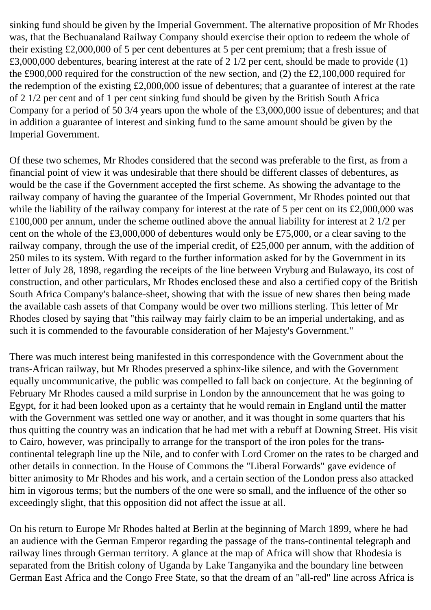sinking fund should be given by the Imperial Government. The alternative proposition of Mr Rhodes was, that the Bechuanaland Railway Company should exercise their option to redeem the whole of their existing £2,000,000 of 5 per cent debentures at 5 per cent premium; that a fresh issue of £3,000,000 debentures, bearing interest at the rate of 2 1/2 per cent, should be made to provide (1) the £900,000 required for the construction of the new section, and (2) the £2,100,000 required for the redemption of the existing £2,000,000 issue of debentures; that a guarantee of interest at the rate of 2 1/2 per cent and of 1 per cent sinking fund should be given by the British South Africa Company for a period of 50 3/4 years upon the whole of the £3,000,000 issue of debentures; and that in addition a guarantee of interest and sinking fund to the same amount should be given by the Imperial Government.

Of these two schemes, Mr Rhodes considered that the second was preferable to the first, as from a financial point of view it was undesirable that there should be different classes of debentures, as would be the case if the Government accepted the first scheme. As showing the advantage to the railway company of having the guarantee of the Imperial Government, Mr Rhodes pointed out that while the liability of the railway company for interest at the rate of 5 per cent on its £2,000,000 was £100,000 per annum, under the scheme outlined above the annual liability for interest at 2 1/2 per cent on the whole of the £3,000,000 of debentures would only be £75,000, or a clear saving to the railway company, through the use of the imperial credit, of £25,000 per annum, with the addition of 250 miles to its system. With regard to the further information asked for by the Government in its letter of July 28, 1898, regarding the receipts of the line between Vryburg and Bulawayo, its cost of construction, and other particulars, Mr Rhodes enclosed these and also a certified copy of the British South Africa Company's balance-sheet, showing that with the issue of new shares then being made the available cash assets of that Company would be over two millions sterling. This letter of Mr Rhodes closed by saying that "this railway may fairly claim to be an imperial undertaking, and as such it is commended to the favourable consideration of her Majesty's Government."

There was much interest being manifested in this correspondence with the Government about the trans-African railway, but Mr Rhodes preserved a sphinx-like silence, and with the Government equally uncommunicative, the public was compelled to fall back on conjecture. At the beginning of February Mr Rhodes caused a mild surprise in London by the announcement that he was going to Egypt, for it had been looked upon as a certainty that he would remain in England until the matter with the Government was settled one way or another, and it was thought in some quarters that his thus quitting the country was an indication that he had met with a rebuff at Downing Street. His visit to Cairo, however, was principally to arrange for the transport of the iron poles for the transcontinental telegraph line up the Nile, and to confer with Lord Cromer on the rates to be charged and other details in connection. In the House of Commons the "Liberal Forwards" gave evidence of bitter animosity to Mr Rhodes and his work, and a certain section of the London press also attacked him in vigorous terms; but the numbers of the one were so small, and the influence of the other so exceedingly slight, that this opposition did not affect the issue at all.

On his return to Europe Mr Rhodes halted at Berlin at the beginning of March 1899, where he had an audience with the German Emperor regarding the passage of the trans-continental telegraph and railway lines through German territory. A glance at the map of Africa will show that Rhodesia is separated from the British colony of Uganda by Lake Tanganyika and the boundary line between German East Africa and the Congo Free State, so that the dream of an "all-red" line across Africa is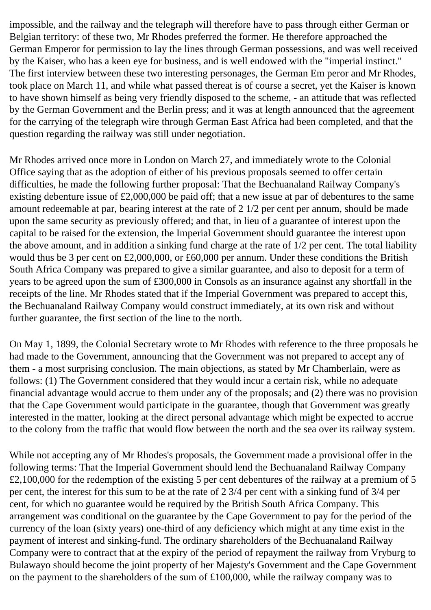impossible, and the railway and the telegraph will therefore have to pass through either German or Belgian territory: of these two, Mr Rhodes preferred the former. He therefore approached the German Emperor for permission to lay the lines through German possessions, and was well received by the Kaiser, who has a keen eye for business, and is well endowed with the "imperial instinct." The first interview between these two interesting personages, the German Em peror and Mr Rhodes, took place on March 11, and while what passed thereat is of course a secret, yet the Kaiser is known to have shown himself as being very friendly disposed to the scheme, - an attitude that was reflected by the German Government and the Berlin press; and it was at length announced that the agreement for the carrying of the telegraph wire through German East Africa had been completed, and that the question regarding the railway was still under negotiation.

Mr Rhodes arrived once more in London on March 27, and immediately wrote to the Colonial Office saying that as the adoption of either of his previous proposals seemed to offer certain difficulties, he made the following further proposal: That the Bechuanaland Railway Company's existing debenture issue of £2,000,000 be paid off; that a new issue at par of debentures to the same amount redeemable at par, bearing interest at the rate of 2 1/2 per cent per annum, should be made upon the same security as previously offered; and that, in lieu of a guarantee of interest upon the capital to be raised for the extension, the Imperial Government should guarantee the interest upon the above amount, and in addition a sinking fund charge at the rate of 1/2 per cent. The total liability would thus be 3 per cent on £2,000,000, or £60,000 per annum. Under these conditions the British South Africa Company was prepared to give a similar guarantee, and also to deposit for a term of years to be agreed upon the sum of £300,000 in Consols as an insurance against any shortfall in the receipts of the line. Mr Rhodes stated that if the Imperial Government was prepared to accept this, the Bechuanaland Railway Company would construct immediately, at its own risk and without further guarantee, the first section of the line to the north.

On May 1, 1899, the Colonial Secretary wrote to Mr Rhodes with reference to the three proposals he had made to the Government, announcing that the Government was not prepared to accept any of them - a most surprising conclusion. The main objections, as stated by Mr Chamberlain, were as follows: (1) The Government considered that they would incur a certain risk, while no adequate financial advantage would accrue to them under any of the proposals; and (2) there was no provision that the Cape Government would participate in the guarantee, though that Government was greatly interested in the matter, looking at the direct personal advantage which might be expected to accrue to the colony from the traffic that would flow between the north and the sea over its railway system.

While not accepting any of Mr Rhodes's proposals, the Government made a provisional offer in the following terms: That the Imperial Government should lend the Bechuanaland Railway Company £2,100,000 for the redemption of the existing 5 per cent debentures of the railway at a premium of 5 per cent, the interest for this sum to be at the rate of 2 3/4 per cent with a sinking fund of 3/4 per cent, for which no guarantee would be required by the British South Africa Company. This arrangement was conditional on the guarantee by the Cape Government to pay for the period of the currency of the loan (sixty years) one-third of any deficiency which might at any time exist in the payment of interest and sinking-fund. The ordinary shareholders of the Bechuanaland Railway Company were to contract that at the expiry of the period of repayment the railway from Vryburg to Bulawayo should become the joint property of her Majesty's Government and the Cape Government on the payment to the shareholders of the sum of £100,000, while the railway company was to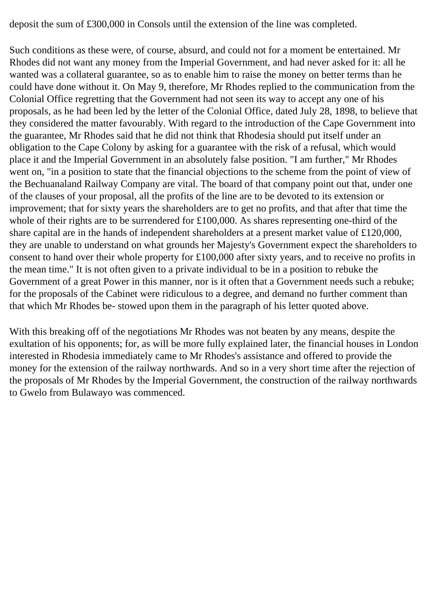deposit the sum of £300,000 in Consols until the extension of the line was completed.

Such conditions as these were, of course, absurd, and could not for a moment be entertained. Mr Rhodes did not want any money from the Imperial Government, and had never asked for it: all he wanted was a collateral guarantee, so as to enable him to raise the money on better terms than he could have done without it. On May 9, therefore, Mr Rhodes replied to the communication from the Colonial Office regretting that the Government had not seen its way to accept any one of his proposals, as he had been led by the letter of the Colonial Office, dated July 28, 1898, to believe that they considered the matter favourably. With regard to the introduction of the Cape Government into the guarantee, Mr Rhodes said that he did not think that Rhodesia should put itself under an obligation to the Cape Colony by asking for a guarantee with the risk of a refusal, which would place it and the Imperial Government in an absolutely false position. "I am further," Mr Rhodes went on, "in a position to state that the financial objections to the scheme from the point of view of the Bechuanaland Railway Company are vital. The board of that company point out that, under one of the clauses of your proposal, all the profits of the line are to be devoted to its extension or improvement; that for sixty years the shareholders are to get no profits, and that after that time the whole of their rights are to be surrendered for £100,000. As shares representing one-third of the share capital are in the hands of independent shareholders at a present market value of £120,000, they are unable to understand on what grounds her Majesty's Government expect the shareholders to consent to hand over their whole property for £100,000 after sixty years, and to receive no profits in the mean time." It is not often given to a private individual to be in a position to rebuke the Government of a great Power in this manner, nor is it often that a Government needs such a rebuke; for the proposals of the Cabinet were ridiculous to a degree, and demand no further comment than that which Mr Rhodes be- stowed upon them in the paragraph of his letter quoted above.

With this breaking off of the negotiations Mr Rhodes was not beaten by any means, despite the exultation of his opponents; for, as will be more fully explained later, the financial houses in London interested in Rhodesia immediately came to Mr Rhodes's assistance and offered to provide the money for the extension of the railway northwards. And so in a very short time after the rejection of the proposals of Mr Rhodes by the Imperial Government, the construction of the railway northwards to Gwelo from Bulawayo was commenced.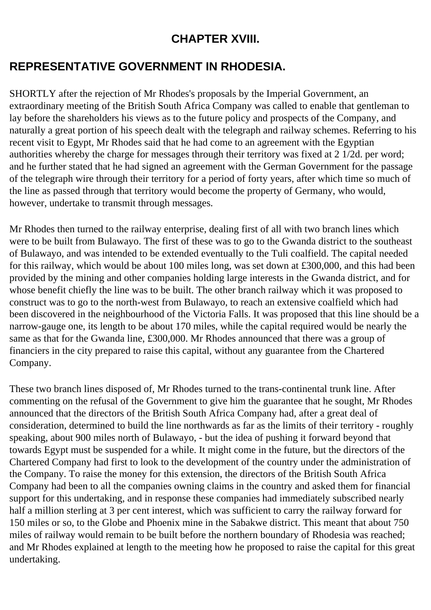#### **CHAPTER XVIII.**

## **REPRESENTATIVE GOVERNMENT IN RHODESIA.**

SHORTLY after the rejection of Mr Rhodes's proposals by the Imperial Government, an extraordinary meeting of the British South Africa Company was called to enable that gentleman to lay before the shareholders his views as to the future policy and prospects of the Company, and naturally a great portion of his speech dealt with the telegraph and railway schemes. Referring to his recent visit to Egypt, Mr Rhodes said that he had come to an agreement with the Egyptian authorities whereby the charge for messages through their territory was fixed at 2 1/2d. per word; and he further stated that he had signed an agreement with the German Government for the passage of the telegraph wire through their territory for a period of forty years, after which time so much of the line as passed through that territory would become the property of Germany, who would, however, undertake to transmit through messages.

Mr Rhodes then turned to the railway enterprise, dealing first of all with two branch lines which were to be built from Bulawayo. The first of these was to go to the Gwanda district to the southeast of Bulawayo, and was intended to be extended eventually to the Tuli coalfield. The capital needed for this railway, which would be about 100 miles long, was set down at £300,000, and this had been provided by the mining and other companies holding large interests in the Gwanda district, and for whose benefit chiefly the line was to be built. The other branch railway which it was proposed to construct was to go to the north-west from Bulawayo, to reach an extensive coalfield which had been discovered in the neighbourhood of the Victoria Falls. It was proposed that this line should be a narrow-gauge one, its length to be about 170 miles, while the capital required would be nearly the same as that for the Gwanda line, £300,000. Mr Rhodes announced that there was a group of financiers in the city prepared to raise this capital, without any guarantee from the Chartered Company.

These two branch lines disposed of, Mr Rhodes turned to the trans-continental trunk line. After commenting on the refusal of the Government to give him the guarantee that he sought, Mr Rhodes announced that the directors of the British South Africa Company had, after a great deal of consideration, determined to build the line northwards as far as the limits of their territory - roughly speaking, about 900 miles north of Bulawayo, - but the idea of pushing it forward beyond that towards Egypt must be suspended for a while. It might come in the future, but the directors of the Chartered Company had first to look to the development of the country under the administration of the Company. To raise the money for this extension, the directors of the British South Africa Company had been to all the companies owning claims in the country and asked them for financial support for this undertaking, and in response these companies had immediately subscribed nearly half a million sterling at 3 per cent interest, which was sufficient to carry the railway forward for 150 miles or so, to the Globe and Phoenix mine in the Sabakwe district. This meant that about 750 miles of railway would remain to be built before the northern boundary of Rhodesia was reached; and Mr Rhodes explained at length to the meeting how he proposed to raise the capital for this great undertaking.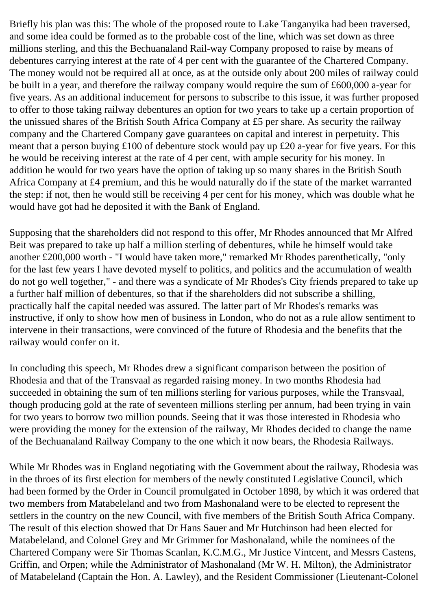Briefly his plan was this: The whole of the proposed route to Lake Tanganyika had been traversed, and some idea could be formed as to the probable cost of the line, which was set down as three millions sterling, and this the Bechuanaland Rail-way Company proposed to raise by means of debentures carrying interest at the rate of 4 per cent with the guarantee of the Chartered Company. The money would not be required all at once, as at the outside only about 200 miles of railway could be built in a year, and therefore the railway company would require the sum of £600,000 a-year for five years. As an additional inducement for persons to subscribe to this issue, it was further proposed to offer to those taking railway debentures an option for two years to take up a certain proportion of the unissued shares of the British South Africa Company at £5 per share. As security the railway company and the Chartered Company gave guarantees on capital and interest in perpetuity. This meant that a person buying £100 of debenture stock would pay up £20 a-year for five years. For this he would be receiving interest at the rate of 4 per cent, with ample security for his money. In addition he would for two years have the option of taking up so many shares in the British South Africa Company at £4 premium, and this he would naturally do if the state of the market warranted the step: if not, then he would still be receiving 4 per cent for his money, which was double what he would have got had he deposited it with the Bank of England.

Supposing that the shareholders did not respond to this offer, Mr Rhodes announced that Mr Alfred Beit was prepared to take up half a million sterling of debentures, while he himself would take another £200,000 worth - "I would have taken more," remarked Mr Rhodes parenthetically, "only for the last few years I have devoted myself to politics, and politics and the accumulation of wealth do not go well together," - and there was a syndicate of Mr Rhodes's City friends prepared to take up a further half million of debentures, so that if the shareholders did not subscribe a shilling, practically half the capital needed was assured. The latter part of Mr Rhodes's remarks was instructive, if only to show how men of business in London, who do not as a rule allow sentiment to intervene in their transactions, were convinced of the future of Rhodesia and the benefits that the railway would confer on it.

In concluding this speech, Mr Rhodes drew a significant comparison between the position of Rhodesia and that of the Transvaal as regarded raising money. In two months Rhodesia had succeeded in obtaining the sum of ten millions sterling for various purposes, while the Transvaal, though producing gold at the rate of seventeen millions sterling per annum, had been trying in vain for two years to borrow two million pounds. Seeing that it was those interested in Rhodesia who were providing the money for the extension of the railway, Mr Rhodes decided to change the name of the Bechuanaland Railway Company to the one which it now bears, the Rhodesia Railways.

While Mr Rhodes was in England negotiating with the Government about the railway, Rhodesia was in the throes of its first election for members of the newly constituted Legislative Council, which had been formed by the Order in Council promulgated in October 1898, by which it was ordered that two members from Matabeleland and two from Mashonaland were to be elected to represent the settlers in the country on the new Council, with five members of the British South Africa Company. The result of this election showed that Dr Hans Sauer and Mr Hutchinson had been elected for Matabeleland, and Colonel Grey and Mr Grimmer for Mashonaland, while the nominees of the Chartered Company were Sir Thomas Scanlan, K.C.M.G., Mr Justice Vintcent, and Messrs Castens, Griffin, and Orpen; while the Administrator of Mashonaland (Mr W. H. Milton), the Administrator of Matabeleland (Captain the Hon. A. Lawley), and the Resident Commissioner (Lieutenant-Colonel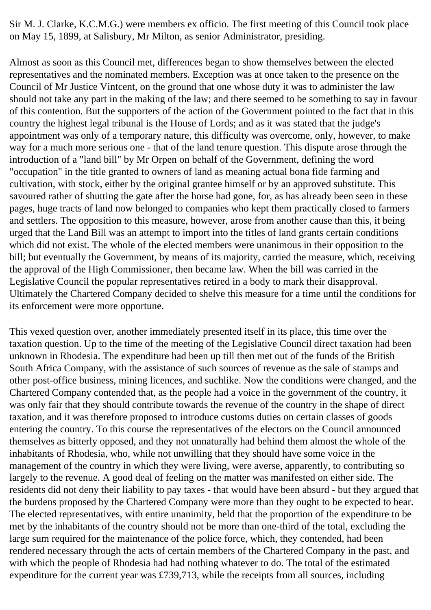Sir M. J. Clarke, K.C.M.G.) were members ex officio. The first meeting of this Council took place on May 15, 1899, at Salisbury, Mr Milton, as senior Administrator, presiding.

Almost as soon as this Council met, differences began to show themselves between the elected representatives and the nominated members. Exception was at once taken to the presence on the Council of Mr Justice Vintcent, on the ground that one whose duty it was to administer the law should not take any part in the making of the law; and there seemed to be something to say in favour of this contention. But the supporters of the action of the Government pointed to the fact that in this country the highest legal tribunal is the House of Lords; and as it was stated that the judge's appointment was only of a temporary nature, this difficulty was overcome, only, however, to make way for a much more serious one - that of the land tenure question. This dispute arose through the introduction of a "land bill" by Mr Orpen on behalf of the Government, defining the word "occupation" in the title granted to owners of land as meaning actual bona fide farming and cultivation, with stock, either by the original grantee himself or by an approved substitute. This savoured rather of shutting the gate after the horse had gone, for, as has already been seen in these pages, huge tracts of land now belonged to companies who kept them practically closed to farmers and settlers. The opposition to this measure, however, arose from another cause than this, it being urged that the Land Bill was an attempt to import into the titles of land grants certain conditions which did not exist. The whole of the elected members were unanimous in their opposition to the bill; but eventually the Government, by means of its majority, carried the measure, which, receiving the approval of the High Commissioner, then became law. When the bill was carried in the Legislative Council the popular representatives retired in a body to mark their disapproval. Ultimately the Chartered Company decided to shelve this measure for a time until the conditions for its enforcement were more opportune.

This vexed question over, another immediately presented itself in its place, this time over the taxation question. Up to the time of the meeting of the Legislative Council direct taxation had been unknown in Rhodesia. The expenditure had been up till then met out of the funds of the British South Africa Company, with the assistance of such sources of revenue as the sale of stamps and other post-office business, mining licences, and suchlike. Now the conditions were changed, and the Chartered Company contended that, as the people had a voice in the government of the country, it was only fair that they should contribute towards the revenue of the country in the shape of direct taxation, and it was therefore proposed to introduce customs duties on certain classes of goods entering the country. To this course the representatives of the electors on the Council announced themselves as bitterly opposed, and they not unnaturally had behind them almost the whole of the inhabitants of Rhodesia, who, while not unwilling that they should have some voice in the management of the country in which they were living, were averse, apparently, to contributing so largely to the revenue. A good deal of feeling on the matter was manifested on either side. The residents did not deny their liability to pay taxes - that would have been absurd - but they argued that the burdens proposed by the Chartered Company were more than they ought to be expected to bear. The elected representatives, with entire unanimity, held that the proportion of the expenditure to be met by the inhabitants of the country should not be more than one-third of the total, excluding the large sum required for the maintenance of the police force, which, they contended, had been rendered necessary through the acts of certain members of the Chartered Company in the past, and with which the people of Rhodesia had had nothing whatever to do. The total of the estimated expenditure for the current year was £739,713, while the receipts from all sources, including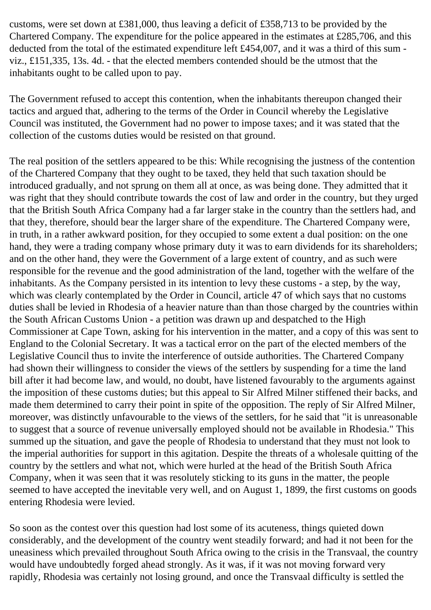customs, were set down at £381,000, thus leaving a deficit of £358,713 to be provided by the Chartered Company. The expenditure for the police appeared in the estimates at £285,706, and this deducted from the total of the estimated expenditure left £454,007, and it was a third of this sum viz., £151,335, 13s. 4d. - that the elected members contended should be the utmost that the inhabitants ought to be called upon to pay.

The Government refused to accept this contention, when the inhabitants thereupon changed their tactics and argued that, adhering to the terms of the Order in Council whereby the Legislative Council was instituted, the Government had no power to impose taxes; and it was stated that the collection of the customs duties would be resisted on that ground.

The real position of the settlers appeared to be this: While recognising the justness of the contention of the Chartered Company that they ought to be taxed, they held that such taxation should be introduced gradually, and not sprung on them all at once, as was being done. They admitted that it was right that they should contribute towards the cost of law and order in the country, but they urged that the British South Africa Company had a far larger stake in the country than the settlers had, and that they, therefore, should bear the larger share of the expenditure. The Chartered Company were, in truth, in a rather awkward position, for they occupied to some extent a dual position: on the one hand, they were a trading company whose primary duty it was to earn dividends for its shareholders; and on the other hand, they were the Government of a large extent of country, and as such were responsible for the revenue and the good administration of the land, together with the welfare of the inhabitants. As the Company persisted in its intention to levy these customs - a step, by the way, which was clearly contemplated by the Order in Council, article 47 of which says that no customs duties shall be levied in Rhodesia of a heavier nature than than those charged by the countries within the South African Customs Union - a petition was drawn up and despatched to the High Commissioner at Cape Town, asking for his intervention in the matter, and a copy of this was sent to England to the Colonial Secretary. It was a tactical error on the part of the elected members of the Legislative Council thus to invite the interference of outside authorities. The Chartered Company had shown their willingness to consider the views of the settlers by suspending for a time the land bill after it had become law, and would, no doubt, have listened favourably to the arguments against the imposition of these customs duties; but this appeal to Sir Alfred Milner stiffened their backs, and made them determined to carry their point in spite of the opposition. The reply of Sir Alfred Milner, moreover, was distinctly unfavourable to the views of the settlers, for he said that "it is unreasonable to suggest that a source of revenue universally employed should not be available in Rhodesia." This summed up the situation, and gave the people of Rhodesia to understand that they must not look to the imperial authorities for support in this agitation. Despite the threats of a wholesale quitting of the country by the settlers and what not, which were hurled at the head of the British South Africa Company, when it was seen that it was resolutely sticking to its guns in the matter, the people seemed to have accepted the inevitable very well, and on August 1, 1899, the first customs on goods entering Rhodesia were levied.

So soon as the contest over this question had lost some of its acuteness, things quieted down considerably, and the development of the country went steadily forward; and had it not been for the uneasiness which prevailed throughout South Africa owing to the crisis in the Transvaal, the country would have undoubtedly forged ahead strongly. As it was, if it was not moving forward very rapidly, Rhodesia was certainly not losing ground, and once the Transvaal difficulty is settled the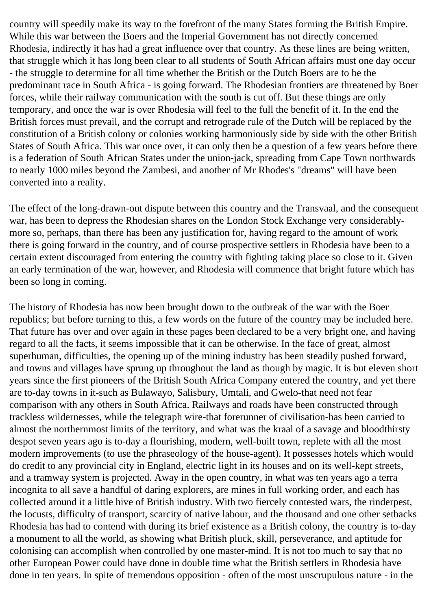country will speedily make its way to the forefront of the many States forming the British Empire. While this war between the Boers and the Imperial Government has not directly concerned Rhodesia, indirectly it has had a great influence over that country. As these lines are being written, that struggle which it has long been clear to all students of South African affairs must one day occur - the struggle to determine for all time whether the British or the Dutch Boers are to be the predominant race in South Africa - is going forward. The Rhodesian frontiers are threatened by Boer forces, while their railway communication with the south is cut off. But these things are only temporary, and once the war is over Rhodesia will feel to the full the benefit of it. In the end the British forces must prevail, and the corrupt and retrograde rule of the Dutch will be replaced by the constitution of a British colony or colonies working harmoniously side by side with the other British States of South Africa. This war once over, it can only then be a question of a few years before there is a federation of South African States under the union-jack, spreading from Cape Town northwards to nearly 1000 miles beyond the Zambesi, and another of Mr Rhodes's "dreams" will have been converted into a reality.

The effect of the long-drawn-out dispute between this country and the Transvaal, and the consequent war, has been to depress the Rhodesian shares on the London Stock Exchange very considerablymore so, perhaps, than there has been any justification for, having regard to the amount of work there is going forward in the country, and of course prospective settlers in Rhodesia have been to a certain extent discouraged from entering the country with fighting taking place so close to it. Given an early termination of the war, however, and Rhodesia will commence that bright future which has been so long in coming.

The history of Rhodesia has now been brought down to the outbreak of the war with the Boer republics; but before turning to this, a few words on the future of the country may be included here. That future has over and over again in these pages been declared to be a very bright one, and having regard to all the facts, it seems impossible that it can be otherwise. In the face of great, almost superhuman, difficulties, the opening up of the mining industry has been steadily pushed forward, and towns and villages have sprung up throughout the land as though by magic. It is but eleven short years since the first pioneers of the British South Africa Company entered the country, and yet there are to-day towns in it-such as Bulawayo, Salisbury, Umtali, and Gwelo-that need not fear comparison with any others in South Africa. Railways and roads have been constructed through trackless wildernesses, while the telegraph wire-that forerunner of civilisation-has been carried to almost the northernmost limits of the territory, and what was the kraal of a savage and bloodthirsty despot seven years ago is to-day a flourishing, modern, well-built town, replete with all the most modern improvements (to use the phraseology of the house-agent). It possesses hotels which would do credit to any provincial city in England, electric light in its houses and on its well-kept streets, and a tramway system is projected. Away in the open country, in what was ten years ago a terra incognita to all save a handful of daring explorers, are mines in full working order, and each has collected around it a little hive of British industry. With two fiercely contested wars, the rinderpest, the locusts, difficulty of transport, scarcity of native labour, and the thousand and one other setbacks Rhodesia has had to contend with during its brief existence as a British colony, the country is to-day a monument to all the world, as showing what British pluck, skill, perseverance, and aptitude for colonising can accomplish when controlled by one master-mind. It is not too much to say that no other European Power could have done in double time what the British settlers in Rhodesia have done in ten years. In spite of tremendous opposition - often of the most unscrupulous nature - in the